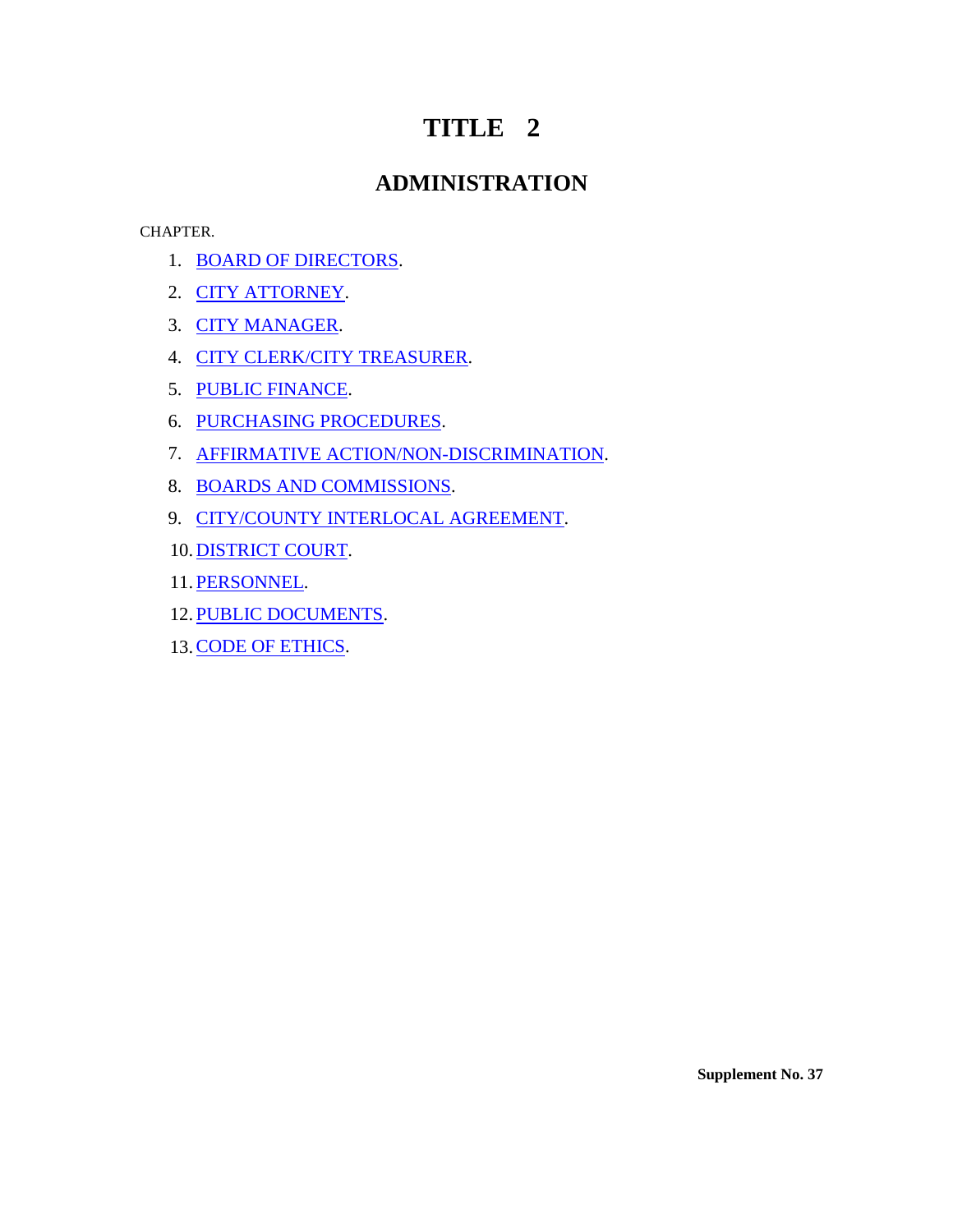# **TITLE 2**

# **ADMINISTRATION**

CHAPTER.

- 1. [BOARD OF DIRECTORS.](#page-1-0)
- 2. [CITY ATTORNEY.](#page-10-0)
- 3. [CITY MANAGER.](#page-12-0)
- 4. [CITY CLERK/CITY TREASURER.](#page-18-0)
- 5. [PUBLIC FINANCE.](#page-20-0)
- 6. [PURCHASING PROCEDURES.](#page-34-0)
- 7. [AFFIRMATIVE ACTION/NON-DISCRIMINATION.](#page-46-0)
- 8. [BOARDS AND COMMISSIONS.](#page-48-0)
- 9. [CITY/COUNTY INTERLOCAL AGREEMENT.](#page-66-0)
- 10. [DISTRICT COURT.](#page-72-0)
- 11. [PERSONNEL.](#page-76-0)
- 12. [PUBLIC DOCUMENTS.](#page-96-0)
- 13[.CODE OF ETHICS.](#page-97-0)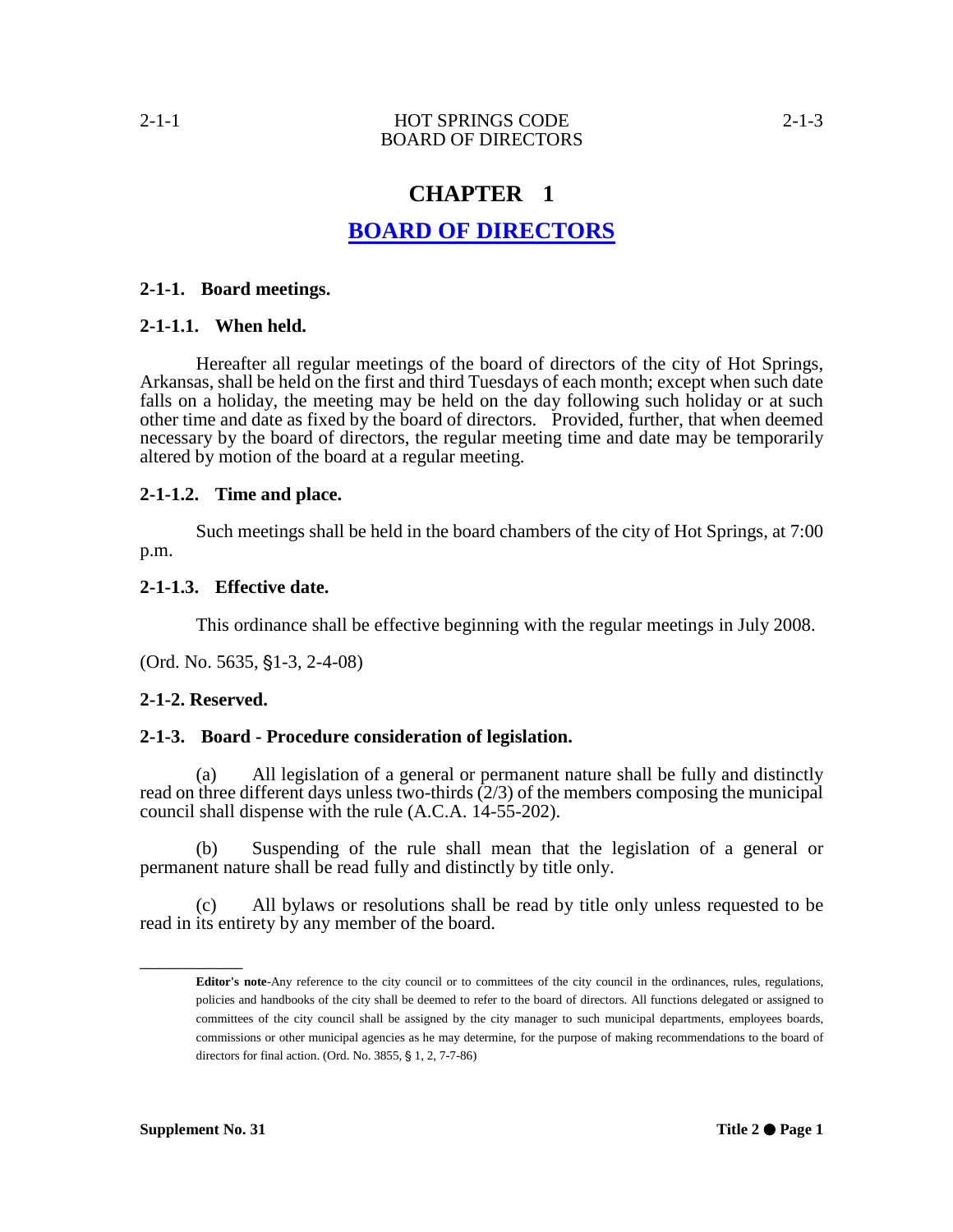### **CHAPTER 1**

### **[BOARD OF DIRECTORS](#page-1-0)**

### <span id="page-1-0"></span>**2-1-1. Board meetings.**

### **2-1-1.1. When held.**

Hereafter all regular meetings of the board of directors of the city of Hot Springs, Arkansas, shall be held on the first and third Tuesdays of each month; except when such date falls on a holiday, the meeting may be held on the day following such holiday or at such other time and date as fixed by the board of directors. Provided, further, that when deemed necessary by the board of directors, the regular meeting time and date may be temporarily altered by motion of the board at a regular meeting.

### **2-1-1.2. Time and place.**

Such meetings shall be held in the board chambers of the city of Hot Springs, at 7:00 p.m.

### **2-1-1.3. Effective date.**

This ordinance shall be effective beginning with the regular meetings in July 2008.

 $(Ord. No. 5635, §1-3, 2-4-08)$ 

### **2-1-2. Reserved.**

### **2-1-3. Board - Procedure consideration of legislation.**

(a) All legislation of a general or permanent nature shall be fully and distinctly read on three different days unless two-thirds  $(2/3)$  of the members composing the municipal council shall dispense with the rule (A.C.A. 14-55-202).

Suspending of the rule shall mean that the legislation of a general or permanent nature shall be read fully and distinctly by title only.

(c) All bylaws or resolutions shall be read by title only unless requested to be read in its entirety by any member of the board.

\_\_\_\_\_\_\_\_\_\_\_

**Editor's note-Any** reference to the city council or to committees of the city council in the ordinances, rules, regulations, policies and handbooks of the city shall be deemed to refer to the board of directors. All functions delegated or assigned to committees of the city council shall be assigned by the city manager to such municipal departments, employees boards, commissions or other municipal agencies as he may determine, for the purpose of making recommendations to the board of directors for final action. (Ord. No.  $3855$ ,  $$1, 2, 7-7-86$ )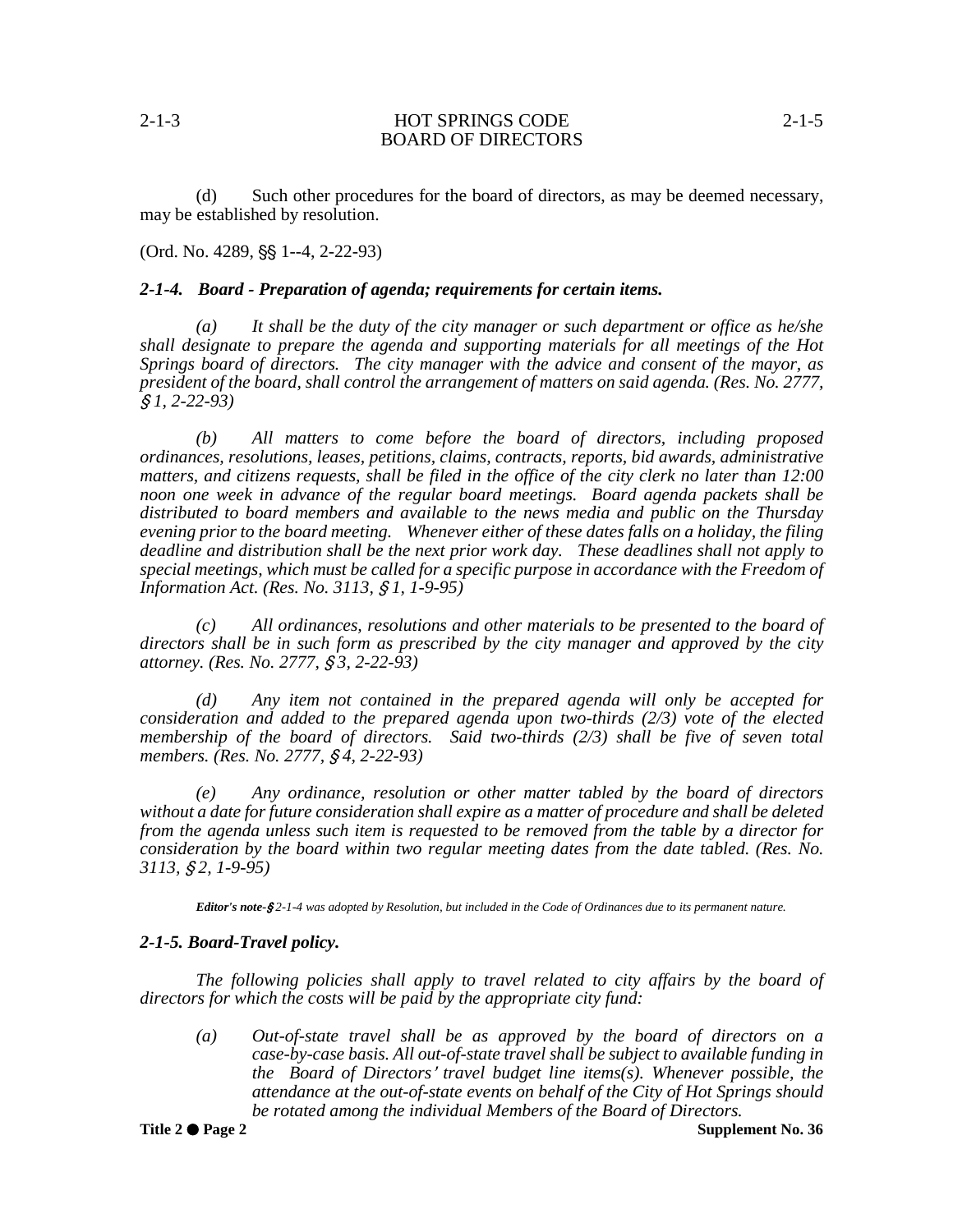(d) Such other procedures for the board of directors, as may be deemed necessary, may be established by resolution.

(Ord. No. 4289, §§ 1--4, 2-22-93)

### *2-1-4. Board - Preparation of agenda; requirements for certain items.*

*(a) It shall be the duty of the city manager or such department or office as he/she shall designate to prepare the agenda and supporting materials for all meetings of the Hot Springs board of directors. The city manager with the advice and consent of the mayor, as president of the board, shall control the arrangement of matters on said agenda. (Res. No. 2777,*  ' *1, 2-22-93)*

*(b) All matters to come before the board of directors, including proposed ordinances, resolutions, leases, petitions, claims, contracts, reports, bid awards, administrative matters, and citizens requests, shall be filed in the office of the city clerk no later than 12:00 noon one week in advance of the regular board meetings. Board agenda packets shall be distributed to board members and available to the news media and public on the Thursday evening prior to the board meeting. Whenever either of these dates falls on a holiday, the filing deadline and distribution shall be the next prior work day. These deadlines shall not apply to special meetings, which must be called for a specific purpose in accordance with the Freedom of Information Act. (Res. No. 3113, §1, 1-9-95)* 

*(c) All ordinances, resolutions and other materials to be presented to the board of directors shall be in such form as prescribed by the city manager and approved by the city attorney. (Res. No. 2777, § 3, 2-22-93)* 

*(d) Any item not contained in the prepared agenda will only be accepted for consideration and added to the prepared agenda upon two-thirds (2/3) vote of the elected membership of the board of directors. Said two-thirds (2/3) shall be five of seven total members.* (*Res. No. 2777, §4, 2-22-93*)

*(e) Any ordinance, resolution or other matter tabled by the board of directors without a date for future consideration shall expire as a matter of procedure and shall be deleted from the agenda unless such item is requested to be removed from the table by a director for consideration by the board within two regular meeting dates from the date tabled. (Res. No. 3113,* ' *2, 1-9-95)*

*Editor's note-§2-1-4 was adopted by Resolution, but included in the Code of Ordinances due to its permanent nature.* 

### *2-1-5. Board-Travel policy.*

*The following policies shall apply to travel related to city affairs by the board of directors for which the costs will be paid by the appropriate city fund:*

*(a) Out-of-state travel shall be as approved by the board of directors on a case-by-case basis. All out-of-state travel shall be subject to available funding in the Board of Directors' travel budget line items(s). Whenever possible, the attendance at the out-of-state events on behalf of the City of Hot Springs should be rotated among the individual Members of the Board of Directors.*

**Title 2 Page 2 Supplement No. 36**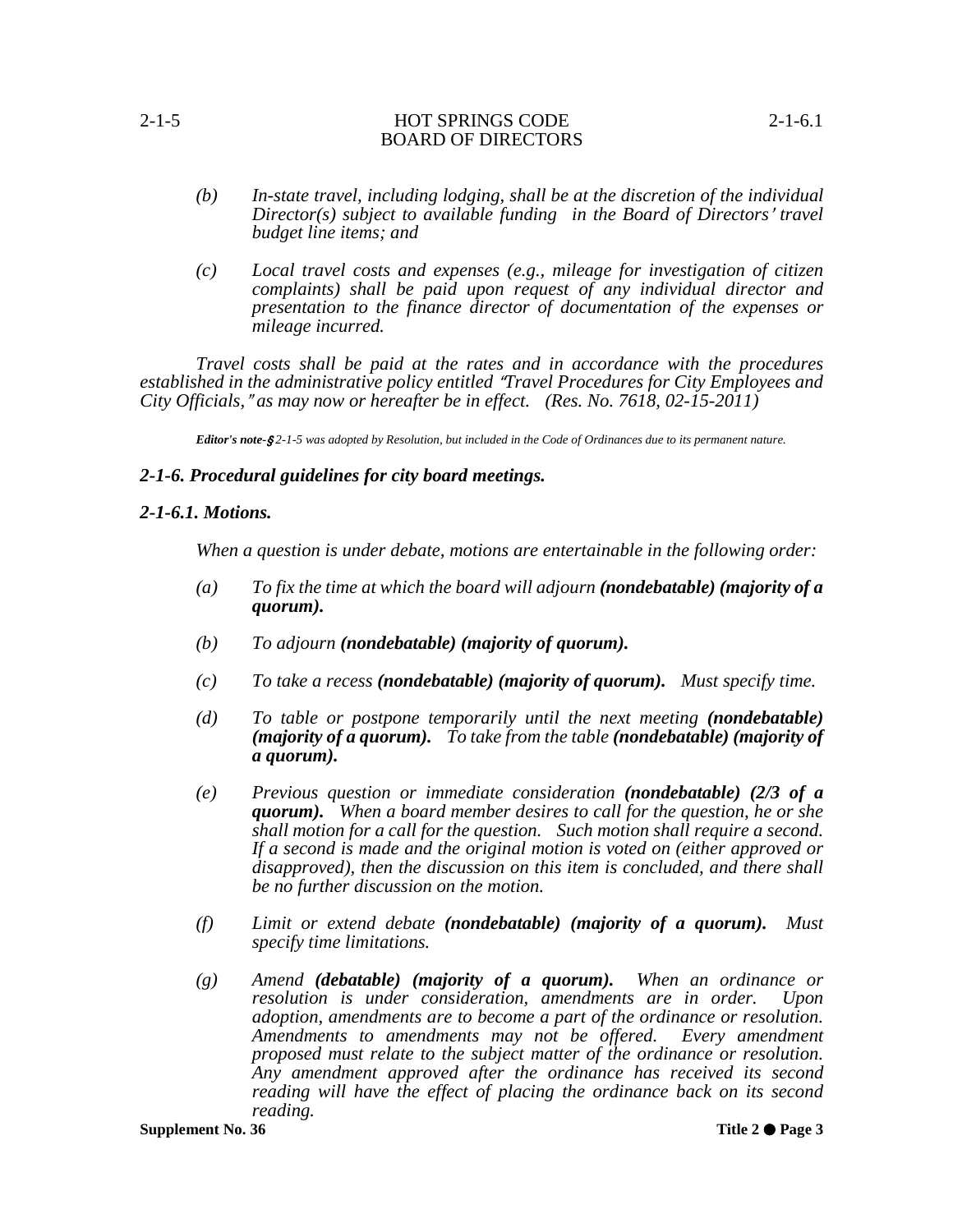### 2-1-5 HOT SPRINGS CODE 2-1-6.1 BOARD OF DIRECTORS

- *(b) In-state travel, including lodging, shall be at the discretion of the individual Director(s)* subject to available funding in the Board of Directors' travel *budget line items; and*
- *(c) Local travel costs and expenses (e.g., mileage for investigation of citizen complaints) shall be paid upon request of any individual director and presentation to the finance director of documentation of the expenses or mileage incurred.*

*Travel costs shall be paid at the rates and in accordance with the procedures established in the administrative policy entitled "Travel Procedures for City Employees and City Officials,*@ *as may now or hereafter be in effect. (Res. No. 7618, 02-15-2011)*

*Editor's note-§2-1-5 was adopted by Resolution, but included in the Code of Ordinances due to its permanent nature.* 

### *2-1-6. Procedural guidelines for city board meetings.*

### *2-1-6.1. Motions.*

*When a question is under debate, motions are entertainable in the following order:*

- *(a) To fix the time at which the board will adjourn (nondebatable) (majority of a quorum).*
- *(b) To adjourn (nondebatable) (majority of quorum).*
- *(c) To take a recess (nondebatable) (majority of quorum). Must specify time.*
- *(d) To table or postpone temporarily until the next meeting (nondebatable) (majority of a quorum). To take from the table (nondebatable) (majority of a quorum).*
- *(e) Previous question or immediate consideration (nondebatable) (2/3 of a quorum). When a board member desires to call for the question, he or she shall motion for a call for the question. Such motion shall require a second. If a second is made and the original motion is voted on (either approved or disapproved), then the discussion on this item is concluded, and there shall be no further discussion on the motion.*
- *(f) Limit or extend debate (nondebatable) (majority of a quorum). Must specify time limitations.*
- *(g) Amend (debatable) (majority of a quorum). When an ordinance or resolution is under consideration, amendments are in order. Upon adoption, amendments are to become a part of the ordinance or resolution. Amendments to amendments may not be offered. Every amendment proposed must relate to the subject matter of the ordinance or resolution. Any amendment approved after the ordinance has received its second reading will have the effect of placing the ordinance back on its second reading.*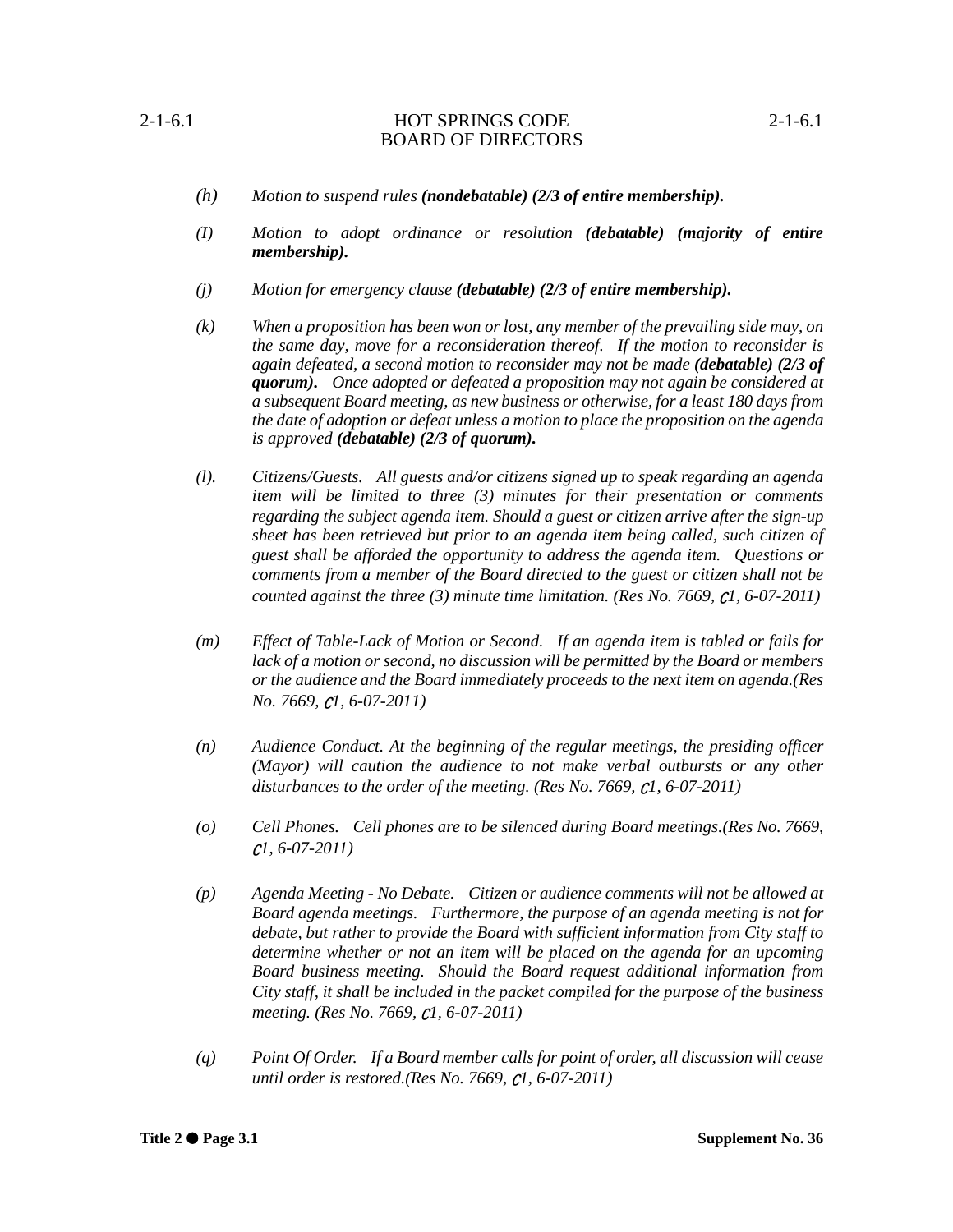- *(h) Motion to suspend rules (nondebatable) (2/3 of entire membership).*
- *(I) Motion to adopt ordinance or resolution (debatable) (majority of entire membership).*
- *(j) Motion for emergency clause (debatable) (2/3 of entire membership).*
- *(k) When a proposition has been won or lost, any member of the prevailing side may, on the same day, move for a reconsideration thereof. If the motion to reconsider is again defeated, a second motion to reconsider may not be made (debatable) (2/3 of quorum). Once adopted or defeated a proposition may not again be considered at a subsequent Board meeting, as new business or otherwise, for a least 180 days from the date of adoption or defeat unless a motion to place the proposition on the agenda is approved (debatable) (2/3 of quorum).*
- *(l). Citizens/Guests. All guests and/or citizens signed up to speak regarding an agenda item will be limited to three (3) minutes for their presentation or comments regarding the subject agenda item. Should a guest or citizen arrive after the sign-up sheet has been retrieved but prior to an agenda item being called, such citizen of guest shall be afforded the opportunity to address the agenda item. Questions or comments from a member of the Board directed to the guest or citizen shall not be counted against the three (3) minute time limitation. (Res No. 7669, 1, 6-07-2011)*
- *(m) Effect of Table-Lack of Motion or Second. If an agenda item is tabled or fails for lack of a motion or second, no discussion will be permitted by the Board or members or the audience and the Board immediately proceeds to the next item on agenda.(Res No. 7669, 1, 6-07-2011)*
- *(n) Audience Conduct. At the beginning of the regular meetings, the presiding officer (Mayor) will caution the audience to not make verbal outbursts or any other disturbances to the order of the meeting. (Res No. 7669, 1, 6-07-2011)*
- *(o) Cell Phones. Cell phones are to be silenced during Board meetings.(Res No. 7669, 1, 6-07-2011)*
- *(p) Agenda Meeting - No Debate. Citizen or audience comments will not be allowed at Board agenda meetings. Furthermore, the purpose of an agenda meeting is not for debate, but rather to provide the Board with sufficient information from City staff to determine whether or not an item will be placed on the agenda for an upcoming Board business meeting. Should the Board request additional information from City staff, it shall be included in the packet compiled for the purpose of the business meeting. (Res No. 7669, 1, 6-07-2011)*
- *(q) Point Of Order. If a Board member calls for point of order, all discussion will cease until order is restored.(Res No. 7669, 1, 6-07-2011)*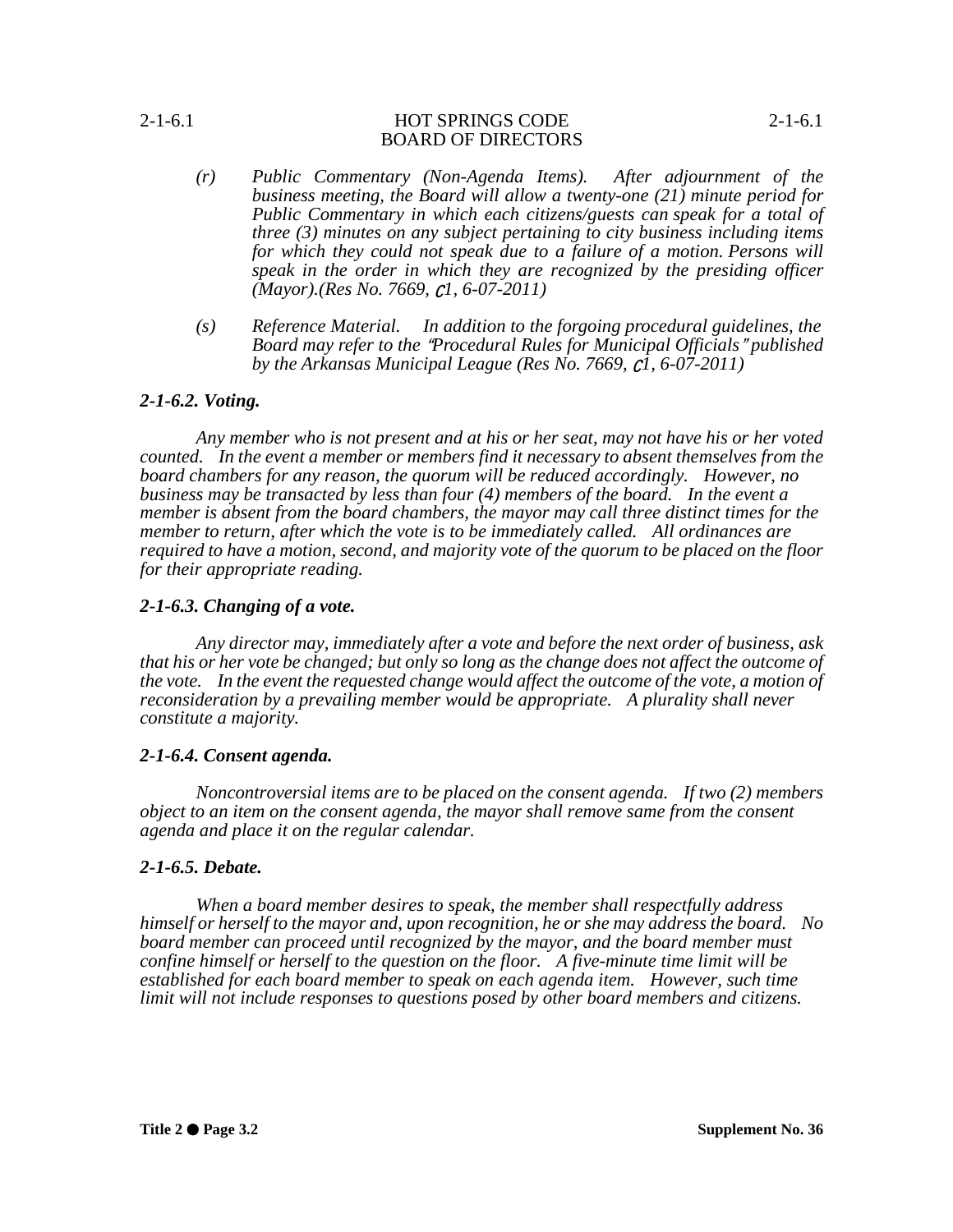### 2-1-6.1 HOT SPRINGS CODE 2-1-6.1 BOARD OF DIRECTORS

- *(r) Public Commentary (Non-Agenda Items). After adjournment of the business meeting, the Board will allow a twenty-one (21) minute period for Public Commentary in which each citizens/guests can speak for a total of three (3) minutes on any subject pertaining to city business including items for which they could not speak due to a failure of a motion. Persons will speak in the order in which they are recognized by the presiding officer (Mayor).(Res No. 7669, 1, 6-07-2011)*
- *(s) Reference Material. In addition to the forgoing procedural guidelines, the Board may refer to the "Procedural Rules for Municipal Officials" published by the Arkansas Municipal League (Res No. 7669, 1, 6-07-2011)*

### *2-1-6.2. Voting.*

*Any member who is not present and at his or her seat, may not have his or her voted counted. In the event a member or members find it necessary to absent themselves from the board chambers for any reason, the quorum will be reduced accordingly. However, no business may be transacted by less than four (4) members of the board. In the event a member is absent from the board chambers, the mayor may call three distinct times for the member to return, after which the vote is to be immediately called. All ordinances are required to have a motion, second, and majority vote of the quorum to be placed on the floor for their appropriate reading.*

### *2-1-6.3. Changing of a vote.*

*Any director may, immediately after a vote and before the next order of business, ask that his or her vote be changed; but only so long as the change does not affect the outcome of the vote. In the event the requested change would affect the outcome of the vote, a motion of reconsideration by a prevailing member would be appropriate. A plurality shall never constitute a majority.*

### *2-1-6.4. Consent agenda.*

*Noncontroversial items are to be placed on the consent agenda. If two (2) members object to an item on the consent agenda, the mayor shall remove same from the consent agenda and place it on the regular calendar.*

### *2-1-6.5. Debate.*

*When a board member desires to speak, the member shall respectfully address himself or herself to the mayor and, upon recognition, he or she may address the board. No board member can proceed until recognized by the mayor, and the board member must confine himself or herself to the question on the floor. A five-minute time limit will be established for each board member to speak on each agenda item. However, such time limit will not include responses to questions posed by other board members and citizens.*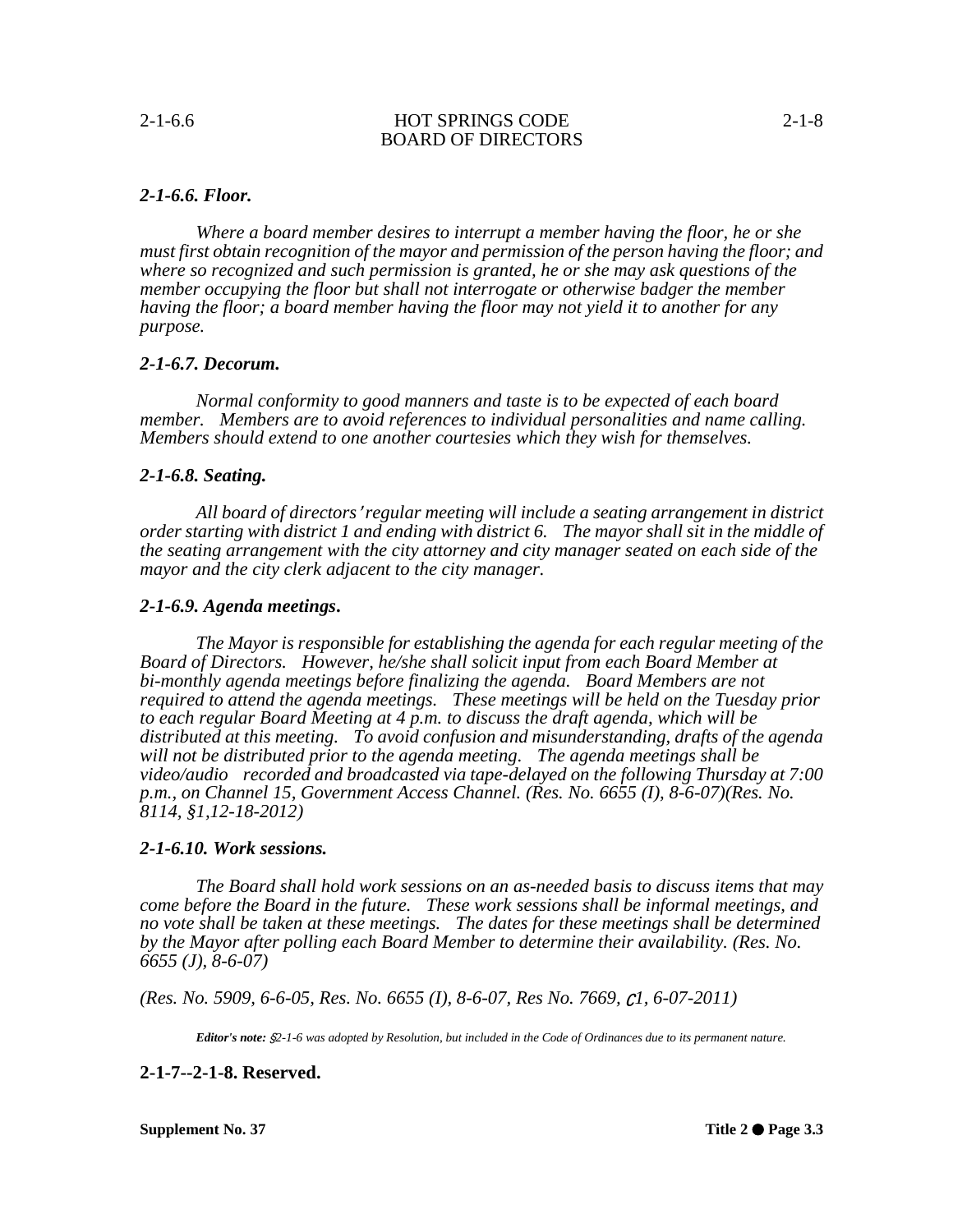### *2-1-6.6. Floor.*

*Where a board member desires to interrupt a member having the floor, he or she must first obtain recognition of the mayor and permission of the person having the floor; and where so recognized and such permission is granted, he or she may ask questions of the member occupying the floor but shall not interrogate or otherwise badger the member having the floor; a board member having the floor may not yield it to another for any purpose.*

### *2-1-6.7. Decorum.*

*Normal conformity to good manners and taste is to be expected of each board member. Members are to avoid references to individual personalities and name calling. Members should extend to one another courtesies which they wish for themselves.*

### *2-1-6.8. Seating.*

*All board of directors*<sup>=</sup> *regular meeting will include a seating arrangement in district order starting with district 1 and ending with district 6. The mayor shall sit in the middle of the seating arrangement with the city attorney and city manager seated on each side of the mayor and the city clerk adjacent to the city manager.*

### *2-1-6.9. Agenda meetings***.**

*The Mayor is responsible for establishing the agenda for each regular meeting of the Board of Directors. However, he/she shall solicit input from each Board Member at bi-monthly agenda meetings before finalizing the agenda. Board Members are not required to attend the agenda meetings. These meetings will be held on the Tuesday prior to each regular Board Meeting at 4 p.m. to discuss the draft agenda, which will be distributed at this meeting. To avoid confusion and misunderstanding, drafts of the agenda will not be distributed prior to the agenda meeting. The agenda meetings shall be video/audio recorded and broadcasted via tape-delayed on the following Thursday at 7:00 p.m., on Channel 15, Government Access Channel. (Res. No. 6655 (I), 8-6-07)(Res. No. 8114, §1,12-18-2012)*

### *2-1-6.10. Work sessions.*

*The Board shall hold work sessions on an as-needed basis to discuss items that may come before the Board in the future. These work sessions shall be informal meetings, and no vote shall be taken at these meetings. The dates for these meetings shall be determined by the Mayor after polling each Board Member to determine their availability. (Res. No. 6655 (J), 8-6-07)*

*(Res. No. 5909, 6-6-05, Res. No. 6655 (I), 8-6-07, Res No. 7669, 1, 6-07-2011)*

*Editor's note:* '*2-1-6 was adopted by Resolution, but included in the Code of Ordinances due to its permanent nature.*

### **2-1-7--2-1-8. Reserved.**

**Supplement No. 37 Title 2 Page 3.3**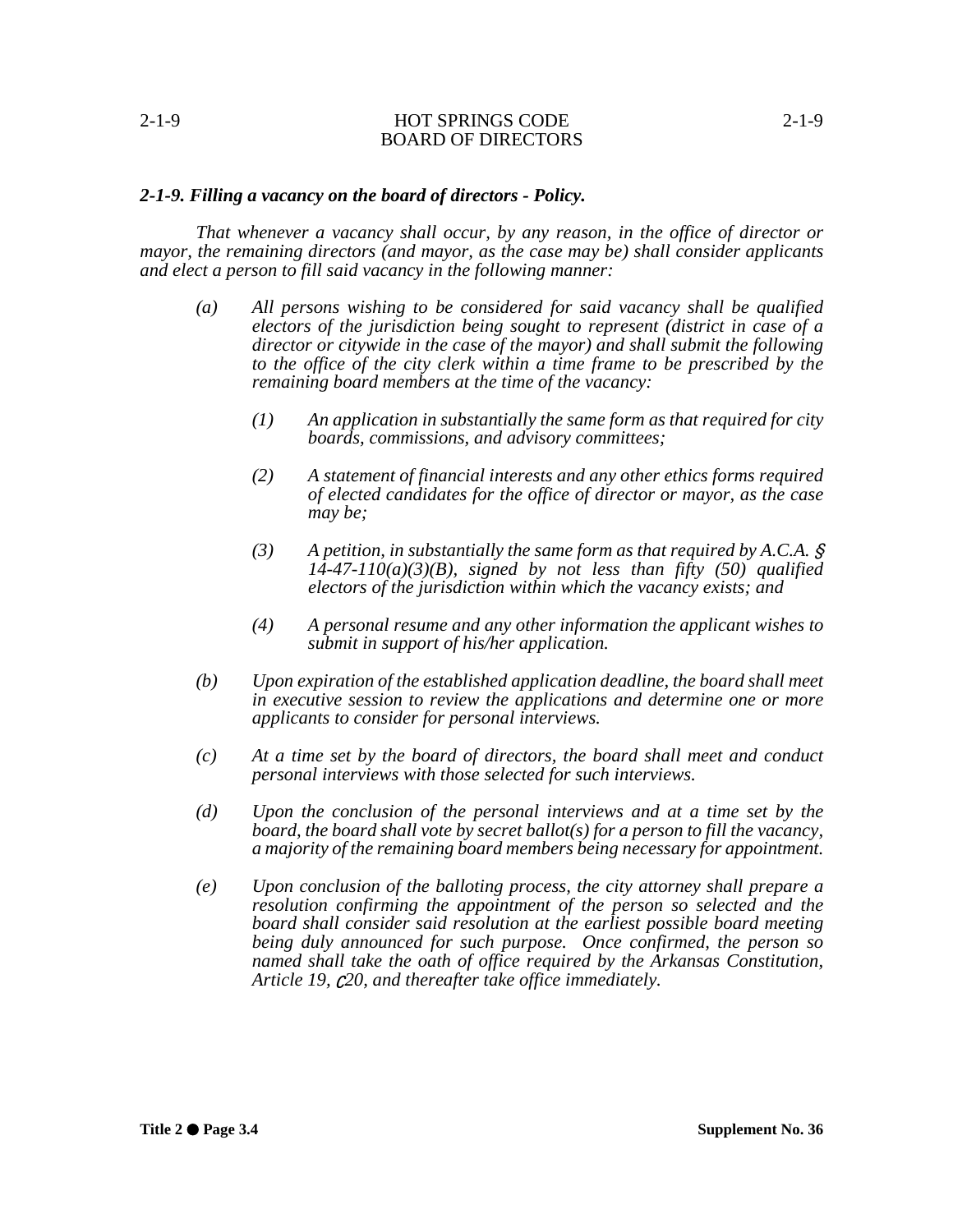*That whenever a vacancy shall occur, by any reason, in the office of director or mayor, the remaining directors (and mayor, as the case may be) shall consider applicants and elect a person to fill said vacancy in the following manner:*

- *(a) All persons wishing to be considered for said vacancy shall be qualified electors of the jurisdiction being sought to represent (district in case of a director or citywide in the case of the mayor) and shall submit the following to the office of the city clerk within a time frame to be prescribed by the remaining board members at the time of the vacancy:*
	- *(1) An application in substantially the same form as that required for city boards, commissions, and advisory committees;*
	- *(2) A statement of financial interests and any other ethics forms required of elected candidates for the office of director or mayor, as the case may be;*
	- *(3) A petition, in substantially the same form as that required by A.C.A.* '  $14-47-110(a)(3)(B)$ , signed by not less than fifty (50) qualified *electors of the jurisdiction within which the vacancy exists; and*
	- *(4) A personal resume and any other information the applicant wishes to submit in support of his/her application.*
- *(b) Upon expiration of the established application deadline, the board shall meet in executive session to review the applications and determine one or more applicants to consider for personal interviews.*
- *(c) At a time set by the board of directors, the board shall meet and conduct personal interviews with those selected for such interviews.*
- *(d) Upon the conclusion of the personal interviews and at a time set by the board, the board shall vote by secret ballot(s) for a person to fill the vacancy, a majority of the remaining board members being necessary for appointment.*
- *(e) Upon conclusion of the balloting process, the city attorney shall prepare a resolution confirming the appointment of the person so selected and the board shall consider said resolution at the earliest possible board meeting being duly announced for such purpose. Once confirmed, the person so named shall take the oath of office required by the Arkansas Constitution, Article 19, 20, and thereafter take office immediately.*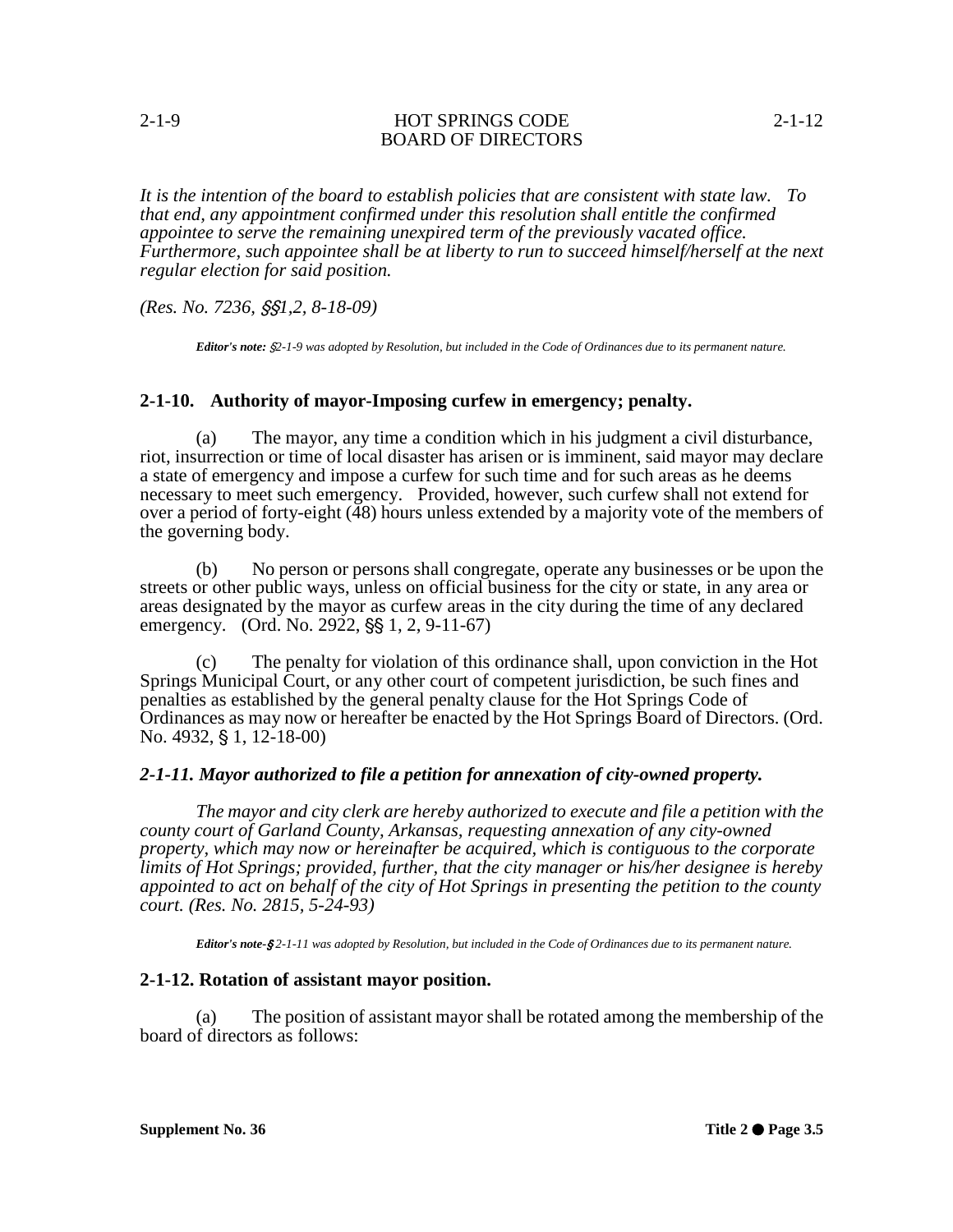### 2-1-9 HOT SPRINGS CODE 2-1-12 BOARD OF DIRECTORS

*It is the intention of the board to establish policies that are consistent with state law. To that end, any appointment confirmed under this resolution shall entitle the confirmed appointee to serve the remaining unexpired term of the previously vacated office. Furthermore, such appointee shall be at liberty to run to succeed himself/herself at the next regular election for said position.*

*(Res. No. 7236, §§1,2, 8-18-09)* 

*Editor's note:* '*2-1-9 was adopted by Resolution, but included in the Code of Ordinances due to its permanent nature.*

### **2-1-10. Authority of mayor-Imposing curfew in emergency; penalty.**

(a) The mayor, any time a condition which in his judgment a civil disturbance, riot, insurrection or time of local disaster has arisen or is imminent, said mayor may declare a state of emergency and impose a curfew for such time and for such areas as he deems necessary to meet such emergency. Provided, however, such curfew shall not extend for over a period of forty-eight (48) hours unless extended by a majority vote of the members of the governing body.

(b) No person or persons shall congregate, operate any businesses or be upon the streets or other public ways, unless on official business for the city or state, in any area or areas designated by the mayor as curfew areas in the city during the time of any declared emergency. (Ord. No. 2922,  $\S$ § 1, 2, 9-11-67)

(c) The penalty for violation of this ordinance shall, upon conviction in the Hot Springs Municipal Court, or any other court of competent jurisdiction, be such fines and penalties as established by the general penalty clause for the Hot Springs Code of Ordinances as may now or hereafter be enacted by the Hot Springs Board of Directors. (Ord. No.  $4932, \S 1, 12-18-00$ 

### *2-1-11. Mayor authorized to file a petition for annexation of city-owned property.*

*The mayor and city clerk are hereby authorized to execute and file a petition with the county court of Garland County, Arkansas, requesting annexation of any city-owned property, which may now or hereinafter be acquired, which is contiguous to the corporate limits of Hot Springs; provided, further, that the city manager or his/her designee is hereby appointed to act on behalf of the city of Hot Springs in presenting the petition to the county court. (Res. No. 2815, 5-24-93)*

*Editor's note-§2-1-11 was adopted by Resolution, but included in the Code of Ordinances due to its permanent nature.* 

### **2-1-12. Rotation of assistant mayor position.**

(a) The position of assistant mayor shall be rotated among the membership of the board of directors as follows: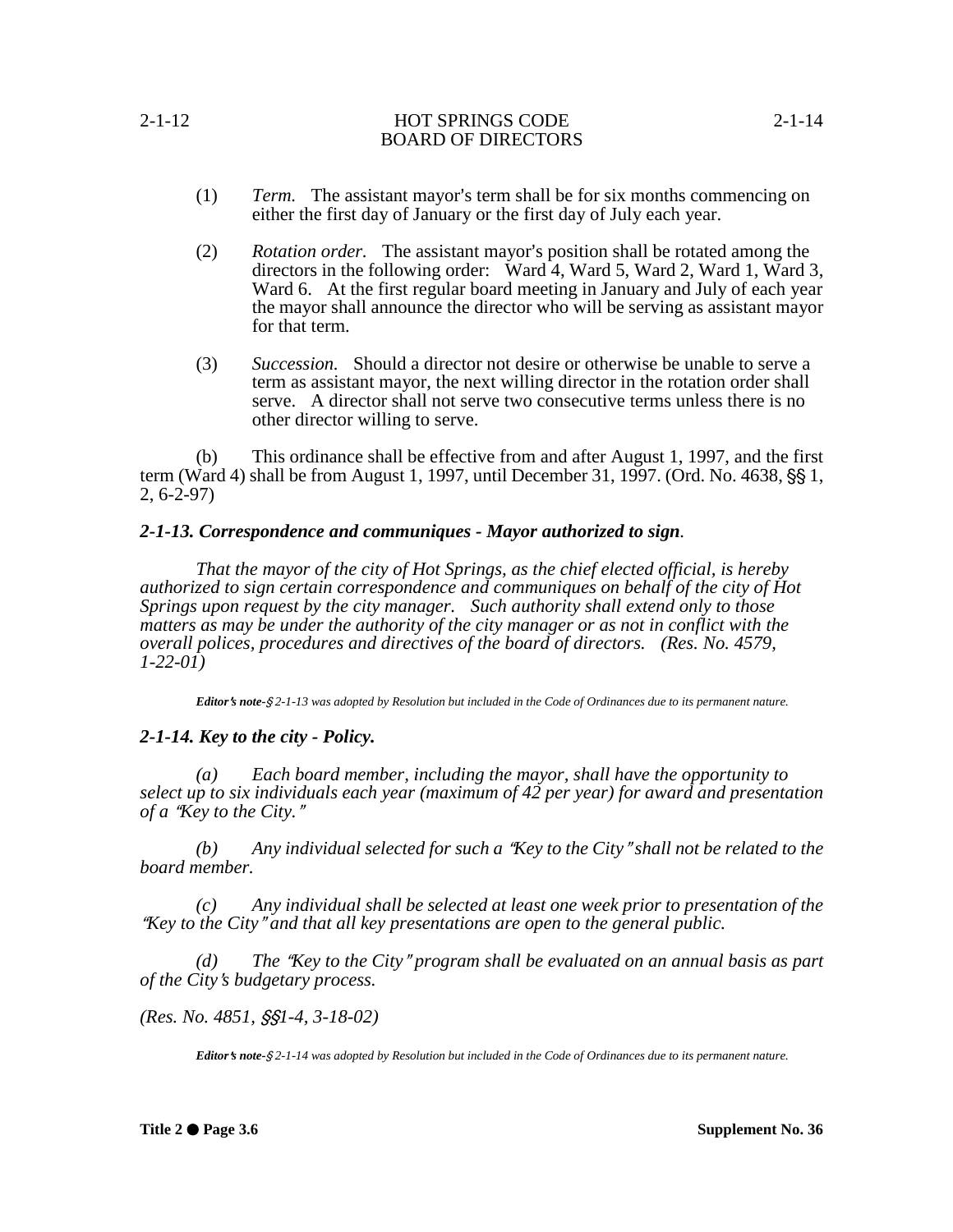### 2-1-12 HOT SPRINGS CODE 2-1-14 BOARD OF DIRECTORS

- (1) *Term.* The assistant mayor's term shall be for six months commencing on either the first day of January or the first day of July each year.
- (2) *Rotation order.* The assistant mayor's position shall be rotated among the directors in the following order: Ward 4, Ward 5, Ward 2, Ward 1, Ward 3, Ward 6. At the first regular board meeting in January and July of each year the mayor shall announce the director who will be serving as assistant mayor for that term.
- (3) *Succession.* Should a director not desire or otherwise be unable to serve a term as assistant mayor, the next willing director in the rotation order shall serve. A director shall not serve two consecutive terms unless there is no other director willing to serve.

(b) This ordinance shall be effective from and after August 1, 1997, and the first term (Ward 4) shall be from August 1, 1997, until December 31, 1997. (Ord. No.  $4638$ ,  $\S$  $\S$  1, 2, 6-2-97)

### *2-1-13. Correspondence and communiques - Mayor authorized to sign.*

*That the mayor of the city of Hot Springs, as the chief elected official, is hereby authorized to sign certain correspondence and communiques on behalf of the city of Hot Springs upon request by the city manager. Such authority shall extend only to those matters as may be under the authority of the city manager or as not in conflict with the overall polices, procedures and directives of the board of directors. (Res. No. 4579, 1-22-01)*

*Editor's note-§2-1-13 was adopted by Resolution but included in the Code of Ordinances due to its permanent nature.* 

### *2-1-14. Key to the city - Policy.*

*(a) Each board member, including the mayor, shall have the opportunity to select up to six individuals each year (maximum of 42 per year) for award and presentation of a "Key to the City."* 

 $(h)$  Any individual selected for such a "Key to the City" shall not be related to the *board member.*

*(c) Any individual shall be selected at least one week prior to presentation of the Key to the City* " *and that all key presentations are open to the general public.* 

*(d)* The "Key to the City" program shall be evaluated on an annual basis as part *of the City*=*s budgetary process.* 

*(Res. No. 4851,* ''*1-4, 3-18-02)*

*Editor's note-* $\S 2$ -1-14 was adopted by Resolution but included in the Code of Ordinances due to its permanent nature.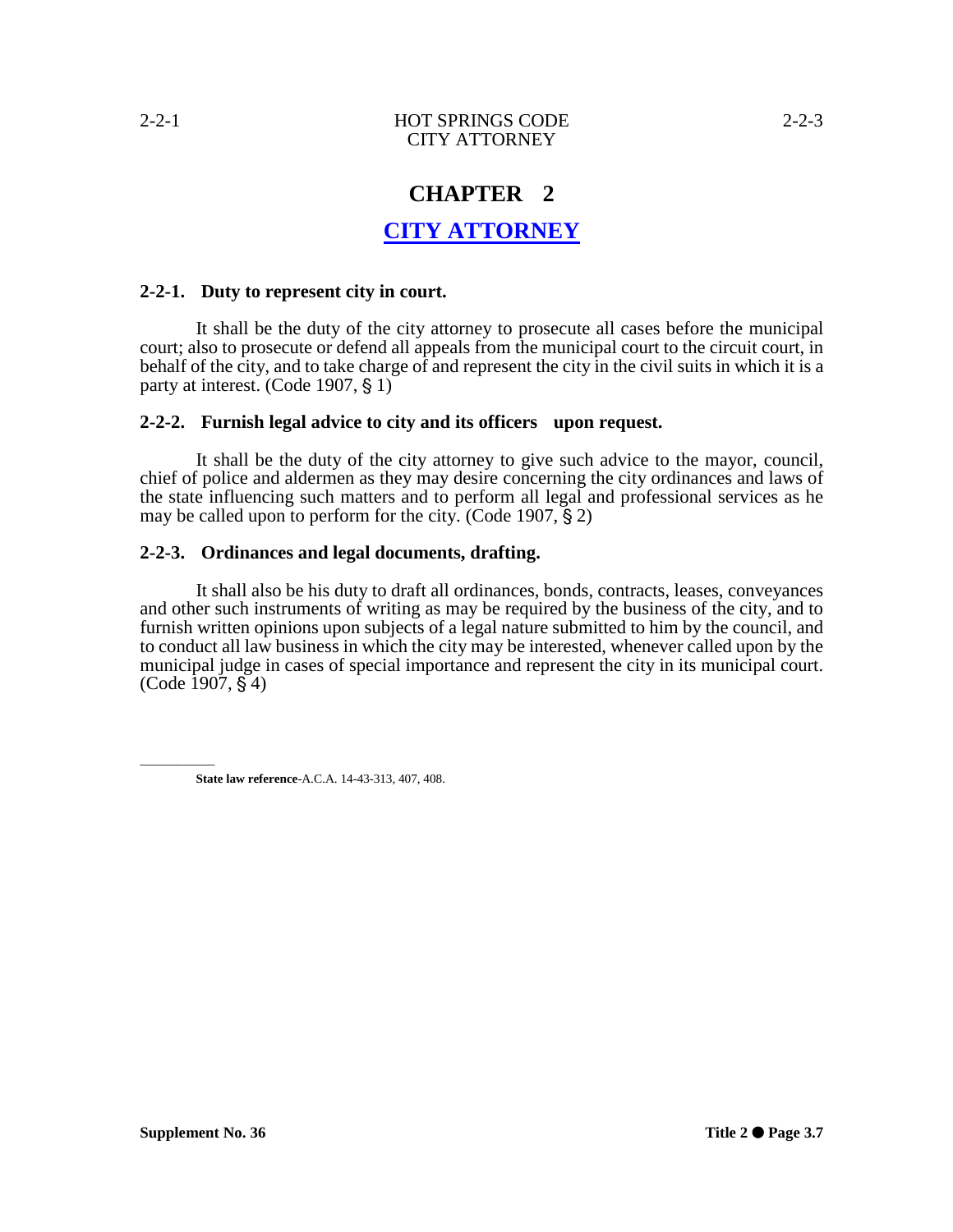### **CHAPTER 2**

### **[CITY ATTORNEY](#page-10-0)**

### <span id="page-10-0"></span>**2-2-1. Duty to represent city in court.**

It shall be the duty of the city attorney to prosecute all cases before the municipal court; also to prosecute or defend all appeals from the municipal court to the circuit court, in behalf of the city, and to take charge of and represent the city in the civil suits in which it is a party at interest. (Code 1907,  $\S$  1)

### **2-2-2. Furnish legal advice to city and its officers upon request.**

It shall be the duty of the city attorney to give such advice to the mayor, council, chief of police and aldermen as they may desire concerning the city ordinances and laws of the state influencing such matters and to perform all legal and professional services as he may be called upon to perform for the city. (Code 1907,  $\S 2$ )

### **2-2-3. Ordinances and legal documents, drafting.**

It shall also be his duty to draft all ordinances, bonds, contracts, leases, conveyances and other such instruments of writing as may be required by the business of the city, and to furnish written opinions upon subjects of a legal nature submitted to him by the council, and to conduct all law business in which the city may be interested, whenever called upon by the municipal judge in cases of special importance and represent the city in its municipal court.  $(Code\ 1907, \S 4)$ 

 $\overline{\phantom{a}}$  , where  $\overline{\phantom{a}}$ 

**State law reference**-A.C.A. 14-43-313, 407, 408.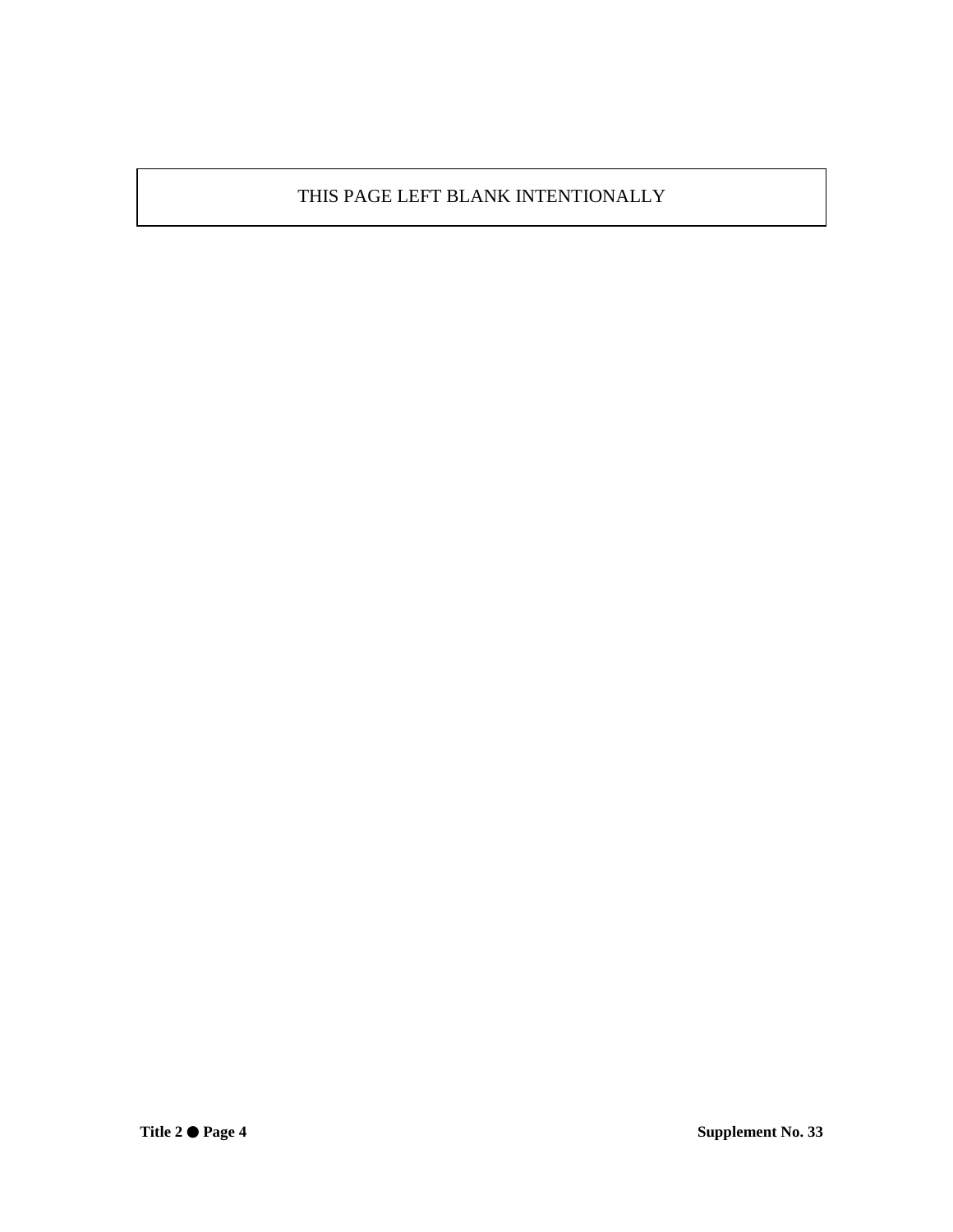### THIS PAGE LEFT BLANK INTENTIONALLY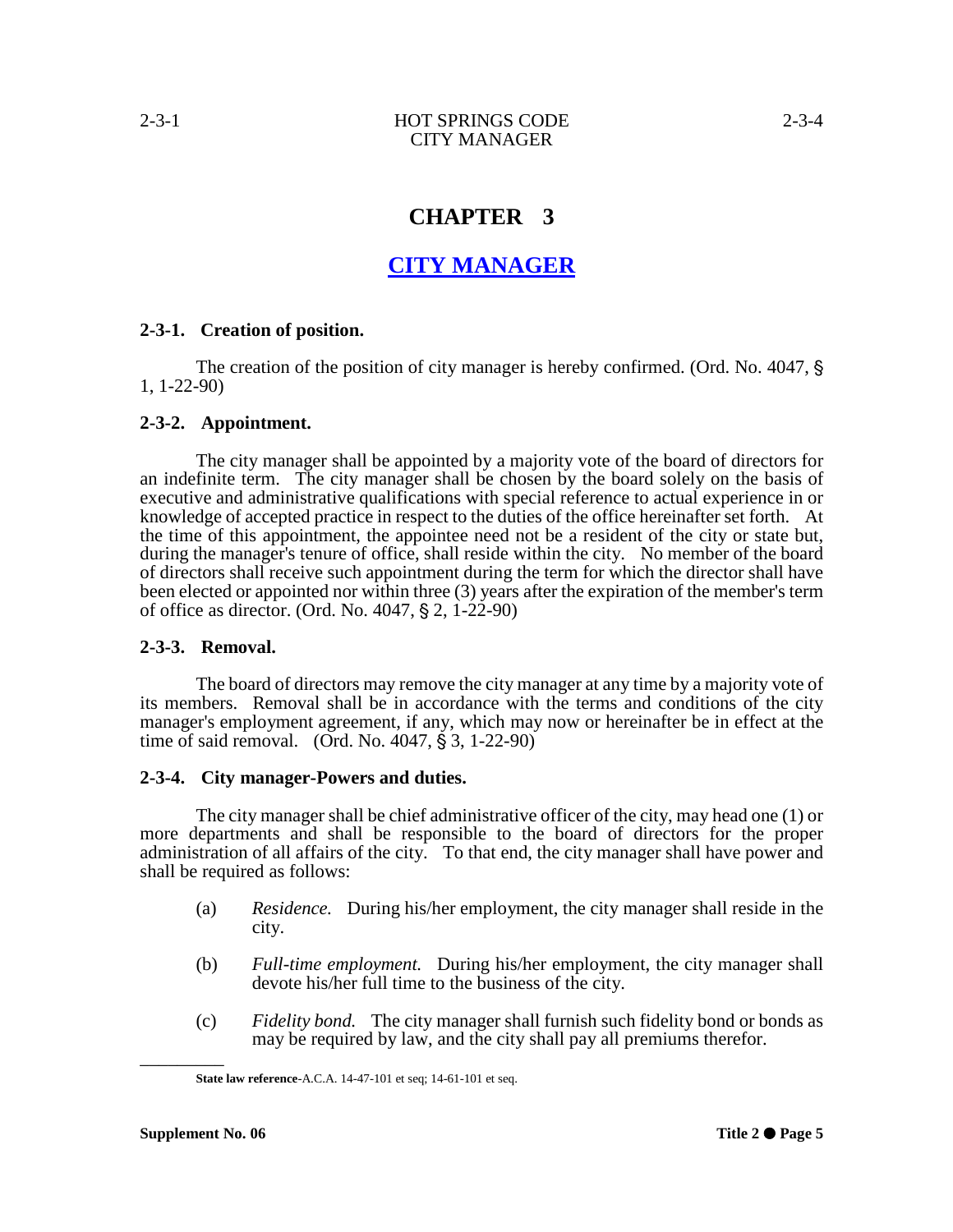## **CHAPTER 3**

### **[CITY MANAGER](#page-12-0)**

### <span id="page-12-0"></span>**2-3-1. Creation of position.**

The creation of the position of city manager is hereby confirmed. (Ord. No. 4047, § 1, 1-22-90)

### **2-3-2. Appointment.**

The city manager shall be appointed by a majority vote of the board of directors for an indefinite term. The city manager shall be chosen by the board solely on the basis of executive and administrative qualifications with special reference to actual experience in or knowledge of accepted practice in respect to the duties of the office hereinafter set forth. At the time of this appointment, the appointee need not be a resident of the city or state but, during the manager's tenure of office, shall reside within the city. No member of the board of directors shall receive such appointment during the term for which the director shall have been elected or appointed nor within three (3) years after the expiration of the member's term of office as director. (Ord. No.  $4047, \frac{6}{5}$  2, 1-22-90)

### **2-3-3. Removal.**

The board of directors may remove the city manager at any time by a majority vote of its members. Removal shall be in accordance with the terms and conditions of the city manager's employment agreement, if any, which may now or hereinafter be in effect at the time of said removal. (Ord. No.  $4047, \, \xi \, 3, \, 1-22-90$ )

### **2-3-4. City manager-Powers and duties.**

The city manager shall be chief administrative officer of the city, may head one (1) or more departments and shall be responsible to the board of directors for the proper administration of all affairs of the city. To that end, the city manager shall have power and shall be required as follows:

- (a) *Residence.* During his/her employment, the city manager shall reside in the city.
- (b) *Full-time employment.* During his/her employment, the city manager shall devote his/her full time to the business of the city.
- (c) *Fidelity bond.* The city manager shall furnish such fidelity bond or bonds as may be required by law, and the city shall pay all premiums therefor.

**State law reference**-A.C.A. 14-47-101 et seq; 14-61-101 et seq.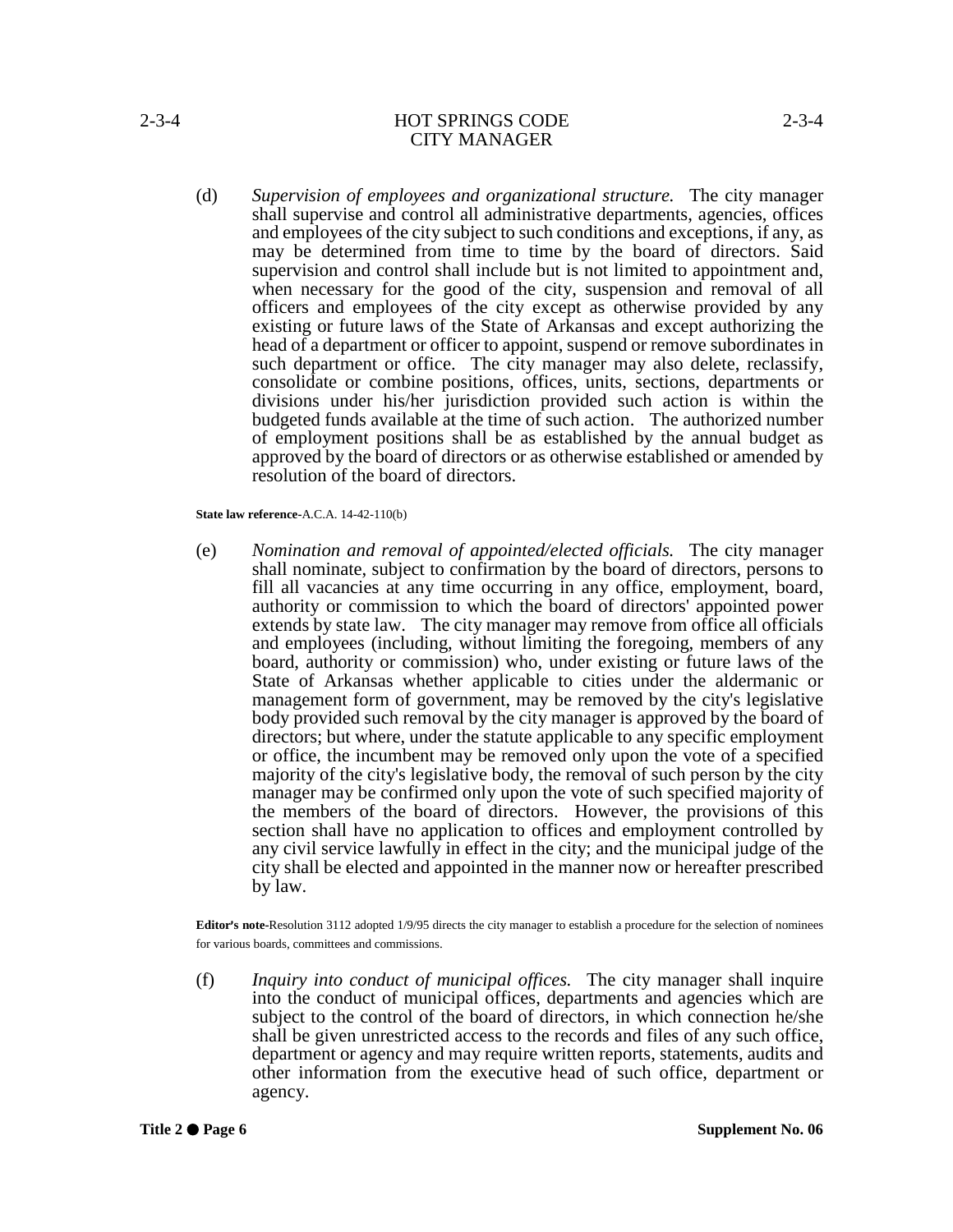### 2-3-4 HOT SPRINGS CODE 2-3-4 CITY MANAGER

(d) *Supervision of employees and organizational structure.* The city manager shall supervise and control all administrative departments, agencies, offices and employees of the city subject to such conditions and exceptions, if any, as may be determined from time to time by the board of directors. Said supervision and control shall include but is not limited to appointment and, when necessary for the good of the city, suspension and removal of all officers and employees of the city except as otherwise provided by any existing or future laws of the State of Arkansas and except authorizing the head of a department or officer to appoint, suspend or remove subordinates in such department or office. The city manager may also delete, reclassify, consolidate or combine positions, offices, units, sections, departments or divisions under his/her jurisdiction provided such action is within the budgeted funds available at the time of such action. The authorized number of employment positions shall be as established by the annual budget as approved by the board of directors or as otherwise established or amended by resolution of the board of directors.

**State law reference-**A.C.A. 14-42-110(b)

(e) *Nomination and removal of appointed/elected officials.* The city manager shall nominate, subject to confirmation by the board of directors, persons to fill all vacancies at any time occurring in any office, employment, board, authority or commission to which the board of directors' appointed power extends by state law. The city manager may remove from office all officials and employees (including, without limiting the foregoing, members of any board, authority or commission) who, under existing or future laws of the State of Arkansas whether applicable to cities under the aldermanic or management form of government, may be removed by the city's legislative body provided such removal by the city manager is approved by the board of directors; but where, under the statute applicable to any specific employment or office, the incumbent may be removed only upon the vote of a specified majority of the city's legislative body, the removal of such person by the city manager may be confirmed only upon the vote of such specified majority of the members of the board of directors. However, the provisions of this section shall have no application to offices and employment controlled by any civil service lawfully in effect in the city; and the municipal judge of the city shall be elected and appointed in the manner now or hereafter prescribed by law.

**Editor's note-Resolution 3112 adopted 1/9/95 directs the city manager to establish a procedure for the selection of nominees** for various boards, committees and commissions.

(f) *Inquiry into conduct of municipal offices.* The city manager shall inquire into the conduct of municipal offices, departments and agencies which are subject to the control of the board of directors, in which connection he/she shall be given unrestricted access to the records and files of any such office, department or agency and may require written reports, statements, audits and other information from the executive head of such office, department or agency.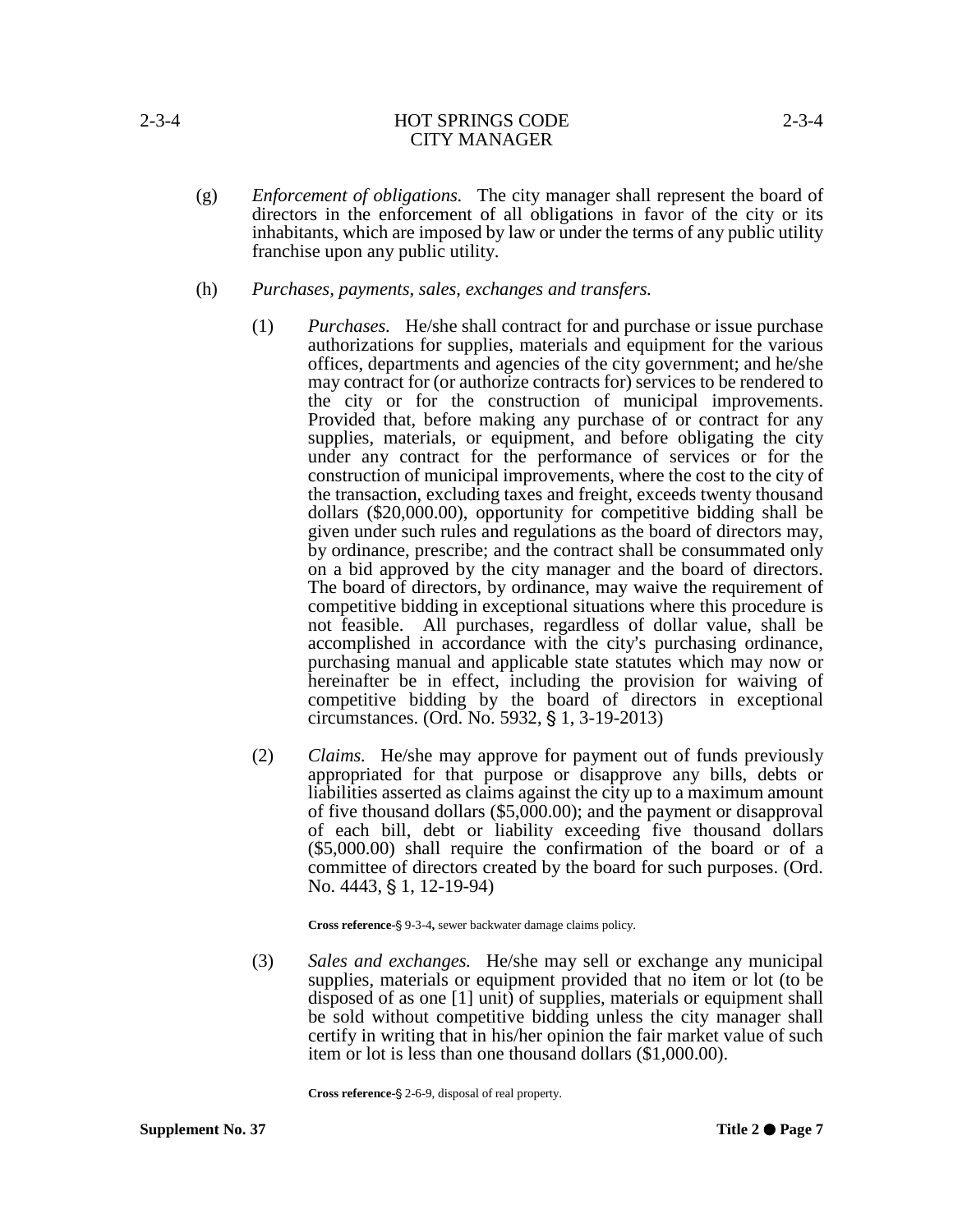### 2-3-4 HOT SPRINGS CODE 2-3-4 CITY MANAGER

- (g) *Enforcement of obligations.* The city manager shall represent the board of directors in the enforcement of all obligations in favor of the city or its inhabitants, which are imposed by law or under the terms of any public utility franchise upon any public utility.
- (h) *Purchases, payments, sales, exchanges and transfers.*
	- (1) *Purchases.* He/she shall contract for and purchase or issue purchase authorizations for supplies, materials and equipment for the various offices, departments and agencies of the city government; and he/she may contract for (or authorize contracts for) services to be rendered to the city or for the construction of municipal improvements. Provided that, before making any purchase of or contract for any supplies, materials, or equipment, and before obligating the city under any contract for the performance of services or for the construction of municipal improvements, where the cost to the city of the transaction, excluding taxes and freight, exceeds twenty thousand dollars (\$20,000.00), opportunity for competitive bidding shall be given under such rules and regulations as the board of directors may, by ordinance, prescribe; and the contract shall be consummated only on a bid approved by the city manager and the board of directors. The board of directors, by ordinance, may waive the requirement of competitive bidding in exceptional situations where this procedure is not feasible. All purchases, regardless of dollar value, shall be accomplished in accordance with the city's purchasing ordinance, purchasing manual and applicable state statutes which may now or hereinafter be in effect, including the provision for waiving of competitive bidding by the board of directors in exceptional circumstances. (Ord. No. 5932,  $\S 1$ , 3-19-2013)
	- (2) *Claims.* He/she may approve for payment out of funds previously appropriated for that purpose or disapprove any bills, debts or liabilities asserted as claims against the city up to a maximum amount of five thousand dollars (\$5,000.00); and the payment or disapproval of each bill, debt or liability exceeding five thousand dollars (\$5,000.00) shall require the confirmation of the board or of a committee of directors created by the board for such purposes. (Ord. No. 4443, § 1, 12-19-94)

Cross reference-§ 9-3-4, sewer backwater damage claims policy.

(3) *Sales and exchanges.* He/she may sell or exchange any municipal supplies, materials or equipment provided that no item or lot (to be disposed of as one [1] unit) of supplies, materials or equipment shall be sold without competitive bidding unless the city manager shall certify in writing that in his/her opinion the fair market value of such item or lot is less than one thousand dollars (\$1,000.00).

Cross reference-§ 2-6-9, disposal of real property.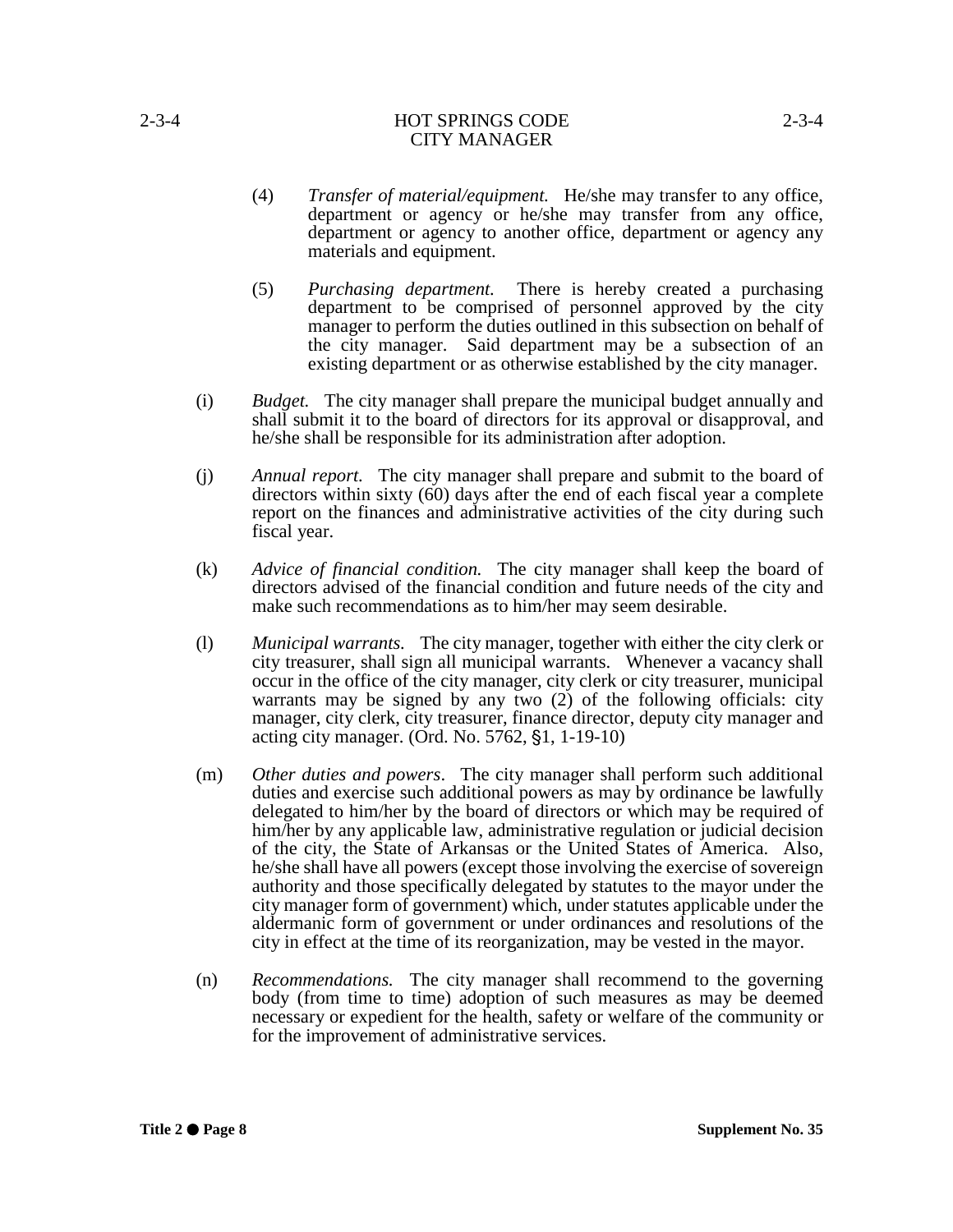### 2-3-4 HOT SPRINGS CODE 2-3-4 CITY MANAGER

- (4) *Transfer of material/equipment.* He/she may transfer to any office, department or agency or he/she may transfer from any office, department or agency to another office, department or agency any materials and equipment.
- (5) *Purchasing department.* There is hereby created a purchasing department to be comprised of personnel approved by the city manager to perform the duties outlined in this subsection on behalf of the city manager. Said department may be a subsection of an existing department or as otherwise established by the city manager.
- (i) *Budget.* The city manager shall prepare the municipal budget annually and shall submit it to the board of directors for its approval or disapproval, and he/she shall be responsible for its administration after adoption.
- (j) *Annual report.* The city manager shall prepare and submit to the board of directors within sixty (60) days after the end of each fiscal year a complete report on the finances and administrative activities of the city during such fiscal year.
- (k) *Advice of financial condition.* The city manager shall keep the board of directors advised of the financial condition and future needs of the city and make such recommendations as to him/her may seem desirable.
- (l) *Municipal warrants.* The city manager, together with either the city clerk or city treasurer, shall sign all municipal warrants. Whenever a vacancy shall occur in the office of the city manager, city clerk or city treasurer, municipal warrants may be signed by any two (2) of the following officials: city manager, city clerk, city treasurer, finance director, deputy city manager and acting city manager. (Ord. No.  $5762$ ,  $$1, 1-19-10$ )
- (m) *Other duties and powers*. The city manager shall perform such additional duties and exercise such additional powers as may by ordinance be lawfully delegated to him/her by the board of directors or which may be required of him/her by any applicable law, administrative regulation or judicial decision of the city, the State of Arkansas or the United States of America. Also, he/she shall have all powers (except those involving the exercise of sovereign authority and those specifically delegated by statutes to the mayor under the city manager form of government) which, under statutes applicable under the aldermanic form of government or under ordinances and resolutions of the city in effect at the time of its reorganization, may be vested in the mayor.
- (n) *Recommendations.* The city manager shall recommend to the governing body (from time to time) adoption of such measures as may be deemed necessary or expedient for the health, safety or welfare of the community or for the improvement of administrative services.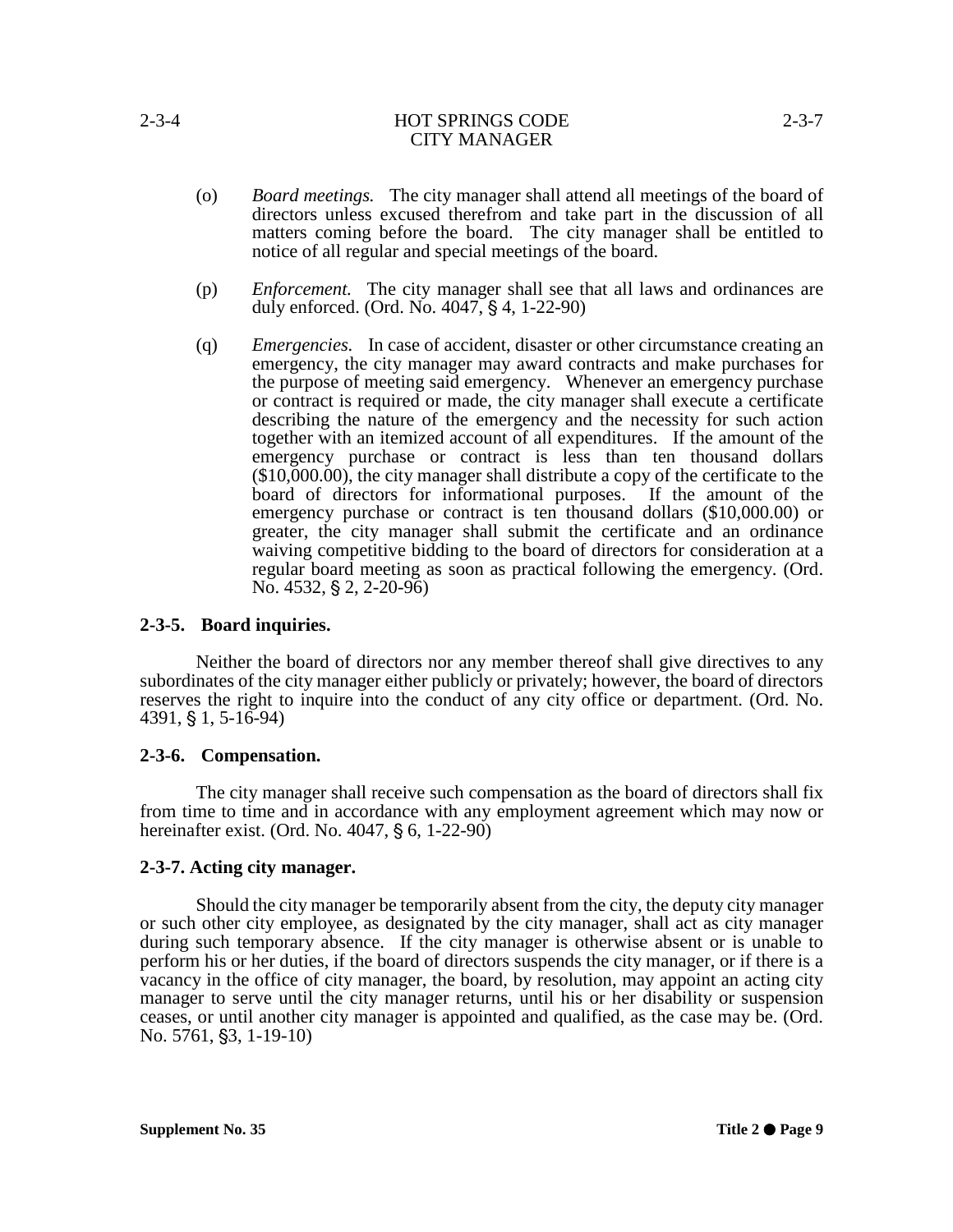### 2-3-4 HOT SPRINGS CODE 2-3-7 CITY MANAGER

- (o) *Board meetings.* The city manager shall attend all meetings of the board of directors unless excused therefrom and take part in the discussion of all matters coming before the board. The city manager shall be entitled to notice of all regular and special meetings of the board.
- (p) *Enforcement.* The city manager shall see that all laws and ordinances are duly enforced. (Ord. No.  $4047, \S 4, 1-22-90$ )
- (q) *Emergencies.* In case of accident, disaster or other circumstance creating an emergency, the city manager may award contracts and make purchases for the purpose of meeting said emergency. Whenever an emergency purchase or contract is required or made, the city manager shall execute a certificate describing the nature of the emergency and the necessity for such action together with an itemized account of all expenditures. If the amount of the emergency purchase or contract is less than ten thousand dollars (\$10,000.00), the city manager shall distribute a copy of the certificate to the board of directors for informational purposes. If the amount of the emergency purchase or contract is ten thousand dollars (\$10,000.00) or greater, the city manager shall submit the certificate and an ordinance waiving competitive bidding to the board of directors for consideration at a regular board meeting as soon as practical following the emergency. (Ord. No.  $4532, \S 2, 2-20-96$

### **2-3-5. Board inquiries.**

Neither the board of directors nor any member thereof shall give directives to any subordinates of the city manager either publicly or privately; however, the board of directors reserves the right to inquire into the conduct of any city office or department. (Ord. No. 4391, § 1, 5-16-94)

### **2-3-6. Compensation.**

The city manager shall receive such compensation as the board of directors shall fix from time to time and in accordance with any employment agreement which may now or hereinafter exist. (Ord. No.  $4047, \S 6, 1-22-90$ )

### **2-3-7. Acting city manager.**

Should the city manager be temporarily absent from the city, the deputy city manager or such other city employee, as designated by the city manager, shall act as city manager during such temporary absence. If the city manager is otherwise absent or is unable to perform his or her duties, if the board of directors suspends the city manager, or if there is a vacancy in the office of city manager, the board, by resolution, may appoint an acting city manager to serve until the city manager returns, until his or her disability or suspension ceases, or until another city manager is appointed and qualified, as the case may be. (Ord. No.  $5761,$   $\S3, 1-19-10$ )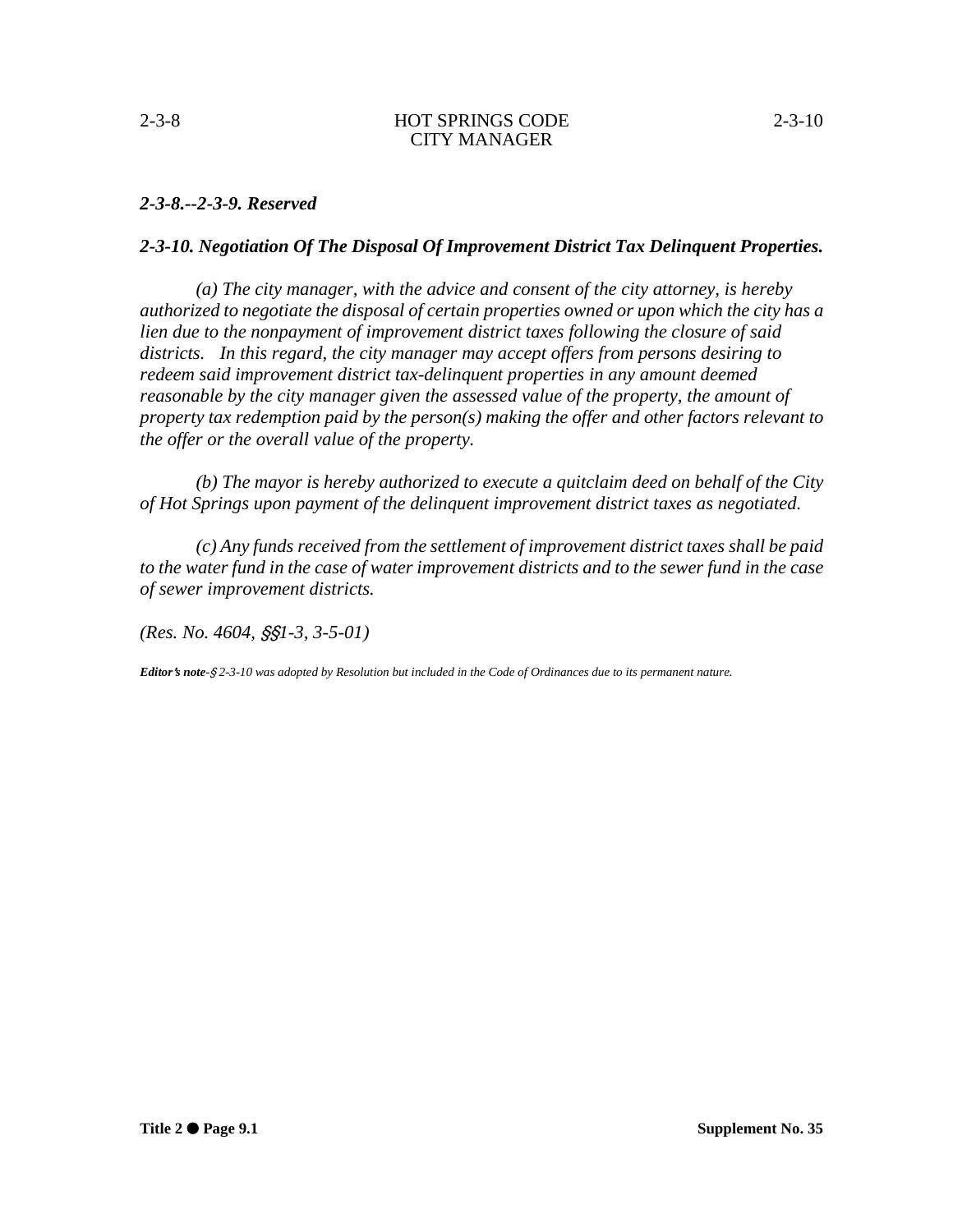### *2-3-8.--2-3-9. Reserved*

### *2-3-10. Negotiation Of The Disposal Of Improvement District Tax Delinquent Properties.*

*(a) The city manager, with the advice and consent of the city attorney, is hereby authorized to negotiate the disposal of certain properties owned or upon which the city has a lien due to the nonpayment of improvement district taxes following the closure of said districts. In this regard, the city manager may accept offers from persons desiring to redeem said improvement district tax-delinquent properties in any amount deemed reasonable by the city manager given the assessed value of the property, the amount of property tax redemption paid by the person(s) making the offer and other factors relevant to the offer or the overall value of the property.*

*(b) The mayor is hereby authorized to execute a quitclaim deed on behalf of the City of Hot Springs upon payment of the delinquent improvement district taxes as negotiated.*

*(c) Any funds received from the settlement of improvement district taxes shall be paid to the water fund in the case of water improvement districts and to the sewer fund in the case of sewer improvement districts.*

*(Res. No. 4604,* ''*1-3, 3-5-01)*

Editor's note-§2-3-10 was adopted by Resolution but included in the Code of Ordinances due to its permanent nature.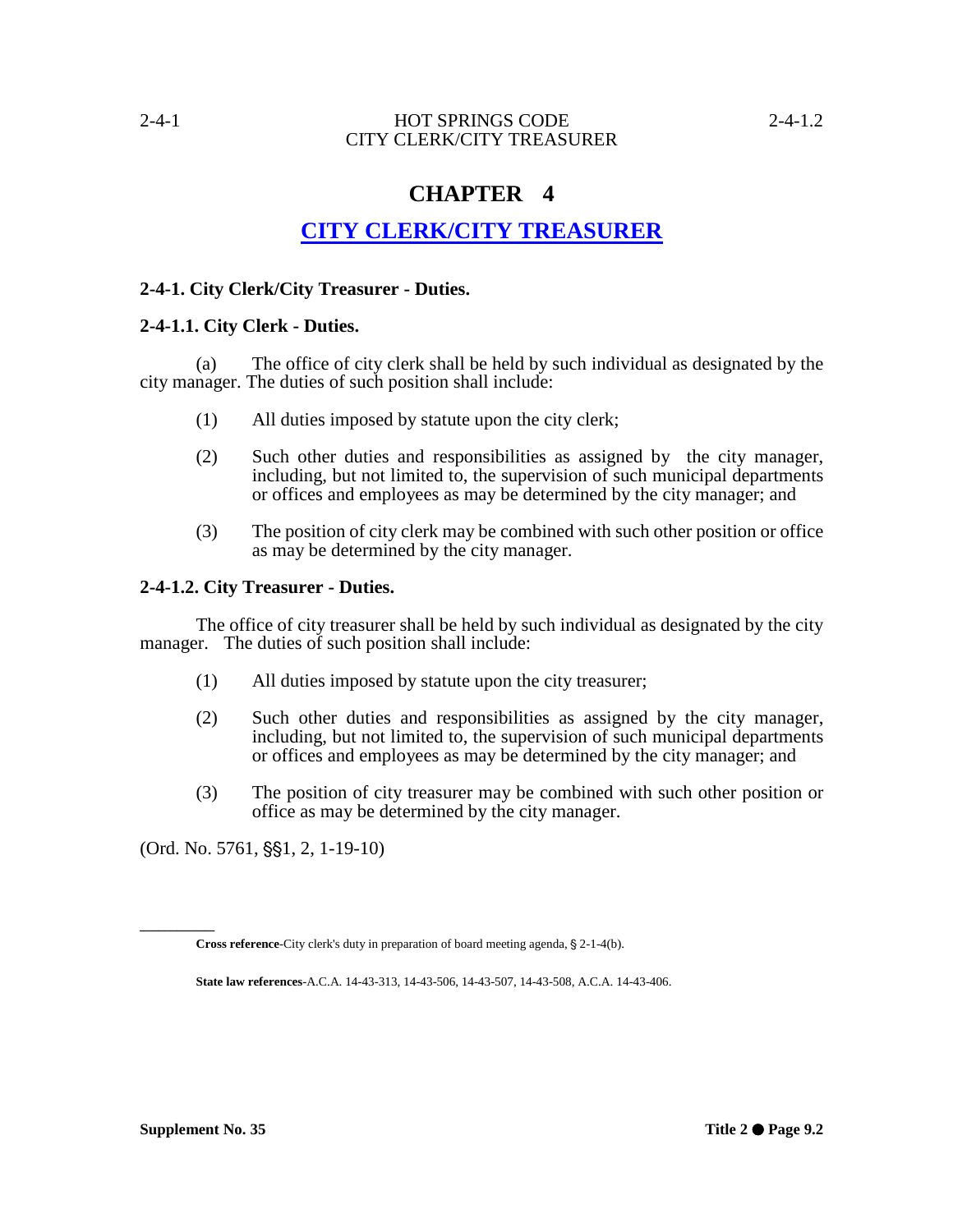### **CHAPTER 4**

## **[CITY CLERK/CITY TREASURER](#page-18-0)**

### <span id="page-18-0"></span>**2-4-1. City Clerk/City Treasurer - Duties.**

### **2-4-1.1. City Clerk - Duties.**

(a) The office of city clerk shall be held by such individual as designated by the city manager. The duties of such position shall include:

- (1) All duties imposed by statute upon the city clerk;
- (2) Such other duties and responsibilities as assigned by the city manager, including, but not limited to, the supervision of such municipal departments or offices and employees as may be determined by the city manager; and
- (3) The position of city clerk may be combined with such other position or office as may be determined by the city manager.

### **2-4-1.2. City Treasurer - Duties.**

The office of city treasurer shall be held by such individual as designated by the city manager. The duties of such position shall include:

- (1) All duties imposed by statute upon the city treasurer;
- (2) Such other duties and responsibilities as assigned by the city manager, including, but not limited to, the supervision of such municipal departments or offices and employees as may be determined by the city manager; and
- (3) The position of city treasurer may be combined with such other position or office as may be determined by the city manager.

 $(Ord. No. 5761, \frac{651}{1}, 2, 1-19-10)$ 

**State law references**-A.C.A. 14-43-313, 14-43-506, 14-43-507, 14-43-508, A.C.A. 14-43-406.

\_\_\_\_\_\_\_\_

**Cross reference**-City clerk's duty in preparation of board meeting agenda, § 2-1-4(b).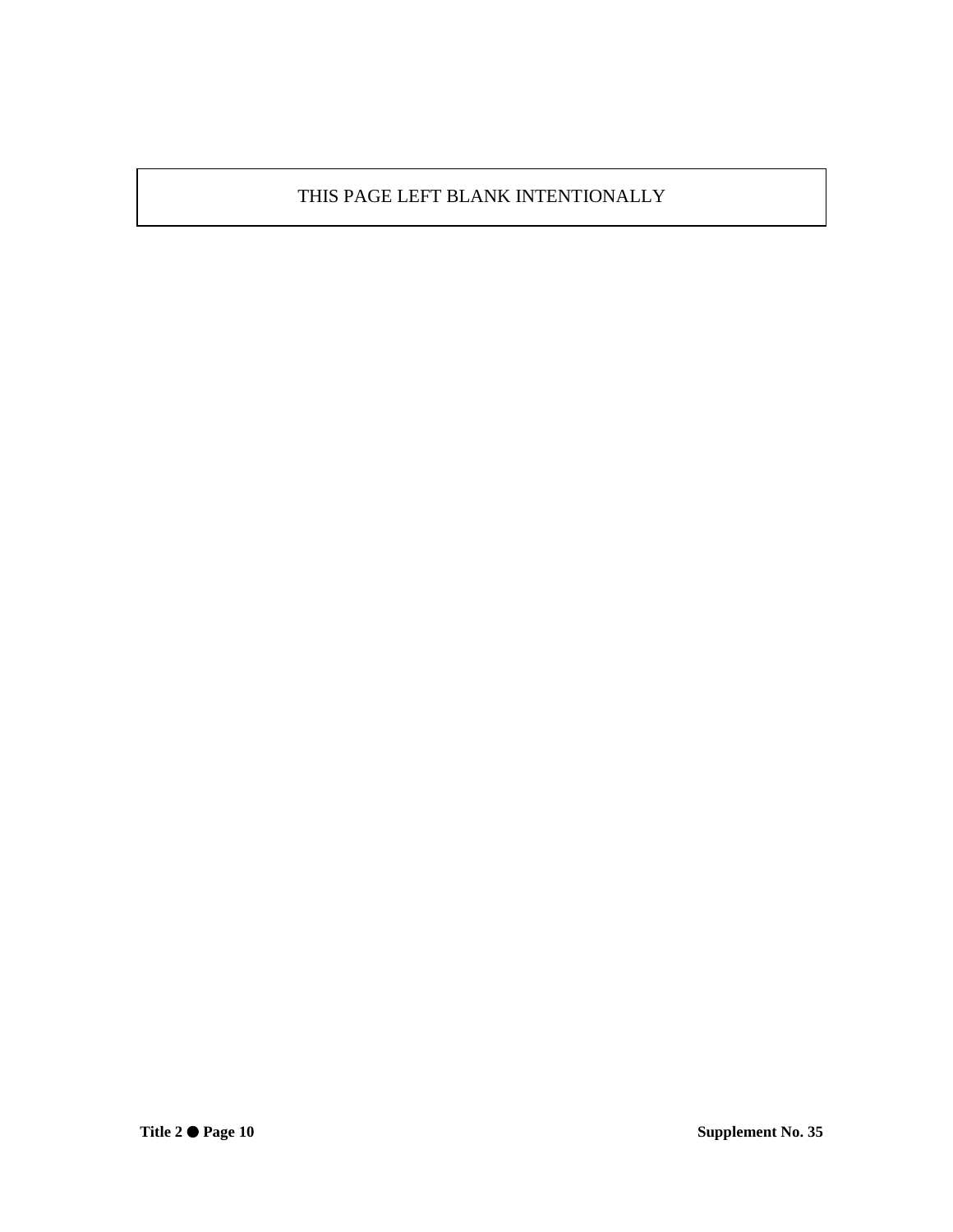### THIS PAGE LEFT BLANK INTENTIONALLY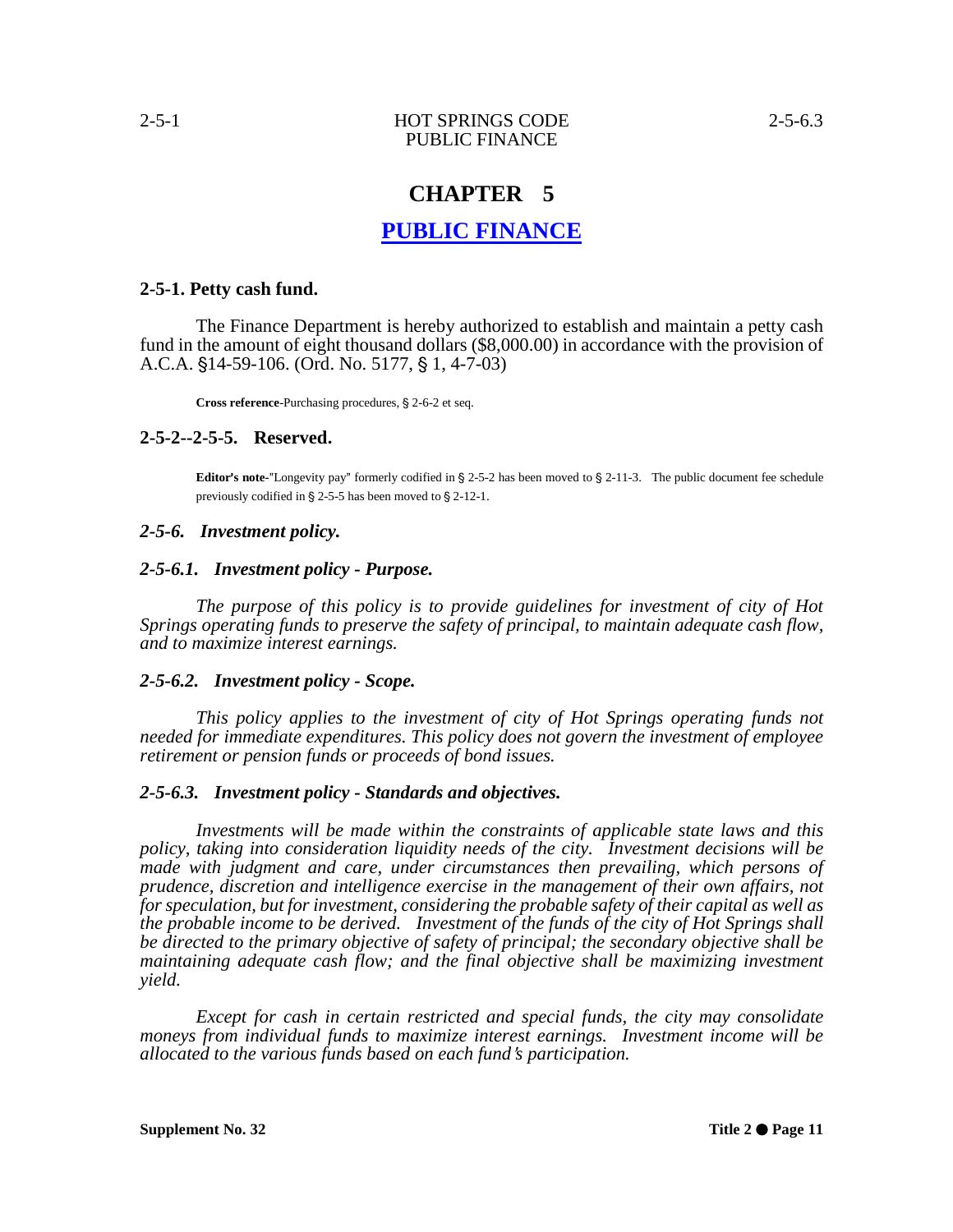### **CHAPTER 5**

### **[PUBLIC FINANCE](#page-20-0)**

### <span id="page-20-0"></span>**2-5-1. Petty cash fund.**

The Finance Department is hereby authorized to establish and maintain a petty cash fund in the amount of eight thousand dollars (\$8,000.00) in accordance with the provision of A.C.A. §14-59-106. (Ord. No. 5177, § 1, 4-7-03)

**Cross reference-Purchasing procedures, § 2-6-2 et seq.** 

### **2-5-2--2-5-5. Reserved.**

Editor's note-"Longevity pay" formerly codified in § 2-5-2 has been moved to § 2-11-3. The public document fee schedule previously codified in  $\S$  2-5-5 has been moved to  $\S$  2-12-1.

### *2-5-6. Investment policy.*

### *2-5-6.1. Investment policy - Purpose.*

*The purpose of this policy is to provide guidelines for investment of city of Hot Springs operating funds to preserve the safety of principal, to maintain adequate cash flow, and to maximize interest earnings.*

### *2-5-6.2. Investment policy - Scope.*

*This policy applies to the investment of city of Hot Springs operating funds not needed for immediate expenditures. This policy does not govern the investment of employee retirement or pension funds or proceeds of bond issues.*

### *2-5-6.3. Investment policy - Standards and objectives.*

*Investments will be made within the constraints of applicable state laws and this policy, taking into consideration liquidity needs of the city. Investment decisions will be made with judgment and care, under circumstances then prevailing, which persons of prudence, discretion and intelligence exercise in the management of their own affairs, not for speculation, but for investment, considering the probable safety of their capital as well as the probable income to be derived. Investment of the funds of the city of Hot Springs shall be directed to the primary objective of safety of principal; the secondary objective shall be maintaining adequate cash flow; and the final objective shall be maximizing investment yield.*

*Except for cash in certain restricted and special funds, the city may consolidate moneys from individual funds to maximize interest earnings. Investment income will be allocated to the various funds based on each fund*=*s participation.*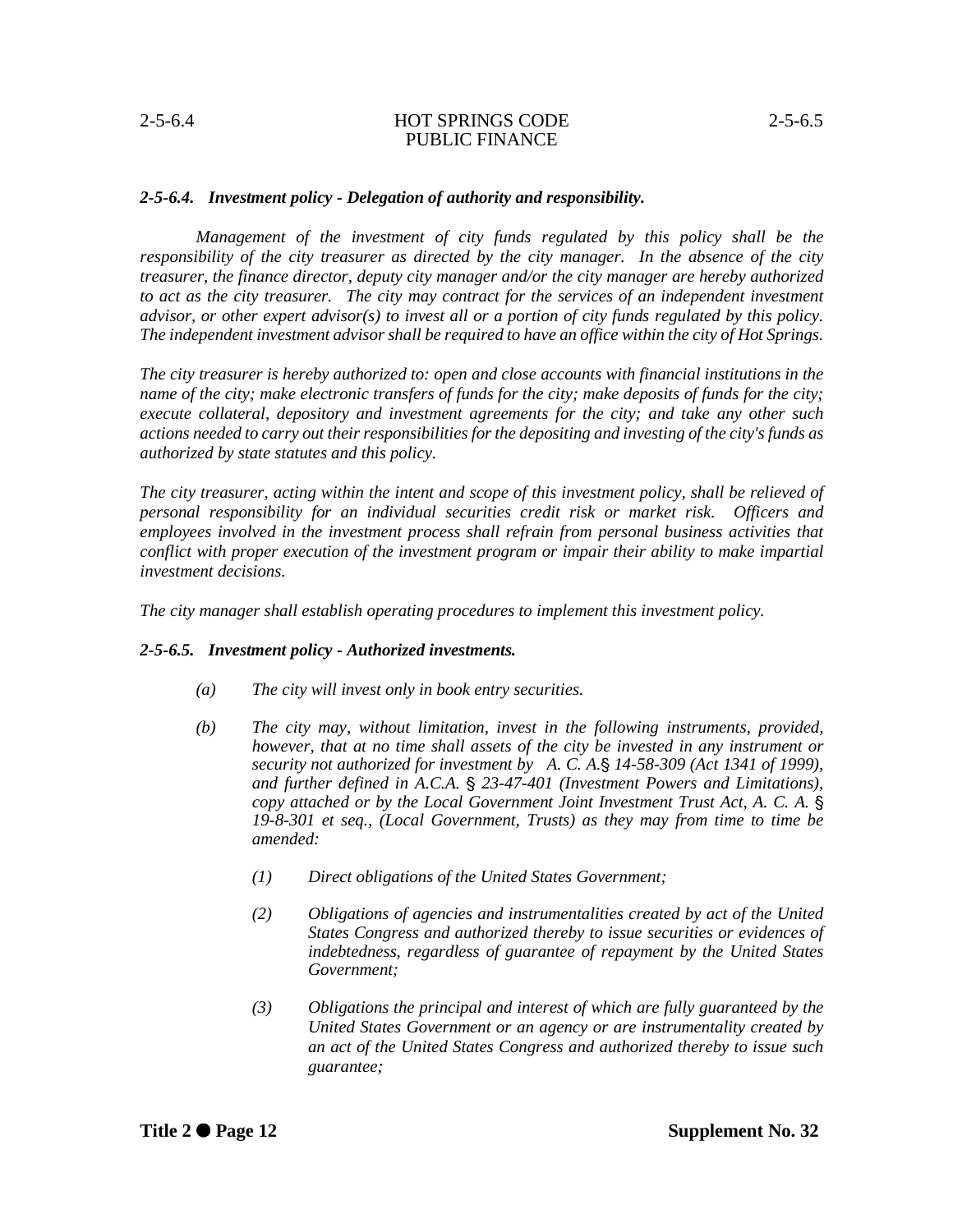#### 2-5-6.4 HOT SPRINGS CODE 2-5-6.5 PUBLIC FINANCE

### *2-5-6.4. Investment policy - Delegation of authority and responsibility.*

*Management of the investment of city funds regulated by this policy shall be the responsibility of the city treasurer as directed by the city manager. In the absence of the city treasurer, the finance director, deputy city manager and/or the city manager are hereby authorized*  to act as the city treasurer. The city may contract for the services of an independent investment *advisor, or other expert advisor(s) to invest all or a portion of city funds regulated by this policy. The independent investment advisor shall be required to have an office within the city of Hot Springs.* 

*The city treasurer is hereby authorized to: open and close accounts with financial institutions in the name of the city; make electronic transfers of funds for the city; make deposits of funds for the city; execute collateral, depository and investment agreements for the city; and take any other such actions needed to carry out their responsibilities for the depositing and investing of the city's funds as authorized by state statutes and this policy.*

*The city treasurer, acting within the intent and scope of this investment policy, shall be relieved of personal responsibility for an individual securities credit risk or market risk. Officers and employees involved in the investment process shall refrain from personal business activities that conflict with proper execution of the investment program or impair their ability to make impartial investment decisions.* 

*The city manager shall establish operating procedures to implement this investment policy.*

#### *2-5-6.5. Investment policy - Authorized investments.*

- *(a) The city will invest only in book entry securities.*
- *(b) The city may, without limitation, invest in the following instruments, provided, however, that at no time shall assets of the city be invested in any instrument or security not authorized for investment by A. C. A.*§ 14-58-309 (Act 1341 of 1999), and further defined in A.C.A. § 23-47-401 (Investment Powers and Limitations), *copy attached or by the Local Government Joint Investment Trust Act, A. C. A.* ' *19-8-301 et seq., (Local Government, Trusts) as they may from time to time be amended:*
	- *(1) Direct obligations of the United States Government;*
	- *(2) Obligations of agencies and instrumentalities created by act of the United States Congress and authorized thereby to issue securities or evidences of indebtedness, regardless of guarantee of repayment by the United States Government;*
	- *(3) Obligations the principal and interest of which are fully guaranteed by the United States Government or an agency or are instrumentality created by an act of the United States Congress and authorized thereby to issue such guarantee;*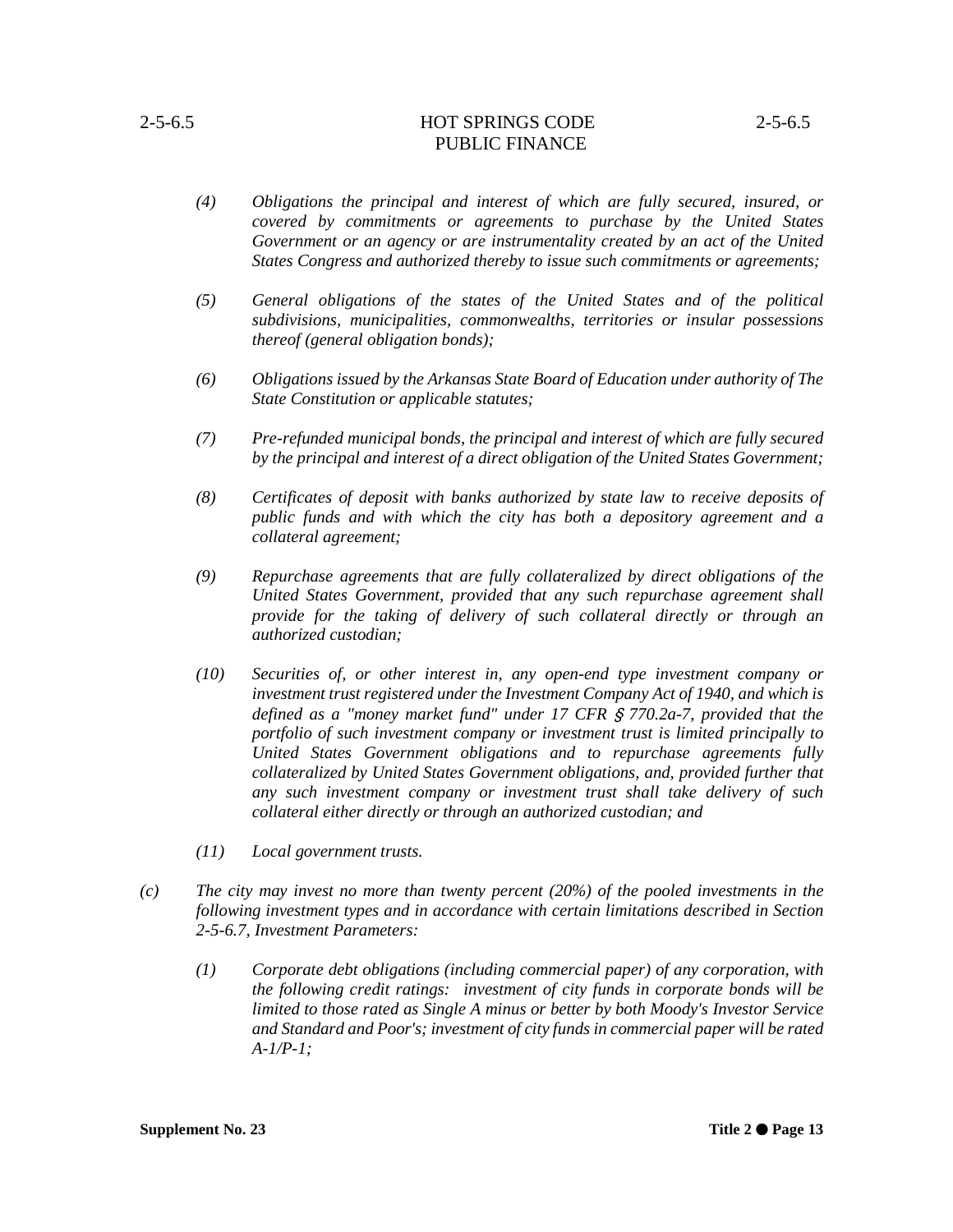### 2-5-6.5 HOT SPRINGS CODE 2-5-6.5 PUBLIC FINANCE

- *(4) Obligations the principal and interest of which are fully secured, insured, or covered by commitments or agreements to purchase by the United States Government or an agency or are instrumentality created by an act of the United States Congress and authorized thereby to issue such commitments or agreements;*
- *(5) General obligations of the states of the United States and of the political subdivisions, municipalities, commonwealths, territories or insular possessions thereof (general obligation bonds);*
- *(6) Obligations issued by the Arkansas State Board of Education under authority of The State Constitution or applicable statutes;*
- *(7) Pre-refunded municipal bonds, the principal and interest of which are fully secured by the principal and interest of a direct obligation of the United States Government;*
- *(8) Certificates of deposit with banks authorized by state law to receive deposits of public funds and with which the city has both a depository agreement and a collateral agreement;*
- *(9) Repurchase agreements that are fully collateralized by direct obligations of the United States Government, provided that any such repurchase agreement shall provide for the taking of delivery of such collateral directly or through an authorized custodian;*
- *(10) Securities of, or other interest in, any open-end type investment company or investment trust registered under the Investment Company Act of 1940, and which is defined as a "money market fund" under 17 CFR* ' *770.2a-7, provided that the portfolio of such investment company or investment trust is limited principally to United States Government obligations and to repurchase agreements fully collateralized by United States Government obligations, and, provided further that any such investment company or investment trust shall take delivery of such collateral either directly or through an authorized custodian; and*
- *(11) Local government trusts.*
- *(c) The city may invest no more than twenty percent (20%) of the pooled investments in the following investment types and in accordance with certain limitations described in Section 2-5-6.7, Investment Parameters:*
	- *(1) Corporate debt obligations (including commercial paper) of any corporation, with the following credit ratings: investment of city funds in corporate bonds will be limited to those rated as Single A minus or better by both Moody's Investor Service and Standard and Poor's; investment of city funds in commercial paper will be rated A-1/P-1;*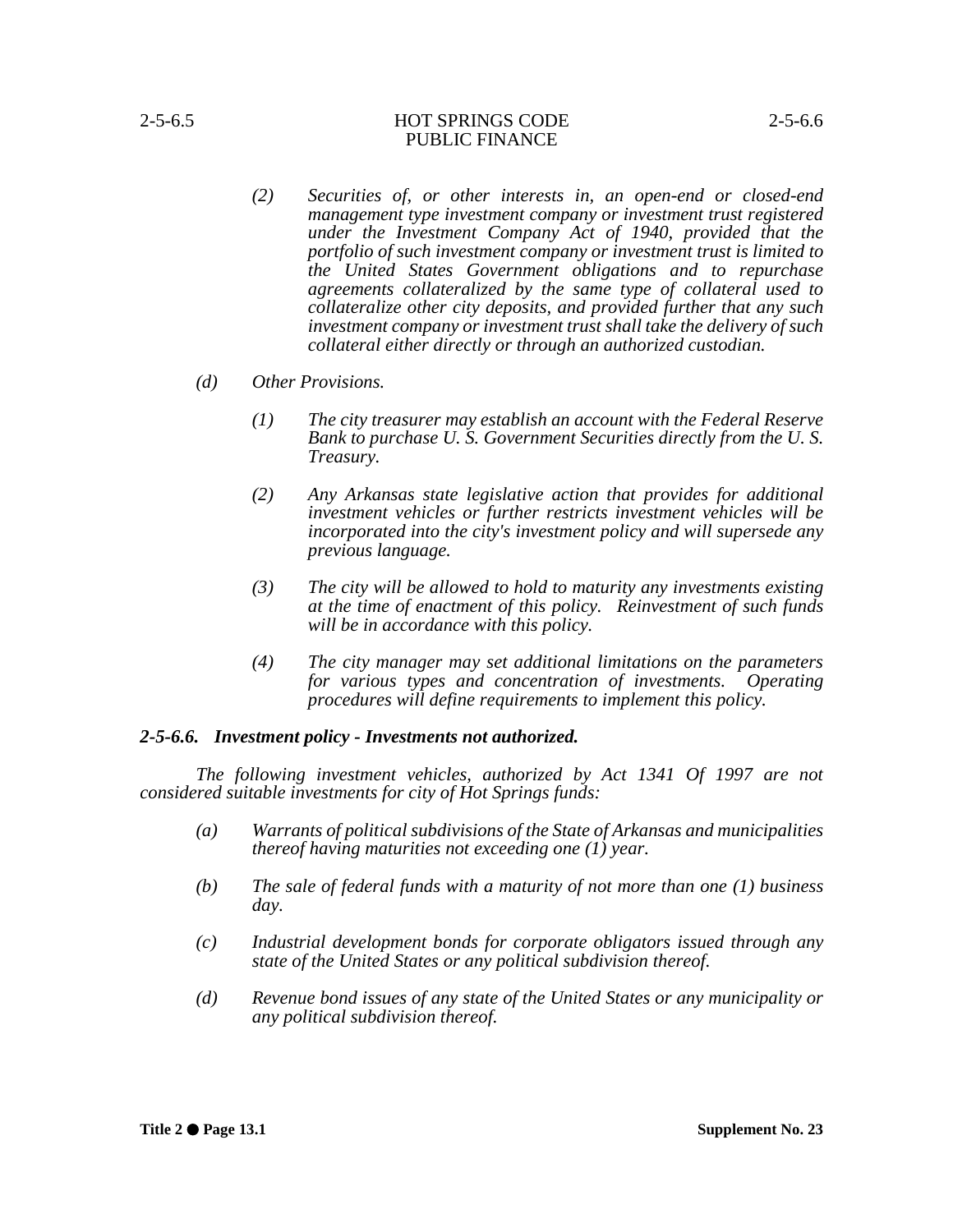### 2-5-6.5 HOT SPRINGS CODE 2-5-6.6 PUBLIC FINANCE

- *(2) Securities of, or other interests in, an open-end or closed-end management type investment company or investment trust registered under the Investment Company Act of 1940, provided that the portfolio of such investment company or investment trust is limited to the United States Government obligations and to repurchase agreements collateralized by the same type of collateral used to collateralize other city deposits, and provided further that any such investment company or investment trust shall take the delivery of such collateral either directly or through an authorized custodian.*
- *(d) Other Provisions.*
	- *(1) The city treasurer may establish an account with the Federal Reserve Bank to purchase U. S. Government Securities directly from the U. S. Treasury.*
	- *(2) Any Arkansas state legislative action that provides for additional investment vehicles or further restricts investment vehicles will be incorporated into the city's investment policy and will supersede any previous language.*
	- *(3) The city will be allowed to hold to maturity any investments existing at the time of enactment of this policy. Reinvestment of such funds will be in accordance with this policy.*
	- *(4) The city manager may set additional limitations on the parameters for various types and concentration of investments. Operating procedures will define requirements to implement this policy.*

### *2-5-6.6. Investment policy - Investments not authorized.*

*The following investment vehicles, authorized by Act 1341 Of 1997 are not considered suitable investments for city of Hot Springs funds:*

- *(a) Warrants of political subdivisions of the State of Arkansas and municipalities thereof having maturities not exceeding one (1) year.*
- *(b) The sale of federal funds with a maturity of not more than one (1) business day.*
- *(c) Industrial development bonds for corporate obligators issued through any state of the United States or any political subdivision thereof.*
- *(d) Revenue bond issues of any state of the United States or any municipality or any political subdivision thereof.*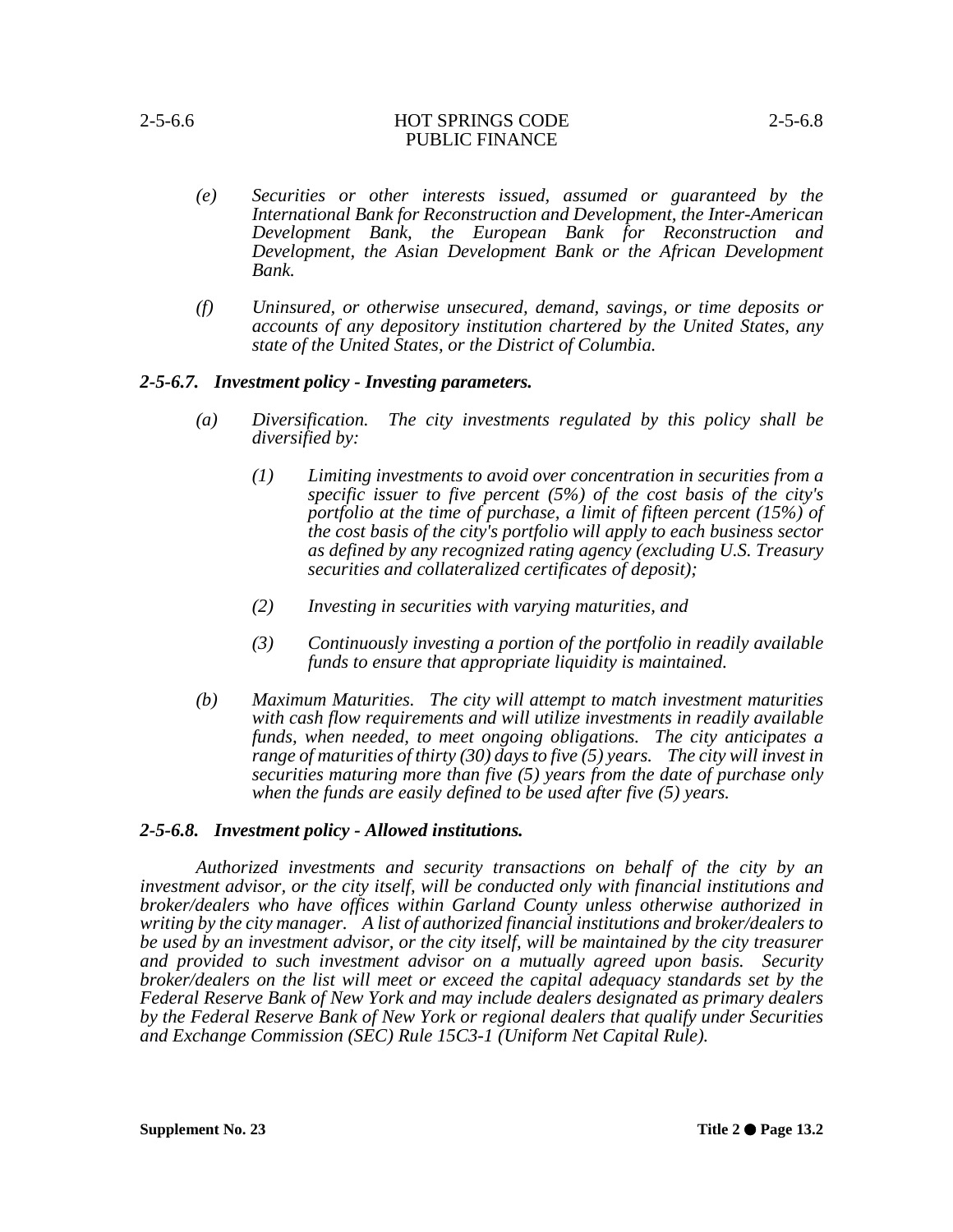### 2-5-6.6 HOT SPRINGS CODE 2-5-6.8 PUBLIC FINANCE

- *(e) Securities or other interests issued, assumed or guaranteed by the International Bank for Reconstruction and Development, the Inter-American Development Bank, the European Bank for Reconstruction and Development, the Asian Development Bank or the African Development Bank.*
- *(f) Uninsured, or otherwise unsecured, demand, savings, or time deposits or accounts of any depository institution chartered by the United States, any state of the United States, or the District of Columbia.*

### *2-5-6.7. Investment policy - Investing parameters.*

- *(a) Diversification. The city investments regulated by this policy shall be diversified by:*
	- *(1) Limiting investments to avoid over concentration in securities from a specific issuer to five percent (5%) of the cost basis of the city's portfolio at the time of purchase, a limit of fifteen percent (15%) of the cost basis of the city's portfolio will apply to each business sector as defined by any recognized rating agency (excluding U.S. Treasury securities and collateralized certificates of deposit);*
	- *(2) Investing in securities with varying maturities, and*
	- *(3) Continuously investing a portion of the portfolio in readily available funds to ensure that appropriate liquidity is maintained.*
- *(b) Maximum Maturities. The city will attempt to match investment maturities with cash flow requirements and will utilize investments in readily available funds, when needed, to meet ongoing obligations. The city anticipates a range of maturities of thirty (30) days to five (5) years. The city will invest in securities maturing more than five (5) years from the date of purchase only when the funds are easily defined to be used after five (5) years.*

### *2-5-6.8. Investment policy - Allowed institutions.*

*Authorized investments and security transactions on behalf of the city by an investment advisor, or the city itself, will be conducted only with financial institutions and broker/dealers who have offices within Garland County unless otherwise authorized in writing by the city manager. A list of authorized financial institutions and broker/dealers to be used by an investment advisor, or the city itself, will be maintained by the city treasurer and provided to such investment advisor on a mutually agreed upon basis. Security broker/dealers on the list will meet or exceed the capital adequacy standards set by the Federal Reserve Bank of New York and may include dealers designated as primary dealers by the Federal Reserve Bank of New York or regional dealers that qualify under Securities and Exchange Commission (SEC) Rule 15C3-1 (Uniform Net Capital Rule).*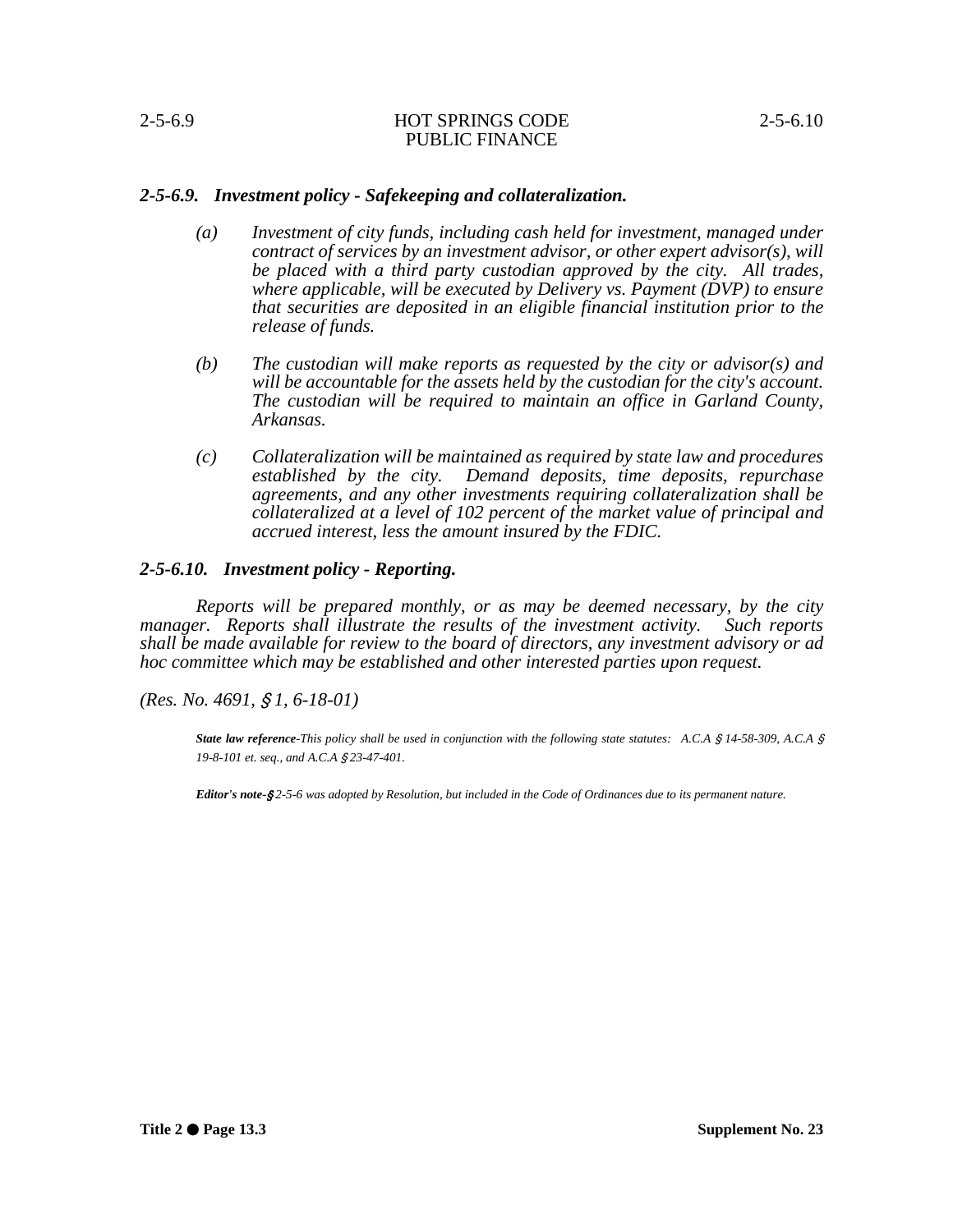### *2-5-6.9. Investment policy - Safekeeping and collateralization.*

- *(a) Investment of city funds, including cash held for investment, managed under contract of services by an investment advisor, or other expert advisor(s), will be placed with a third party custodian approved by the city. All trades, where applicable, will be executed by Delivery vs. Payment (DVP) to ensure that securities are deposited in an eligible financial institution prior to the release of funds.*
- *(b) The custodian will make reports as requested by the city or advisor(s) and will be accountable for the assets held by the custodian for the city's account. The custodian will be required to maintain an office in Garland County, Arkansas.*
- *(c) Collateralization will be maintained as required by state law and procedures established by the city. Demand deposits, time deposits, repurchase agreements, and any other investments requiring collateralization shall be collateralized at a level of 102 percent of the market value of principal and accrued interest, less the amount insured by the FDIC.*

### *2-5-6.10. Investment policy - Reporting.*

*Reports will be prepared monthly, or as may be deemed necessary, by the city manager. Reports shall illustrate the results of the investment activity. Such reports shall be made available for review to the board of directors, any investment advisory or ad hoc committee which may be established and other interested parties upon request.*

*(Res. No. 4691, §1, 6-18-01)* 

**State law reference**-This policy shall be used in conjunction with the following state statutes: A.C.A § 14-58-309, A.C.A § 19-8-101 et. seq., and A.C.A § 23-47-401.

*Editor's note-§2-5-6 was adopted by Resolution, but included in the Code of Ordinances due to its permanent nature.*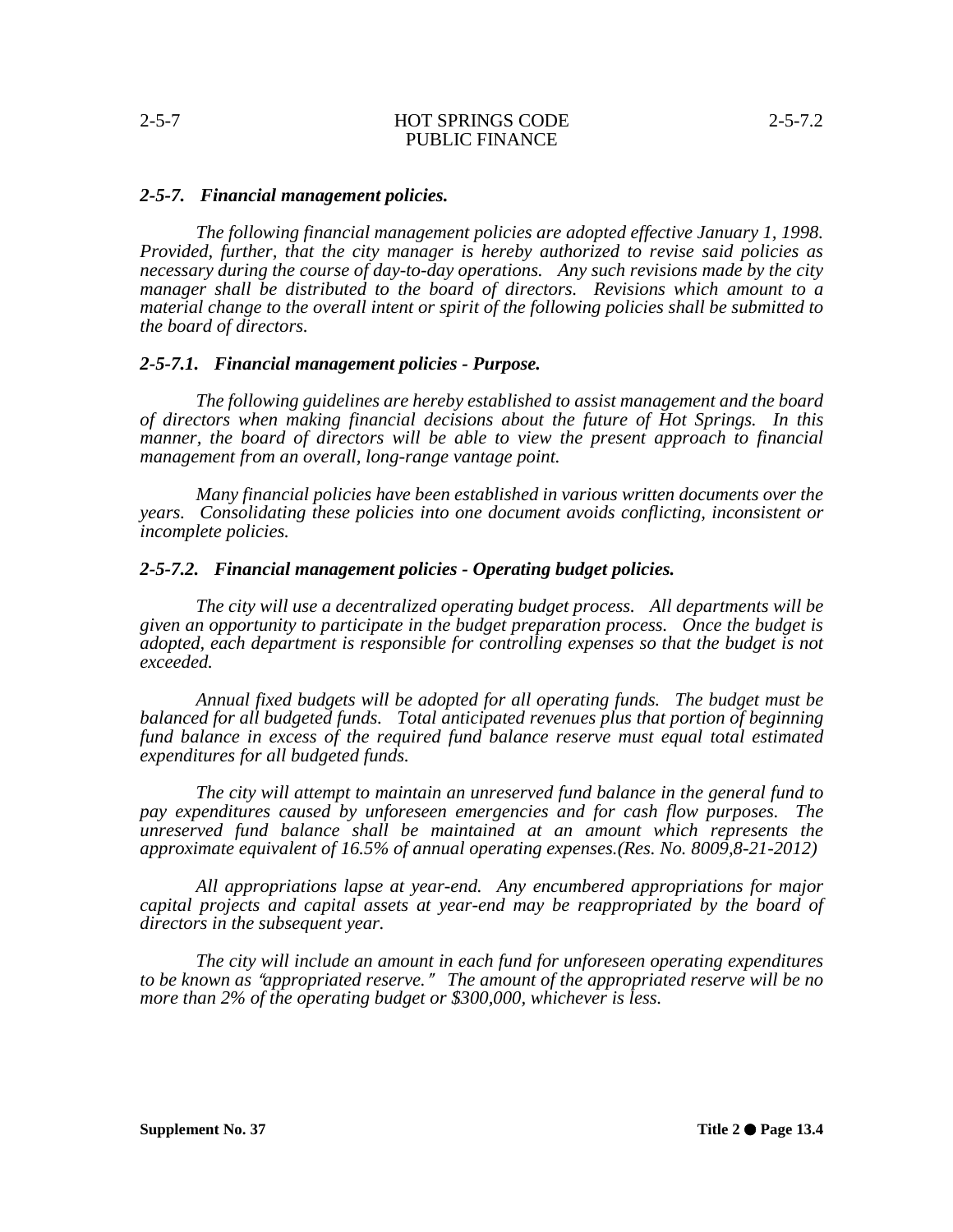### *2-5-7. Financial management policies.*

*The following financial management policies are adopted effective January 1, 1998. Provided, further, that the city manager is hereby authorized to revise said policies as necessary during the course of day-to-day operations. Any such revisions made by the city manager shall be distributed to the board of directors. Revisions which amount to a material change to the overall intent or spirit of the following policies shall be submitted to the board of directors.*

### *2-5-7.1. Financial management policies - Purpose.*

*The following guidelines are hereby established to assist management and the board of directors when making financial decisions about the future of Hot Springs. In this manner, the board of directors will be able to view the present approach to financial management from an overall, long-range vantage point.*

*Many financial policies have been established in various written documents over the years. Consolidating these policies into one document avoids conflicting, inconsistent or incomplete policies.*

### *2-5-7.2. Financial management policies - Operating budget policies.*

*The city will use a decentralized operating budget process. All departments will be given an opportunity to participate in the budget preparation process. Once the budget is adopted, each department is responsible for controlling expenses so that the budget is not exceeded.*

*Annual fixed budgets will be adopted for all operating funds. The budget must be balanced for all budgeted funds. Total anticipated revenues plus that portion of beginning fund balance in excess of the required fund balance reserve must equal total estimated expenditures for all budgeted funds.*

*The city will attempt to maintain an unreserved fund balance in the general fund to pay expenditures caused by unforeseen emergencies and for cash flow purposes. The unreserved fund balance shall be maintained at an amount which represents the approximate equivalent of 16.5% of annual operating expenses.(Res. No. 8009,8-21-2012)*

*All appropriations lapse at year-end. Any encumbered appropriations for major capital projects and capital assets at year-end may be reappropriated by the board of directors in the subsequent year.*

*The city will include an amount in each fund for unforeseen operating expenditures*  to be known as "appropriated reserve." The amount of the appropriated reserve will be no *more than 2% of the operating budget or \$300,000, whichever is less.*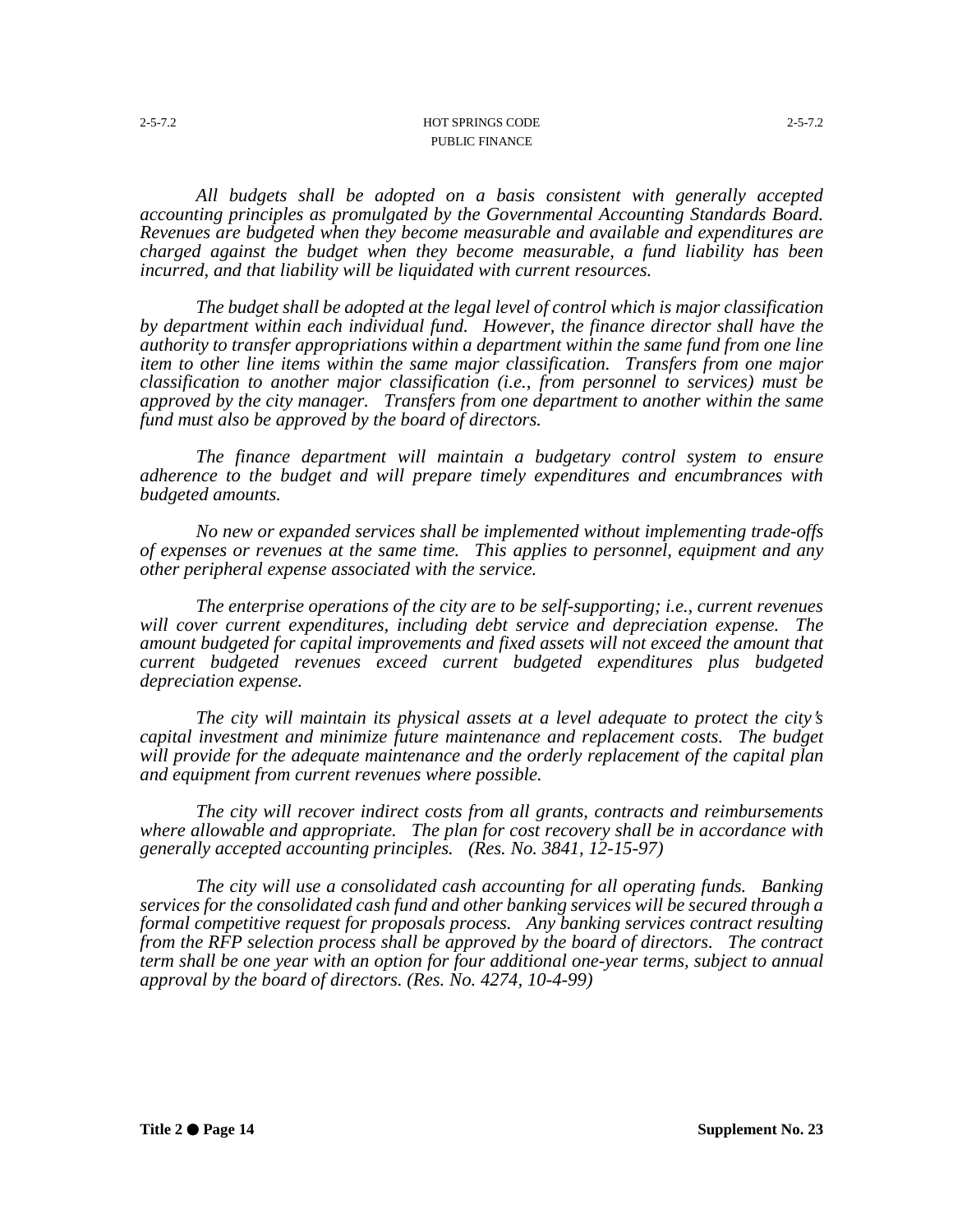#### 2-5-7.2 HOT SPRINGS CODE 2-5-7.2 PUBLIC FINANCE

*All budgets shall be adopted on a basis consistent with generally accepted accounting principles as promulgated by the Governmental Accounting Standards Board. Revenues are budgeted when they become measurable and available and expenditures are charged against the budget when they become measurable, a fund liability has been incurred, and that liability will be liquidated with current resources.*

*The budget shall be adopted at the legal level of control which is major classification by department within each individual fund. However, the finance director shall have the authority to transfer appropriations within a department within the same fund from one line item to other line items within the same major classification. Transfers from one major classification to another major classification (i.e., from personnel to services) must be approved by the city manager. Transfers from one department to another within the same fund must also be approved by the board of directors.*

*The finance department will maintain a budgetary control system to ensure adherence to the budget and will prepare timely expenditures and encumbrances with budgeted amounts.*

*No new or expanded services shall be implemented without implementing trade-offs of expenses or revenues at the same time. This applies to personnel, equipment and any other peripheral expense associated with the service.*

*The enterprise operations of the city are to be self-supporting; i.e., current revenues will cover current expenditures, including debt service and depreciation expense. The amount budgeted for capital improvements and fixed assets will not exceed the amount that current budgeted revenues exceed current budgeted expenditures plus budgeted depreciation expense.*

*The city will maintain its physical assets at a level adequate to protect the city's capital investment and minimize future maintenance and replacement costs. The budget will provide for the adequate maintenance and the orderly replacement of the capital plan and equipment from current revenues where possible.*

*The city will recover indirect costs from all grants, contracts and reimbursements where allowable and appropriate. The plan for cost recovery shall be in accordance with generally accepted accounting principles. (Res. No. 3841, 12-15-97)*

*The city will use a consolidated cash accounting for all operating funds. Banking services for the consolidated cash fund and other banking services will be secured through a formal competitive request for proposals process. Any banking services contract resulting from the RFP selection process shall be approved by the board of directors. The contract term shall be one year with an option for four additional one-year terms, subject to annual approval by the board of directors. (Res. No. 4274, 10-4-99)*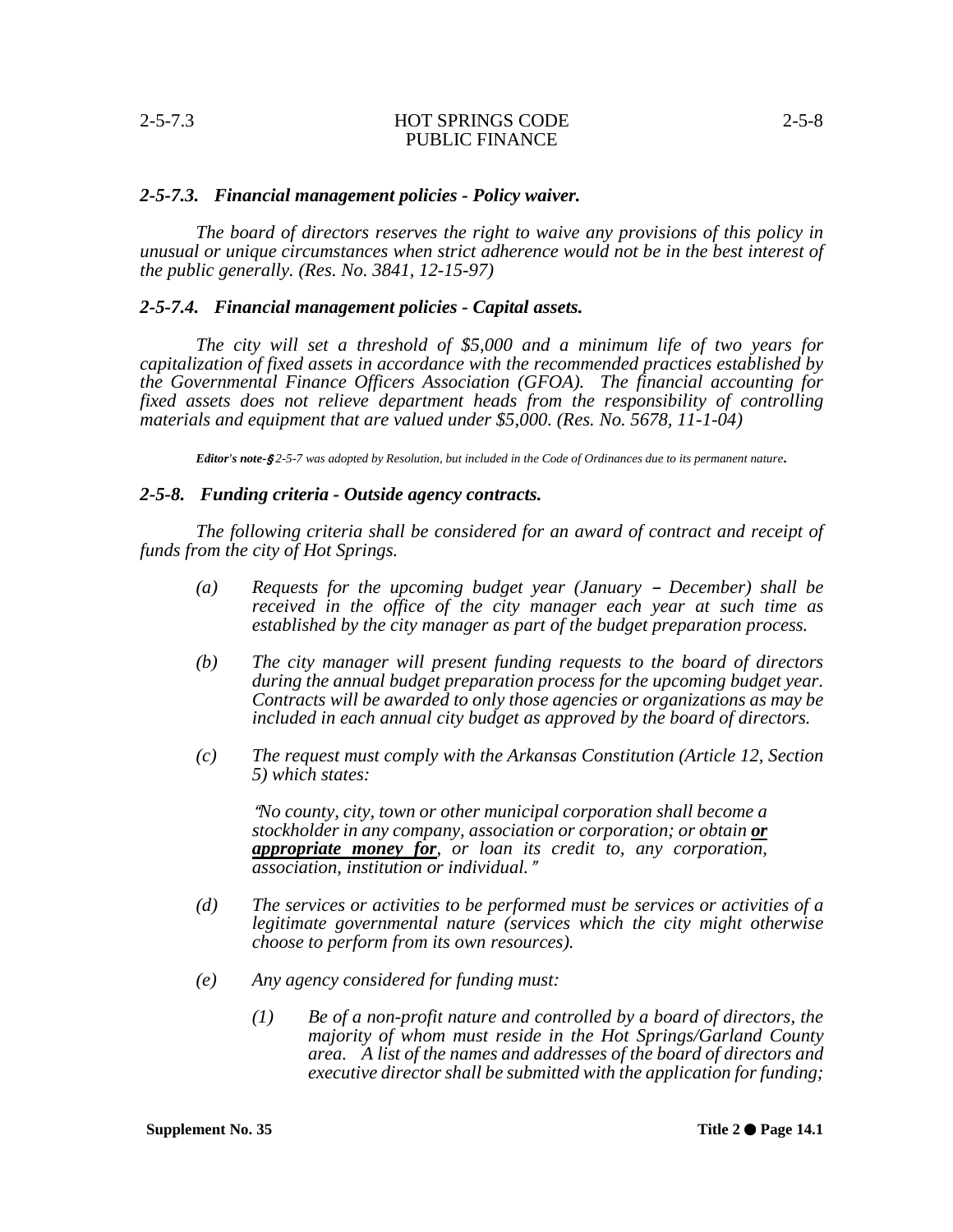### *2-5-7.3. Financial management policies - Policy waiver.*

*The board of directors reserves the right to waive any provisions of this policy in unusual or unique circumstances when strict adherence would not be in the best interest of the public generally. (Res. No. 3841, 12-15-97)*

### *2-5-7.4. Financial management policies - Capital assets.*

*The city will set a threshold of \$5,000 and a minimum life of two years for capitalization of fixed assets in accordance with the recommended practices established by the Governmental Finance Officers Association (GFOA). The financial accounting for fixed assets does not relieve department heads from the responsibility of controlling materials and equipment that are valued under \$5,000. (Res. No. 5678, 11-1-04)*

*Editor's note-§2-5-7 was adopted by Resolution, but included in the Code of Ordinances due to its permanent nature.* 

#### *2-5-8. Funding criteria - Outside agency contracts.*

*The following criteria shall be considered for an award of contract and receipt of funds from the city of Hot Springs.*

- *(a) Requests for the upcoming budget year (January December) shall be received in the office of the city manager each year at such time as established by the city manager as part of the budget preparation process.*
- *(b) The city manager will present funding requests to the board of directors during the annual budget preparation process for the upcoming budget year. Contracts will be awarded to only those agencies or organizations as may be included in each annual city budget as approved by the board of directors.*
- *(c) The request must comply with the Arkansas Constitution (Article 12, Section 5) which states:*

<sup>A</sup>*No county, city, town or other municipal corporation shall become a stockholder in any company, association or corporation; or obtain or appropriate money for, or loan its credit to, any corporation, association, institution or individual.*@

- *(d) The services or activities to be performed must be services or activities of a legitimate governmental nature (services which the city might otherwise choose to perform from its own resources).*
- *(e) Any agency considered for funding must:*
	- *(1) Be of a non-profit nature and controlled by a board of directors, the majority of whom must reside in the Hot Springs/Garland County area. A list of the names and addresses of the board of directors and executive director shall be submitted with the application for funding;*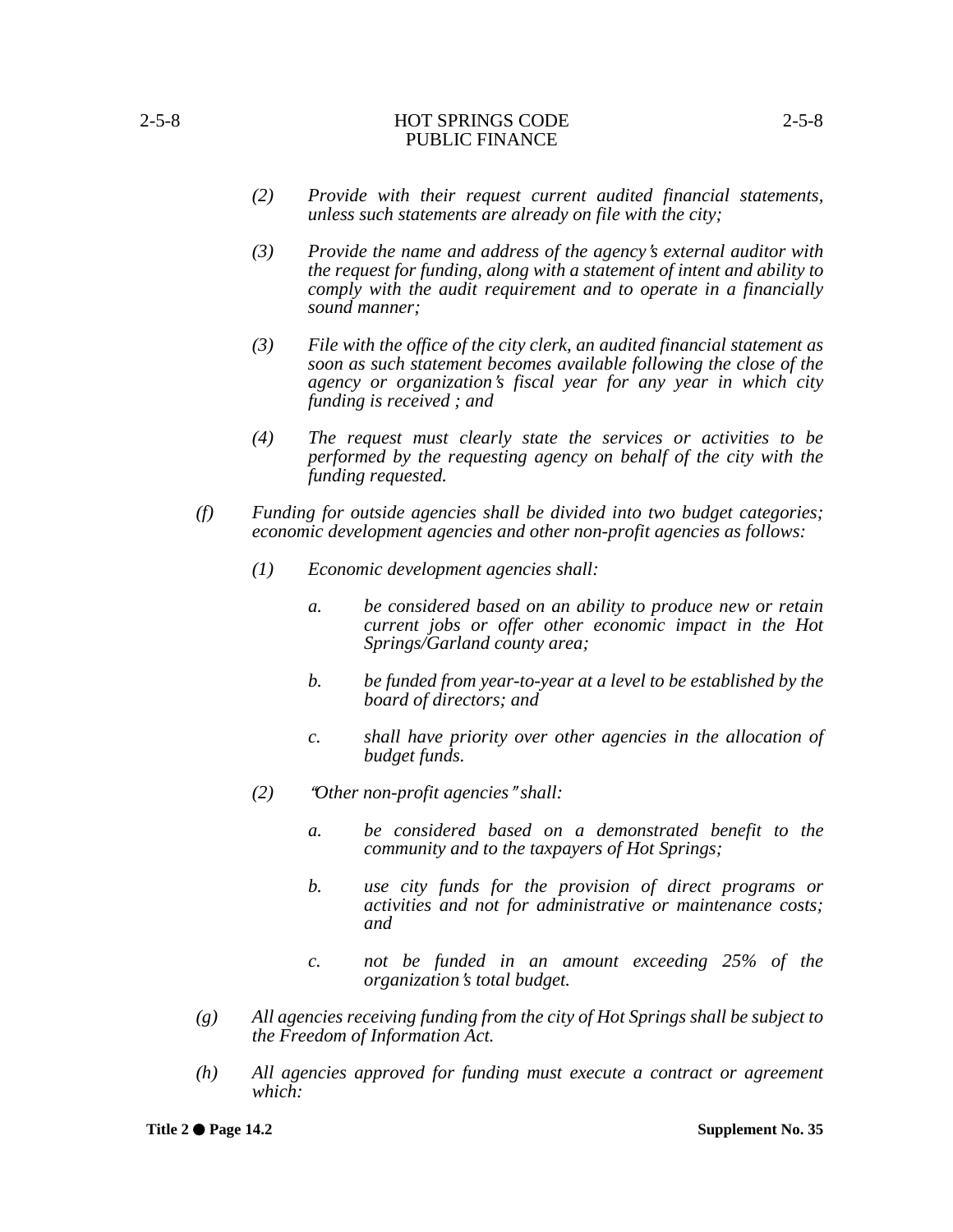### 2-5-8 HOT SPRINGS CODE 2-5-8 PUBLIC FINANCE

- *(2) Provide with their request current audited financial statements, unless such statements are already on file with the city;*
- *(3) Provide the name and address of the agency*=*s external auditor with the request for funding, along with a statement of intent and ability to comply with the audit requirement and to operate in a financially sound manner;*
- *(3) File with the office of the city clerk, an audited financial statement as soon as such statement becomes available following the close of the agency or organization*=*s fiscal year for any year in which city funding is received ; and*
- *(4) The request must clearly state the services or activities to be performed by the requesting agency on behalf of the city with the funding requested.*
- *(f) Funding for outside agencies shall be divided into two budget categories; economic development agencies and other non-profit agencies as follows:*
	- *(1) Economic development agencies shall:*
		- *a. be considered based on an ability to produce new or retain current jobs or offer other economic impact in the Hot Springs/Garland county area;*
		- *b. be funded from year-to-year at a level to be established by the board of directors; and*
		- *c. shall have priority over other agencies in the allocation of budget funds.*
	- *(2) "Other non-profit agencies" shall:* 
		- *a. be considered based on a demonstrated benefit to the community and to the taxpayers of Hot Springs;*
		- *b. use city funds for the provision of direct programs or activities and not for administrative or maintenance costs; and*
		- *c. not be funded in an amount exceeding 25% of the organization*=*s total budget.*
- *(g) All agencies receiving funding from the city of Hot Springs shall be subject to the Freedom of Information Act.*
- *(h) All agencies approved for funding must execute a contract or agreement which:*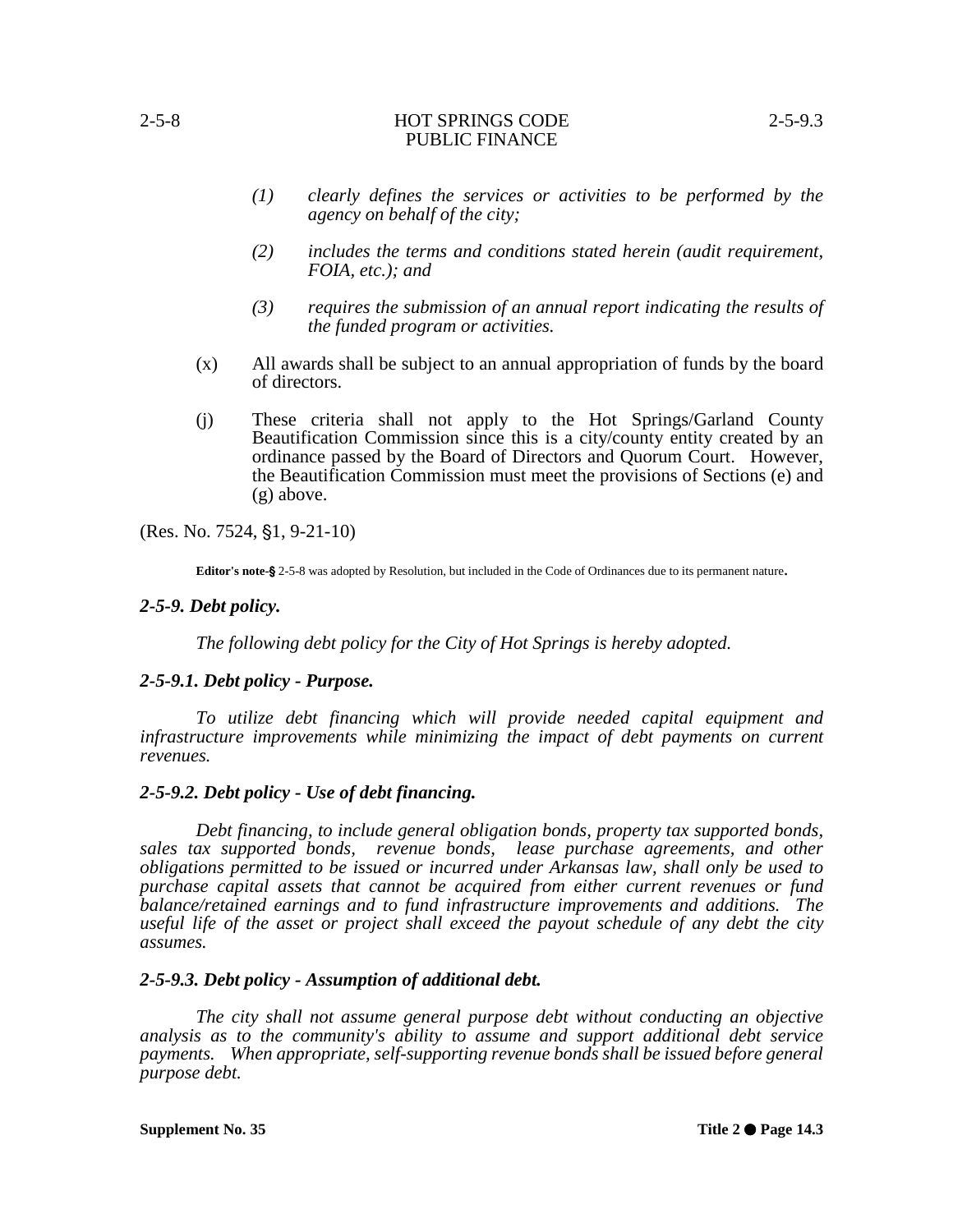### 2-5-8 HOT SPRINGS CODE 2-5-9.3 PUBLIC FINANCE

- *(1) clearly defines the services or activities to be performed by the agency on behalf of the city;*
- *(2) includes the terms and conditions stated herein (audit requirement, FOIA, etc.); and*
- *(3) requires the submission of an annual report indicating the results of the funded program or activities.*
- (x) All awards shall be subject to an annual appropriation of funds by the board of directors.
- (j) These criteria shall not apply to the Hot Springs/Garland County Beautification Commission since this is a city/county entity created by an ordinance passed by the Board of Directors and Quorum Court. However, the Beautification Commission must meet the provisions of Sections (e) and (g) above.

 $(Res. No. 7524, §1, 9-21-10)$ 

**Editor's note-§** 2-5-8 was adopted by Resolution, but included in the Code of Ordinances due to its permanent nature.

#### *2-5-9. Debt policy.*

*The following debt policy for the City of Hot Springs is hereby adopted.*

#### *2-5-9.1. Debt policy - Purpose.*

*To utilize debt financing which will provide needed capital equipment and infrastructure improvements while minimizing the impact of debt payments on current revenues.*

### *2-5-9.2. Debt policy - Use of debt financing.*

*Debt financing, to include general obligation bonds, property tax supported bonds, sales tax supported bonds, revenue bonds, lease purchase agreements, and other obligations permitted to be issued or incurred under Arkansas law, shall only be used to purchase capital assets that cannot be acquired from either current revenues or fund balance/retained earnings and to fund infrastructure improvements and additions. The useful life of the asset or project shall exceed the payout schedule of any debt the city assumes.*

### *2-5-9.3. Debt policy - Assumption of additional debt.*

*The city shall not assume general purpose debt without conducting an objective analysis as to the community's ability to assume and support additional debt service payments. When appropriate, self-supporting revenue bonds shall be issued before general purpose debt.*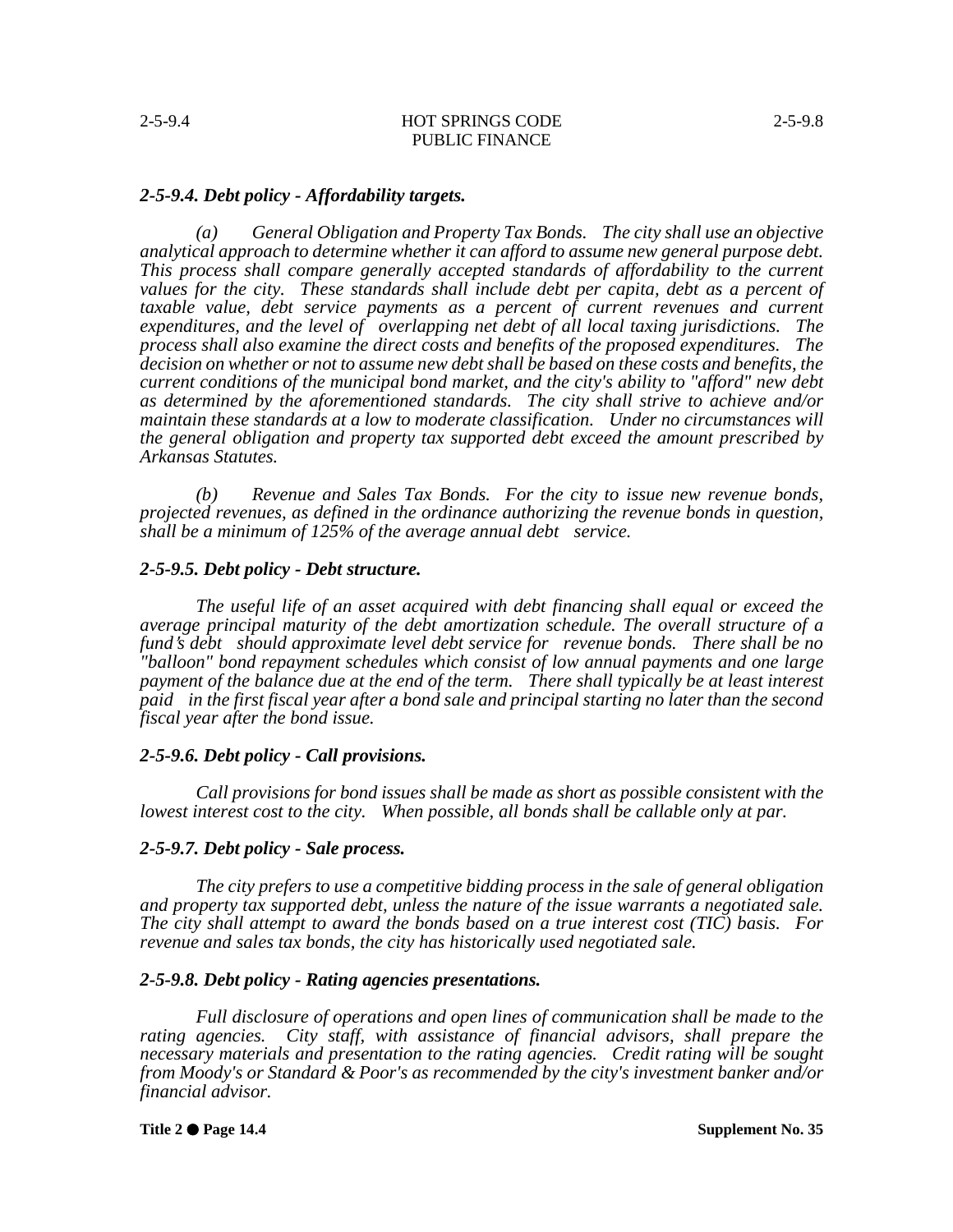#### *2-5-9.4. Debt policy - Affordability targets.*

*(a) General Obligation and Property Tax Bonds. The city shall use an objective analytical approach to determine whether it can afford to assume new general purpose debt. This process shall compare generally accepted standards of affordability to the current*  values for the city. These standards shall include debt per capita, debt as a percent of taxable value, debt service payments as a percent of current revenues and current *expenditures, and the level of overlapping net debt of all local taxing jurisdictions. The process shall also examine the direct costs and benefits of the proposed expenditures. The decision on whether or not to assume new debt shall be based on these costs and benefits, the current conditions of the municipal bond market, and the city's ability to "afford" new debt as determined by the aforementioned standards. The city shall strive to achieve and/or maintain these standards at a low to moderate classification. Under no circumstances will the general obligation and property tax supported debt exceed the amount prescribed by Arkansas Statutes.*

*(b) Revenue and Sales Tax Bonds. For the city to issue new revenue bonds, projected revenues, as defined in the ordinance authorizing the revenue bonds in question, shall be a minimum of 125% of the average annual debt service.*

#### *2-5-9.5. Debt policy - Debt structure.*

*The useful life of an asset acquired with debt financing shall equal or exceed the average principal maturity of the debt amortization schedule. The overall structure of a fund*'s debt should approximate level debt service for revenue bonds. There shall be no *"balloon" bond repayment schedules which consist of low annual payments and one large payment of the balance due at the end of the term. There shall typically be at least interest paid in the first fiscal year after a bond sale and principal starting no later than the second fiscal year after the bond issue.* 

### *2-5-9.6. Debt policy - Call provisions.*

*Call provisions for bond issues shall be made as short as possible consistent with the lowest interest cost to the city. When possible, all bonds shall be callable only at par.*

### *2-5-9.7. Debt policy - Sale process.*

*The city prefers to use a competitive bidding process in the sale of general obligation and property tax supported debt, unless the nature of the issue warrants a negotiated sale. The city shall attempt to award the bonds based on a true interest cost (TIC) basis. For revenue and sales tax bonds, the city has historically used negotiated sale.*

### *2-5-9.8. Debt policy - Rating agencies presentations.*

*Full disclosure of operations and open lines of communication shall be made to the rating agencies. City staff, with assistance of financial advisors, shall prepare the necessary materials and presentation to the rating agencies. Credit rating will be sought from Moody's or Standard & Poor's as recommended by the city's investment banker and/or financial advisor.*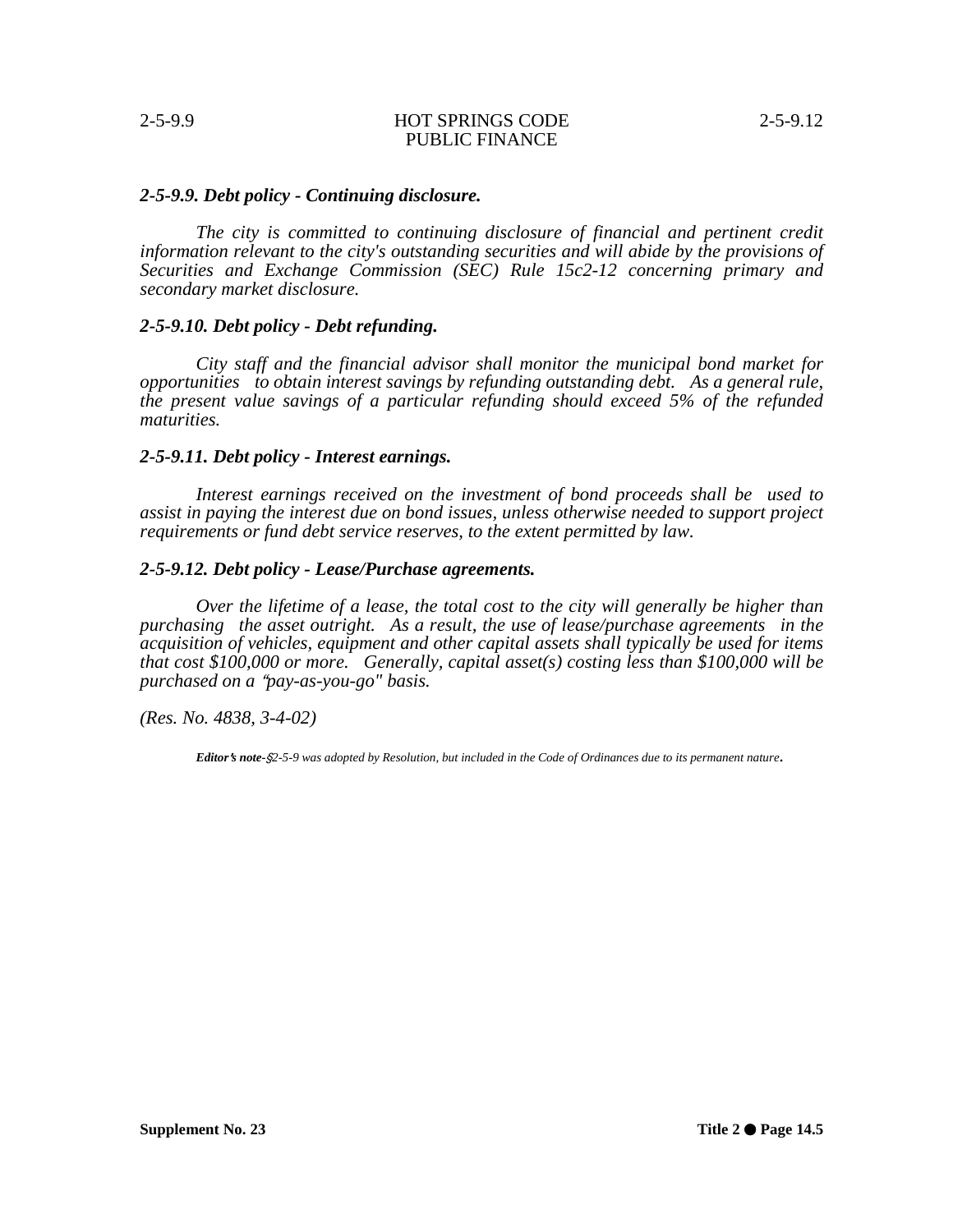### *2-5-9.9. Debt policy - Continuing disclosure.*

*The city is committed to continuing disclosure of financial and pertinent credit information relevant to the city's outstanding securities and will abide by the provisions of Securities and Exchange Commission (SEC) Rule 15c2-12 concerning primary and secondary market disclosure.*

### *2-5-9.10. Debt policy - Debt refunding.*

*City staff and the financial advisor shall monitor the municipal bond market for opportunities to obtain interest savings by refunding outstanding debt. As a general rule, the present value savings of a particular refunding should exceed 5% of the refunded maturities.*

### *2-5-9.11. Debt policy - Interest earnings.*

*Interest earnings received on the investment of bond proceeds shall be used to assist in paying the interest due on bond issues, unless otherwise needed to support project requirements or fund debt service reserves, to the extent permitted by law.*

### *2-5-9.12. Debt policy - Lease/Purchase agreements.*

*Over the lifetime of a lease, the total cost to the city will generally be higher than purchasing the asset outright. As a result, the use of lease/purchase agreements in the acquisition of vehicles, equipment and other capital assets shall typically be used for items that cost \$100,000 or more. Generally, capital asset(s) costing less than \$100,000 will be purchased on a "pay-as-you-go" basis.* 

*(Res. No. 4838, 3-4-02)*

*Editor*=*s note-*'*2-5-9 was adopted by Resolution, but included in the Code of Ordinances due to its permanent nature.*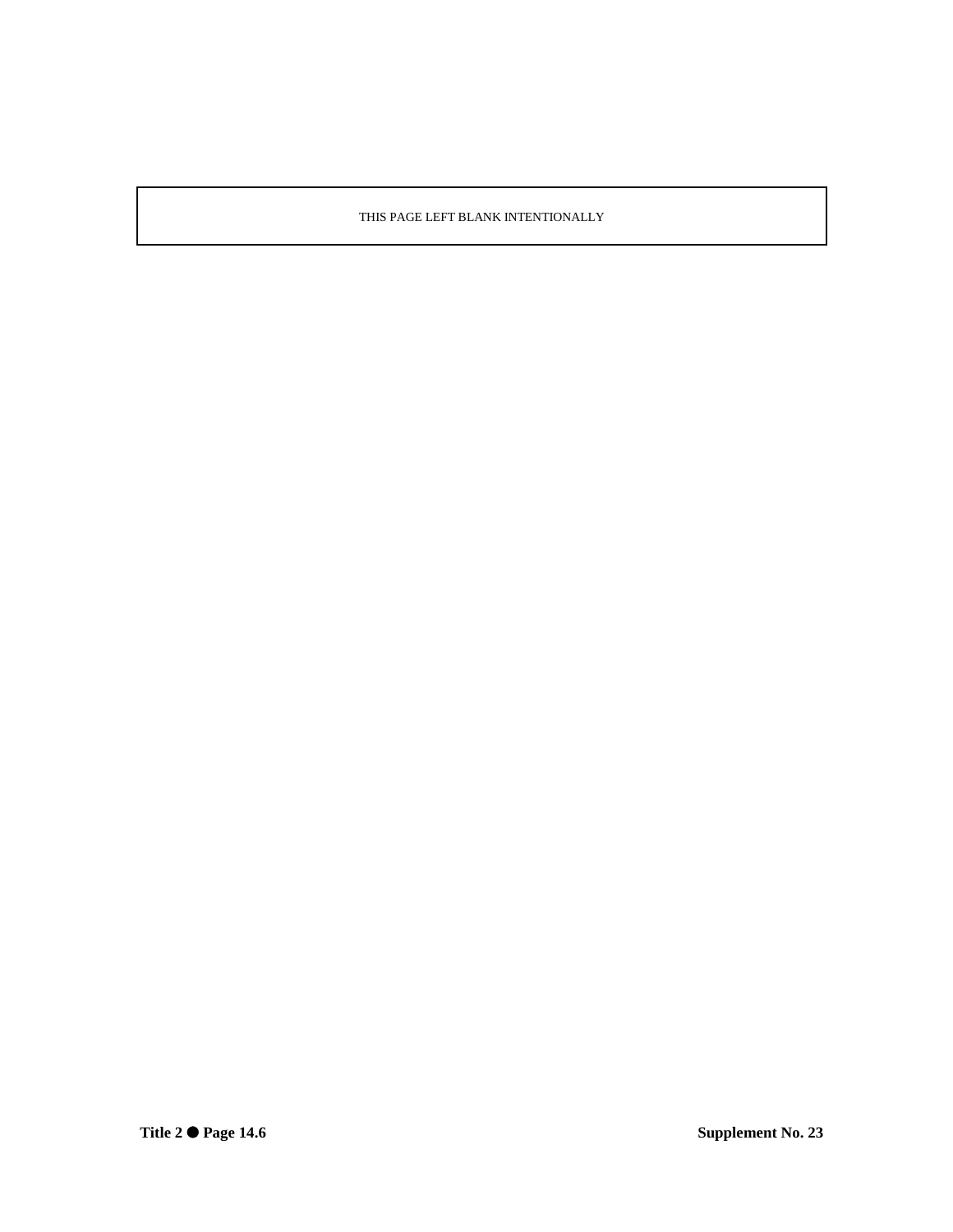#### THIS PAGE LEFT BLANK INTENTIONALLY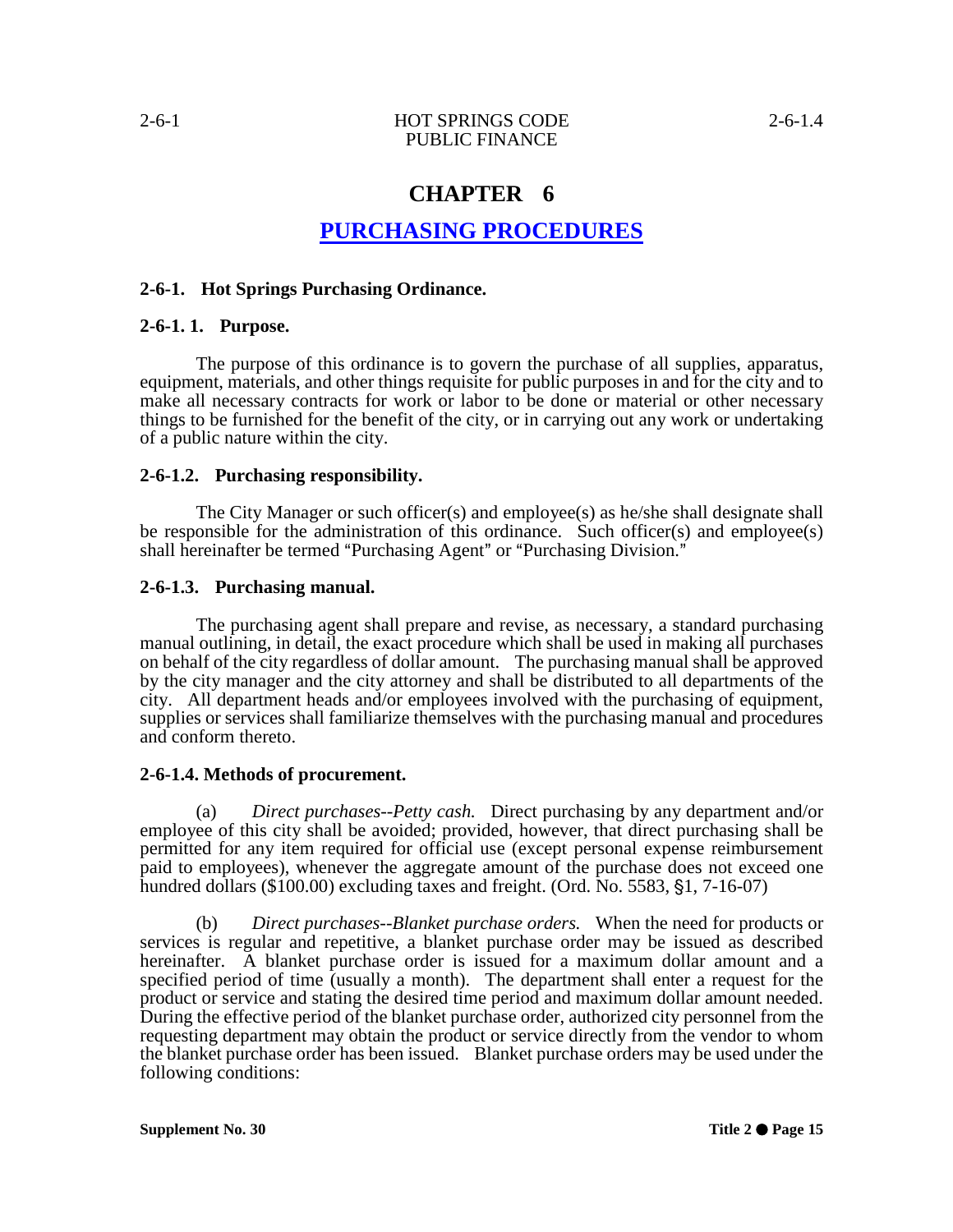### **CHAPTER 6**

### **[PURCHASING PROCEDURES](#page-34-0)**

### <span id="page-34-0"></span>**2-6-1. Hot Springs Purchasing Ordinance.**

### **2-6-1. 1. Purpose.**

The purpose of this ordinance is to govern the purchase of all supplies, apparatus, equipment, materials, and other things requisite for public purposes in and for the city and to make all necessary contracts for work or labor to be done or material or other necessary things to be furnished for the benefit of the city, or in carrying out any work or undertaking of a public nature within the city.

### **2-6-1.2. Purchasing responsibility.**

The City Manager or such officer(s) and employee(s) as he/she shall designate shall be responsible for the administration of this ordinance. Such officer(s) and employee(s) shall hereinafter be termed "Purchasing Agent" or "Purchasing Division."

### **2-6-1.3. Purchasing manual.**

The purchasing agent shall prepare and revise, as necessary, a standard purchasing manual outlining, in detail, the exact procedure which shall be used in making all purchases on behalf of the city regardless of dollar amount. The purchasing manual shall be approved by the city manager and the city attorney and shall be distributed to all departments of the city. All department heads and/or employees involved with the purchasing of equipment, supplies or services shall familiarize themselves with the purchasing manual and procedures and conform thereto.

### **2-6-1.4. Methods of procurement.**

(a) *Direct purchases--Petty cash.* Direct purchasing by any department and/or employee of this city shall be avoided; provided, however, that direct purchasing shall be permitted for any item required for official use (except personal expense reimbursement paid to employees), whenever the aggregate amount of the purchase does not exceed one hundred dollars  $(\$100.00)$  excluding taxes and freight. (Ord. No. 5583,  $§1, 7\n-16-07)$ )

(b) *Direct purchases--Blanket purchase orders.* When the need for products or services is regular and repetitive, a blanket purchase order may be issued as described hereinafter. A blanket purchase order is issued for a maximum dollar amount and a specified period of time (usually a month). The department shall enter a request for the product or service and stating the desired time period and maximum dollar amount needed. During the effective period of the blanket purchase order, authorized city personnel from the requesting department may obtain the product or service directly from the vendor to whom the blanket purchase order has been issued. Blanket purchase orders may be used under the following conditions: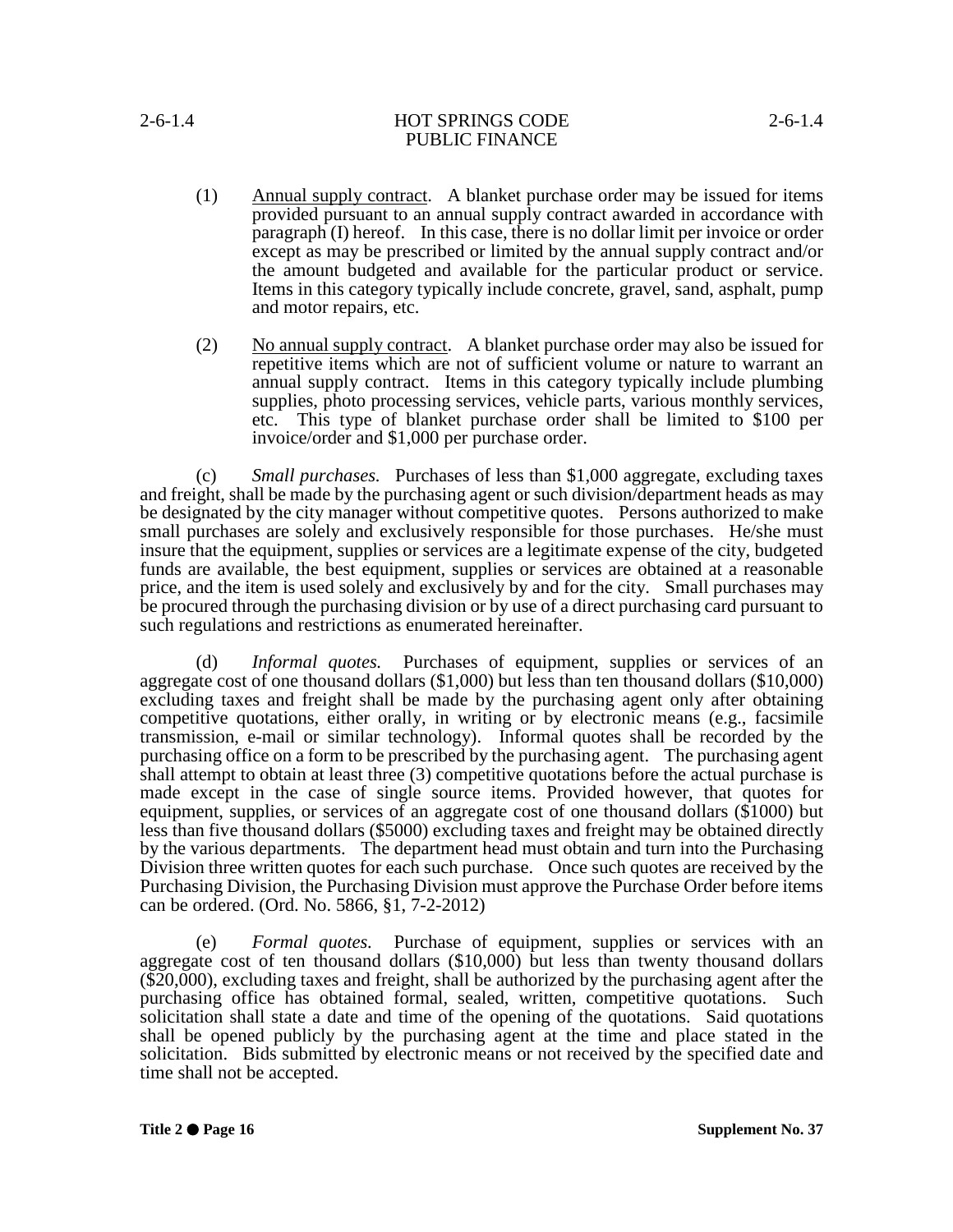- (1) Annual supply contract. A blanket purchase order may be issued for items provided pursuant to an annual supply contract awarded in accordance with paragraph (I) hereof. In this case, there is no dollar limit per invoice or order except as may be prescribed or limited by the annual supply contract and/or the amount budgeted and available for the particular product or service. Items in this category typically include concrete, gravel, sand, asphalt, pump and motor repairs, etc.
- (2) No annual supply contract. A blanket purchase order may also be issued for repetitive items which are not of sufficient volume or nature to warrant an annual supply contract. Items in this category typically include plumbing supplies, photo processing services, vehicle parts, various monthly services, etc. This type of blanket purchase order shall be limited to \$100 per invoice/order and \$1,000 per purchase order.

(c) *Small purchases.* Purchases of less than \$1,000 aggregate, excluding taxes and freight, shall be made by the purchasing agent or such division/department heads as may be designated by the city manager without competitive quotes. Persons authorized to make small purchases are solely and exclusively responsible for those purchases. He/she must insure that the equipment, supplies or services are a legitimate expense of the city, budgeted funds are available, the best equipment, supplies or services are obtained at a reasonable price, and the item is used solely and exclusively by and for the city. Small purchases may be procured through the purchasing division or by use of a direct purchasing card pursuant to such regulations and restrictions as enumerated hereinafter.

(d) *Informal quotes.* Purchases of equipment, supplies or services of an aggregate cost of one thousand dollars (\$1,000) but less than ten thousand dollars (\$10,000) excluding taxes and freight shall be made by the purchasing agent only after obtaining competitive quotations, either orally, in writing or by electronic means (e.g., facsimile transmission, e-mail or similar technology). Informal quotes shall be recorded by the purchasing office on a form to be prescribed by the purchasing agent. The purchasing agent shall attempt to obtain at least three (3) competitive quotations before the actual purchase is made except in the case of single source items. Provided however, that quotes for equipment, supplies, or services of an aggregate cost of one thousand dollars (\$1000) but less than five thousand dollars (\$5000) excluding taxes and freight may be obtained directly by the various departments. The department head must obtain and turn into the Purchasing Division three written quotes for each such purchase. Once such quotes are received by the Purchasing Division, the Purchasing Division must approve the Purchase Order before items can be ordered. (Ord. No. 5866, §1, 7-2-2012)

(e) *Formal quotes.* Purchase of equipment, supplies or services with an aggregate cost of ten thousand dollars (\$10,000) but less than twenty thousand dollars (\$20,000), excluding taxes and freight, shall be authorized by the purchasing agent after the purchasing office has obtained formal, sealed, written, competitive quotations. Such solicitation shall state a date and time of the opening of the quotations. Said quotations shall be opened publicly by the purchasing agent at the time and place stated in the solicitation. Bids submitted by electronic means or not received by the specified date and time shall not be accepted.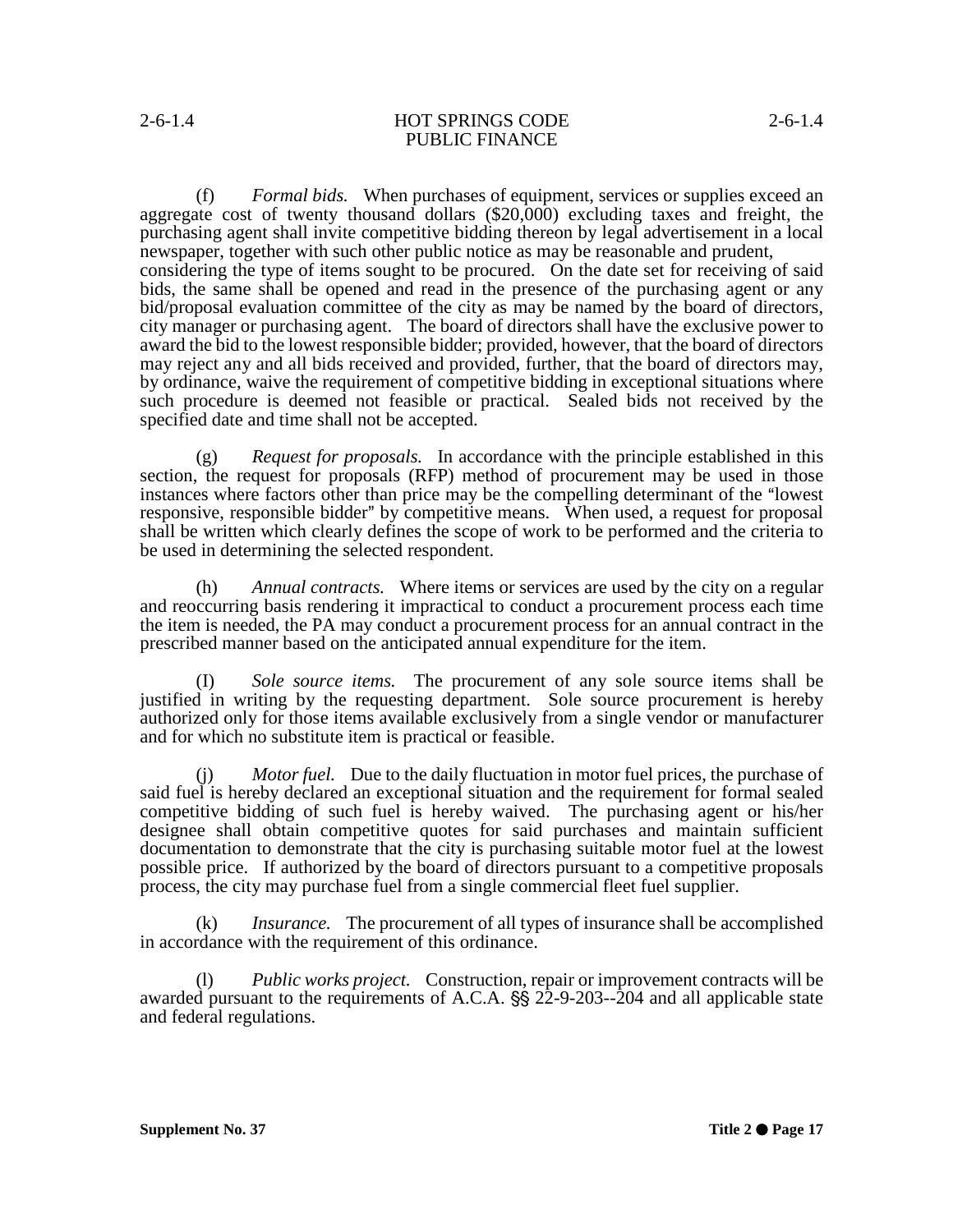#### 2-6-1.4 HOT SPRINGS CODE 2-6-1.4 PUBLIC FINANCE

(f) *Formal bids.* When purchases of equipment, services or supplies exceed an aggregate cost of twenty thousand dollars (\$20,000) excluding taxes and freight, the purchasing agent shall invite competitive bidding thereon by legal advertisement in a local newspaper, together with such other public notice as may be reasonable and prudent, considering the type of items sought to be procured. On the date set for receiving of said bids, the same shall be opened and read in the presence of the purchasing agent or any bid/proposal evaluation committee of the city as may be named by the board of directors, city manager or purchasing agent. The board of directors shall have the exclusive power to award the bid to the lowest responsible bidder; provided, however, that the board of directors may reject any and all bids received and provided, further, that the board of directors may, by ordinance, waive the requirement of competitive bidding in exceptional situations where such procedure is deemed not feasible or practical. Sealed bids not received by the specified date and time shall not be accepted.

(g) *Request for proposals.* In accordance with the principle established in this section, the request for proposals (RFP) method of procurement may be used in those instances where factors other than price may be the compelling determinant of the "lowest" responsive, responsible bidder" by competitive means. When used, a request for proposal shall be written which clearly defines the scope of work to be performed and the criteria to be used in determining the selected respondent.

(h) *Annual contracts.* Where items or services are used by the city on a regular and reoccurring basis rendering it impractical to conduct a procurement process each time the item is needed, the PA may conduct a procurement process for an annual contract in the prescribed manner based on the anticipated annual expenditure for the item.

(I) *Sole source items.* The procurement of any sole source items shall be justified in writing by the requesting department. Sole source procurement is hereby authorized only for those items available exclusively from a single vendor or manufacturer and for which no substitute item is practical or feasible.

(j) *Motor fuel.* Due to the daily fluctuation in motor fuel prices, the purchase of said fuel is hereby declared an exceptional situation and the requirement for formal sealed competitive bidding of such fuel is hereby waived. The purchasing agent or his/her designee shall obtain competitive quotes for said purchases and maintain sufficient documentation to demonstrate that the city is purchasing suitable motor fuel at the lowest possible price. If authorized by the board of directors pursuant to a competitive proposals process, the city may purchase fuel from a single commercial fleet fuel supplier.

(k) *Insurance.* The procurement of all types of insurance shall be accomplished in accordance with the requirement of this ordinance.

*Public works project.* Construction, repair or improvement contracts will be awarded pursuant to the requirements of A.C.A.  $\S$  22-9-203--204 and all applicable state and federal regulations.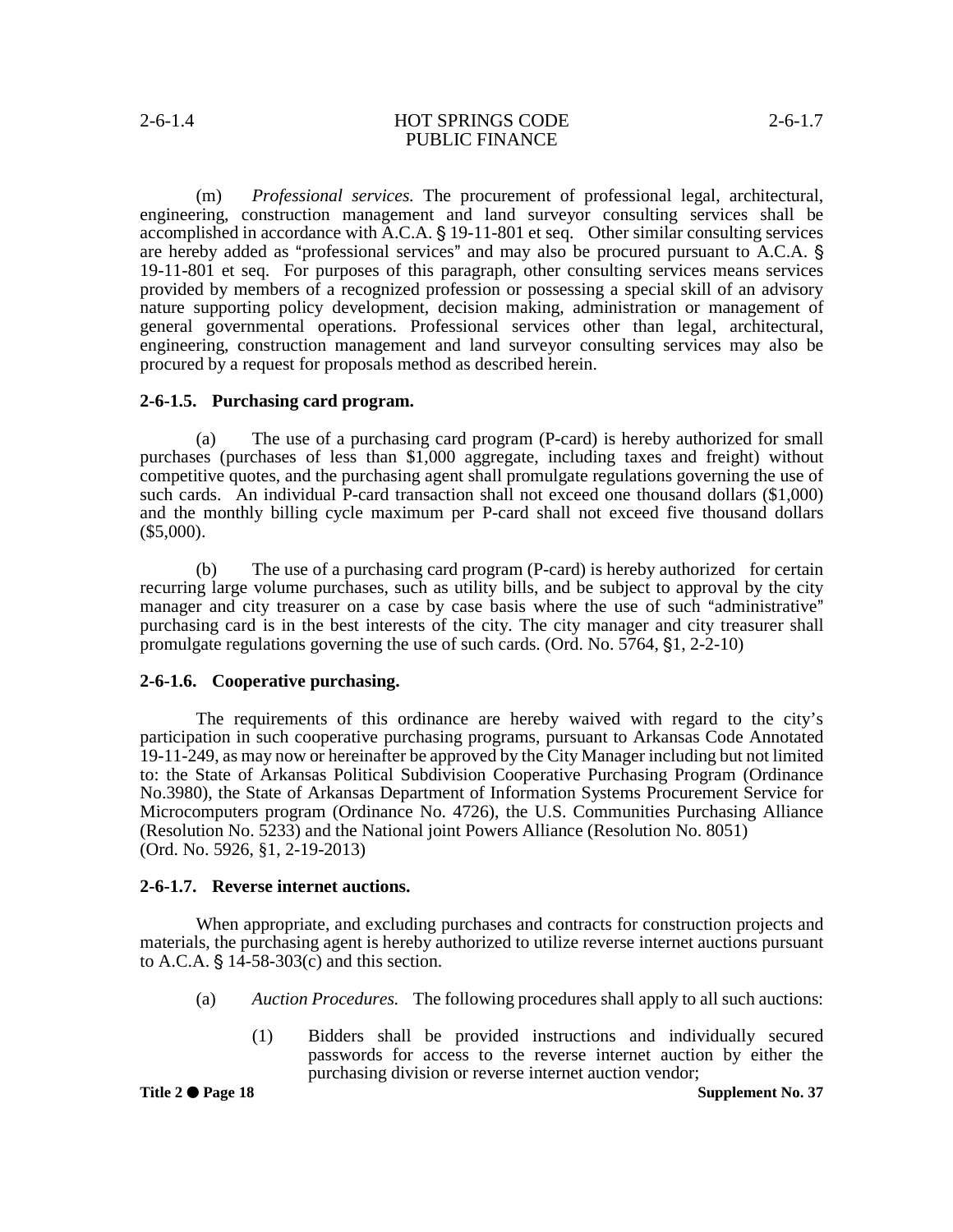#### 2-6-1.4 HOT SPRINGS CODE 2-6-1.7 PUBLIC FINANCE

(m) *Professional services.* The procurement of professional legal, architectural, engineering, construction management and land surveyor consulting services shall be accomplished in accordance with  $A.C.A.$   $\S$  19-11-801 et seq. Other similar consulting services are hereby added as "professional services" and may also be procured pursuant to  $A.C.A.$   $\S$ 19-11-801 et seq. For purposes of this paragraph, other consulting services means services provided by members of a recognized profession or possessing a special skill of an advisory nature supporting policy development, decision making, administration or management of general governmental operations. Professional services other than legal, architectural, engineering, construction management and land surveyor consulting services may also be procured by a request for proposals method as described herein.

#### **2-6-1.5. Purchasing card program.**

(a) The use of a purchasing card program (P-card) is hereby authorized for small purchases (purchases of less than \$1,000 aggregate, including taxes and freight) without competitive quotes, and the purchasing agent shall promulgate regulations governing the use of such cards. An individual P-card transaction shall not exceed one thousand dollars (\$1,000) and the monthly billing cycle maximum per P-card shall not exceed five thousand dollars  $($5,000)$ .

(b) The use of a purchasing card program (P-card) is hereby authorized for certain recurring large volume purchases, such as utility bills, and be subject to approval by the city manager and city treasurer on a case by case basis where the use of such "administrative" purchasing card is in the best interests of the city. The city manager and city treasurer shall promulgate regulations governing the use of such cards. (Ord. No.  $5764$ ,  $\S1$ ,  $2-2-10$ )

#### **2-6-1.6. Cooperative purchasing.**

The requirements of this ordinance are hereby waived with regard to the city's participation in such cooperative purchasing programs, pursuant to Arkansas Code Annotated 19-11-249, as may now or hereinafter be approved by the City Manager including but not limited to: the State of Arkansas Political Subdivision Cooperative Purchasing Program (Ordinance No.3980), the State of Arkansas Department of Information Systems Procurement Service for Microcomputers program (Ordinance No. 4726), the U.S. Communities Purchasing Alliance (Resolution No. 5233) and the National joint Powers Alliance (Resolution No. 8051) (Ord. No. 5926, §1, 2-19-2013)

#### **2-6-1.7. Reverse internet auctions.**

When appropriate, and excluding purchases and contracts for construction projects and materials, the purchasing agent is hereby authorized to utilize reverse internet auctions pursuant to A.C.A.  $\S$  14-58-303(c) and this section.

- (a) *Auction Procedures.* The following procedures shall apply to all such auctions:
	- (1) Bidders shall be provided instructions and individually secured passwords for access to the reverse internet auction by either the purchasing division or reverse internet auction vendor;

**Title 2 Page 18 Supplement No. 37**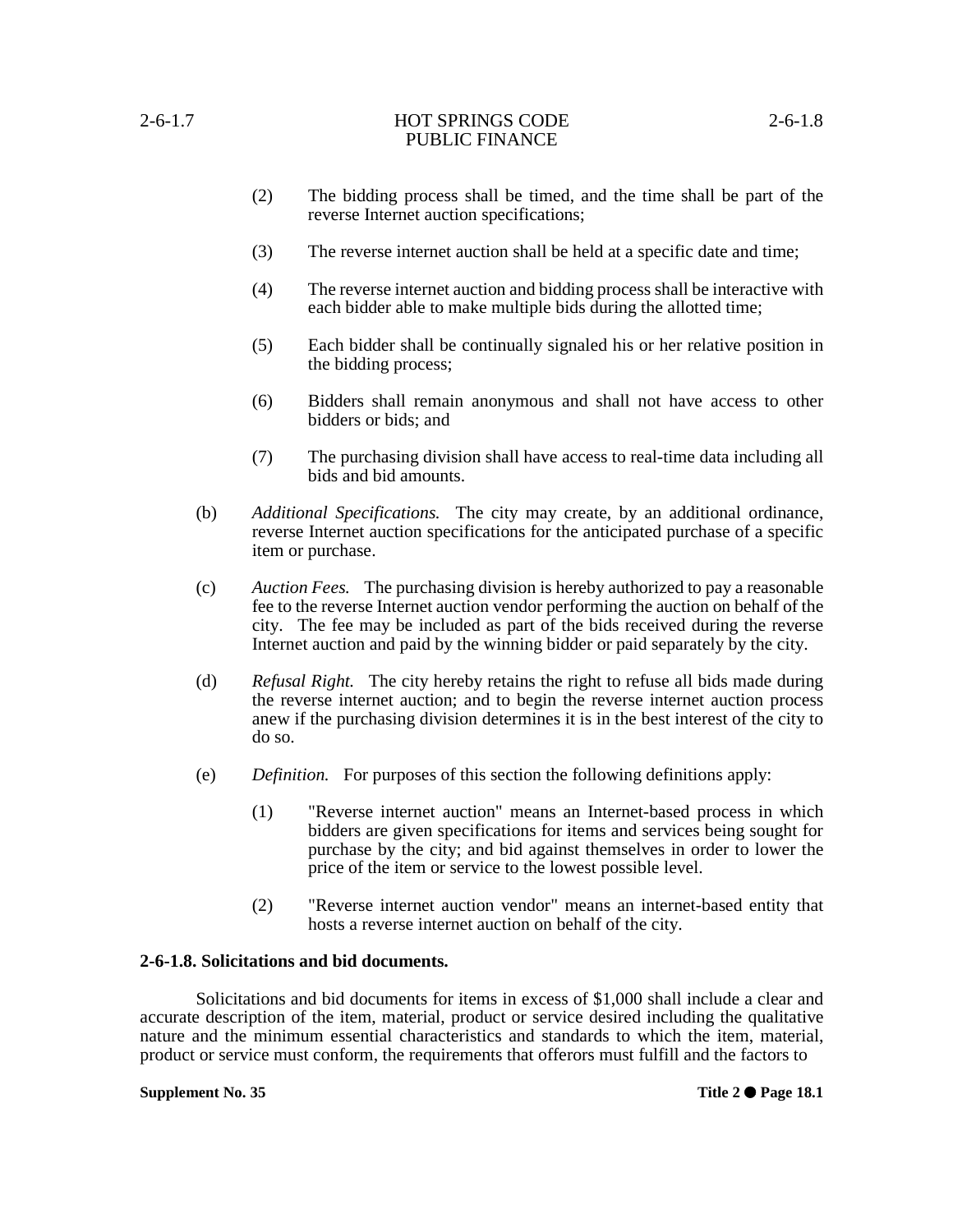#### 2-6-1.7 HOT SPRINGS CODE 2-6-1.8 PUBLIC FINANCE

- (2) The bidding process shall be timed, and the time shall be part of the reverse Internet auction specifications;
- (3) The reverse internet auction shall be held at a specific date and time;
- (4) The reverse internet auction and bidding process shall be interactive with each bidder able to make multiple bids during the allotted time;
- (5) Each bidder shall be continually signaled his or her relative position in the bidding process;
- (6) Bidders shall remain anonymous and shall not have access to other bidders or bids; and
- (7) The purchasing division shall have access to real-time data including all bids and bid amounts.
- (b) *Additional Specifications.* The city may create, by an additional ordinance, reverse Internet auction specifications for the anticipated purchase of a specific item or purchase.
- (c) *Auction Fees.* The purchasing division is hereby authorized to pay a reasonable fee to the reverse Internet auction vendor performing the auction on behalf of the city. The fee may be included as part of the bids received during the reverse Internet auction and paid by the winning bidder or paid separately by the city.
- (d) *Refusal Right.* The city hereby retains the right to refuse all bids made during the reverse internet auction; and to begin the reverse internet auction process anew if the purchasing division determines it is in the best interest of the city to do so.
- (e) *Definition.* For purposes of this section the following definitions apply:
	- (1) "Reverse internet auction" means an Internet-based process in which bidders are given specifications for items and services being sought for purchase by the city; and bid against themselves in order to lower the price of the item or service to the lowest possible level.
	- (2) "Reverse internet auction vendor" means an internet-based entity that hosts a reverse internet auction on behalf of the city.

#### **2-6-1.8. Solicitations and bid documents.**

Solicitations and bid documents for items in excess of \$1,000 shall include a clear and accurate description of the item, material, product or service desired including the qualitative nature and the minimum essential characteristics and standards to which the item, material, product or service must conform, the requirements that offerors must fulfill and the factors to

**Supplement No. 35 Title 2 Page 18.1**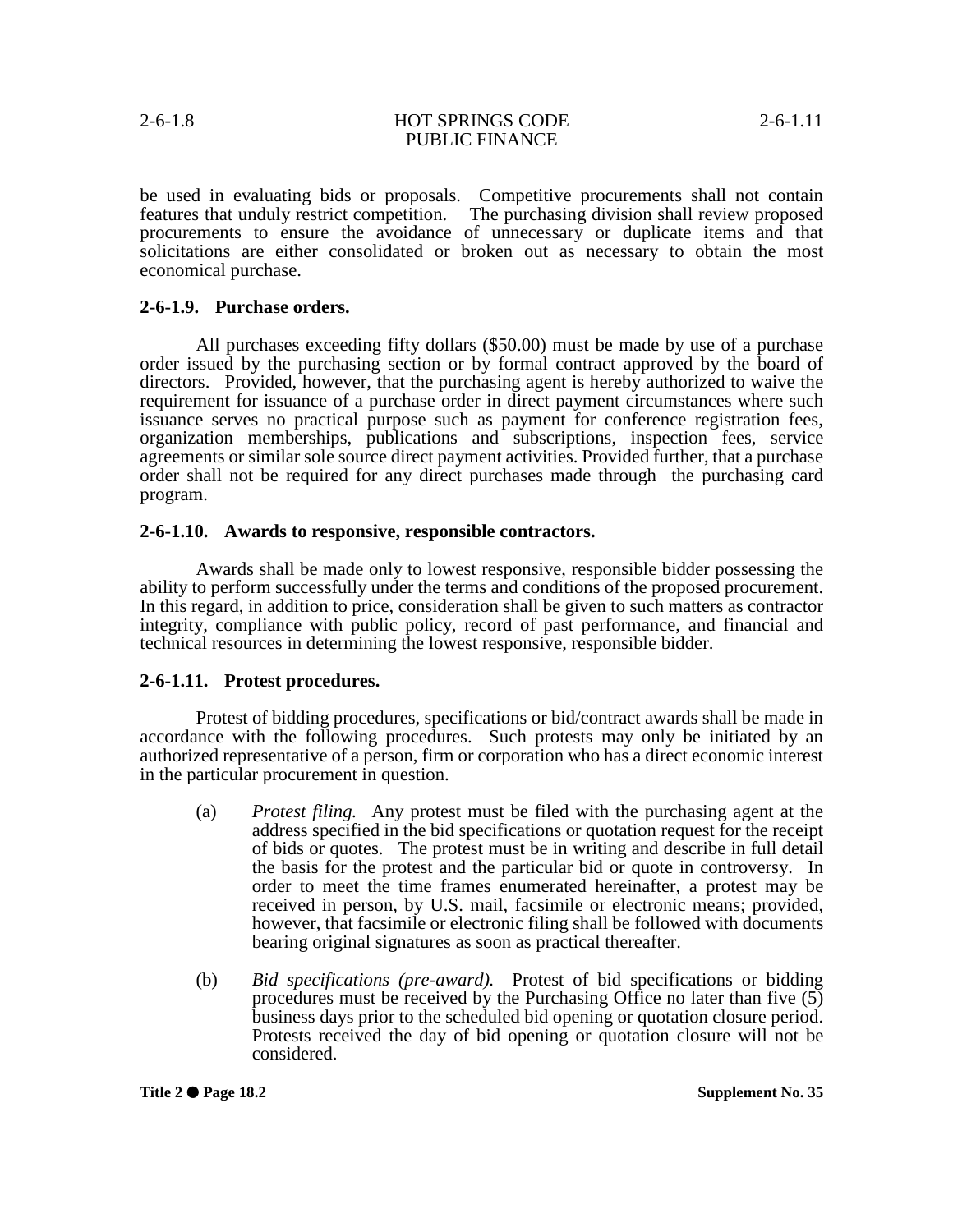be used in evaluating bids or proposals. Competitive procurements shall not contain features that unduly restrict competition. The purchasing division shall review proposed The purchasing division shall review proposed. procurements to ensure the avoidance of unnecessary or duplicate items and that solicitations are either consolidated or broken out as necessary to obtain the most economical purchase.

#### **2-6-1.9. Purchase orders.**

All purchases exceeding fifty dollars (\$50.00) must be made by use of a purchase order issued by the purchasing section or by formal contract approved by the board of directors. Provided, however, that the purchasing agent is hereby authorized to waive the requirement for issuance of a purchase order in direct payment circumstances where such issuance serves no practical purpose such as payment for conference registration fees, organization memberships, publications and subscriptions, inspection fees, service agreements or similar sole source direct payment activities. Provided further, that a purchase order shall not be required for any direct purchases made through the purchasing card program.

#### **2-6-1.10. Awards to responsive, responsible contractors.**

Awards shall be made only to lowest responsive, responsible bidder possessing the ability to perform successfully under the terms and conditions of the proposed procurement. In this regard, in addition to price, consideration shall be given to such matters as contractor integrity, compliance with public policy, record of past performance, and financial and technical resources in determining the lowest responsive, responsible bidder.

#### **2-6-1.11. Protest procedures.**

Protest of bidding procedures, specifications or bid/contract awards shall be made in accordance with the following procedures. Such protests may only be initiated by an authorized representative of a person, firm or corporation who has a direct economic interest in the particular procurement in question.

- (a) *Protest filing.* Any protest must be filed with the purchasing agent at the address specified in the bid specifications or quotation request for the receipt of bids or quotes. The protest must be in writing and describe in full detail the basis for the protest and the particular bid or quote in controversy. In order to meet the time frames enumerated hereinafter, a protest may be received in person, by U.S. mail, facsimile or electronic means; provided, however, that facsimile or electronic filing shall be followed with documents bearing original signatures as soon as practical thereafter.
- (b) *Bid specifications (pre-award).* Protest of bid specifications or bidding procedures must be received by the Purchasing Office no later than five (5) business days prior to the scheduled bid opening or quotation closure period. Protests received the day of bid opening or quotation closure will not be considered.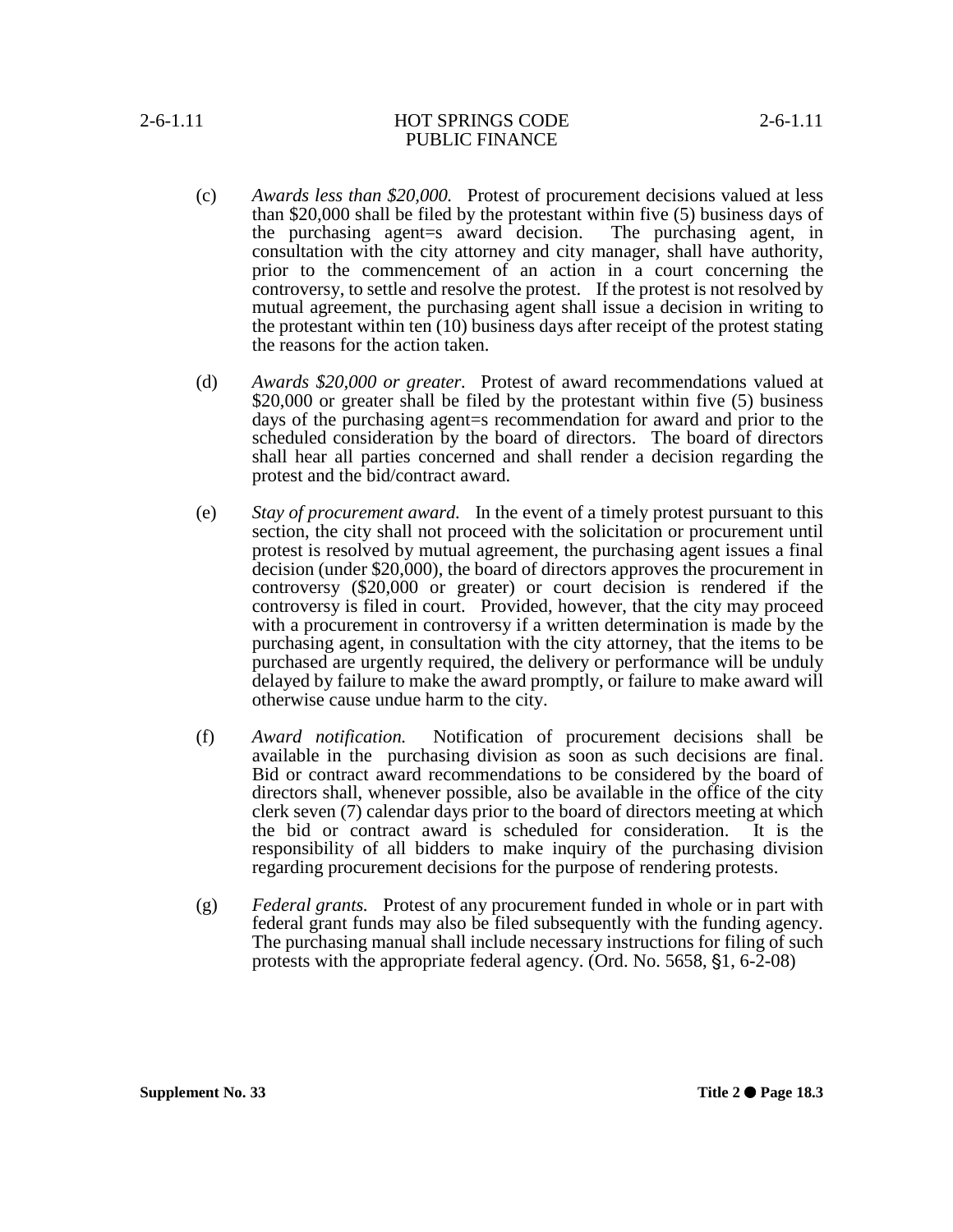#### 2-6-1.11 **HOT SPRINGS CODE** 2-6-1.11 PUBLIC FINANCE

- (c) *Awards less than \$20,000.* Protest of procurement decisions valued at less than \$20,000 shall be filed by the protestant within five (5) business days of the purchasing agent=s award decision. The purchasing agent, in consultation with the city attorney and city manager, shall have authority, prior to the commencement of an action in a court concerning the controversy, to settle and resolve the protest. If the protest is not resolved by mutual agreement, the purchasing agent shall issue a decision in writing to the protestant within ten (10) business days after receipt of the protest stating the reasons for the action taken.
- (d) *Awards \$20,000 or greater.* Protest of award recommendations valued at \$20,000 or greater shall be filed by the protestant within five (5) business days of the purchasing agent=s recommendation for award and prior to the scheduled consideration by the board of directors. The board of directors shall hear all parties concerned and shall render a decision regarding the protest and the bid/contract award.
- (e) *Stay of procurement award.* In the event of a timely protest pursuant to this section, the city shall not proceed with the solicitation or procurement until protest is resolved by mutual agreement, the purchasing agent issues a final decision (under \$20,000), the board of directors approves the procurement in controversy (\$20,000 or greater) or court decision is rendered if the controversy is filed in court. Provided, however, that the city may proceed with a procurement in controversy if a written determination is made by the purchasing agent, in consultation with the city attorney, that the items to be purchased are urgently required, the delivery or performance will be unduly delayed by failure to make the award promptly, or failure to make award will otherwise cause undue harm to the city.
- (f) *Award notification.* Notification of procurement decisions shall be available in the purchasing division as soon as such decisions are final. Bid or contract award recommendations to be considered by the board of directors shall, whenever possible, also be available in the office of the city clerk seven (7) calendar days prior to the board of directors meeting at which the bid or contract award is scheduled for consideration. It is the responsibility of all bidders to make inquiry of the purchasing division regarding procurement decisions for the purpose of rendering protests.
- (g) *Federal grants.* Protest of any procurement funded in whole or in part with federal grant funds may also be filed subsequently with the funding agency. The purchasing manual shall include necessary instructions for filing of such protests with the appropriate federal agency. (Ord. No.  $5658$ ,  $$1, 6-2-08$ )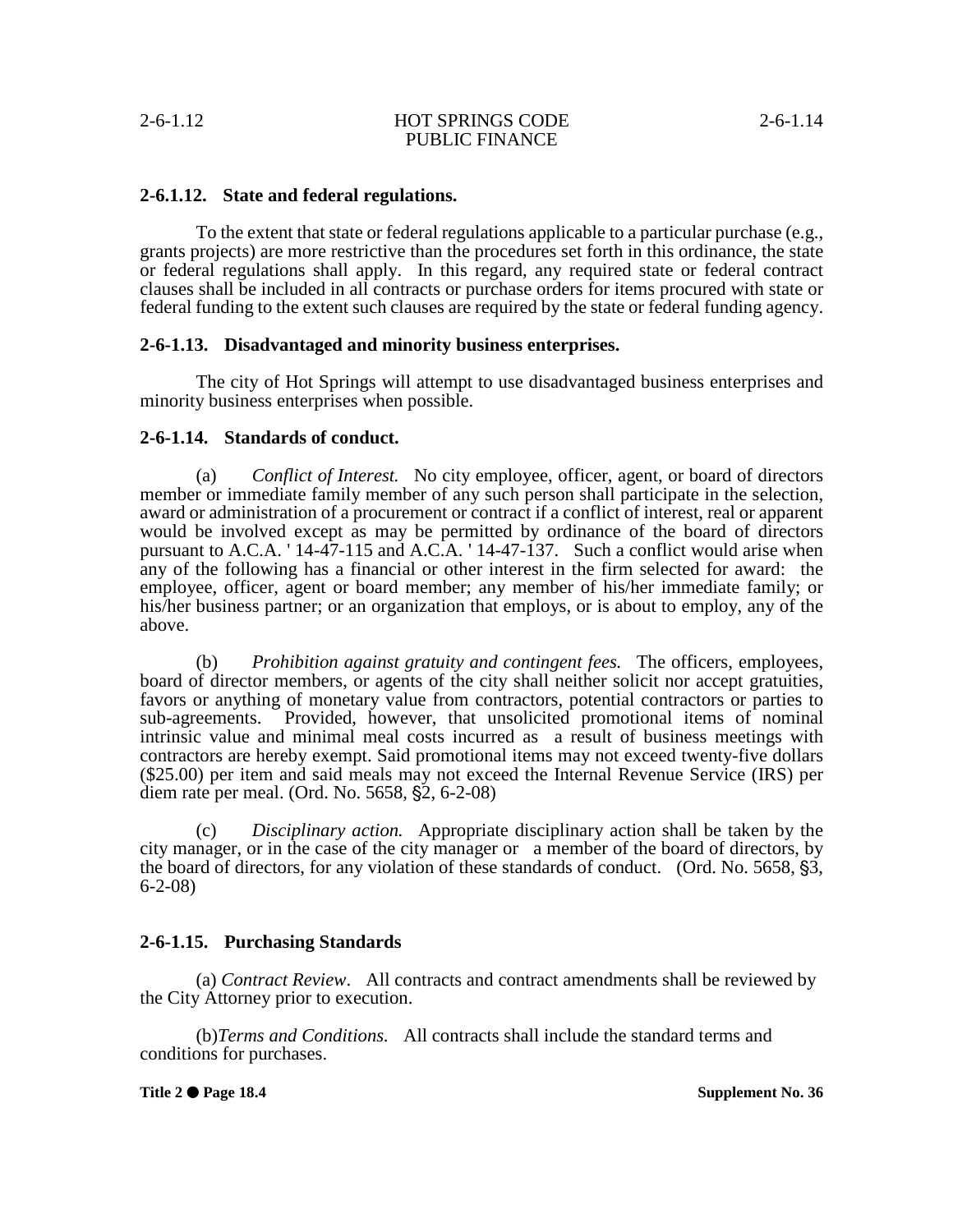#### **2-6.1.12. State and federal regulations.**

To the extent that state or federal regulations applicable to a particular purchase (e.g., grants projects) are more restrictive than the procedures set forth in this ordinance, the state or federal regulations shall apply. In this regard, any required state or federal contract clauses shall be included in all contracts or purchase orders for items procured with state or federal funding to the extent such clauses are required by the state or federal funding agency.

#### **2-6-1.13. Disadvantaged and minority business enterprises.**

The city of Hot Springs will attempt to use disadvantaged business enterprises and minority business enterprises when possible.

#### **2-6-1.14. Standards of conduct.**

(a) *Conflict of Interest.* No city employee, officer, agent, or board of directors member or immediate family member of any such person shall participate in the selection, award or administration of a procurement or contract if a conflict of interest, real or apparent would be involved except as may be permitted by ordinance of the board of directors pursuant to A.C.A. ' 14-47-115 and A.C.A. ' 14-47-137. Such a conflict would arise when any of the following has a financial or other interest in the firm selected for award: the employee, officer, agent or board member; any member of his/her immediate family; or his/her business partner; or an organization that employs, or is about to employ, any of the above.

(b) *Prohibition against gratuity and contingent fees.* The officers, employees, board of director members, or agents of the city shall neither solicit nor accept gratuities, favors or anything of monetary value from contractors, potential contractors or parties to sub-agreements. Provided, however, that unsolicited promotional items of nominal intrinsic value and minimal meal costs incurred as a result of business meetings with contractors are hereby exempt. Said promotional items may not exceed twenty-five dollars (\$25.00) per item and said meals may not exceed the Internal Revenue Service (IRS) per diem rate per meal. (Ord. No.  $5658$ ,  $\S2$ ,  $6-2-08$ )

(c) *Disciplinary action.* Appropriate disciplinary action shall be taken by the city manager, or in the case of the city manager or a member of the board of directors, by the board of directors, for any violation of these standards of conduct. (Ord. No.  $5658$ ,  $\S3$ , 6-2-08)

#### **2-6-1.15. Purchasing Standards**

(a) *Contract Review*. All contracts and contract amendments shall be reviewed by the City Attorney prior to execution.

(b)*Terms and Conditions.* All contracts shall include the standard terms and conditions for purchases.

**Title 2 Page 18.4 Supplement No. 36**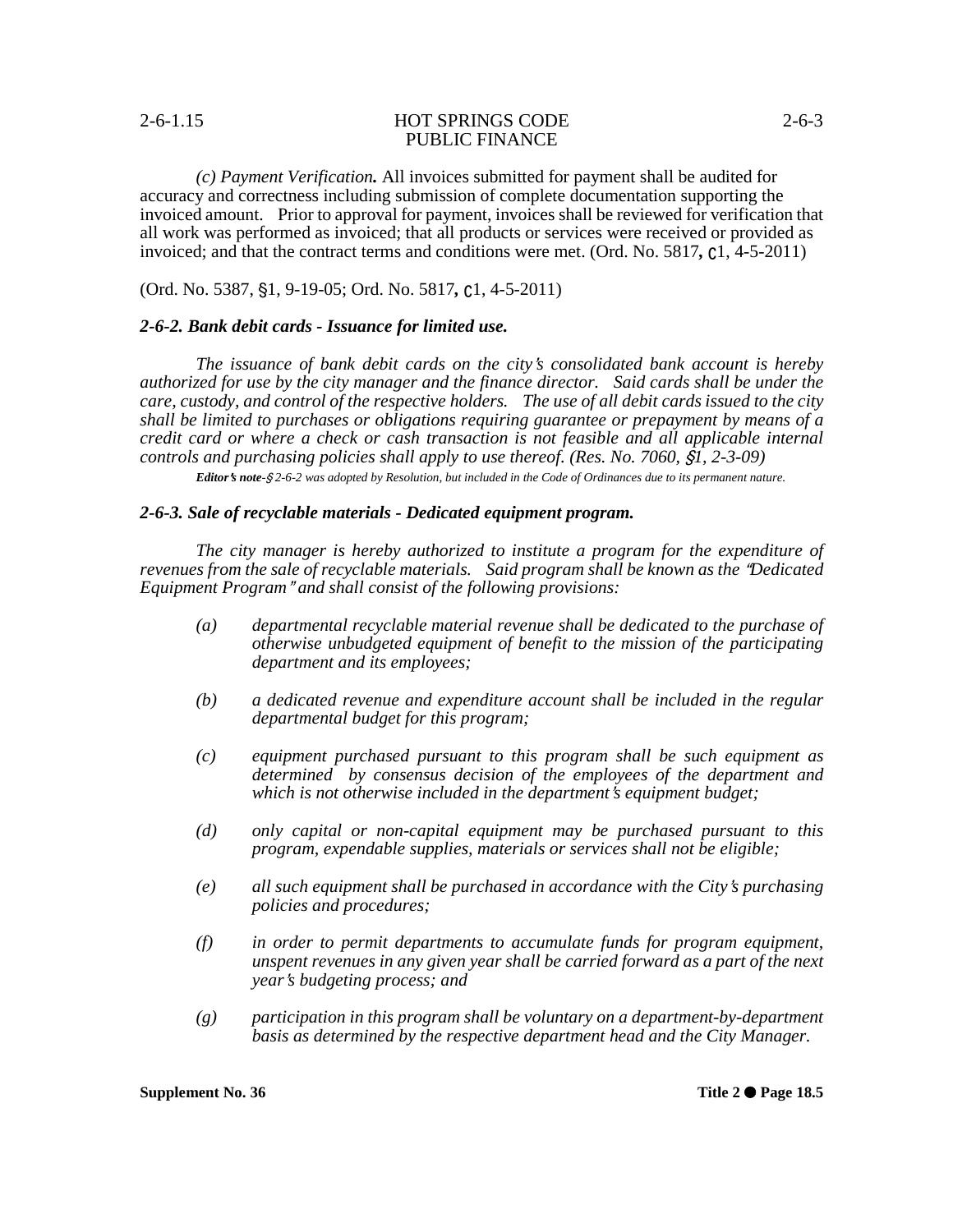#### 2-6-1.15 HOT SPRINGS CODE 2-6-3 PUBLIC FINANCE

*(c) Payment Verification.* All invoices submitted for payment shall be audited for accuracy and correctness including submission of complete documentation supporting the invoiced amount. Prior to approval for payment, invoices shall be reviewed for verification that all work was performed as invoiced; that all products or services were received or provided as invoiced; and that the contract terms and conditions were met. (Ord. No.  $5817$ ,  $c1$ ,  $4-5-2011$ )

(Ord. No. 5387, §1, 9-19-05; Ord. No. 5817,  $c1$ , 4-5-2011)

#### *2-6-2. Bank debit cards - Issuance for limited use.*

*The issuance of bank debit cards on the city*=*s consolidated bank account is hereby authorized for use by the city manager and the finance director. Said cards shall be under the care, custody, and control of the respective holders. The use of all debit cards issued to the city shall be limited to purchases or obligations requiring guarantee or prepayment by means of a credit card or where a check or cash transaction is not feasible and all applicable internal controls and purchasing policies shall apply to use thereof. (Res. No. 7060,*  $\hat{\sl{S}}$ *1, 2-3-09)* 

*Editor's note-§2-6-2 was adopted by Resolution, but included in the Code of Ordinances due to its permanent nature.* 

#### *2-6-3. Sale of recyclable materials - Dedicated equipment program.*

*The city manager is hereby authorized to institute a program for the expenditure of revenues from the sale of recyclable materials. Said program shall be known as the "Dedicated*" *Equipment Program*" *and shall consist of the following provisions:* 

- *(a) departmental recyclable material revenue shall be dedicated to the purchase of otherwise unbudgeted equipment of benefit to the mission of the participating department and its employees;*
- *(b) a dedicated revenue and expenditure account shall be included in the regular departmental budget for this program;*
- *(c) equipment purchased pursuant to this program shall be such equipment as determined by consensus decision of the employees of the department and which is not otherwise included in the department's equipment budget;*
- *(d) only capital or non-capital equipment may be purchased pursuant to this program, expendable supplies, materials or services shall not be eligible;*
- *(e) all such equipment shall be purchased in accordance with the City*=*s purchasing policies and procedures;*
- *(f) in order to permit departments to accumulate funds for program equipment, unspent revenues in any given year shall be carried forward as a part of the next year*=*s budgeting process; and*
- *(g) participation in this program shall be voluntary on a department-by-department basis as determined by the respective department head and the City Manager.*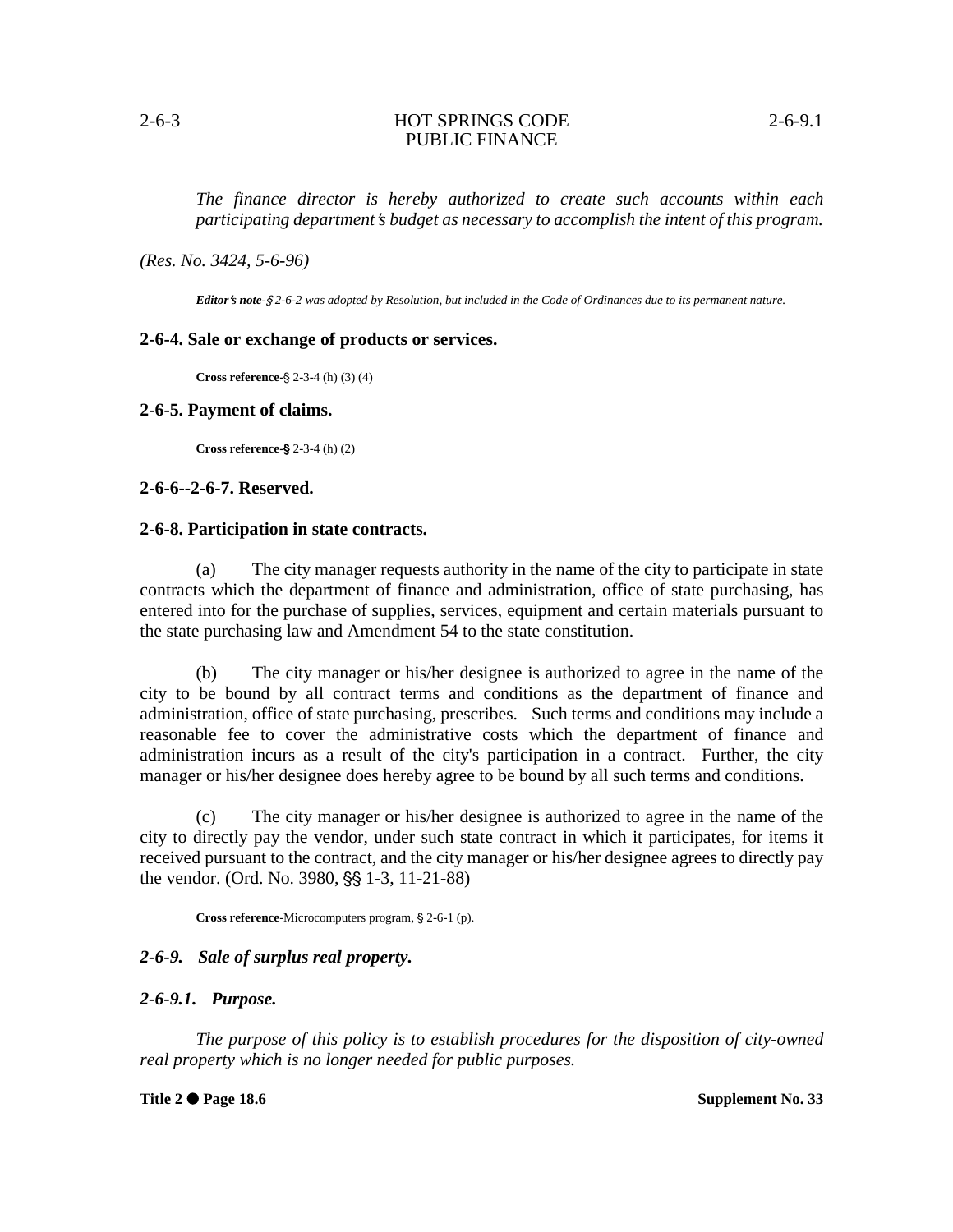#### 2-6-3 HOT SPRINGS CODE 2-6-9.1 PUBLIC FINANCE

*The finance director is hereby authorized to create such accounts within each participating department's budget as necessary to accomplish the intent of this program.* 

*(Res. No. 3424, 5-6-96)*

*Editor*=*s note-*' *2-6-2 was adopted by Resolution, but included in the Code of Ordinances due to its permanent nature.*

#### **2-6-4. Sale or exchange of products or services.**

**Cross reference-** $\S 2$ -3-4 (h) (3) (4)

#### **2-6-5. Payment of claims.**

**Cross reference-§ 2-3-4 (h) (2)** 

#### **2-6-6--2-6-7. Reserved.**

#### **2-6-8. Participation in state contracts.**

(a) The city manager requests authority in the name of the city to participate in state contracts which the department of finance and administration, office of state purchasing, has entered into for the purchase of supplies, services, equipment and certain materials pursuant to the state purchasing law and Amendment 54 to the state constitution.

(b) The city manager or his/her designee is authorized to agree in the name of the city to be bound by all contract terms and conditions as the department of finance and administration, office of state purchasing, prescribes. Such terms and conditions may include a reasonable fee to cover the administrative costs which the department of finance and administration incurs as a result of the city's participation in a contract. Further, the city manager or his/her designee does hereby agree to be bound by all such terms and conditions.

(c) The city manager or his/her designee is authorized to agree in the name of the city to directly pay the vendor, under such state contract in which it participates, for items it received pursuant to the contract, and the city manager or his/her designee agrees to directly pay the vendor. (Ord. No. 3980, §§ 1-3, 11-21-88)

**Cross reference-Microcomputers program, § 2-6-1 (p).** 

#### *2-6-9. Sale of surplus real property.*

#### *2-6-9.1. Purpose.*

*The purpose of this policy is to establish procedures for the disposition of city-owned real property which is no longer needed for public purposes.*

**Title 2 Page 18.6 Supplement No. 33**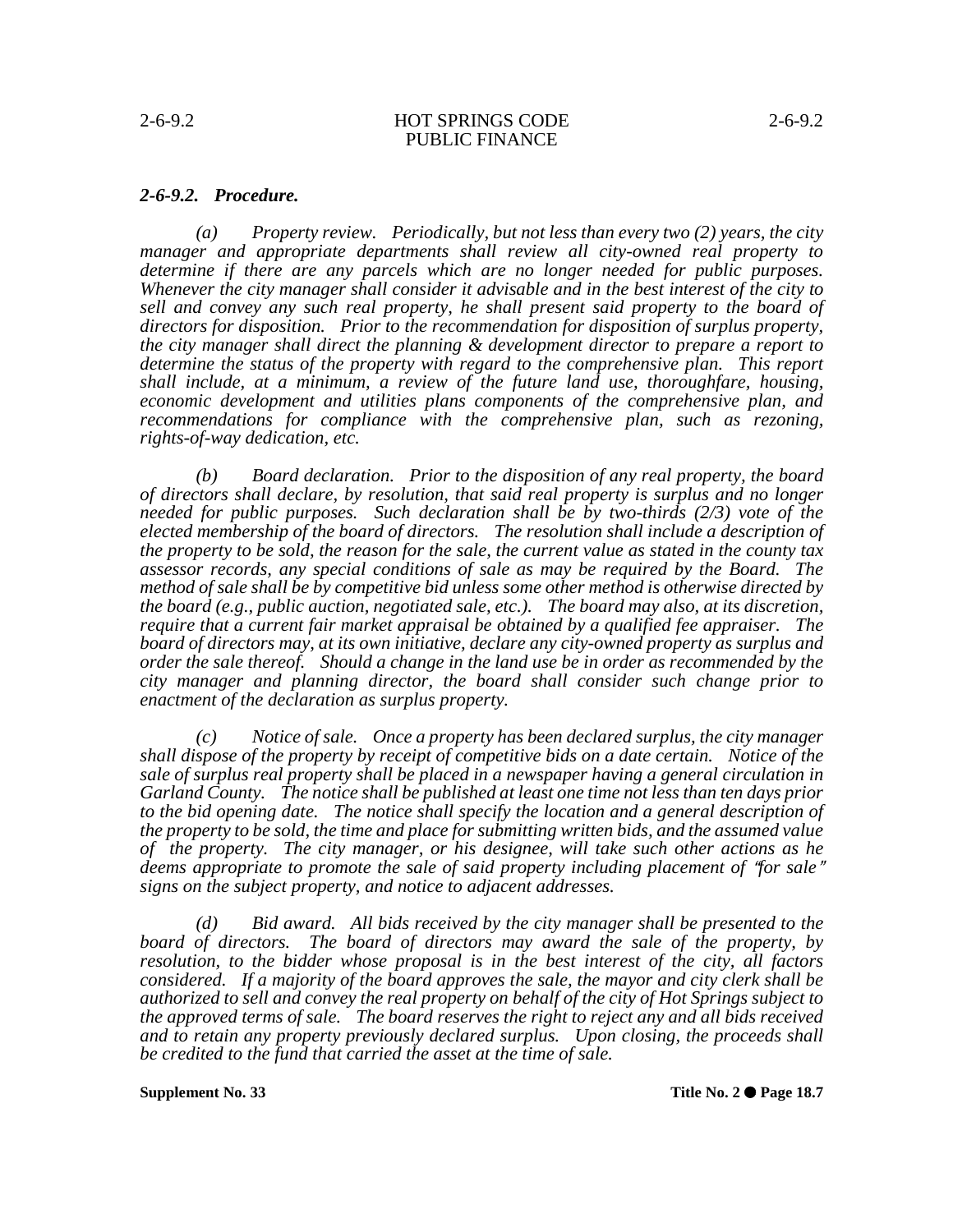#### *2-6-9.2. Procedure.*

*(a) Property review. Periodically, but not less than every two (2) years, the city manager and appropriate departments shall review all city-owned real property to determine if there are any parcels which are no longer needed for public purposes. Whenever the city manager shall consider it advisable and in the best interest of the city to sell and convey any such real property, he shall present said property to the board of directors for disposition. Prior to the recommendation for disposition of surplus property, the city manager shall direct the planning & development director to prepare a report to determine the status of the property with regard to the comprehensive plan. This report shall include, at a minimum, a review of the future land use, thoroughfare, housing, economic development and utilities plans components of the comprehensive plan, and recommendations for compliance with the comprehensive plan, such as rezoning, rights-of-way dedication, etc.*

*(b) Board declaration. Prior to the disposition of any real property, the board of directors shall declare, by resolution, that said real property is surplus and no longer needed for public purposes. Such declaration shall be by two-thirds (2/3) vote of the elected membership of the board of directors. The resolution shall include a description of the property to be sold, the reason for the sale, the current value as stated in the county tax assessor records, any special conditions of sale as may be required by the Board. The method of sale shall be by competitive bid unless some other method is otherwise directed by the board (e.g., public auction, negotiated sale, etc.). The board may also, at its discretion, require that a current fair market appraisal be obtained by a qualified fee appraiser. The board of directors may, at its own initiative, declare any city-owned property as surplus and order the sale thereof. Should a change in the land use be in order as recommended by the city manager and planning director, the board shall consider such change prior to enactment of the declaration as surplus property.*

*(c) Notice of sale. Once a property has been declared surplus, the city manager shall dispose of the property by receipt of competitive bids on a date certain. Notice of the sale of surplus real property shall be placed in a newspaper having a general circulation in Garland County. The notice shall be published at least one time not less than ten days prior*  to the bid opening date. The notice shall specify the location and a general description of *the property to be sold, the time and place for submitting written bids, and the assumed value of the property. The city manager, or his designee, will take such other actions as he deems appropriate to promote the sale of said property including placement of "for sale"*<br>signs on the subject property, and notice to adjacent addresses.

*(d) Bid award. All bids received by the city manager shall be presented to the board of directors. The board of directors may award the sale of the property, by resolution, to the bidder whose proposal is in the best interest of the city, all factors considered. If a majority of the board approves the sale, the mayor and city clerk shall be authorized to sell and convey the real property on behalf of the city of Hot Springs subject to the approved terms of sale. The board reserves the right to reject any and all bids received and to retain any property previously declared surplus. Upon closing, the proceeds shall be credited to the fund that carried the asset at the time of sale.*

**Supplement No. 33 Title No. 2 Page 18.7**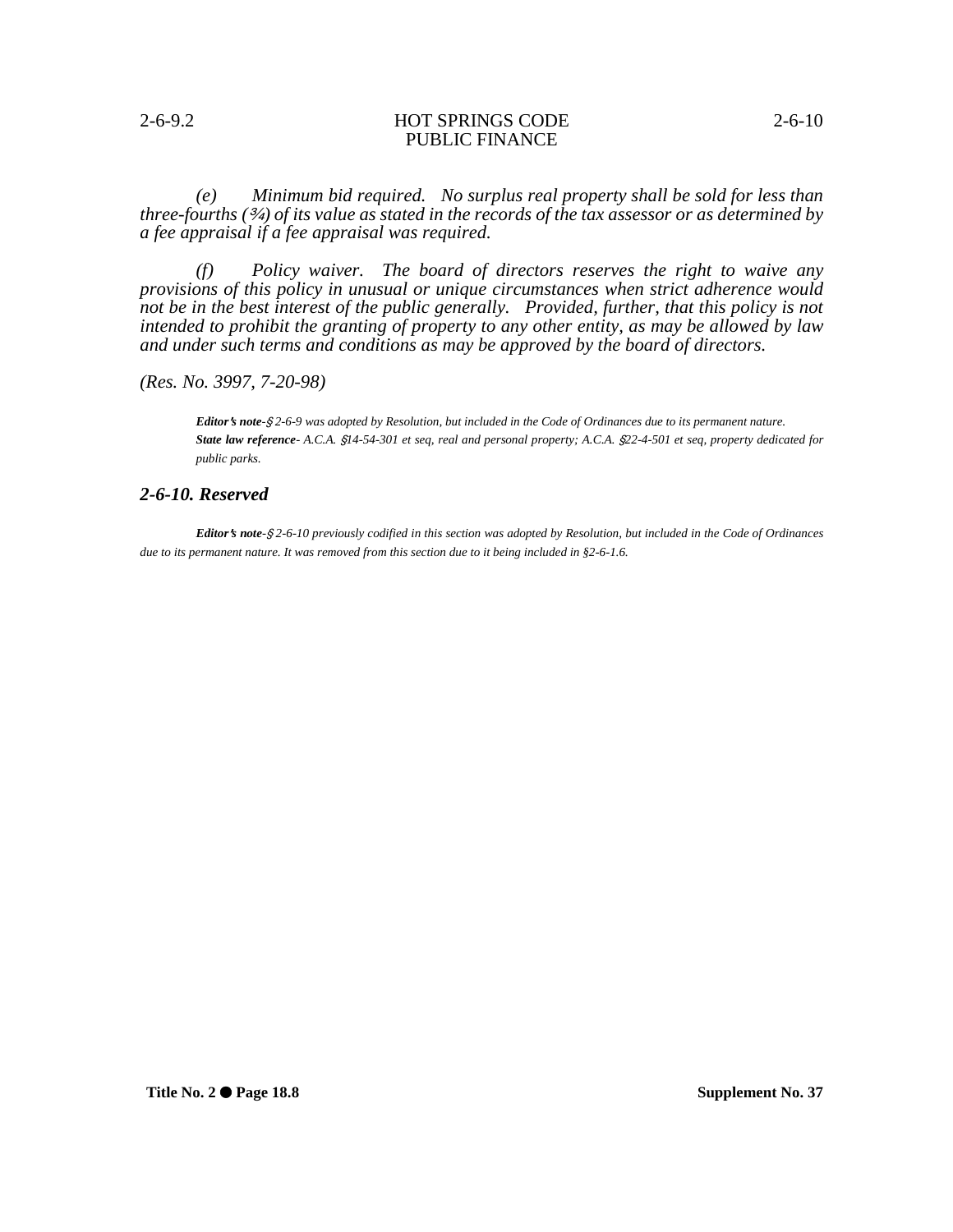#### 2-6-9.2 HOT SPRINGS CODE 2-6-10 PUBLIC FINANCE

*(e) Minimum bid required. No surplus real property shall be sold for less than three-fourths (*:*) of its value as stated in the records of the tax assessor or as determined by a fee appraisal if a fee appraisal was required.*

*(f) Policy waiver. The board of directors reserves the right to waive any provisions of this policy in unusual or unique circumstances when strict adherence would not be in the best interest of the public generally. Provided, further, that this policy is not intended to prohibit the granting of property to any other entity, as may be allowed by law and under such terms and conditions as may be approved by the board of directors.* 

*(Res. No. 3997, 7-20-98)*

*Editor's note-§2-6-9 was adopted by Resolution, but included in the Code of Ordinances due to its permanent nature. State law reference- A.C.A.* '*14-54-301 et seq, real and personal property; A.C.A.* '*22-4-501 et seq, property dedicated for public parks.*

#### *2-6-10. Reserved*

*Editor*=*s note-*' *2-6-10 previously codified in this section was adopted by Resolution, but included in the Code of Ordinances due to its permanent nature. It was removed from this section due to it being included in §2-6-1.6.*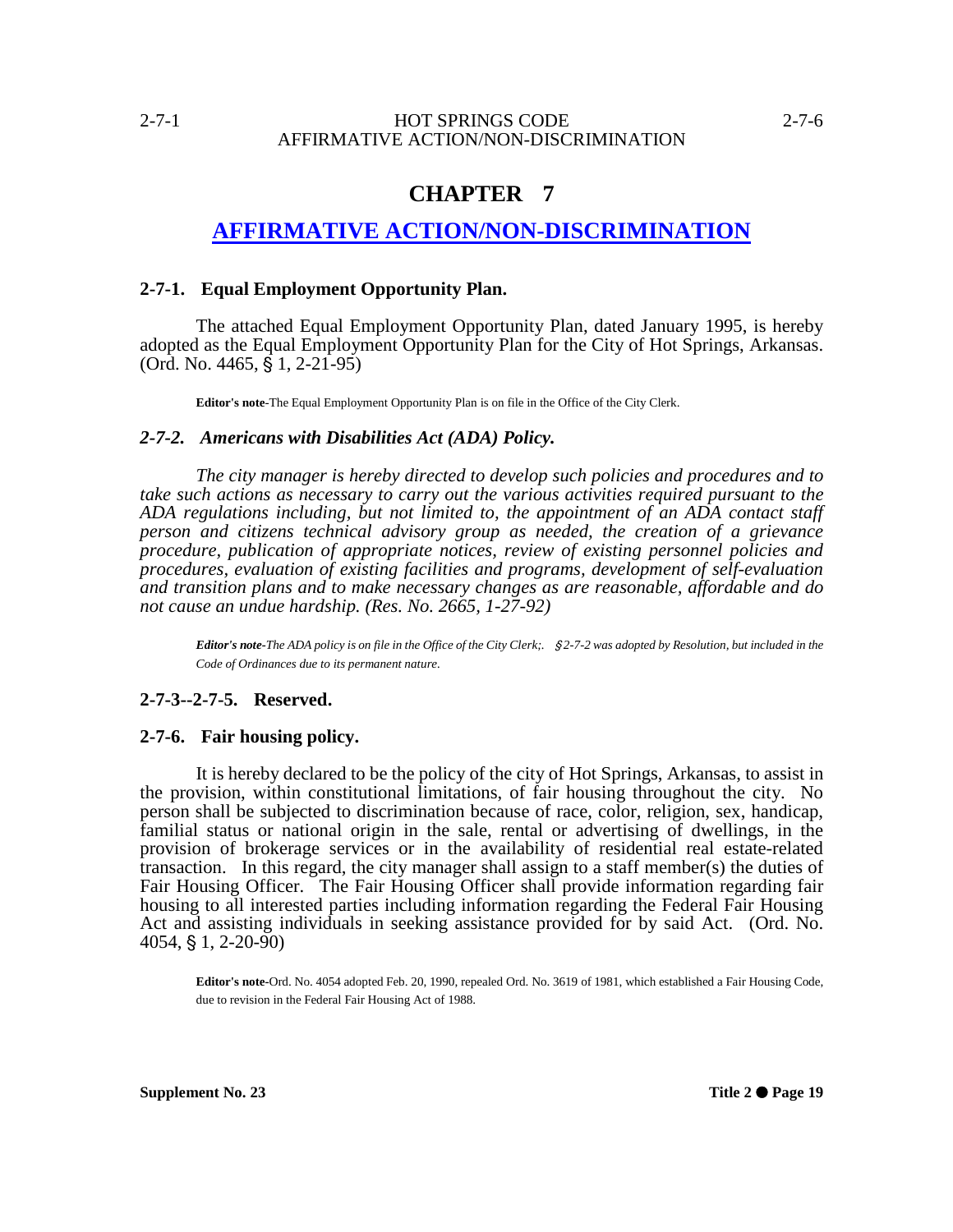# **CHAPTER 7**

# **[AFFIRMATIVE ACTION/NON-DISCRIMINATION](#page-46-0)**

#### <span id="page-46-0"></span>**2-7-1. Equal Employment Opportunity Plan.**

The attached Equal Employment Opportunity Plan, dated January 1995, is hereby adopted as the Equal Employment Opportunity Plan for the City of Hot Springs, Arkansas. (Ord. No.  $4465$ ,  $\overline{S}$  1, 2-21-95)

**Editor's note**-The Equal Employment Opportunity Plan is on file in the Office of the City Clerk.

#### *2-7-2. Americans with Disabilities Act (ADA) Policy.*

*The city manager is hereby directed to develop such policies and procedures and to take such actions as necessary to carry out the various activities required pursuant to the ADA regulations including, but not limited to, the appointment of an ADA contact staff person and citizens technical advisory group as needed, the creation of a grievance procedure, publication of appropriate notices, review of existing personnel policies and procedures, evaluation of existing facilities and programs, development of self-evaluation and transition plans and to make necessary changes as are reasonable, affordable and do not cause an undue hardship. (Res. No. 2665, 1-27-92)*

*Editor's note-The ADA policy is on file in the Office of the City Clerk;.* ' *2-7-2 was adopted by Resolution, but included in the Code of Ordinances due to its permanent nature.*

#### **2-7-3--2-7-5. Reserved.**

#### **2-7-6. Fair housing policy.**

It is hereby declared to be the policy of the city of Hot Springs, Arkansas, to assist in the provision, within constitutional limitations, of fair housing throughout the city. No person shall be subjected to discrimination because of race, color, religion, sex, handicap, familial status or national origin in the sale, rental or advertising of dwellings, in the provision of brokerage services or in the availability of residential real estate-related transaction. In this regard, the city manager shall assign to a staff member(s) the duties of Fair Housing Officer. The Fair Housing Officer shall provide information regarding fair housing to all interested parties including information regarding the Federal Fair Housing Act and assisting individuals in seeking assistance provided for by said Act.(Ord. No. 4054, § 1, 2-20-90)

**Editor's note-**Ord. No. 4054 adopted Feb. 20, 1990, repealed Ord. No. 3619 of 1981, which established a Fair Housing Code, due to revision in the Federal Fair Housing Act of 1988.

**Supplement No. 23 Title 2 Page 19**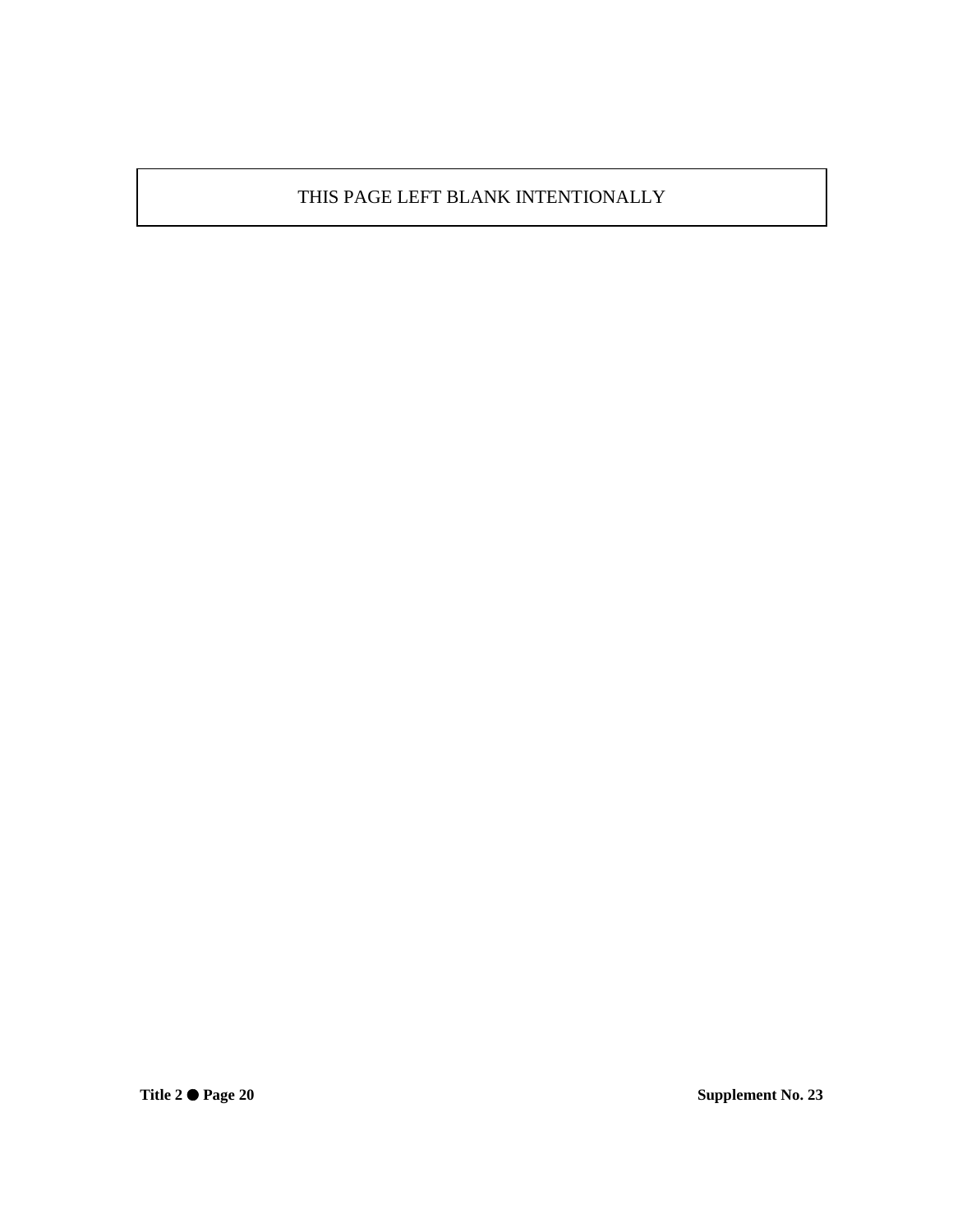# THIS PAGE LEFT BLANK INTENTIONALLY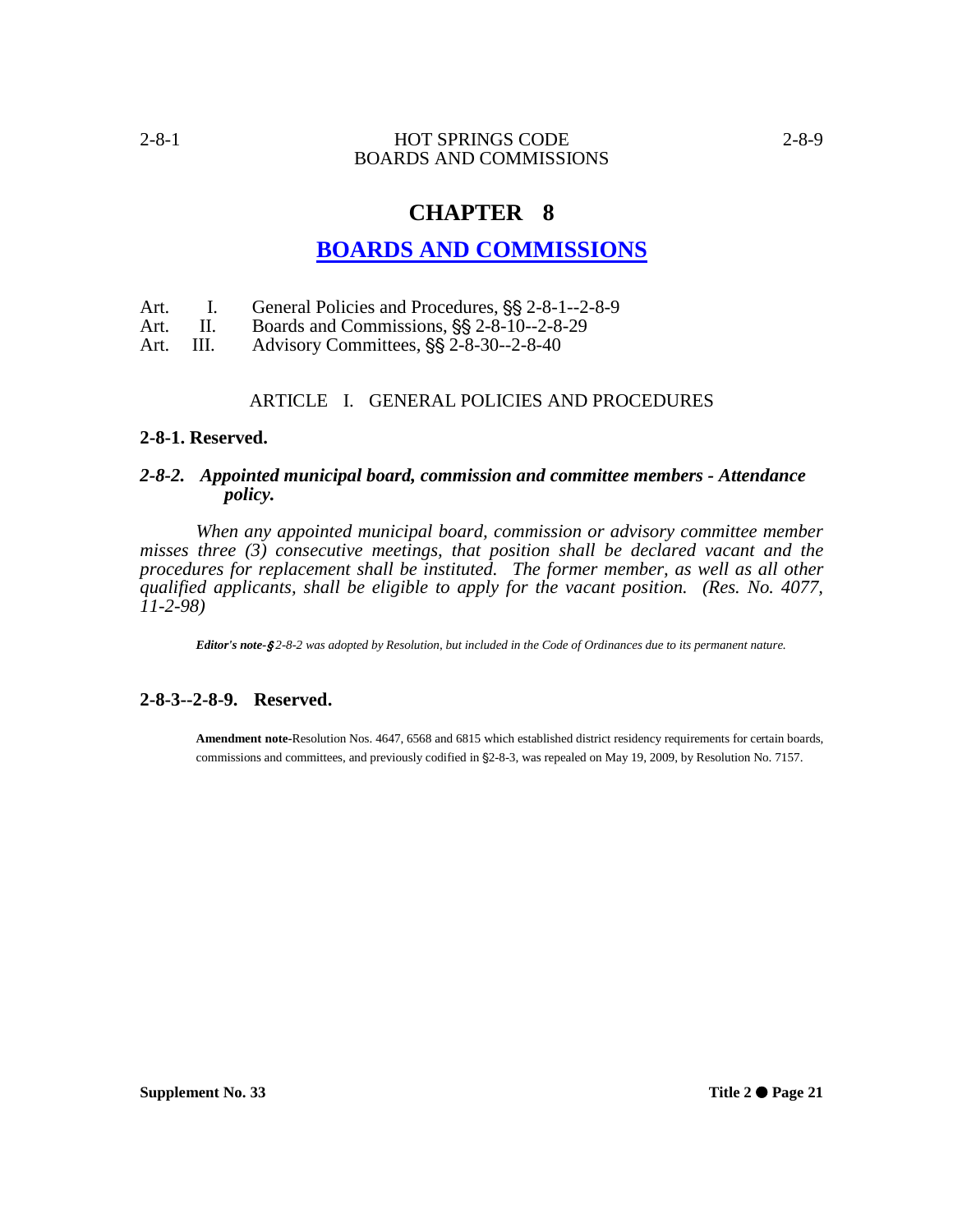# **CHAPTER 8**

# **[BOARDS AND COMMISSIONS](#page-48-0)**

- <span id="page-48-0"></span>Art. I. General Policies and Procedures,  $\S$ § 2-8-1--2-8-9<br>Art. II. Boards and Commissions,  $\S$ § 2-8-10--2-8-29
- II. Boards and Commissions,  $\S$  2-8-10--2-8-29<br>III. Advisory Committees.  $\S$  2-8-30--2-8-40
- Art. III. Advisory Committees,  $\S$ § 2-8-30--2-8-40

## ARTICLE I. GENERAL POLICIES AND PROCEDURES

## **2-8-1. Reserved.**

# *2-8-2. Appointed municipal board, commission and committee members - Attendance policy.*

*When any appointed municipal board, commission or advisory committee member misses three (3) consecutive meetings, that position shall be declared vacant and the procedures for replacement shall be instituted. The former member, as well as all other qualified applicants, shall be eligible to apply for the vacant position. (Res. No. 4077, 11-2-98)*

*Editor's note-§2-8-2 was adopted by Resolution, but included in the Code of Ordinances due to its permanent nature.* 

#### **2-8-3--2-8-9. Reserved.**

**Amendment note-**Resolution Nos. 4647, 6568 and 6815 which established district residency requirements for certain boards, commissions and committees, and previously codified in '2-8-3, was repealed on May 19, 2009, by Resolution No. 7157.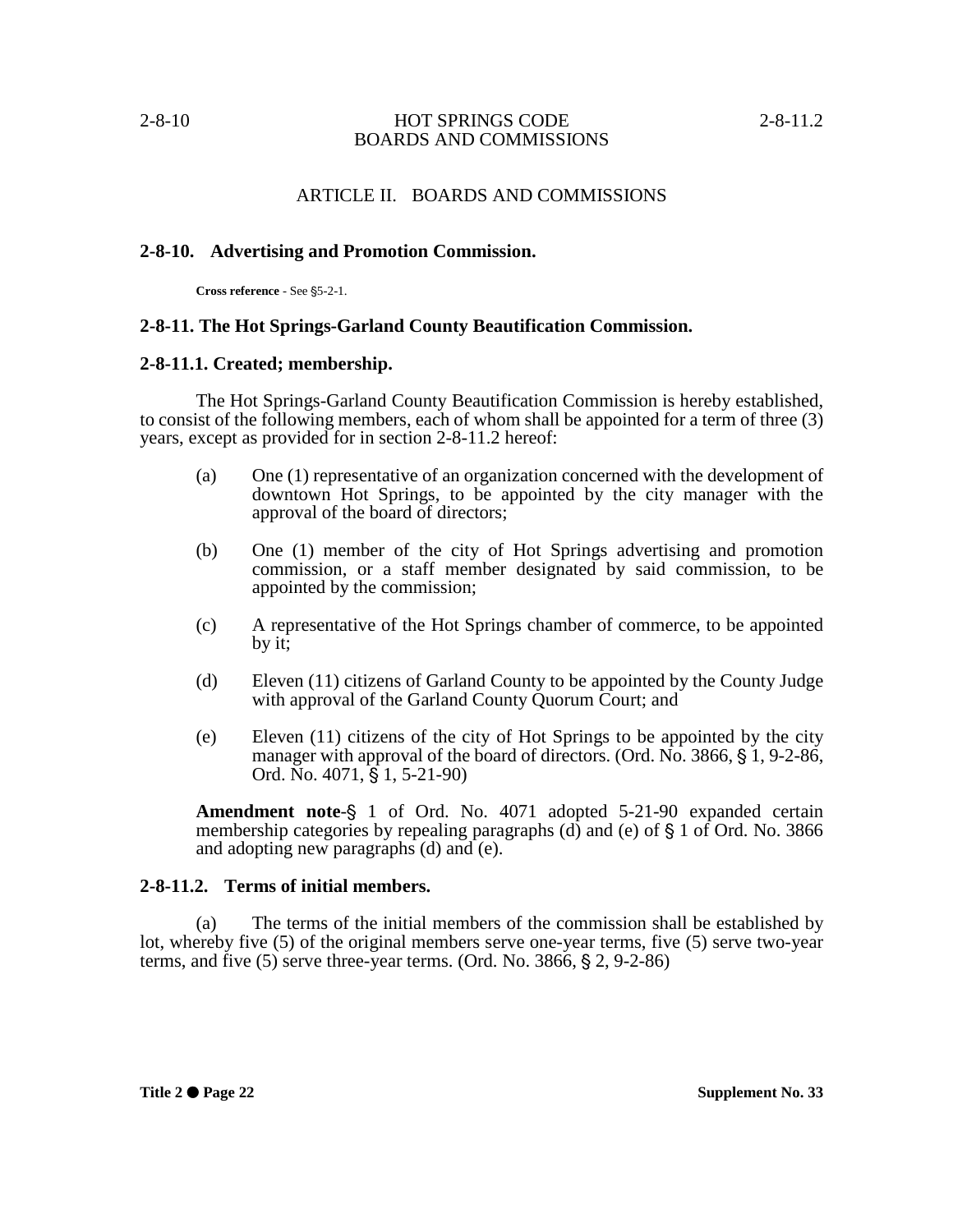## ARTICLE II. BOARDS AND COMMISSIONS

## **2-8-10. Advertising and Promotion Commission.**

**Cross reference** - See §5-2-1.

## **2-8-11. The Hot Springs-Garland County Beautification Commission.**

#### **2-8-11.1. Created; membership.**

The Hot Springs-Garland County Beautification Commission is hereby established, to consist of the following members, each of whom shall be appointed for a term of three (3) years, except as provided for in section 2-8-11.2 hereof:

- (a) One (1) representative of an organization concerned with the development of downtown Hot Springs, to be appointed by the city manager with the approval of the board of directors;
- (b) One (1) member of the city of Hot Springs advertising and promotion commission, or a staff member designated by said commission, to be appointed by the commission;
- (c) A representative of the Hot Springs chamber of commerce, to be appointed by it;
- (d) Eleven (11) citizens of Garland County to be appointed by the County Judge with approval of the Garland County Quorum Court; and
- (e) Eleven (11) citizens of the city of Hot Springs to be appointed by the city manager with approval of the board of directors. (Ord. No.  $3866$ ,  $\frac{6}{9}$  1, 9-2-86, Ord. No.  $4071, \overline{S}$  1, 5-21-90)

**Amendment note-S** 1 of Ord. No. 4071 adopted 5-21-90 expanded certain membership categories by repealing paragraphs (d) and (e) of  $\S$  1 of Ord. No. 3866 and adopting new paragraphs (d) and (e).

#### **2-8-11.2. Terms of initial members.**

(a) The terms of the initial members of the commission shall be established by lot, whereby five (5) of the original members serve one-year terms, five (5) serve two-year terms, and five  $(5)$  serve three-year terms. (Ord. No. 3866,  $\S 2$ , 9-2-86)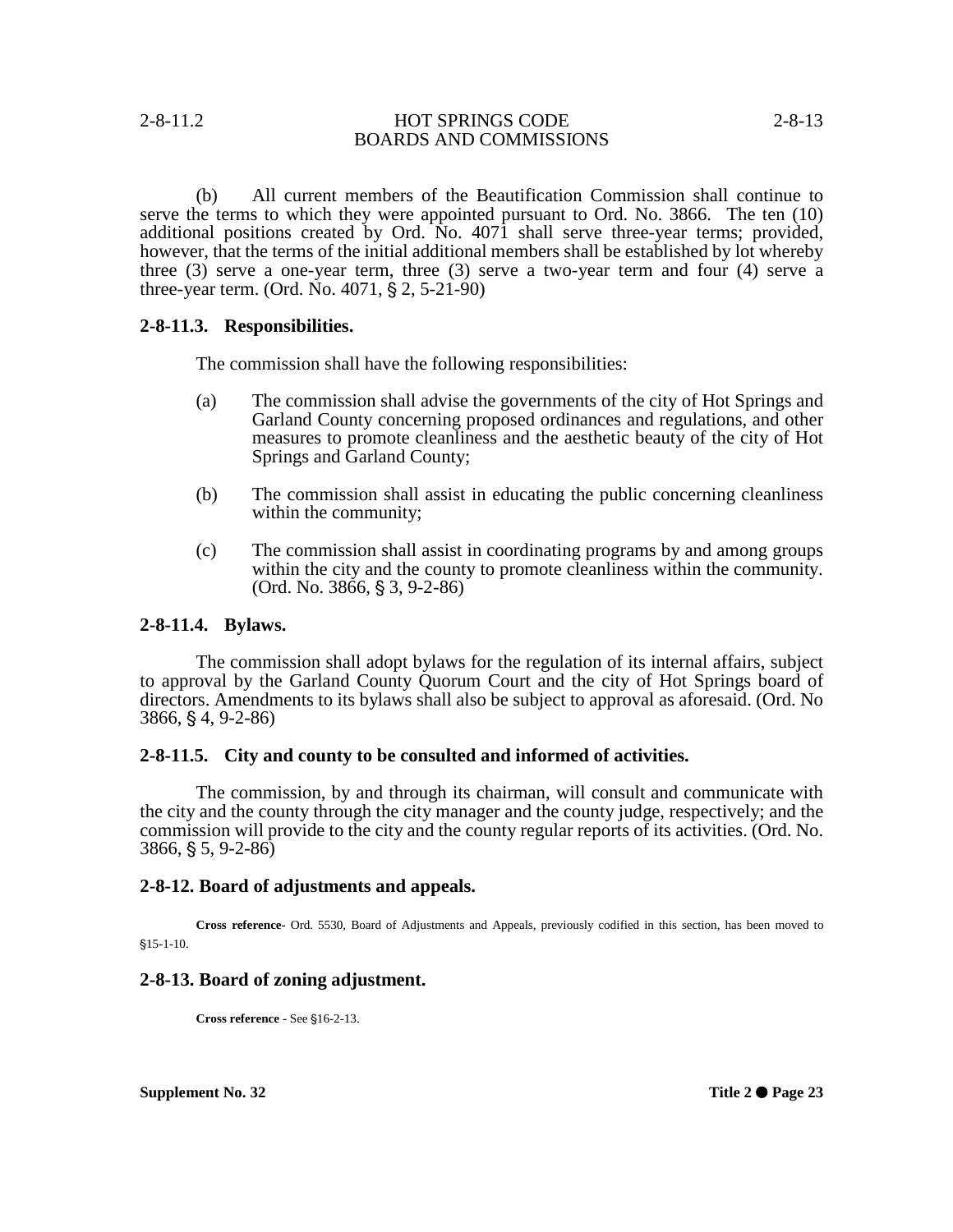#### 2-8-11.2 HOT SPRINGS CODE 2-8-13 BOARDS AND COMMISSIONS

(b) All current members of the Beautification Commission shall continue to serve the terms to which they were appointed pursuant to Ord. No. 3866. The ten (10) additional positions created by Ord. No. 4071 shall serve three-year terms; provided, however, that the terms of the initial additional members shall be established by lot whereby three (3) serve a one-year term, three (3) serve a two-year term and four (4) serve a three-year term. (Ord. No.  $4071, \xi$  2, 5-21-90)

#### **2-8-11.3. Responsibilities.**

- The commission shall have the following responsibilities:<br>
(a) The commission shall advise the governments of the city of Hot Springs and Garland County concerning proposed ordinances and regulations, and other measures to promote cleanliness and the aesthetic beauty of the city of Hot Springs and Garland County;
- (b) The commission shall assist in educating the public concerning cleanliness within the community;
- (c) The commission shall assist in coordinating programs by and among groups within the city and the county to promote cleanliness within the community.  $(Ord. No. 3866, § 3, 9-2-86)$

#### **2-8-11.4. Bylaws.**

The commission shall adopt bylaws for the regulation of its internal affairs, subject to approval by the Garland County Quorum Court and the city of Hot Springs board of directors. Amendments to its bylaws shall also be subject to approval as aforesaid. (Ord. No  $3866, $4, 9-2-86$ 

#### **2-8-11.5. City and county to be consulted and informed of activities.**

The commission, by and through its chairman, will consult and communicate with the city and the county through the city manager and the county judge, respectively; and the commission will provide to the city and the county regular reports of its activities. (Ord. No.  $3866, \S 5, 9-2-86$ 

#### **2-8-12. Board of adjustments and appeals.**

**Cross reference-** Ord. 5530, Board of Adjustments and Appeals, previously codified in this section, has been moved to '15-1-10.

#### **2-8-13. Board of zoning adjustment.**

**Cross reference -** See §16-2-13.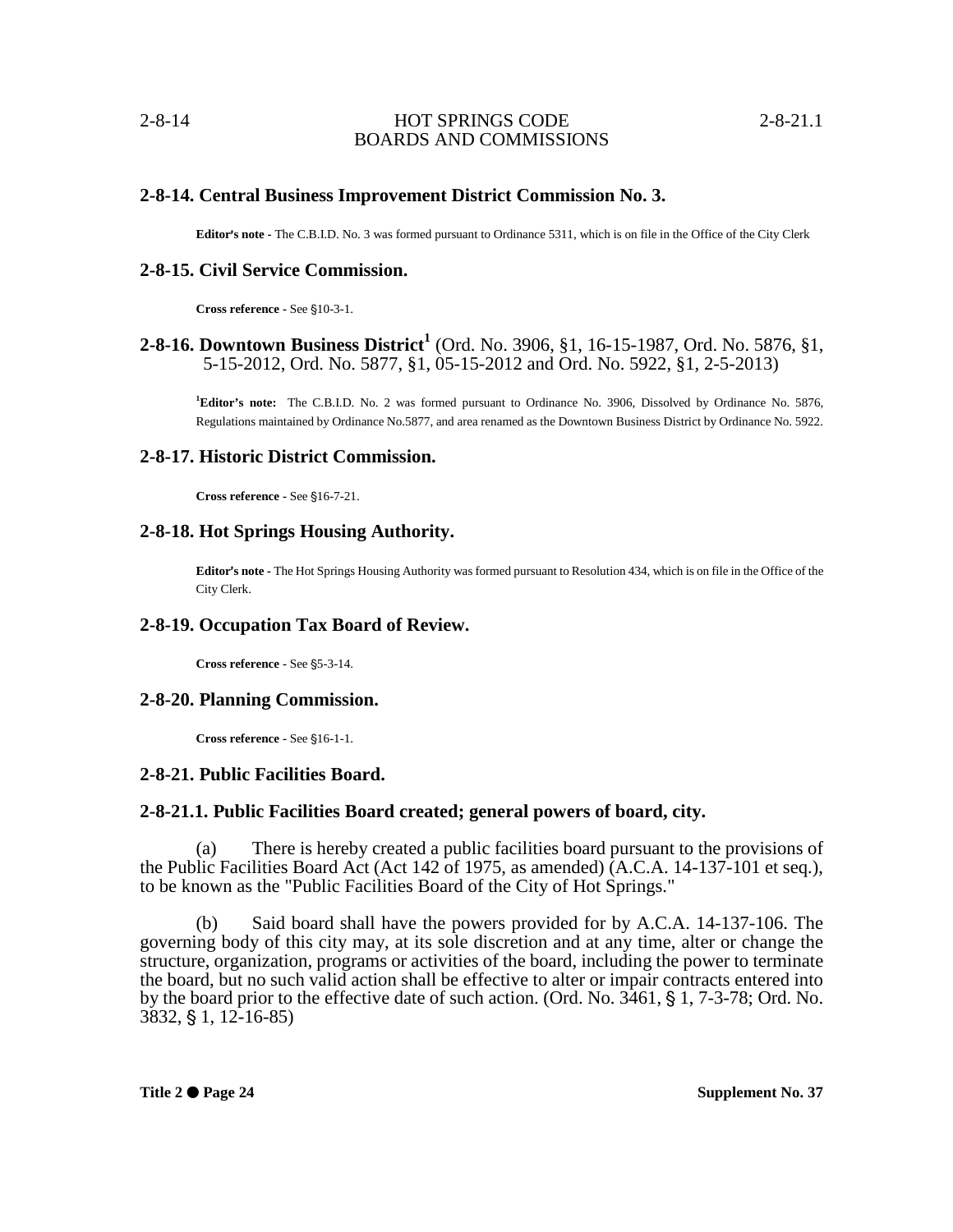#### **2-8-14. Central Business Improvement District Commission No. 3.**

Editor's note - The C.B.I.D. No. 3 was formed pursuant to Ordinance 5311, which is on file in the Office of the City Clerk

#### **2-8-15. Civil Service Commission.**

**Cross reference -** See §10-3-1.

## **2-8-16. Downtown Business District<sup>1</sup>** (Ord. No. 3906, §1, 16-15-1987, Ord. No. 5876, §1, 5-15-2012, Ord. No. 5877, §1, 05-15-2012 and Ord. No. 5922, §1, 2-5-2013)

**1 Editor's note:** The C.B.I.D. No. 2 was formed pursuant to Ordinance No. 3906, Dissolved by Ordinance No. 5876, Regulations maintained by Ordinance No.5877, and area renamed as the Downtown Business District by Ordinance No. 5922.

#### **2-8-17. Historic District Commission.**

**Cross reference -** See §16-7-21.

#### **2-8-18. Hot Springs Housing Authority.**

**Editor's note -** The Hot Springs Housing Authority was formed pursuant to Resolution 434, which is on file in the Office of the City Clerk.

#### **2-8-19. Occupation Tax Board of Review.**

**Cross reference -** See §5-3-14.

#### **2-8-20. Planning Commission.**

**Cross reference -** See §16-1-1.

#### **2-8-21. Public Facilities Board.**

#### **2-8-21.1. Public Facilities Board created; general powers of board, city.**

There is hereby created a public facilities board pursuant to the provisions of the Public Facilities Board Act (Act 142 of 1975, as amended)  $(A.C.A. 14-137-101$  et seq.), to be known as the "Public Facilities Board of the City of Hot Springs."

(b) Said board shall have the powers provided for by A.C.A. 14-137-106. The governing body of this city may, at its sole discretion and at any time, alter or change the structure, organization, programs or activities of the board, including the power to terminate the board, but no such valid action shall be effective to alter or impair contracts entered into by the board prior to the effective date of such action. (Ord. No.  $3461, \xi$  1,  $7-3-78$ ; Ord. No.  $3832, \S 1, 12-16-85$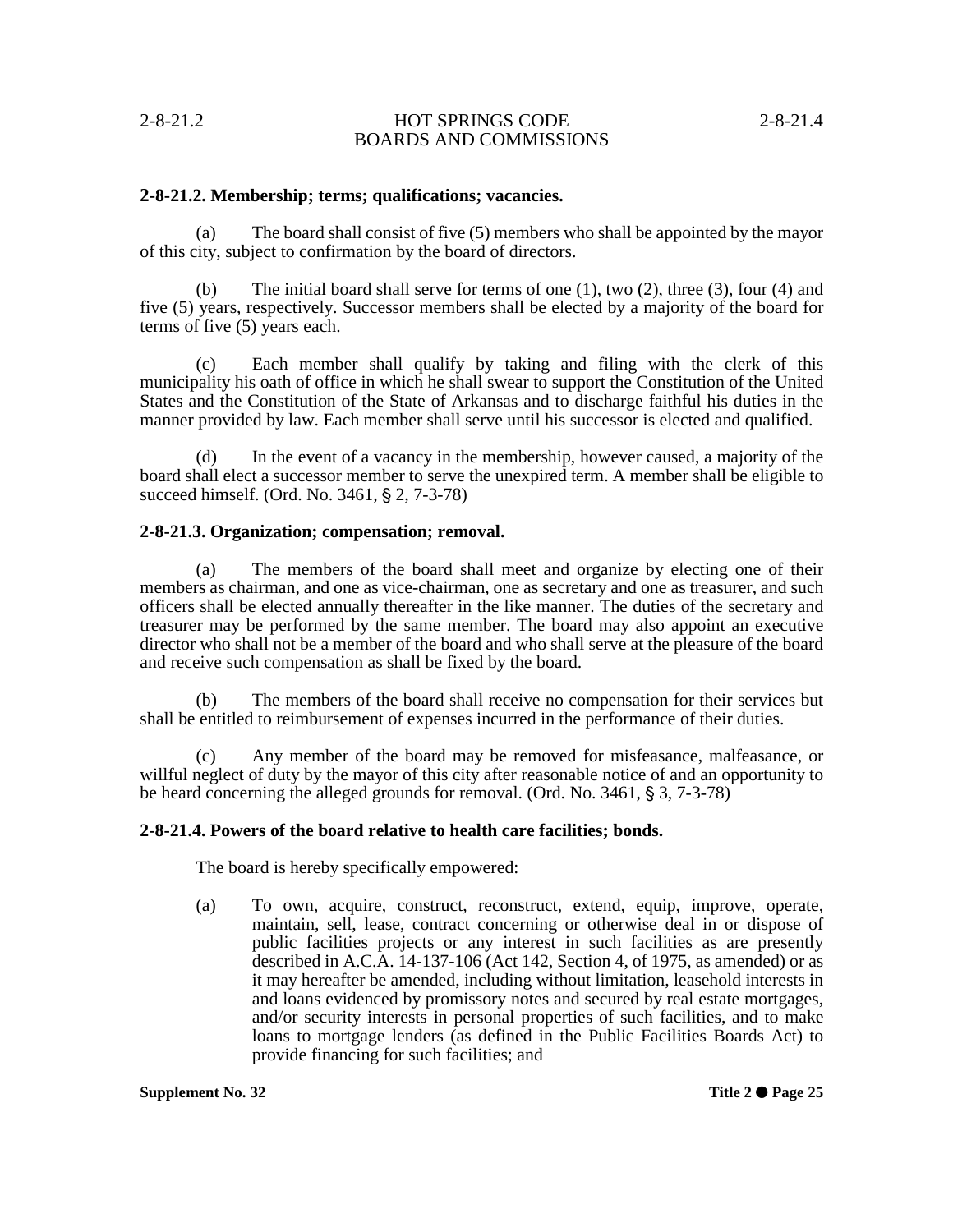#### **2-8-21.2. Membership; terms; qualifications; vacancies.**

(a) The board shall consist of five (5) members who shall be appointed by the mayor of this city, subject to confirmation by the board of directors.

(b) The initial board shall serve for terms of one (1), two (2), three (3), four (4) and five (5) years, respectively. Successor members shall be elected by a majority of the board for terms of five (5) years each.

(c) Each member shall qualify by taking and filing with the clerk of this municipality his oath of office in which he shall swear to support the Constitution of the United States and the Constitution of the State of Arkansas and to discharge faithful his duties in the manner provided by law. Each member shall serve until his successor is elected and qualified.

(d) In the event of a vacancy in the membership, however caused, a majority of the board shall elect a successor member to serve the unexpired term. A member shall be eligible to succeed himself. (Ord. No.  $3461, \S 2, 7-3-78$ )

#### **2-8-21.3. Organization; compensation; removal.**

(a) The members of the board shall meet and organize by electing one of their members as chairman, and one as vice-chairman, one as secretary and one as treasurer, and such officers shall be elected annually thereafter in the like manner. The duties of the secretary and treasurer may be performed by the same member. The board may also appoint an executive director who shall not be a member of the board and who shall serve at the pleasure of the board and receive such compensation as shall be fixed by the board.

(b) The members of the board shall receive no compensation for their services but shall be entitled to reimbursement of expenses incurred in the performance of their duties.

(c) Any member of the board may be removed for misfeasance, malfeasance, or willful neglect of duty by the mayor of this city after reasonable notice of and an opportunity to be heard concerning the alleged grounds for removal. (Ord. No.  $3461, \xi$  3, 7-3-78)

#### **2-8-21.4. Powers of the board relative to health care facilities; bonds.**

The board is hereby specifically empowered:

(a) To own, acquire, construct, reconstruct, extend, equip, improve, operate, maintain, sell, lease, contract concerning or otherwise deal in or dispose of public facilities projects or any interest in such facilities as are presently described in A.C.A. 14-137-106 (Act 142, Section 4, of 1975, as amended) or as it may hereafter be amended, including without limitation, leasehold interests in and loans evidenced by promissory notes and secured by real estate mortgages, and/or security interests in personal properties of such facilities, and to make loans to mortgage lenders (as defined in the Public Facilities Boards Act) to provide financing for such facilities; and

**Supplement No. 32 Title 2**  $\bullet$  **Page 25**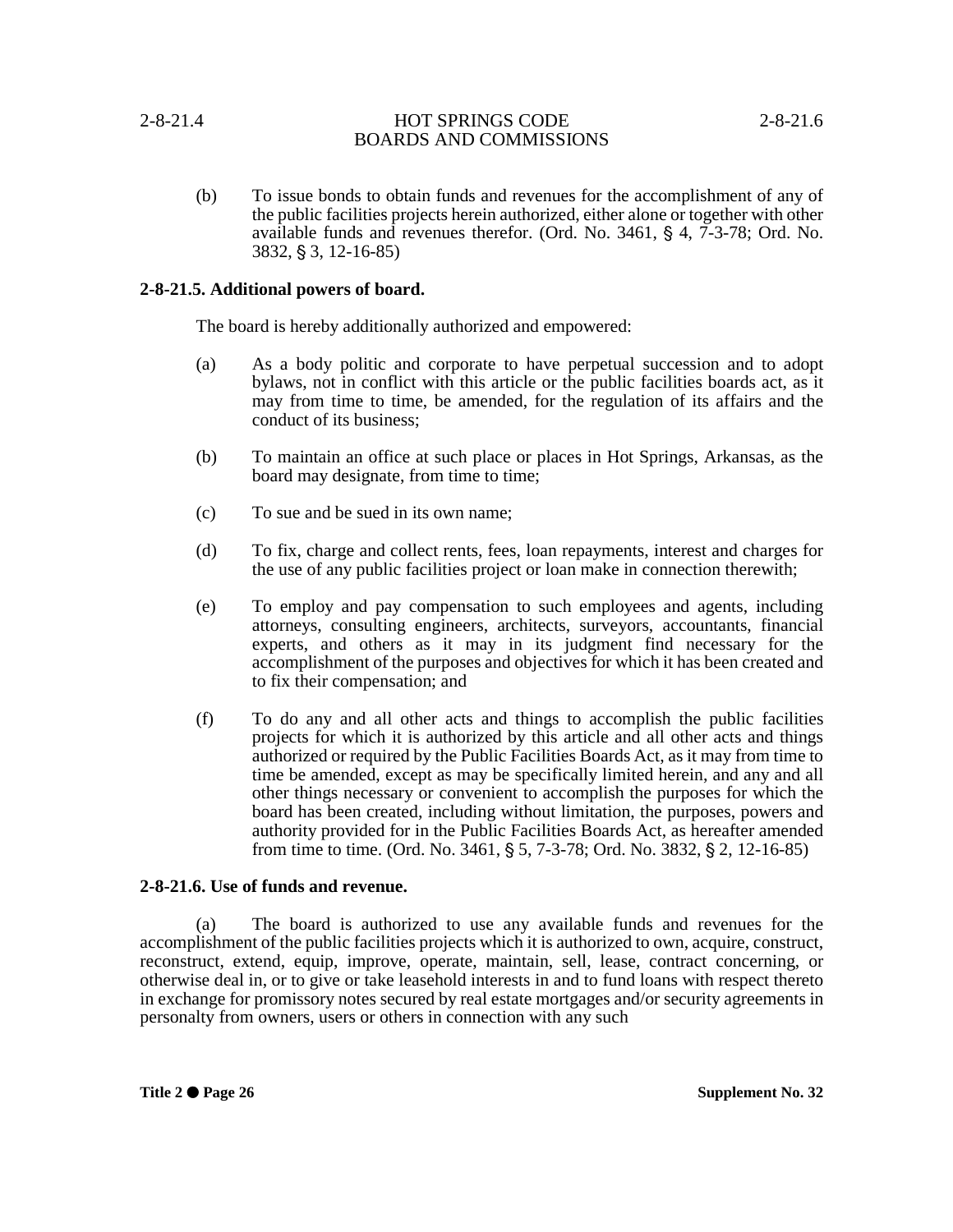#### 2-8-21.4 **HOT SPRINGS CODE** 2-8-21.6 BOARDS AND COMMISSIONS

(b) To issue bonds to obtain funds and revenues for the accomplishment of any of the public facilities projects herein authorized, either alone or together with other available funds and revenues therefor. (Ord. No.  $3461$ ,  $\frac{6}{3}$ ,  $4$ ,  $7-3-78$ ; Ord. No.  $3832, \S 3, 12-16-85$ 

#### **2-8-21.5. Additional powers of board.**

The board is hereby additionally authorized and empowered:

- (a) As a body politic and corporate to have perpetual succession and to adopt bylaws, not in conflict with this article or the public facilities boards act, as it may from time to time, be amended, for the regulation of its affairs and the conduct of its business;
- (b) To maintain an office at such place or places in Hot Springs, Arkansas, as the board may designate, from time to time;
- (c) To sue and be sued in its own name;
- (d) To fix, charge and collect rents, fees, loan repayments, interest and charges for the use of any public facilities project or loan make in connection therewith;
- (e) To employ and pay compensation to such employees and agents, including attorneys, consulting engineers, architects, surveyors, accountants, financial experts, and others as it may in its judgment find necessary for the accomplishment of the purposes and objectives for which it has been created and to fix their compensation; and
- (f) To do any and all other acts and things to accomplish the public facilities projects for which it is authorized by this article and all other acts and things authorized or required by the Public Facilities Boards Act, as it may from time to time be amended, except as may be specifically limited herein, and any and all other things necessary or convenient to accomplish the purposes for which the board has been created, including without limitation, the purposes, powers and authority provided for in the Public Facilities Boards Act, as hereafter amended from time to time. (Ord. No. 3461,  $\S$  5, 7-3-78; Ord. No. 3832,  $\S$  2, 12-16-85)

#### **2-8-21.6. Use of funds and revenue.**

(a) The board is authorized to use any available funds and revenues for the accomplishment of the public facilities projects which it is authorized to own, acquire, construct, reconstruct, extend, equip, improve, operate, maintain, sell, lease, contract concerning, or otherwise deal in, or to give or take leasehold interests in and to fund loans with respect thereto in exchange for promissory notes secured by real estate mortgages and/or security agreements in personalty from owners, users or others in connection with any such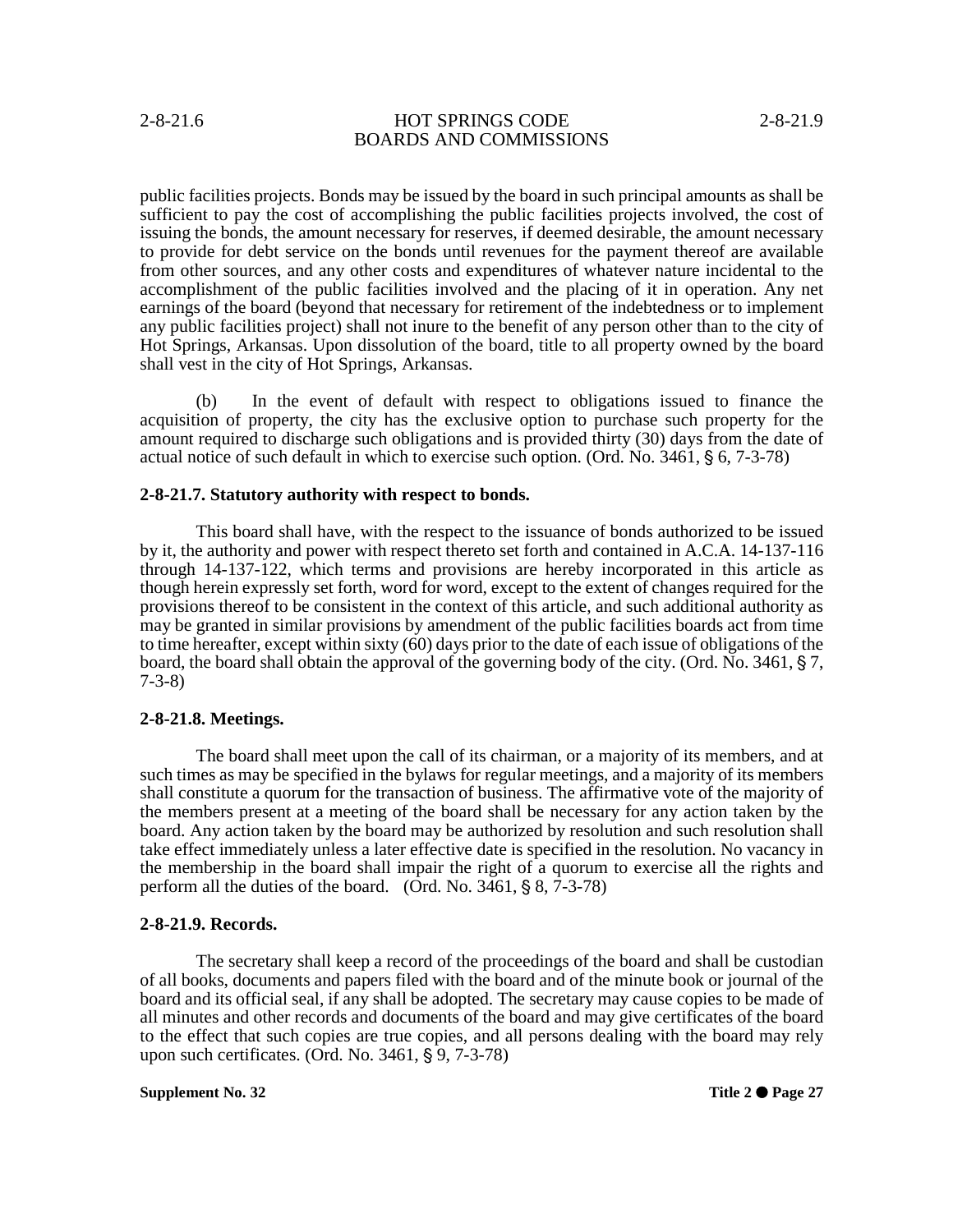#### 2-8-21.6 **HOT SPRINGS CODE** 2-8-21.9 BOARDS AND COMMISSIONS

public facilities projects. Bonds may be issued by the board in such principal amounts as shall be sufficient to pay the cost of accomplishing the public facilities projects involved, the cost of issuing the bonds, the amount necessary for reserves, if deemed desirable, the amount necessary to provide for debt service on the bonds until revenues for the payment thereof are available from other sources, and any other costs and expenditures of whatever nature incidental to the accomplishment of the public facilities involved and the placing of it in operation. Any net earnings of the board (beyond that necessary for retirement of the indebtedness or to implement any public facilities project) shall not inure to the benefit of any person other than to the city of Hot Springs, Arkansas. Upon dissolution of the board, title to all property owned by the board shall vest in the city of Hot Springs, Arkansas.

(b) In the event of default with respect to obligations issued to finance the acquisition of property, the city has the exclusive option to purchase such property for the amount required to discharge such obligations and is provided thirty (30) days from the date of actual notice of such default in which to exercise such option. (Ord. No.  $3461, \xi$  6, 7-3-78)

#### **2-8-21.7. Statutory authority with respect to bonds.**

This board shall have, with the respect to the issuance of bonds authorized to be issued by it, the authority and power with respect thereto set forth and contained in A.C.A. 14-137-116 through 14-137-122, which terms and provisions are hereby incorporated in this article as though herein expressly set forth, word for word, except to the extent of changes required for the provisions thereof to be consistent in the context of this article, and such additional authority as may be granted in similar provisions by amendment of the public facilities boards act from time to time hereafter, except within sixty (60) days prior to the date of each issue of obligations of the board, the board shall obtain the approval of the governing body of the city. (Ord. No.  $3461, \frac{6}{9}7$ , 7-3-8)

#### **2-8-21.8. Meetings.**

The board shall meet upon the call of its chairman, or a majority of its members, and at such times as may be specified in the bylaws for regular meetings, and a majority of its members shall constitute a quorum for the transaction of business. The affirmative vote of the majority of the members present at a meeting of the board shall be necessary for any action taken by the board. Any action taken by the board may be authorized by resolution and such resolution shall take effect immediately unless a later effective date is specified in the resolution. No vacancy in the membership in the board shall impair the right of a quorum to exercise all the rights and perform all the duties of the board. (Ord. No.  $3461, \frac{6}{5}8, 7-3-78$ )

#### **2-8-21.9. Records.**

The secretary shall keep a record of the proceedings of the board and shall be custodian of all books, documents and papers filed with the board and of the minute book or journal of the board and its official seal, if any shall be adopted. The secretary may cause copies to be made of all minutes and other records and documents of the board and may give certificates of the board to the effect that such copies are true copies, and all persons dealing with the board may rely upon such certificates. (Ord. No.  $3461, \frac{6}{9}$ ,  $7-3-78$ )

#### **Supplement No. 32 Title 2 Page 27**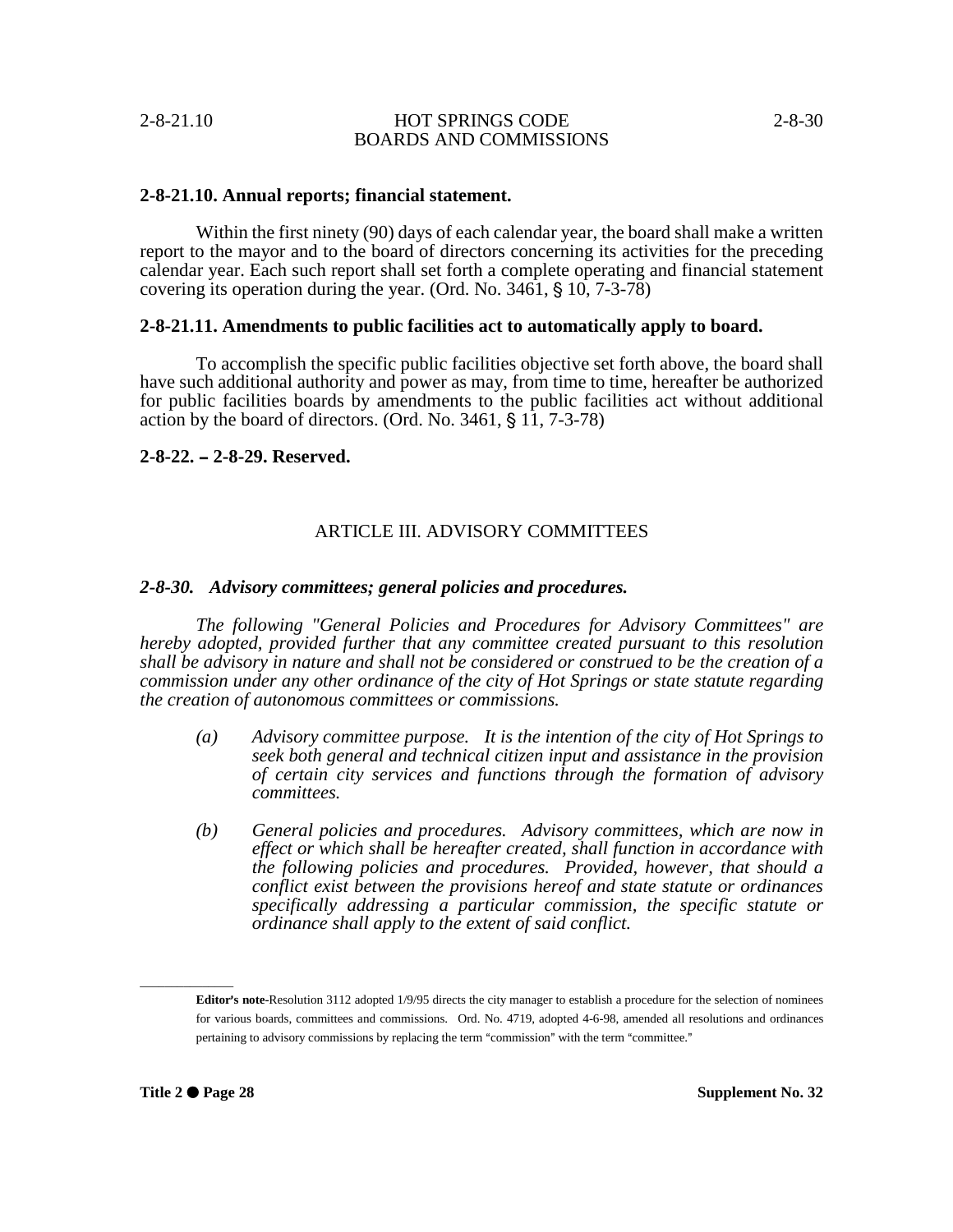#### 2-8-21.10 HOT SPRINGS CODE 2-8-30 BOARDS AND COMMISSIONS

#### **2-8-21.10. Annual reports; financial statement.**

Within the first ninety (90) days of each calendar year, the board shall make a written report to the mayor and to the board of directors concerning its activities for the preceding calendar year. Each such report shall set forth a complete operating and financial statement covering its operation during the year. (Ord. No.  $3461, \S 10, 7-3-78$ )

#### **2-8-21.11. Amendments to public facilities act to automatically apply to board.**

To accomplish the specific public facilities objective set forth above, the board shall have such additional authority and power as may, from time to time, hereafter be authorized for public facilities boards by amendments to the public facilities act without additional action by the board of directors. (Ord. No.  $3461, \frac{6}{5}$  11, 7-3-78)

#### 2-8-22. – 2-8-29. Reserved.

#### ARTICLE III. ADVISORY COMMITTEES

#### *2-8-30. Advisory committees; general policies and procedures.*

*The following "General Policies and Procedures for Advisory Committees" are hereby adopted, provided further that any committee created pursuant to this resolution shall be advisory in nature and shall not be considered or construed to be the creation of a commission under any other ordinance of the city of Hot Springs or state statute regarding the creation of autonomous committees or commissions.*

- *(a) Advisory committee purpose. It is the intention of the city of Hot Springs to seek both general and technical citizen input and assistance in the provision of certain city services and functions through the formation of advisory committees.*
- *(b) General policies and procedures. Advisory committees, which are now in effect or which shall be hereafter created, shall function in accordance with the following policies and procedures. Provided, however, that should a conflict exist between the provisions hereof and state statute or ordinances specifically addressing a particular commission, the specific statute or ordinance shall apply to the extent of said conflict.*

\_\_\_\_\_\_\_\_\_\_\_\_\_\_\_

**Editor's note-Resolution 3112 adopted 1/9/95 directs the city manager to establish a procedure for the selection of nominees** for various boards, committees and commissions. Ord. No. 4719, adopted 4-6-98, amended all resolutions and ordinances pertaining to advisory commissions by replacing the term "commission" with the term "committee."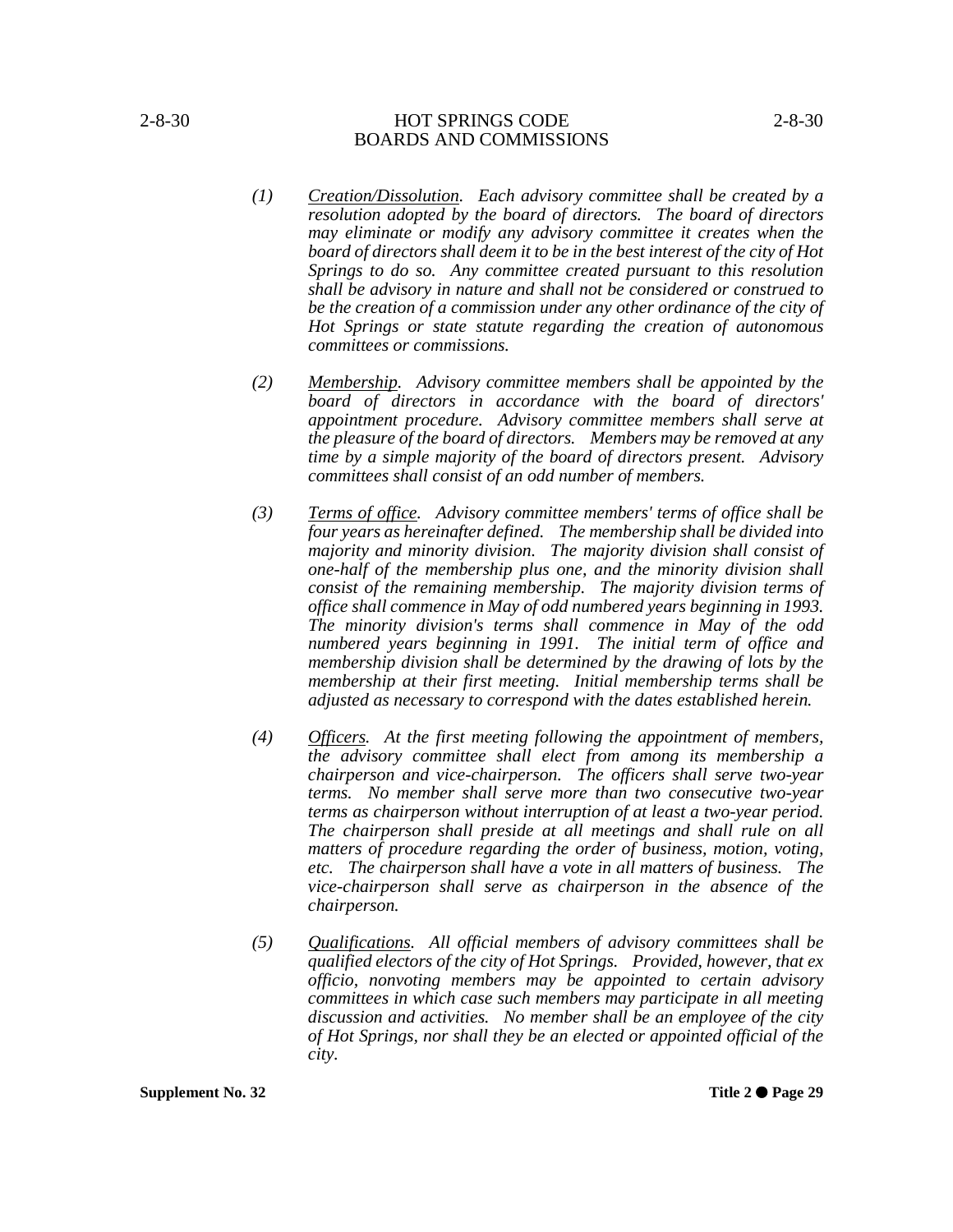#### 2-8-30 **HOT SPRINGS CODE** 2-8-30 BOARDS AND COMMISSIONS

- *(1) Creation/Dissolution. Each advisory committee shall be created by a resolution adopted by the board of directors. The board of directors may eliminate or modify any advisory committee it creates when the board of directors shall deem it to be in the best interest of the city of Hot Springs to do so. Any committee created pursuant to this resolution shall be advisory in nature and shall not be considered or construed to be the creation of a commission under any other ordinance of the city of Hot Springs or state statute regarding the creation of autonomous committees or commissions.*
- *(2) Membership. Advisory committee members shall be appointed by the board of directors in accordance with the board of directors' appointment procedure. Advisory committee members shall serve at the pleasure of the board of directors. Members may be removed at any time by a simple majority of the board of directors present. Advisory committees shall consist of an odd number of members.*
- *(3) Terms of office. Advisory committee members' terms of office shall be four years as hereinafter defined. The membership shall be divided into majority and minority division. The majority division shall consist of one-half of the membership plus one, and the minority division shall consist of the remaining membership. The majority division terms of office shall commence in May of odd numbered years beginning in 1993. The minority division's terms shall commence in May of the odd numbered years beginning in 1991. The initial term of office and membership division shall be determined by the drawing of lots by the membership at their first meeting. Initial membership terms shall be adjusted as necessary to correspond with the dates established herein.*
- *(4) Officers. At the first meeting following the appointment of members, the advisory committee shall elect from among its membership a chairperson and vice-chairperson. The officers shall serve two-year terms. No member shall serve more than two consecutive two-year terms as chairperson without interruption of at least a two-year period. The chairperson shall preside at all meetings and shall rule on all matters of procedure regarding the order of business, motion, voting, etc. The chairperson shall have a vote in all matters of business. The vice-chairperson shall serve as chairperson in the absence of the chairperson.*
- *(5) Qualifications. All official members of advisory committees shall be qualified electors of the city of Hot Springs. Provided, however, that ex officio, nonvoting members may be appointed to certain advisory committees in which case such members may participate in all meeting discussion and activities. No member shall be an employee of the city of Hot Springs, nor shall they be an elected or appointed official of the city.*

**Supplement No. 32 Title 2 Page 29**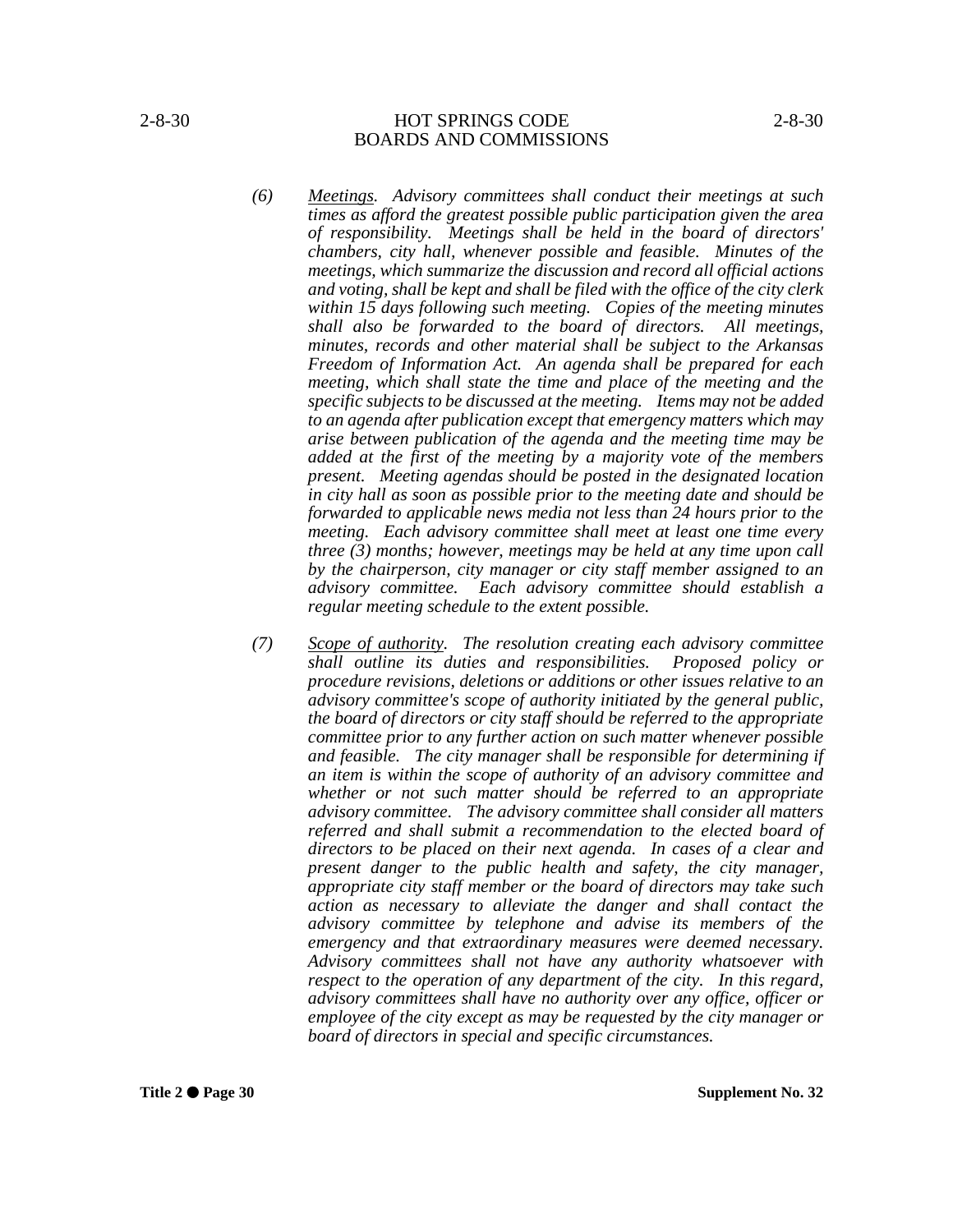#### 2-8-30 **HOT SPRINGS CODE** 2-8-30 BOARDS AND COMMISSIONS

- *(6) Meetings. Advisory committees shall conduct their meetings at such times as afford the greatest possible public participation given the area of responsibility. Meetings shall be held in the board of directors' chambers, city hall, whenever possible and feasible. Minutes of the meetings, which summarize the discussion and record all official actions and voting, shall be kept and shall be filed with the office of the city clerk within 15 days following such meeting. Copies of the meeting minutes shall also be forwarded to the board of directors. All meetings, minutes, records and other material shall be subject to the Arkansas Freedom of Information Act. An agenda shall be prepared for each meeting, which shall state the time and place of the meeting and the specific subjects to be discussed at the meeting. Items may not be added to an agenda after publication except that emergency matters which may arise between publication of the agenda and the meeting time may be added at the first of the meeting by a majority vote of the members present. Meeting agendas should be posted in the designated location in city hall as soon as possible prior to the meeting date and should be forwarded to applicable news media not less than 24 hours prior to the meeting. Each advisory committee shall meet at least one time every three (3) months; however, meetings may be held at any time upon call by the chairperson, city manager or city staff member assigned to an advisory committee. Each advisory committee should establish a regular meeting schedule to the extent possible.*
- *(7) Scope of authority. The resolution creating each advisory committee shall outline its duties and responsibilities. Proposed policy or procedure revisions, deletions or additions or other issues relative to an advisory committee's scope of authority initiated by the general public, the board of directors or city staff should be referred to the appropriate committee prior to any further action on such matter whenever possible and feasible. The city manager shall be responsible for determining if an item is within the scope of authority of an advisory committee and whether or not such matter should be referred to an appropriate advisory committee. The advisory committee shall consider all matters*  referred and shall submit a recommendation to the elected board of *directors to be placed on their next agenda. In cases of a clear and present danger to the public health and safety, the city manager, appropriate city staff member or the board of directors may take such action as necessary to alleviate the danger and shall contact the advisory committee by telephone and advise its members of the emergency and that extraordinary measures were deemed necessary. Advisory committees shall not have any authority whatsoever with respect to the operation of any department of the city. In this regard, advisory committees shall have no authority over any office, officer or employee of the city except as may be requested by the city manager or board of directors in special and specific circumstances.*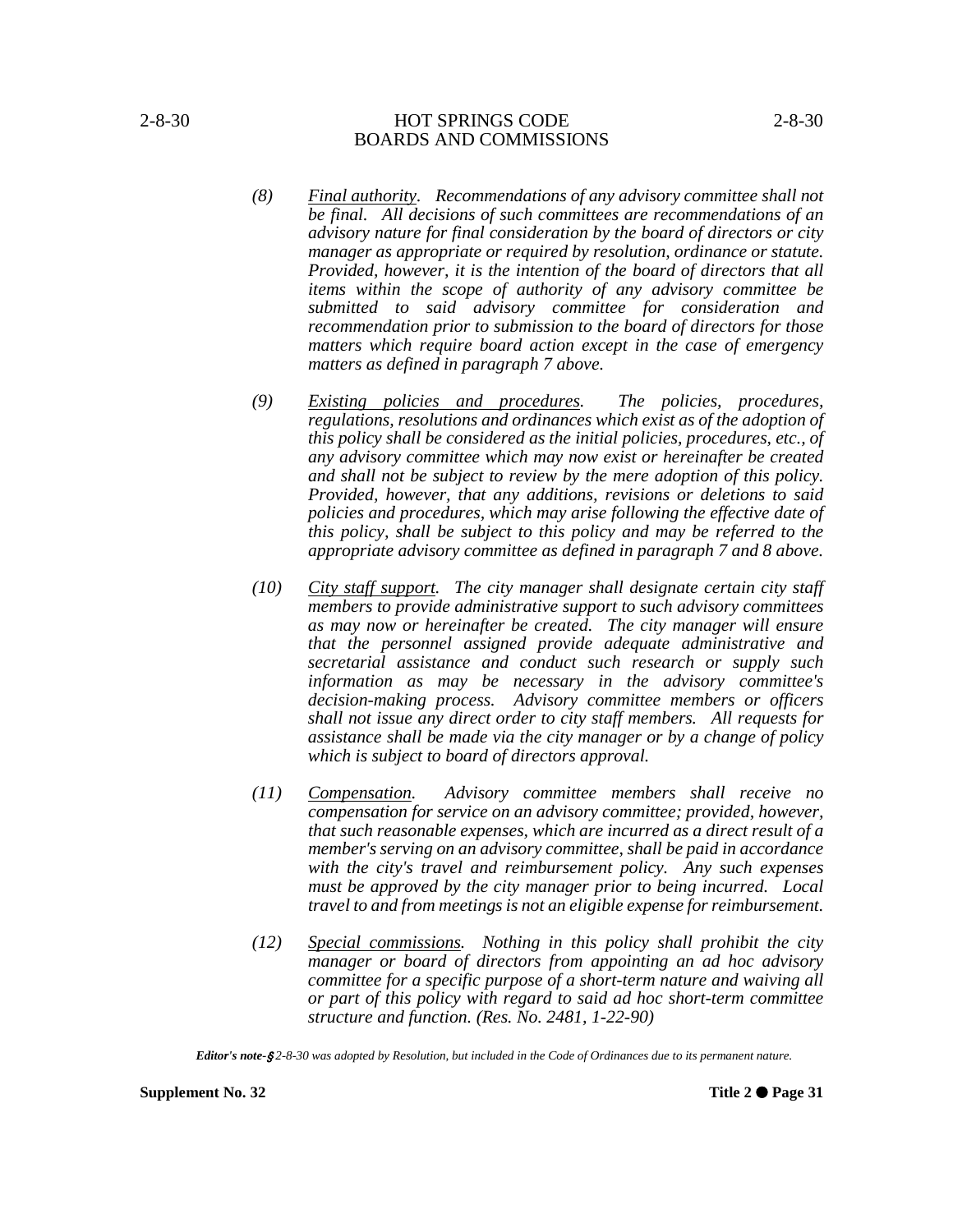#### 2-8-30 **HOT SPRINGS CODE** 2-8-30 BOARDS AND COMMISSIONS

- *(8) Final authority. Recommendations of any advisory committee shall not be final. All decisions of such committees are recommendations of an advisory nature for final consideration by the board of directors or city manager as appropriate or required by resolution, ordinance or statute. Provided, however, it is the intention of the board of directors that all items within the scope of authority of any advisory committee be submitted to said advisory committee for consideration and recommendation prior to submission to the board of directors for those matters which require board action except in the case of emergency matters as defined in paragraph 7 above.*
- *(9) Existing policies and procedures. The policies, procedures, regulations, resolutions and ordinances which exist as of the adoption of this policy shall be considered as the initial policies, procedures, etc., of any advisory committee which may now exist or hereinafter be created and shall not be subject to review by the mere adoption of this policy. Provided, however, that any additions, revisions or deletions to said policies and procedures, which may arise following the effective date of this policy, shall be subject to this policy and may be referred to the appropriate advisory committee as defined in paragraph 7 and 8 above.*
- *(10) City staff support. The city manager shall designate certain city staff members to provide administrative support to such advisory committees as may now or hereinafter be created. The city manager will ensure that the personnel assigned provide adequate administrative and secretarial assistance and conduct such research or supply such information as may be necessary in the advisory committee's decision-making process. Advisory committee members or officers shall not issue any direct order to city staff members. All requests for assistance shall be made via the city manager or by a change of policy which is subject to board of directors approval.*
- *(11) Compensation. Advisory committee members shall receive no compensation for service on an advisory committee; provided, however, that such reasonable expenses, which are incurred as a direct result of a member's serving on an advisory committee, shall be paid in accordance with the city's travel and reimbursement policy. Any such expenses must be approved by the city manager prior to being incurred. Local travel to and from meetings is not an eligible expense for reimbursement.*
- *(12) Special commissions. Nothing in this policy shall prohibit the city manager or board of directors from appointing an ad hoc advisory committee for a specific purpose of a short-term nature and waiving all or part of this policy with regard to said ad hoc short-term committee structure and function. (Res. No. 2481, 1-22-90)*

*Editor's note-* $\mathcal{S}^2$ -8-30 was adopted by Resolution, but included in the Code of Ordinances due to its permanent nature.

**Supplement No. 32 Title 2**  $\bullet$  **Page 31**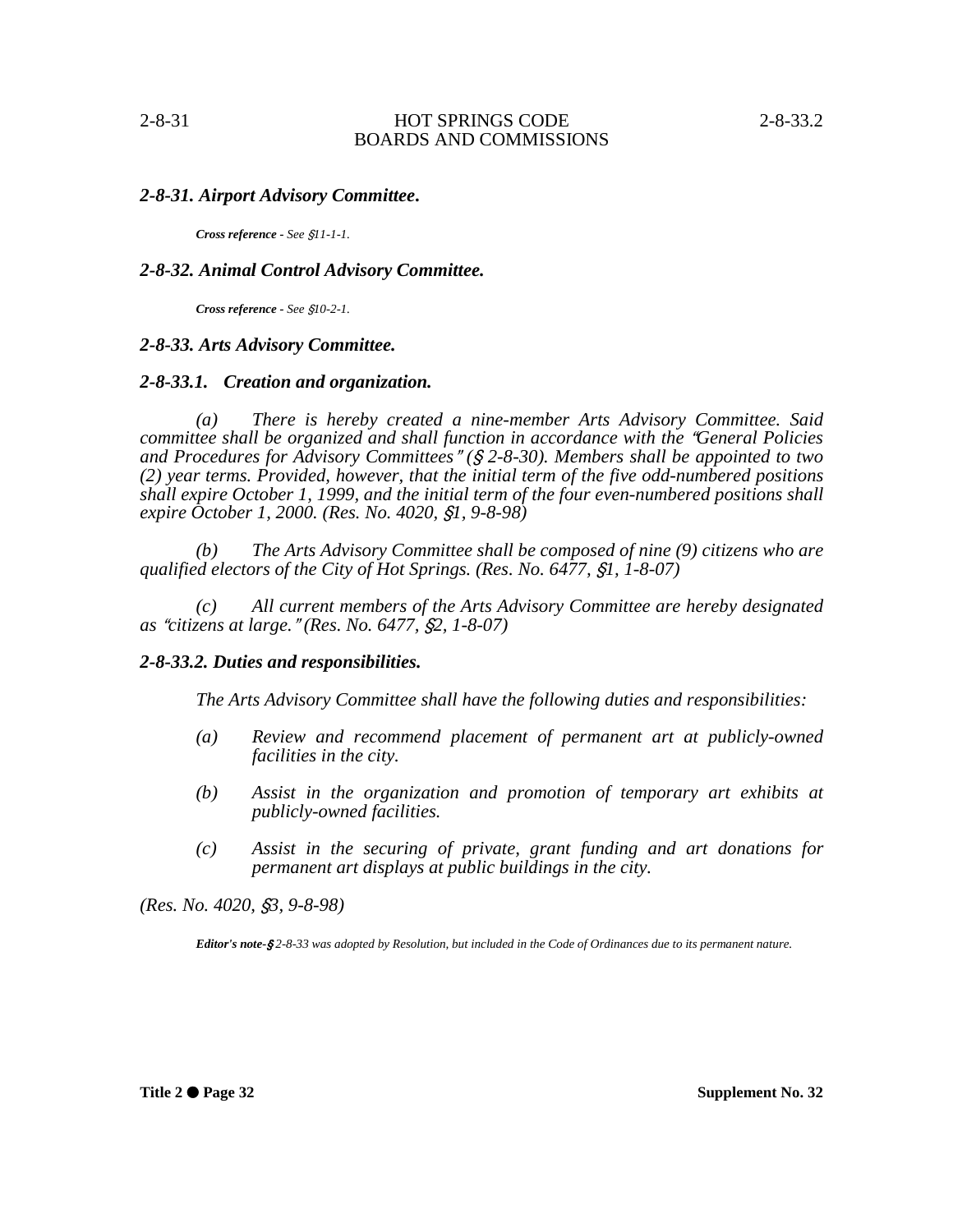#### *2-8-31. Airport Advisory Committee***.**

*Cross reference - See* '*11-1-1.*

#### *2-8-32. Animal Control Advisory Committee.*

*Cross reference - See* '*10-2-1.*

#### *2-8-33. Arts Advisory Committee.*

#### *2-8-33.1. Creation and organization.*

*(a) There is hereby created a nine-member Arts Advisory Committee. Said committee shall be organized and shall function in accordance with the "General Policies and Procedures for Advisory Committees*@ *(*' *2-8-30). Members shall be appointed to two (2) year terms. Provided, however, that the initial term of the five odd-numbered positions shall expire October 1, 1999, and the initial term of the four even-numbered positions shall expire October 1, 2000. (Res. No. 4020,* '*1, 9-8-98)*

*(b) The Arts Advisory Committee shall be composed of nine (9) citizens who are qualified electors of the City of Hot Springs. (Res. No. 6477,* '*1, 1-8-07)*

*(c) All current members of the Arts Advisory Committee are hereby designated as* A*citizens at large.*@ *(Res. No. 6477,* '*2, 1-8-07)*

#### *2-8-33.2. Duties and responsibilities.*

*The Arts Advisory Committee shall have the following duties and responsibilities:*

- *(a) Review and recommend placement of permanent art at publicly-owned facilities in the city.*
- *(b) Assist in the organization and promotion of temporary art exhibits at publicly-owned facilities.*
- *(c) Assist in the securing of private, grant funding and art donations for permanent art displays at public buildings in the city.*

*(Res. No. 4020,* '*3, 9-8-98)*

*Editor's note-§2-8-33 was adopted by Resolution, but included in the Code of Ordinances due to its permanent nature.*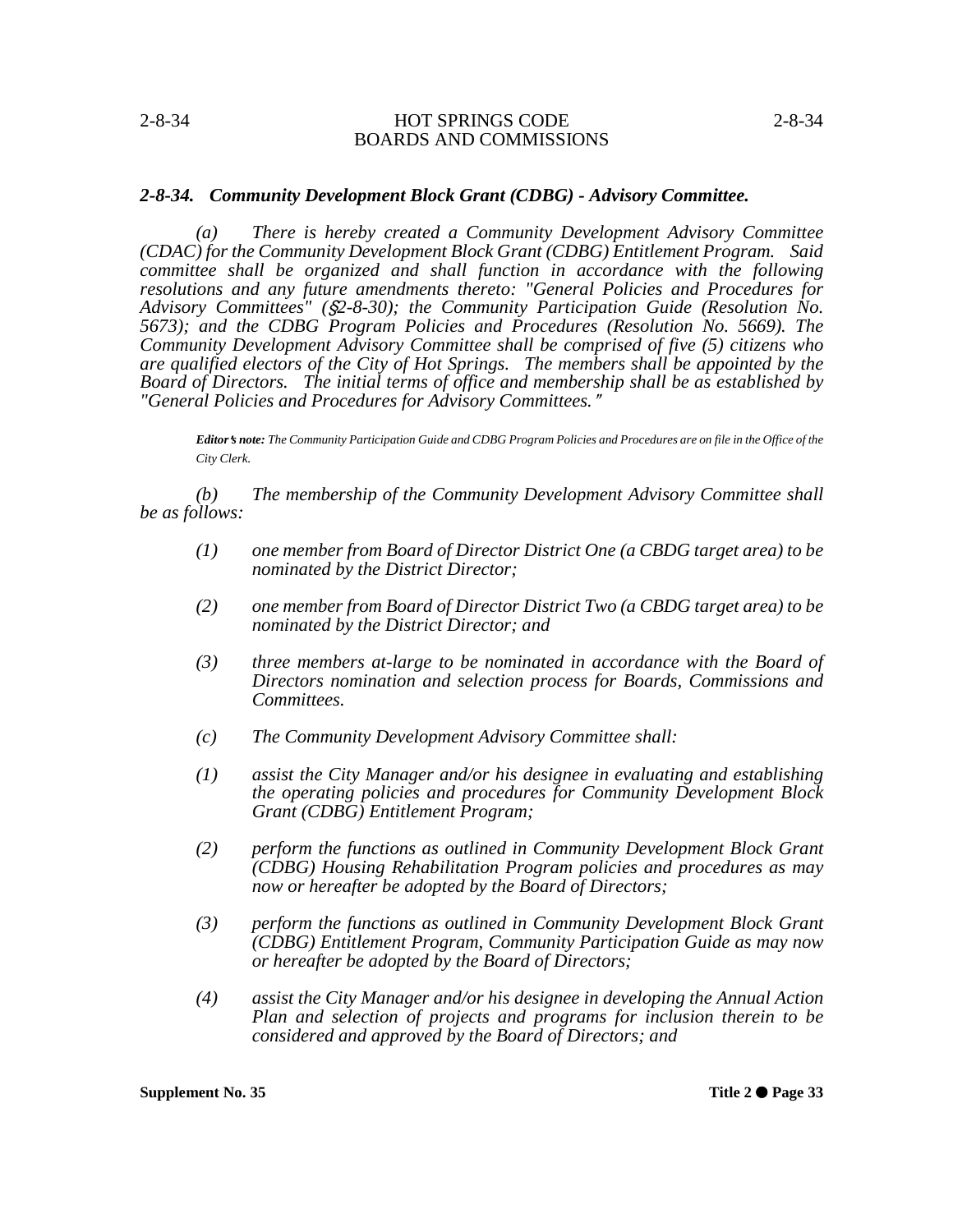#### 2-8-34 HOT SPRINGS CODE 2-8-34 BOARDS AND COMMISSIONS

#### *2-8-34. Community Development Block Grant (CDBG) - Advisory Committee.*

*(a) There is hereby created a Community Development Advisory Committee (CDAC) for the Community Development Block Grant (CDBG) Entitlement Program. Said committee shall be organized and shall function in accordance with the following resolutions and any future amendments thereto: "General Policies and Procedures for Advisory Committees" (*'*2-8-30); the Community Participation Guide (Resolution No. 5673); and the CDBG Program Policies and Procedures (Resolution No. 5669). The Community Development Advisory Committee shall be comprised of five (5) citizens who are qualified electors of the City of Hot Springs. The members shall be appointed by the Board of Directors. The initial terms of office and membership shall be as established by "General Policies and Procedures for Advisory Committees.*@

*Editor*=*s note: The Community Participation Guide and CDBG Program Policies and Procedures are on file in the Office of the City Clerk.*

*(b) The membership of the Community Development Advisory Committee shall be as follows:*

- *(1) one member from Board of Director District One (a CBDG target area) to be nominated by the District Director;*
- *(2) one member from Board of Director District Two (a CBDG target area) to be nominated by the District Director; and*
- *(3) three members at-large to be nominated in accordance with the Board of Directors nomination and selection process for Boards, Commissions and Committees.*
- *(c) The Community Development Advisory Committee shall:*
- *(1) assist the City Manager and/or his designee in evaluating and establishing the operating policies and procedures for Community Development Block Grant (CDBG) Entitlement Program;*
- *(2) perform the functions as outlined in Community Development Block Grant (CDBG) Housing Rehabilitation Program policies and procedures as may now or hereafter be adopted by the Board of Directors;*
- *(3) perform the functions as outlined in Community Development Block Grant (CDBG) Entitlement Program, Community Participation Guide as may now or hereafter be adopted by the Board of Directors;*
- *(4) assist the City Manager and/or his designee in developing the Annual Action Plan and selection of projects and programs for inclusion therein to be considered and approved by the Board of Directors; and*

**Supplement No. 35 Title 2**  $\bullet$  **Page 33**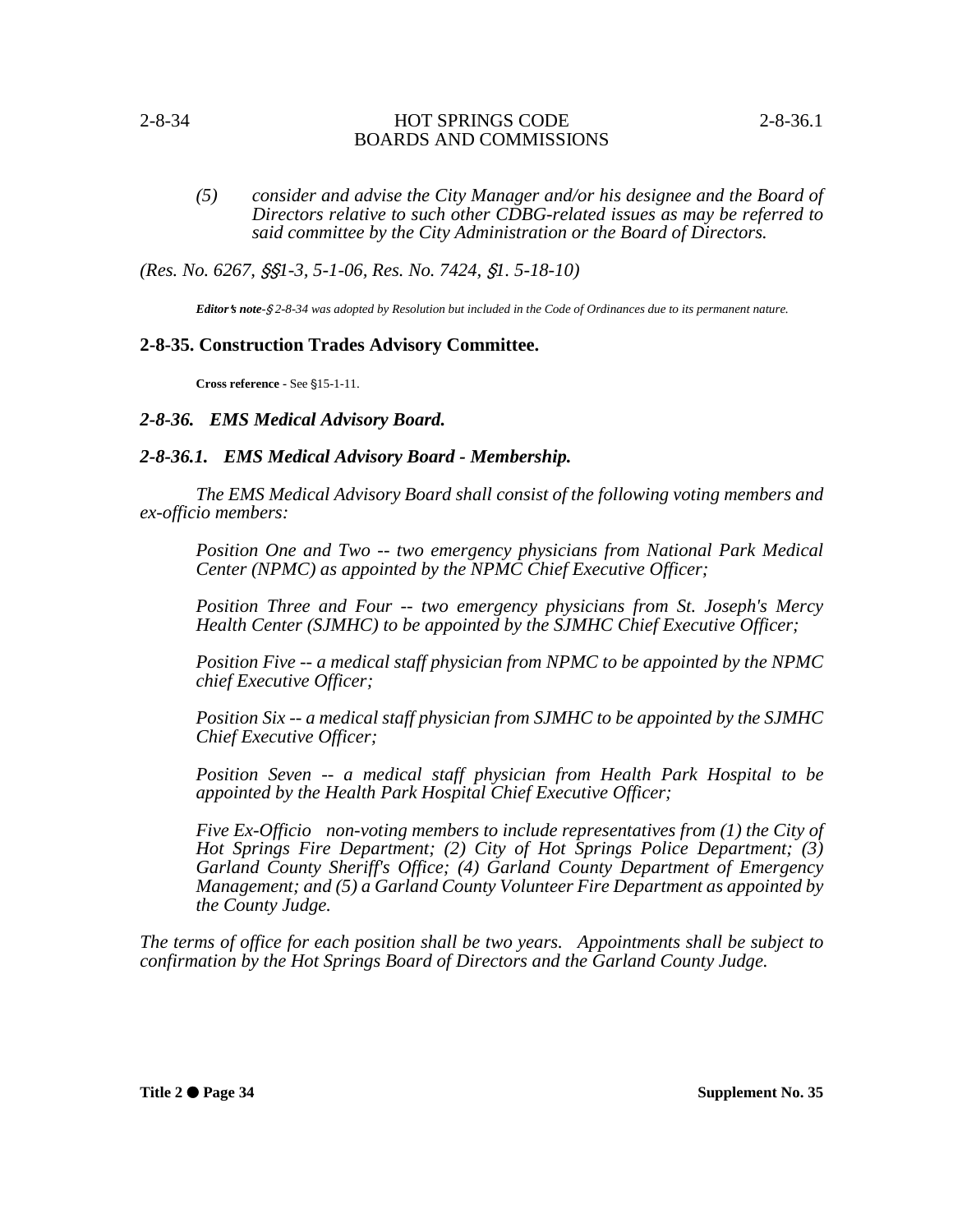#### 2-8-34 **HOT SPRINGS CODE** 2-8-36.1 BOARDS AND COMMISSIONS

*(5) consider and advise the City Manager and/or his designee and the Board of Directors relative to such other CDBG-related issues as may be referred to said committee by the City Administration or the Board of Directors.*

*(Res. No. 6267,* ''*1-3, 5-1-06, Res. No. 7424,* '*1. 5-18-10)*

*Editor's note-§2-8-34 was adopted by Resolution but included in the Code of Ordinances due to its permanent nature.* 

## **2-8-35. Construction Trades Advisory Committee.**

**Cross reference -** See §15-1-11.

## *2-8-36. EMS Medical Advisory Board.*

#### *2-8-36.1. EMS Medical Advisory Board - Membership.*

*The EMS Medical Advisory Board shall consist of the following voting members and ex-officio members:*

*Position One and Two -- two emergency physicians from National Park Medical Center (NPMC) as appointed by the NPMC Chief Executive Officer;*

*Position Three and Four -- two emergency physicians from St. Joseph's Mercy Health Center (SJMHC) to be appointed by the SJMHC Chief Executive Officer;*

*Position Five -- a medical staff physician from NPMC to be appointed by the NPMC chief Executive Officer;*

*Position Six -- a medical staff physician from SJMHC to be appointed by the SJMHC Chief Executive Officer;*

*Position Seven -- a medical staff physician from Health Park Hospital to be appointed by the Health Park Hospital Chief Executive Officer;*

*Five Ex-Officio non-voting members to include representatives from (1) the City of Hot Springs Fire Department; (2) City of Hot Springs Police Department; (3) Garland County Sheriff's Office; (4) Garland County Department of Emergency Management; and (5) a Garland County Volunteer Fire Department as appointed by the County Judge.* 

*The terms of office for each position shall be two years. Appointments shall be subject to confirmation by the Hot Springs Board of Directors and the Garland County Judge.*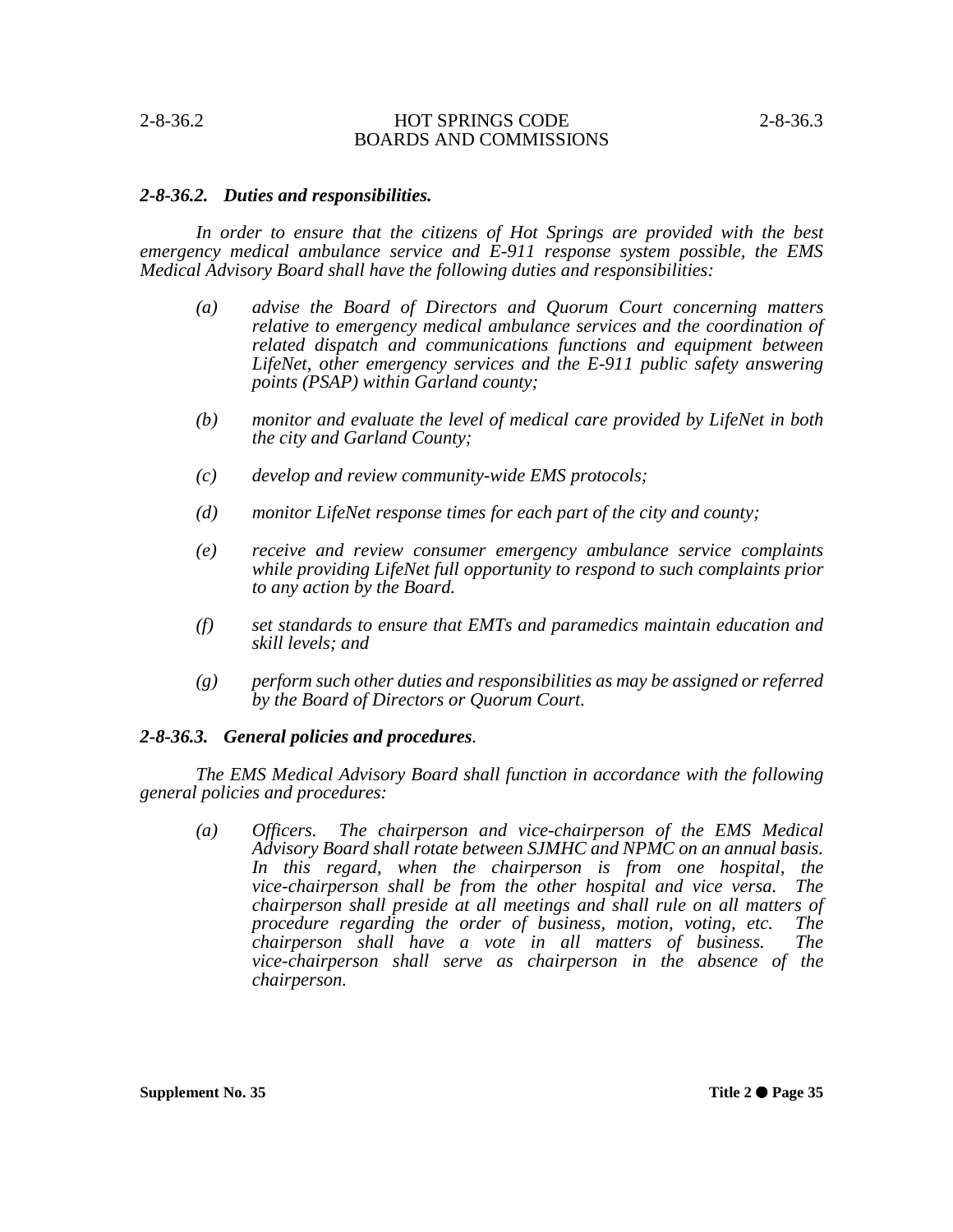#### *2-8-36.2. Duties and responsibilities.*

In order to ensure that the citizens of Hot Springs are provided with the best *emergency medical ambulance service and E-911 response system possible, the EMS Medical Advisory Board shall have the following duties and responsibilities:*

- *(a) advise the Board of Directors and Quorum Court concerning matters relative to emergency medical ambulance services and the coordination of related dispatch and communications functions and equipment between LifeNet, other emergency services and the E-911 public safety answering points (PSAP) within Garland county;*
- *(b) monitor and evaluate the level of medical care provided by LifeNet in both the city and Garland County;*
- *(c) develop and review community-wide EMS protocols;*
- *(d) monitor LifeNet response times for each part of the city and county;*
- *(e) receive and review consumer emergency ambulance service complaints while providing LifeNet full opportunity to respond to such complaints prior to any action by the Board.*
- *(f) set standards to ensure that EMTs and paramedics maintain education and skill levels; and*
- *(g) perform such other duties and responsibilities as may be assigned or referred by the Board of Directors or Quorum Court.*

#### *2-8-36.3. General policies and procedures.*

*The EMS Medical Advisory Board shall function in accordance with the following general policies and procedures:*

*(a) Officers. The chairperson and vice-chairperson of the EMS Medical Advisory Board shall rotate between SJMHC and NPMC on an annual basis. In this regard, when the chairperson is from one hospital, the vice-chairperson shall be from the other hospital and vice versa. The chairperson shall preside at all meetings and shall rule on all matters of procedure regarding the order of business, motion, voting, etc. The chairperson shall have a vote in all matters of business. The vice-chairperson shall serve as chairperson in the absence of the chairperson.*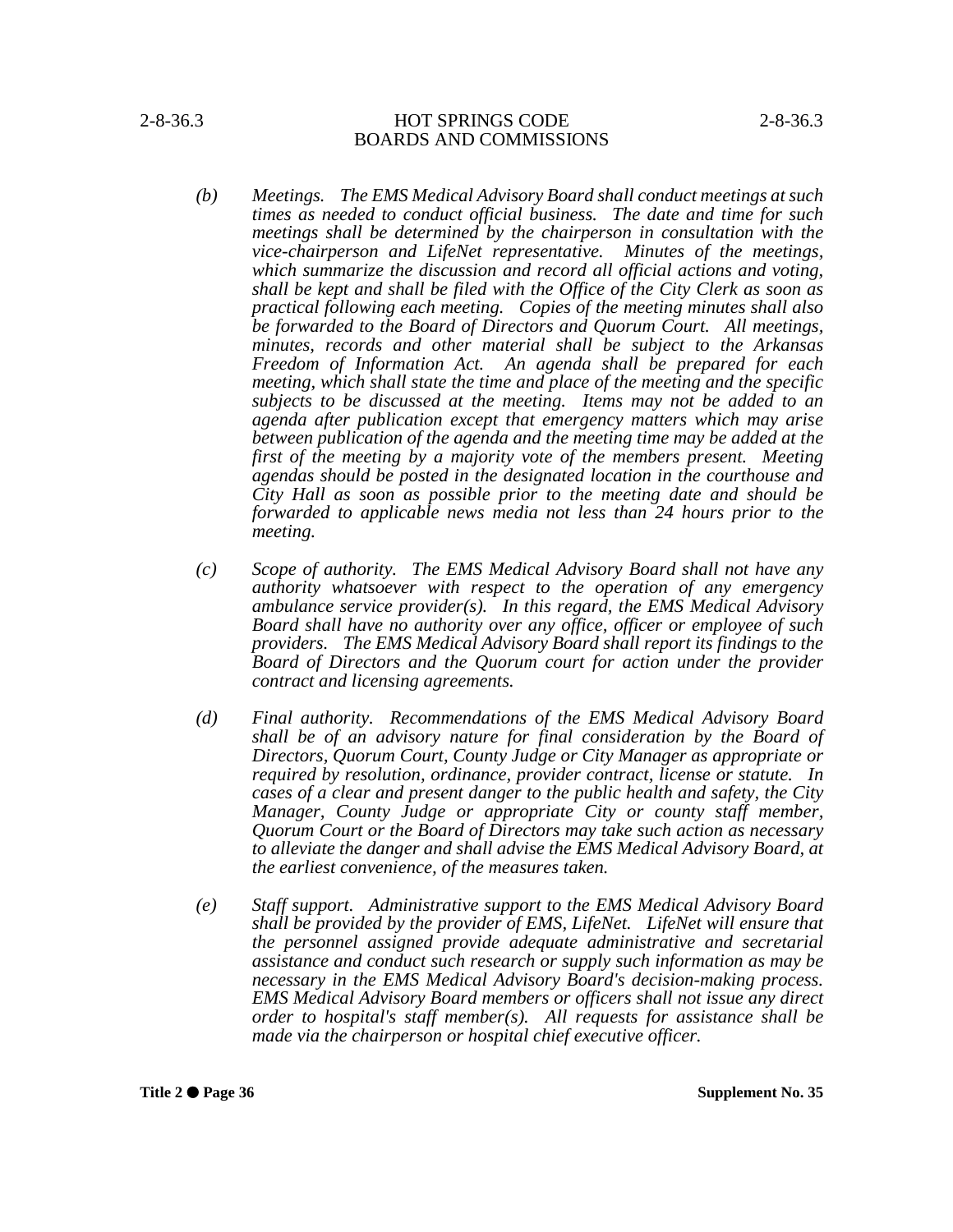#### 2-8-36.3 HOT SPRINGS CODE 2-8-36.3 BOARDS AND COMMISSIONS

- *(b) Meetings. The EMS Medical Advisory Board shall conduct meetings at such times as needed to conduct official business. The date and time for such meetings shall be determined by the chairperson in consultation with the vice-chairperson and LifeNet representative. Minutes of the meetings, which summarize the discussion and record all official actions and voting, shall be kept and shall be filed with the Office of the City Clerk as soon as practical following each meeting. Copies of the meeting minutes shall also be forwarded to the Board of Directors and Quorum Court. All meetings, minutes, records and other material shall be subject to the Arkansas Freedom of Information Act. An agenda shall be prepared for each meeting, which shall state the time and place of the meeting and the specific subjects to be discussed at the meeting. Items may not be added to an agenda after publication except that emergency matters which may arise between publication of the agenda and the meeting time may be added at the first of the meeting by a majority vote of the members present. Meeting agendas should be posted in the designated location in the courthouse and City Hall as soon as possible prior to the meeting date and should be forwarded to applicable news media not less than 24 hours prior to the meeting.*
- *(c) Scope of authority. The EMS Medical Advisory Board shall not have any authority whatsoever with respect to the operation of any emergency ambulance service provider(s). In this regard, the EMS Medical Advisory Board shall have no authority over any office, officer or employee of such providers. The EMS Medical Advisory Board shall report its findings to the Board of Directors and the Quorum court for action under the provider contract and licensing agreements.*
- *(d) Final authority. Recommendations of the EMS Medical Advisory Board shall be of an advisory nature for final consideration by the Board of Directors, Quorum Court, County Judge or City Manager as appropriate or required by resolution, ordinance, provider contract, license or statute. In cases of a clear and present danger to the public health and safety, the City Manager, County Judge or appropriate City or county staff member, Quorum Court or the Board of Directors may take such action as necessary to alleviate the danger and shall advise the EMS Medical Advisory Board, at the earliest convenience, of the measures taken.*
- *(e) Staff support. Administrative support to the EMS Medical Advisory Board shall be provided by the provider of EMS, LifeNet. LifeNet will ensure that the personnel assigned provide adequate administrative and secretarial assistance and conduct such research or supply such information as may be necessary in the EMS Medical Advisory Board's decision-making process. EMS Medical Advisory Board members or officers shall not issue any direct order to hospital's staff member(s). All requests for assistance shall be made via the chairperson or hospital chief executive officer.*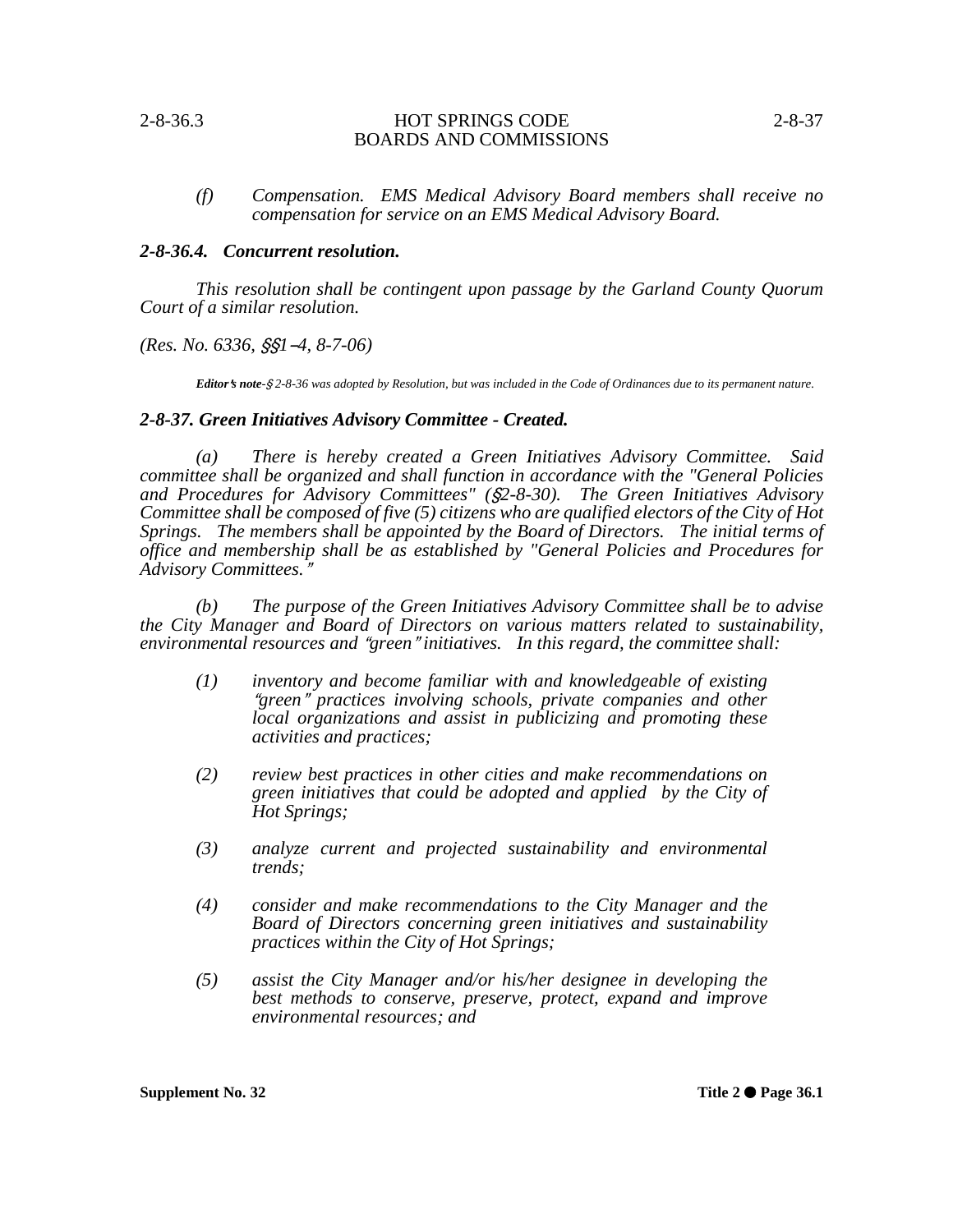#### 2-8-36.3 HOT SPRINGS CODE 2-8-37 BOARDS AND COMMISSIONS

*(f) Compensation. EMS Medical Advisory Board members shall receive no compensation for service on an EMS Medical Advisory Board.*

#### *2-8-36.4. Concurrent resolution.*

*This resolution shall be contingent upon passage by the Garland County Quorum Court of a similar resolution.*

*(Res. No. 6336, §§1 –4, 8-7-06)* 

*Editor's note-* $$2$ -8-36 was adopted by Resolution, but was included in the Code of Ordinances due to its permanent nature.

#### *2-8-37. Green Initiatives Advisory Committee - Created.*

*(a) There is hereby created a Green Initiatives Advisory Committee. Said committee shall be organized and shall function in accordance with the "General Policies and Procedures for Advisory Committees" (*'*2-8-30). The Green Initiatives Advisory Committee shall be composed of five (5) citizens who are qualified electors of the City of Hot Springs. The members shall be appointed by the Board of Directors. The initial terms of office and membership shall be as established by "General Policies and Procedures for Advisory Committees.*@

*(b) The purpose of the Green Initiatives Advisory Committee shall be to advise the City Manager and Board of Directors on various matters related to sustainability, environmental resources and "green" initiatives. In this regard, the committee shall:* 

- *(1) inventory and become familiar with and knowledgeable of existing*  "green" practices involving schools, private companies and other *local organizations and assist in publicizing and promoting these activities and practices;*
- *(2) review best practices in other cities and make recommendations on green initiatives that could be adopted and applied by the City of Hot Springs;*
- *(3) analyze current and projected sustainability and environmental trends;*
- *(4) consider and make recommendations to the City Manager and the Board of Directors concerning green initiatives and sustainability practices within the City of Hot Springs;*
- *(5) assist the City Manager and/or his/her designee in developing the best methods to conserve, preserve, protect, expand and improve environmental resources; and*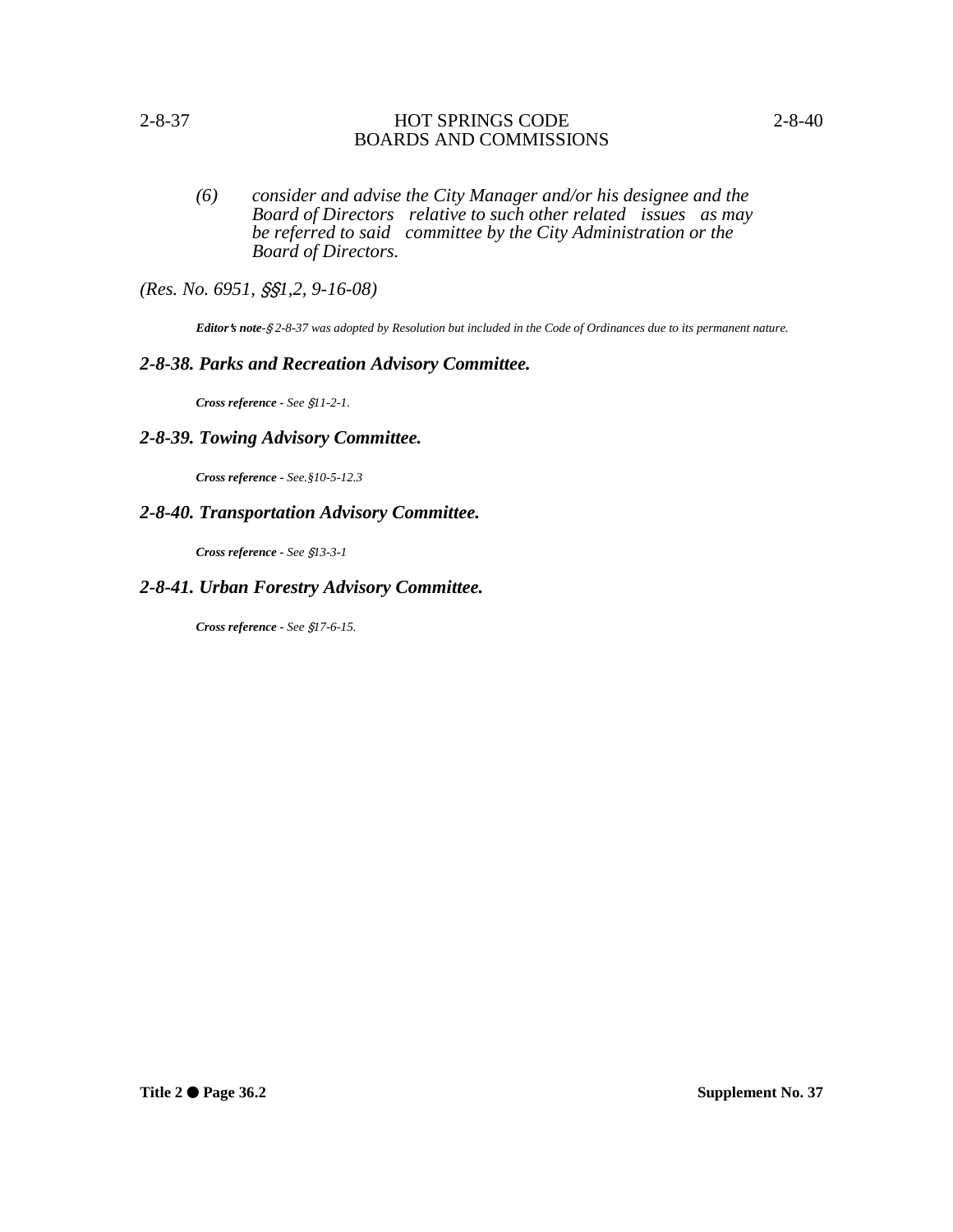#### 2-8-37 HOT SPRINGS CODE 2-8-40 BOARDS AND COMMISSIONS

*(6) consider and advise the City Manager and/or his designee and the Board of Directors relative to such other related issues as may be referred to said committee by the City Administration or the Board of Directors.*

*(Res. No. 6951,* ''*1,2, 9-16-08)*

*Editor*=*s note-*' *2-8-37 was adopted by Resolution but included in the Code of Ordinances due to its permanent nature.* 

#### *2-8-38. Parks and Recreation Advisory Committee.*

*Cross reference - See* '*11-2-1.*

#### *2-8-39. Towing Advisory Committee.*

*Cross reference - See.§10-5-12.3*

#### *2-8-40. Transportation Advisory Committee.*

*Cross reference - See* '*13-3-1*

#### *2-8-41. Urban Forestry Advisory Committee.*

*Cross reference - See* '*17-6-15.*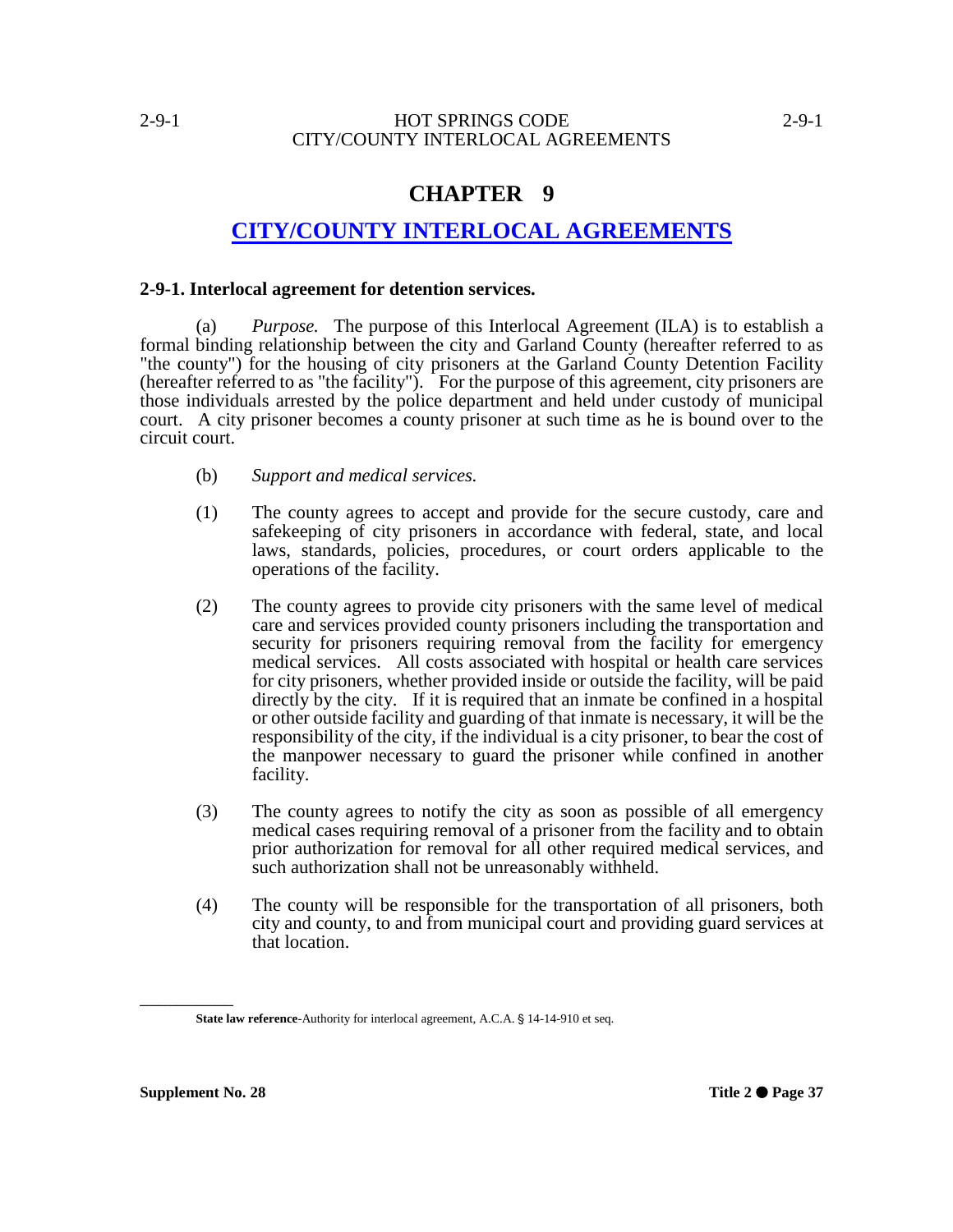#### 2-9-1 HOT SPRINGS CODE 2-9-1 CITY/COUNTY INTERLOCAL AGREEMENTS

# **CHAPTER 9**

# **[CITY/COUNTY INTERLOCAL AGREEMENTS](#page-66-0)**

#### <span id="page-66-0"></span>**2-9-1. Interlocal agreement for detention services.**

(a) *Purpose.* The purpose of this Interlocal Agreement (ILA) is to establish a formal binding relationship between the city and Garland County (hereafter referred to as "the county") for the housing of city prisoners at the Garland County Detention Facility (hereafter referred to as "the facility"). For the purpose of this agreement, city prisoners are those individuals arrested by the police department and held under custody of municipal court. A city prisoner becomes a county prisoner at such time as he is bound over to the circuit court.

- (b) *Support and medical services.*
- (1) The county agrees to accept and provide for the secure custody, care and safekeeping of city prisoners in accordance with federal, state, and local laws, standards, policies, procedures, or court orders applicable to the operations of the facility.
- (2) The county agrees to provide city prisoners with the same level of medical care and services provided county prisoners including the transportation and security for prisoners requiring removal from the facility for emergency medical services. All costs associated with hospital or health care services for city prisoners, whether provided inside or outside the facility, will be paid directly by the city. If it is required that an inmate be confined in a hospital or other outside facility and guarding of that inmate is necessary, it will be the responsibility of the city, if the individual is a city prisoner, to bear the cost of the manpower necessary to guard the prisoner while confined in another facility.
- (3) The county agrees to notify the city as soon as possible of all emergency medical cases requiring removal of a prisoner from the facility and to obtain prior authorization for removal for all other required medical services, and such authorization shall not be unreasonably withheld.
- (4) The county will be responsible for the transportation of all prisoners, both city and county, to and from municipal court and providing guard services at that location.

\_\_\_\_\_\_\_\_\_\_

**State law reference**-Authority for interlocal agreement, A.C.A. § 14-14-910 et seq.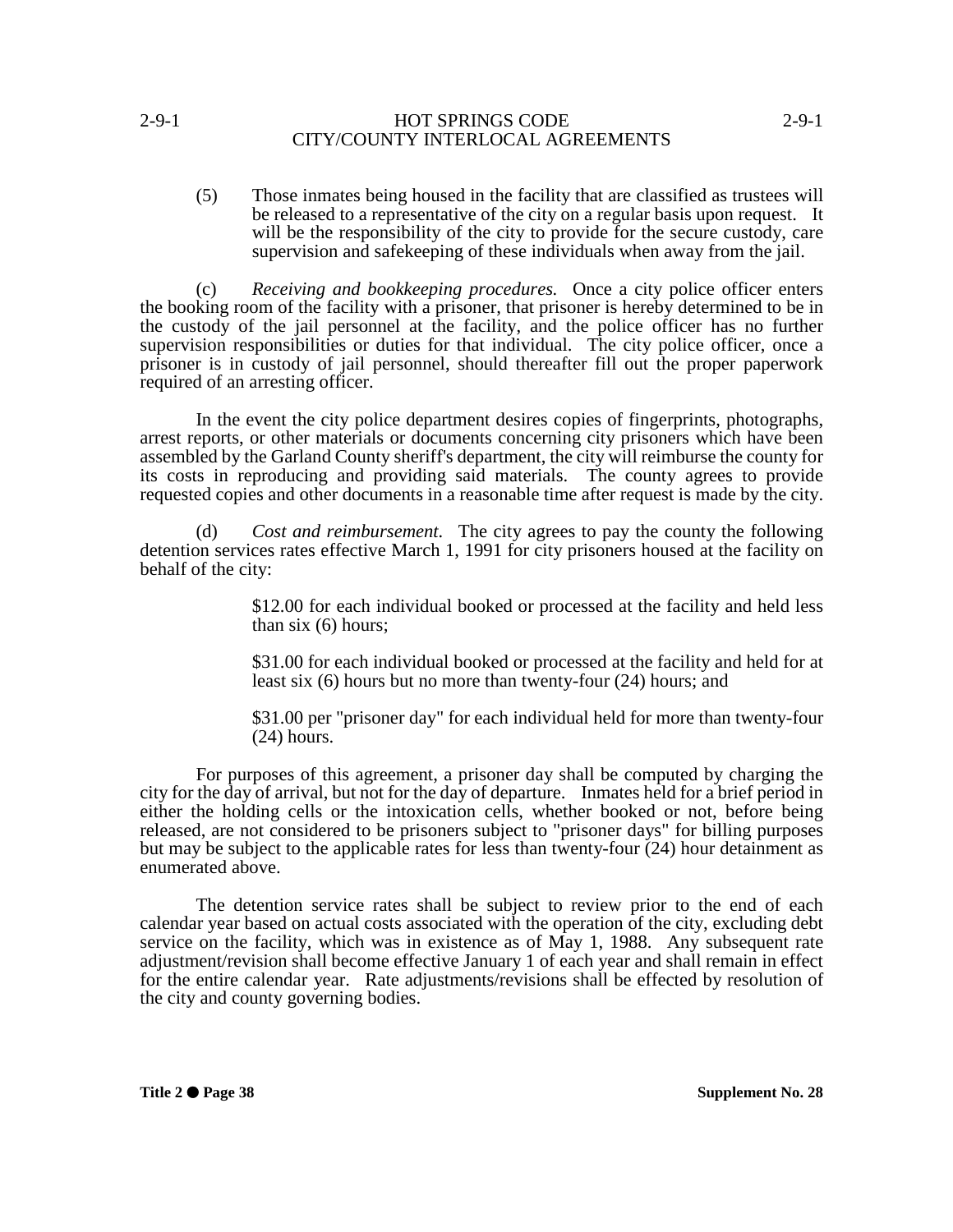#### 2-9-1 HOT SPRINGS CODE 2-9-1 CITY/COUNTY INTERLOCAL AGREEMENTS

(5) Those inmates being housed in the facility that are classified as trustees will be released to a representative of the city on a regular basis upon request. It will be the responsibility of the city to provide for the secure custody, care supervision and safekeeping of these individuals when away from the jail.

(c) *Receiving and bookkeeping procedures.* Once a city police officer enters the booking room of the facility with a prisoner, that prisoner is hereby determined to be in the custody of the jail personnel at the facility, and the police officer has no further supervision responsibilities or duties for that individual. The city police officer, once a prisoner is in custody of jail personnel, should thereafter fill out the proper paperwork required of an arresting officer.

In the event the city police department desires copies of fingerprints, photographs, arrest reports, or other materials or documents concerning city prisoners which have been assembled by the Garland County sheriff's department, the city will reimburse the county for its costs in reproducing and providing said materials. The county agrees to provide requested copies and other documents in a reasonable time after request is made by the city.

(d) *Cost and reimbursement.* The city agrees to pay the county the following detention services rates effective March 1, 1991 for city prisoners housed at the facility on behalf of the city:

> \$12.00 for each individual booked or processed at the facility and held less than six (6) hours;

> \$31.00 for each individual booked or processed at the facility and held for at least six (6) hours but no more than twenty-four (24) hours; and

> \$31.00 per "prisoner day" for each individual held for more than twenty-four (24) hours.

For purposes of this agreement, a prisoner day shall be computed by charging the city for the day of arrival, but not for the day of departure. Inmates held for a brief period in either the holding cells or the intoxication cells, whether booked or not, before being released, are not considered to be prisoners subject to "prisoner days" for billing purposes but may be subject to the applicable rates for less than twenty-four (24) hour detainment as enumerated above.

The detention service rates shall be subject to review prior to the end of each calendar year based on actual costs associated with the operation of the city, excluding debt service on the facility, which was in existence as of May 1, 1988. Any subsequent rate adjustment/revision shall become effective January 1 of each year and shall remain in effect for the entire calendar year. Rate adjustments/revisions shall be effected by resolution of the city and county governing bodies.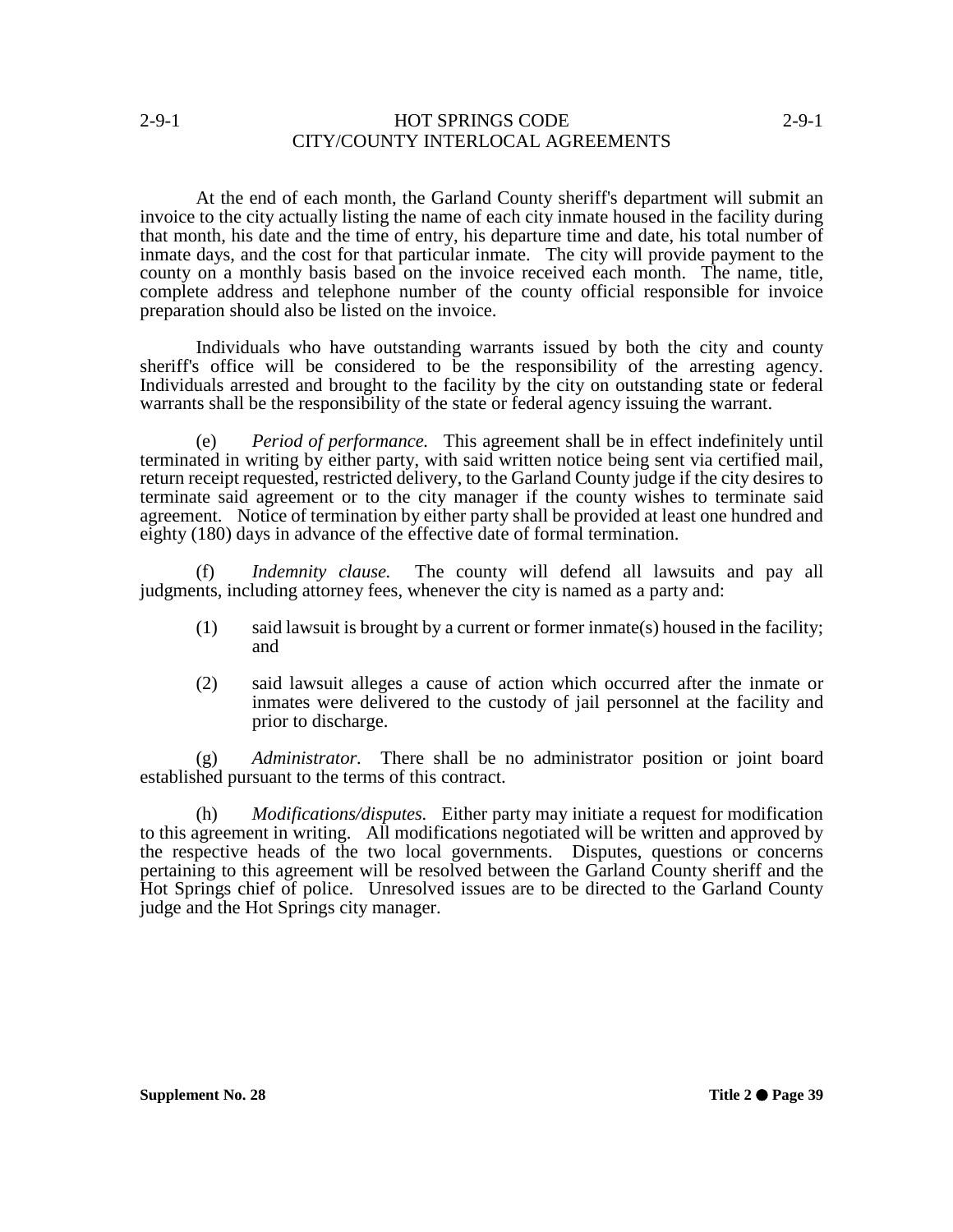#### 2-9-1 HOT SPRINGS CODE 2-9-1 CITY/COUNTY INTERLOCAL AGREEMENTS

At the end of each month, the Garland County sheriff's department will submit an invoice to the city actually listing the name of each city inmate housed in the facility during that month, his date and the time of entry, his departure time and date, his total number of inmate days, and the cost for that particular inmate. The city will provide payment to the county on a monthly basis based on the invoice received each month. The name, title, complete address and telephone number of the county official responsible for invoice preparation should also be listed on the invoice.

Individuals who have outstanding warrants issued by both the city and county sheriff's office will be considered to be the responsibility of the arresting agency. Individuals arrested and brought to the facility by the city on outstanding state or federal warrants shall be the responsibility of the state or federal agency issuing the warrant.

(e) *Period of performance.* This agreement shall be in effect indefinitely until terminated in writing by either party, with said written notice being sent via certified mail, return receipt requested, restricted delivery, to the Garland County judge if the city desires to terminate said agreement or to the city manager if the county wishes to terminate said agreement. Notice of termination by either party shall be provided at least one hundred and eighty (180) days in advance of the effective date of formal termination.

(f) *Indemnity clause.* The county will defend all lawsuits and pay all judgments, including attorney fees, whenever the city is named as a party and:

- (1) said lawsuit is brought by a current or former inmate(s) housed in the facility; and
- (2) said lawsuit alleges a cause of action which occurred after the inmate or inmates were delivered to the custody of jail personnel at the facility and prior to discharge.

(g) *Administrator.* There shall be no administrator position or joint board established pursuant to the terms of this contract.

(h) *Modifications/disputes.* Either party may initiate a request for modification to this agreement in writing. All modifications negotiated will be written and approved by the respective heads of the two local governments. Disputes, questions or concerns pertaining to this agreement will be resolved between the Garland County sheriff and the Hot Springs chief of police. Unresolved issues are to be directed to the Garland County judge and the Hot Springs city manager.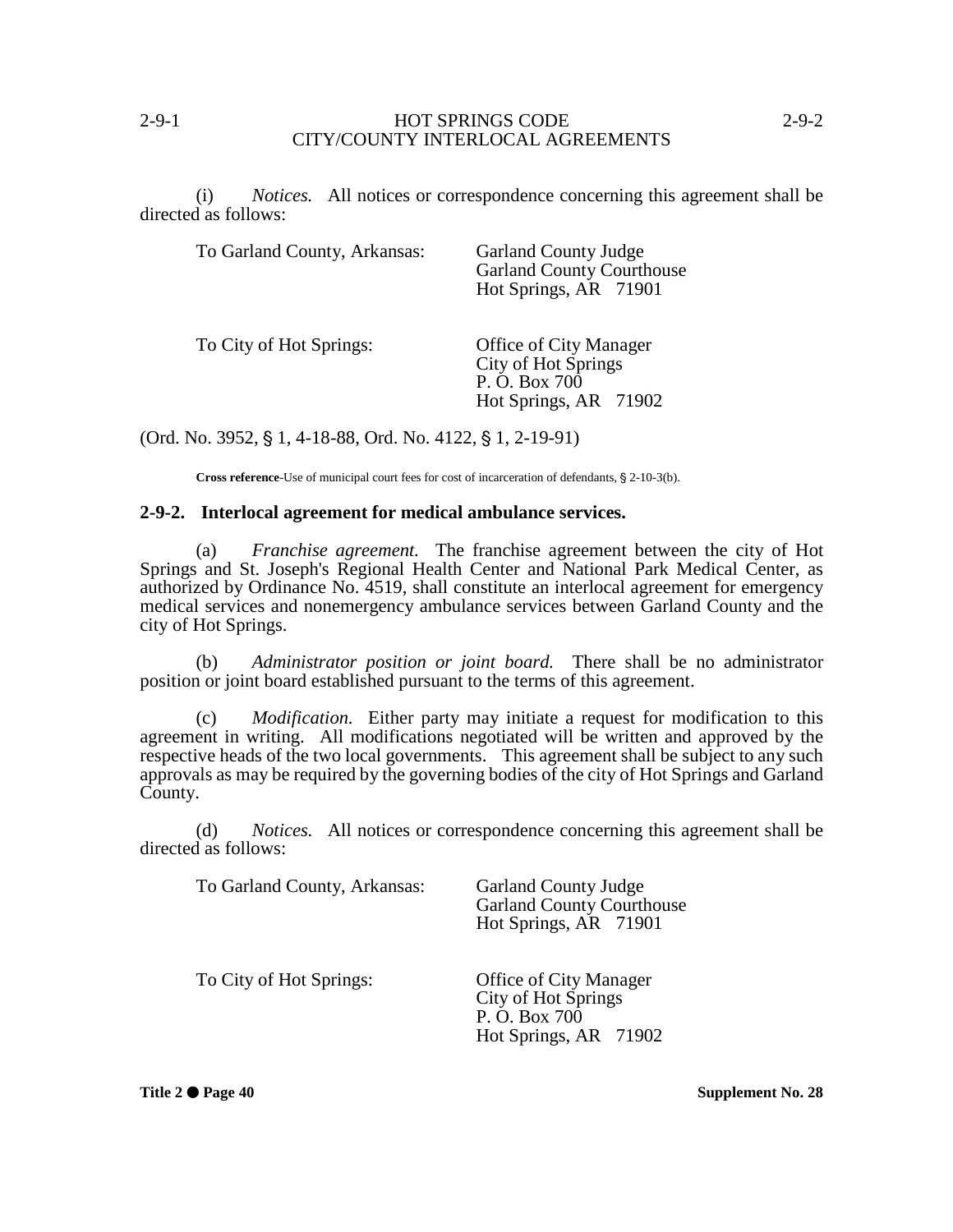#### 2-9-1 HOT SPRINGS CODE 2-9-2 CITY/COUNTY INTERLOCAL AGREEMENTS

(i) *Notices.* All notices or correspondence concerning this agreement shall be directed as follows:

| To Garland County, Arkansas: | <b>Garland County Judge</b><br><b>Garland County Courthouse</b><br>Hot Springs, AR 71901             |
|------------------------------|------------------------------------------------------------------------------------------------------|
| To City of Hot Springs:      | <b>Office of City Manager</b><br><b>City of Hot Springs</b><br>P.O. Box 700<br>Hot Springs, AR 71902 |

 $(Ord. No. 3952, § 1, 4-18-88, Ord. No. 4122, § 1, 2-19-91)$ 

**Cross reference**-Use of municipal court fees for cost of incarceration of defendants, § 2-10-3(b).

#### **2-9-2. Interlocal agreement for medical ambulance services.**

(a) *Franchise agreement.* The franchise agreement between the city of Hot Springs and St. Joseph's Regional Health Center and National Park Medical Center, as authorized by Ordinance No. 4519, shall constitute an interlocal agreement for emergency medical services and nonemergency ambulance services between Garland County and the city of Hot Springs.

(b) *Administrator position or joint board.* There shall be no administrator position or joint board established pursuant to the terms of this agreement.

(c) *Modification.* Either party may initiate a request for modification to this agreement in writing. All modifications negotiated will be written and approved by the respective heads of the two local governments. This agreement shall be subject to any such approvals as may be required by the governing bodies of the city of Hot Springs and Garland County.

(d) *Notices.* All notices or correspondence concerning this agreement shall be directed as follows:

| To Garland County, Arkansas: | <b>Garland County Judge</b><br><b>Garland County Courthouse</b><br>Hot Springs, AR 71901             |
|------------------------------|------------------------------------------------------------------------------------------------------|
| To City of Hot Springs:      | <b>Office of City Manager</b><br><b>City of Hot Springs</b><br>P.O. Box 700<br>Hot Springs, AR 71902 |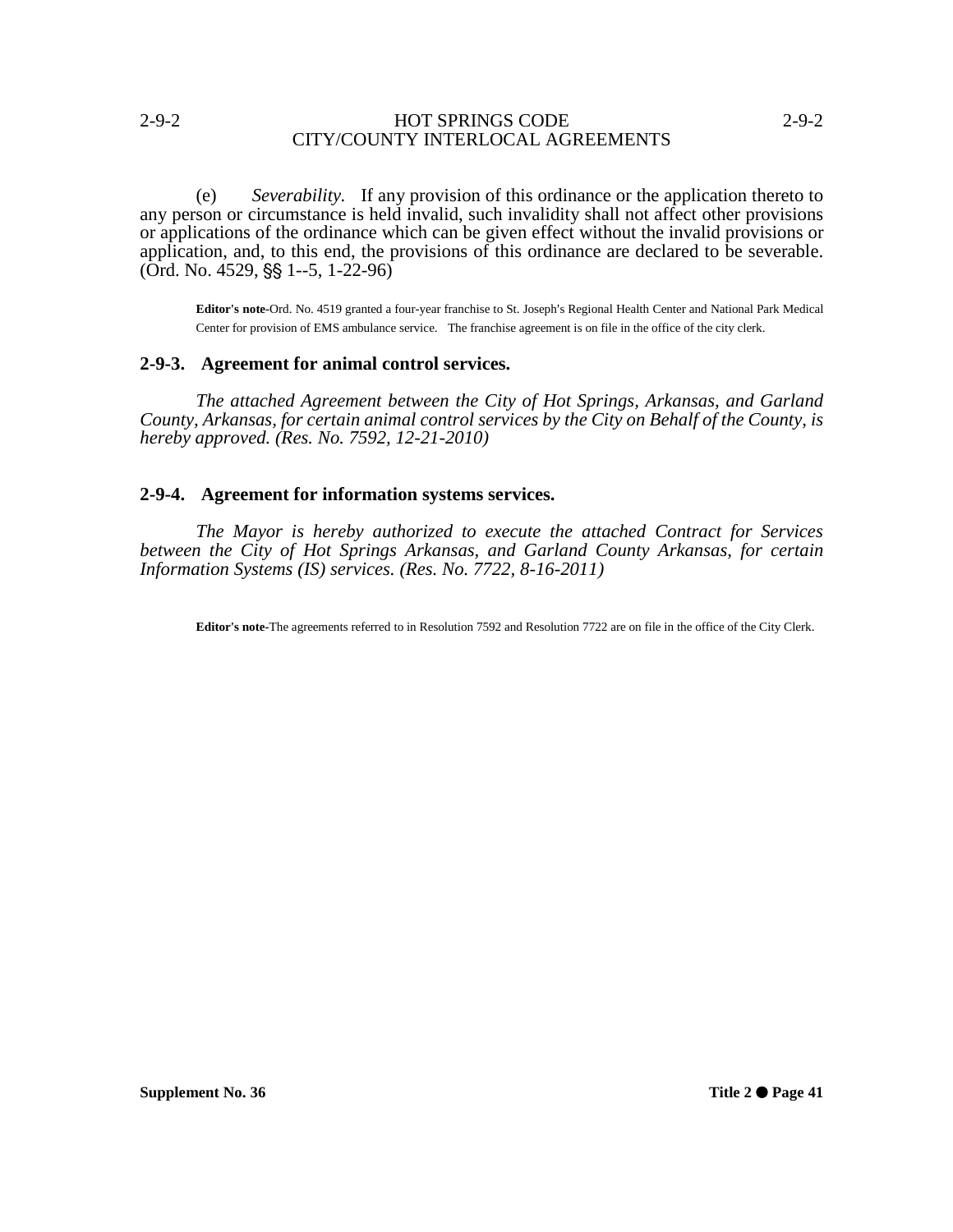#### 2-9-2 HOT SPRINGS CODE 2-9-2 CITY/COUNTY INTERLOCAL AGREEMENTS

(e) *Severability.* If any provision of this ordinance or the application thereto to any person or circumstance is held invalid, such invalidity shall not affect other provisions or applications of the ordinance which can be given effect without the invalid provisions or application, and, to this end, the provisions of this ordinance are declared to be severable.  $(Ord. No. 4529, \S\$  1--5, 1-22-96)

Editor's note-Ord. No. 4519 granted a four-year franchise to St. Joseph's Regional Health Center and National Park Medical Center for provision of EMS ambulance service. The franchise agreement is on file in the office of the city clerk.

#### **2-9-3. Agreement for animal control services.**

*The attached Agreement between the City of Hot Springs, Arkansas, and Garland County, Arkansas, for certain animal control services by the City on Behalf of the County, is hereby approved. (Res. No. 7592, 12-21-2010)*

#### **2-9-4. Agreement for information systems services.**

*The Mayor is hereby authorized to execute the attached Contract for Services between the City of Hot Springs Arkansas, and Garland County Arkansas, for certain Information Systems (IS) services. (Res. No. 7722, 8-16-2011)*

**Editor's note-**The agreements referred to in Resolution 7592 and Resolution 7722 are on file in the office of the City Clerk.

**Supplement No. 36 Title 2**  $\bullet$  **Page 41**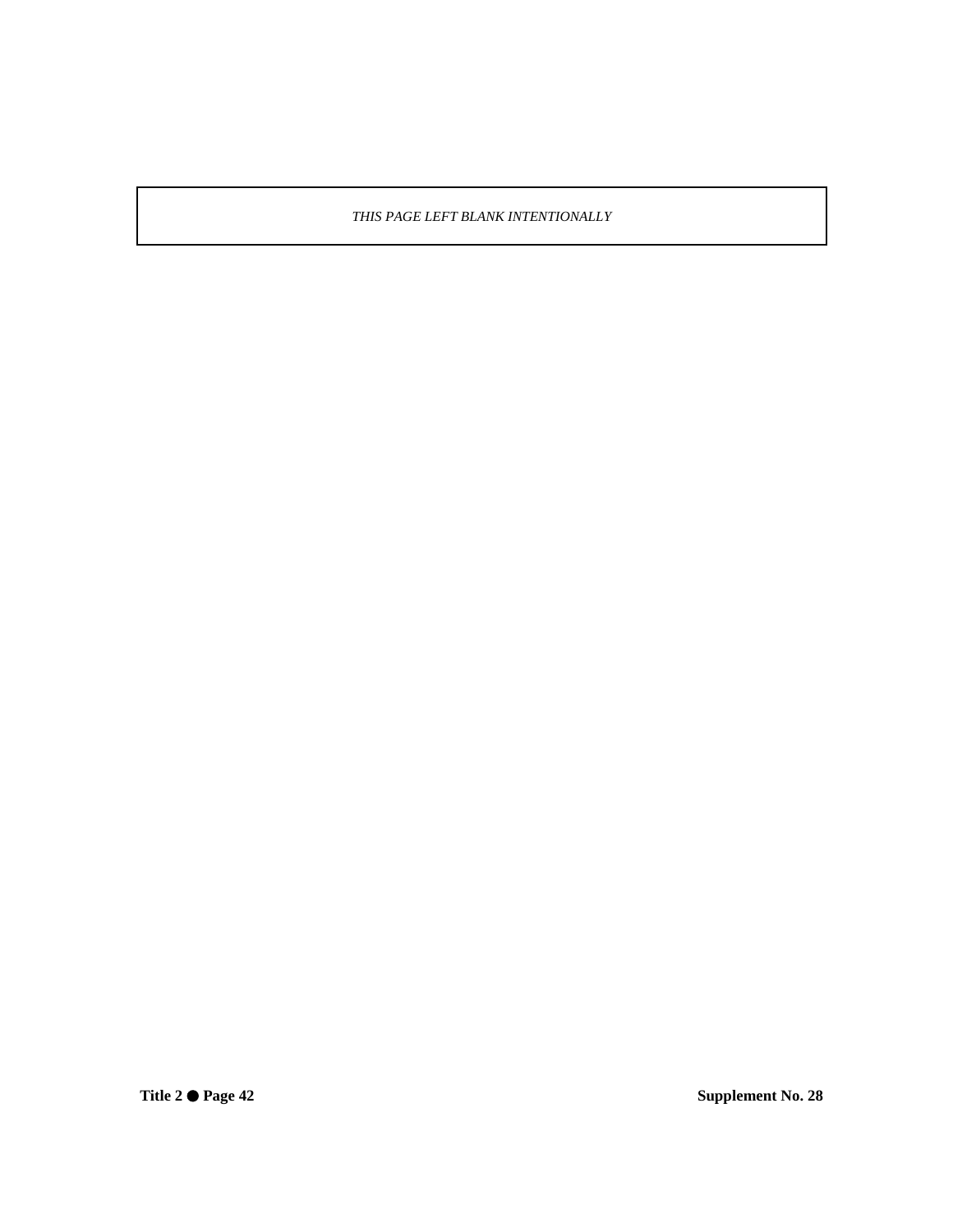#### *THIS PAGE LEFT BLANK INTENTIONALLY*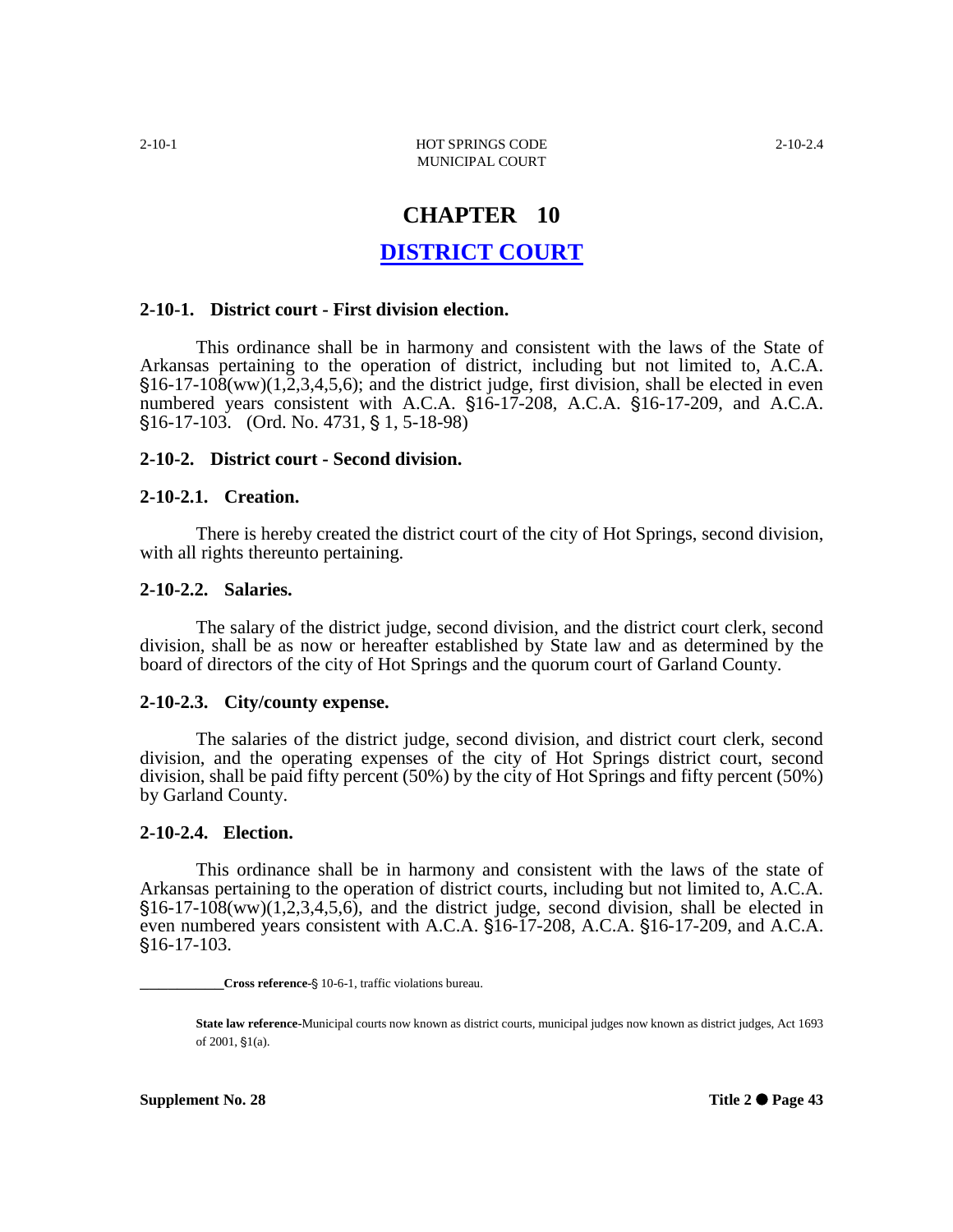# **CHAPTER 10**

# **[DISTRICT COURT](#page-72-0)**

## <span id="page-72-0"></span>**2-10-1. District court - First division election.**

This ordinance shall be in harmony and consistent with the laws of the State of Arkansas pertaining to the operation of district, including but not limited to, A.C.A.  $$16-17-108(ww)(1,2,3,4,5,6);$  and the district judge, first division, shall be elected in even numbered years consistent with A.C.A. §16-17-208, A.C.A. §16-17-209, and A.C.A.  $$16-17-103.$  (Ord. No. 4731, § 1, 5-18-98)

## **2-10-2. District court - Second division.**

## **2-10-2.1. Creation.**

There is hereby created the district court of the city of Hot Springs, second division, with all rights thereunto pertaining.

## **2-10-2.2. Salaries.**

The salary of the district judge, second division, and the district court clerk, second division, shall be as now or hereafter established by State law and as determined by the board of directors of the city of Hot Springs and the quorum court of Garland County.

## **2-10-2.3. City/county expense.**

The salaries of the district judge, second division, and district court clerk, second division, and the operating expenses of the city of Hot Springs district court, second division, shall be paid fifty percent (50%) by the city of Hot Springs and fifty percent (50%) by Garland County.

## **2-10-2.4. Election.**

This ordinance shall be in harmony and consistent with the laws of the state of Arkansas pertaining to the operation of district courts, including but not limited to, A.C.A.  $$16-17-108(ww)(1,2,3,4,5,6)$ , and the district judge, second division, shall be elected in even numbered years consistent with A.C.A.  $$16-17-208$ , A.C.A.  $$16-17-209$ , and A.C.A.  $$16-17-103$ .

**Supplement No. 28 Title 2 Page 43**

\_Cross reference-§ 10-6-1, traffic violations bureau.

**State law reference-**Municipal courts now known as district courts, municipal judges now known as district judges, Act 1693 of 2001,  $$1(a)$ .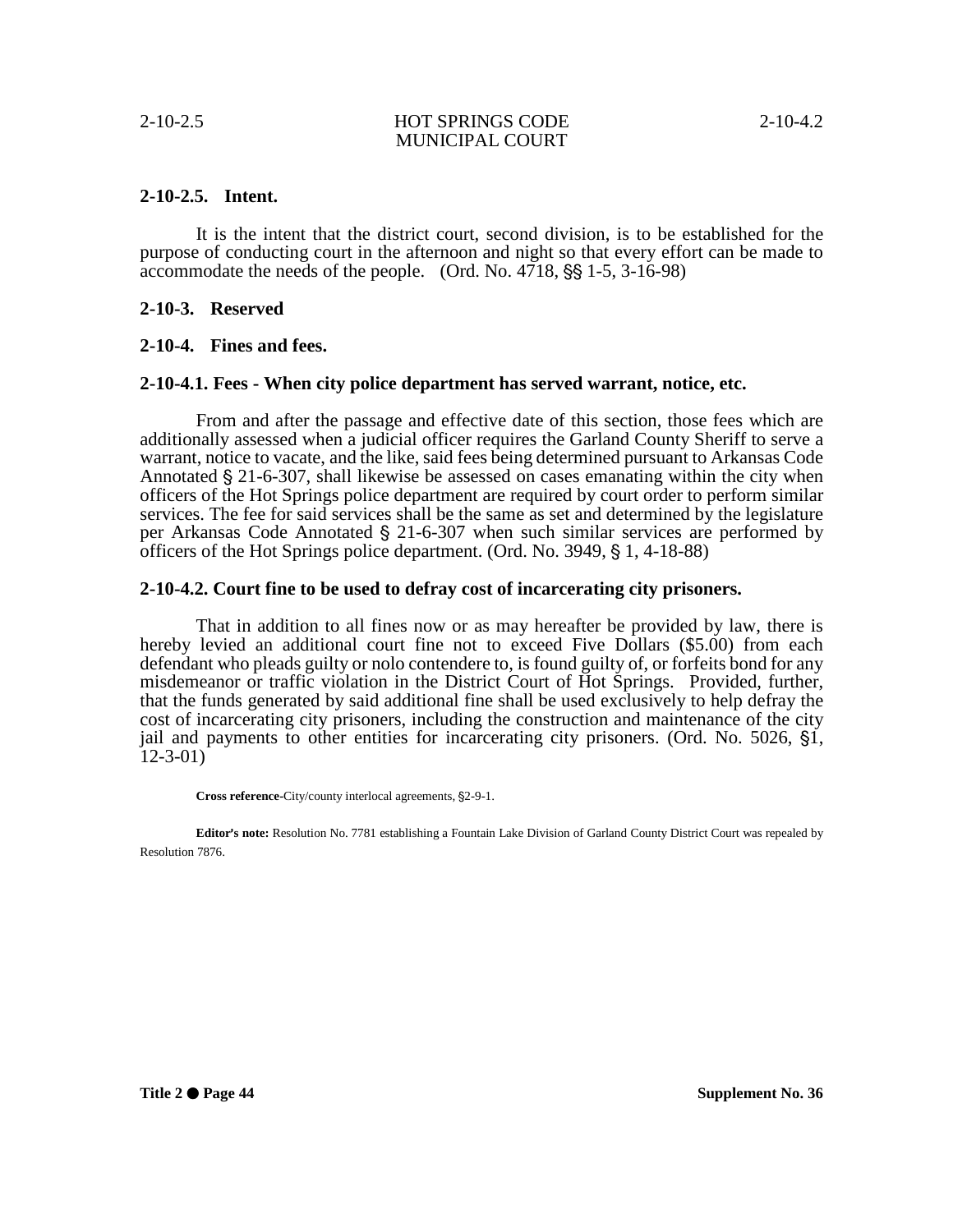#### 2-10-2.5 **HOT SPRINGS CODE** 2-10-4.2 MUNICIPAL COURT

## **2-10-2.5. Intent.**

It is the intent that the district court, second division, is to be established for the purpose of conducting court in the afternoon and night so that every effort can be made to accommodate the needs of the people. (Ord. No.  $4718$ ,  $\S$  $\S$  1-5, 3-16-98)

## **2-10-3. Reserved**

## **2-10-4. Fines and fees.**

## **2-10-4.1. Fees - When city police department has served warrant, notice, etc.**

From and after the passage and effective date of this section, those fees which are additionally assessed when a judicial officer requires the Garland County Sheriff to serve a warrant, notice to vacate, and the like, said fees being determined pursuant to Arkansas Code Annotated  $\S 21-6-307$ , shall likewise be assessed on cases emanating within the city when officers of the Hot Springs police department are required by court order to perform similar services. The fee for said services shall be the same as set and determined by the legislature per Arkansas Code Annotated  $\S$  21-6-307 when such similar services are performed by officers of the Hot Springs police department. (Ord. No.  $3949, \S 1, 4-18-88$ )

## **2-10-4.2. Court fine to be used to defray cost of incarcerating city prisoners.**

That in addition to all fines now or as may hereafter be provided by law, there is hereby levied an additional court fine not to exceed Five Dollars (\$5.00) from each defendant who pleads guilty or nolo contendere to, is found guilty of, or forfeits bond for any misdemeanor or traffic violation in the District Court of Hot Springs. Provided, further, that the funds generated by said additional fine shall be used exclusively to help defray the cost of incarcerating city prisoners, including the construction and maintenance of the city jail and payments to other entities for incarcerating city prisoners. (Ord. No.  $5026$ ,  $\frac{1}{91}$ ,  $[12 - 3 - 01]$ 

Cross reference-City/county interlocal agreements, §2-9-1.

**Editor's note:** Resolution No. 7781 establishing a Fountain Lake Division of Garland County District Court was repealed by Resolution 7876.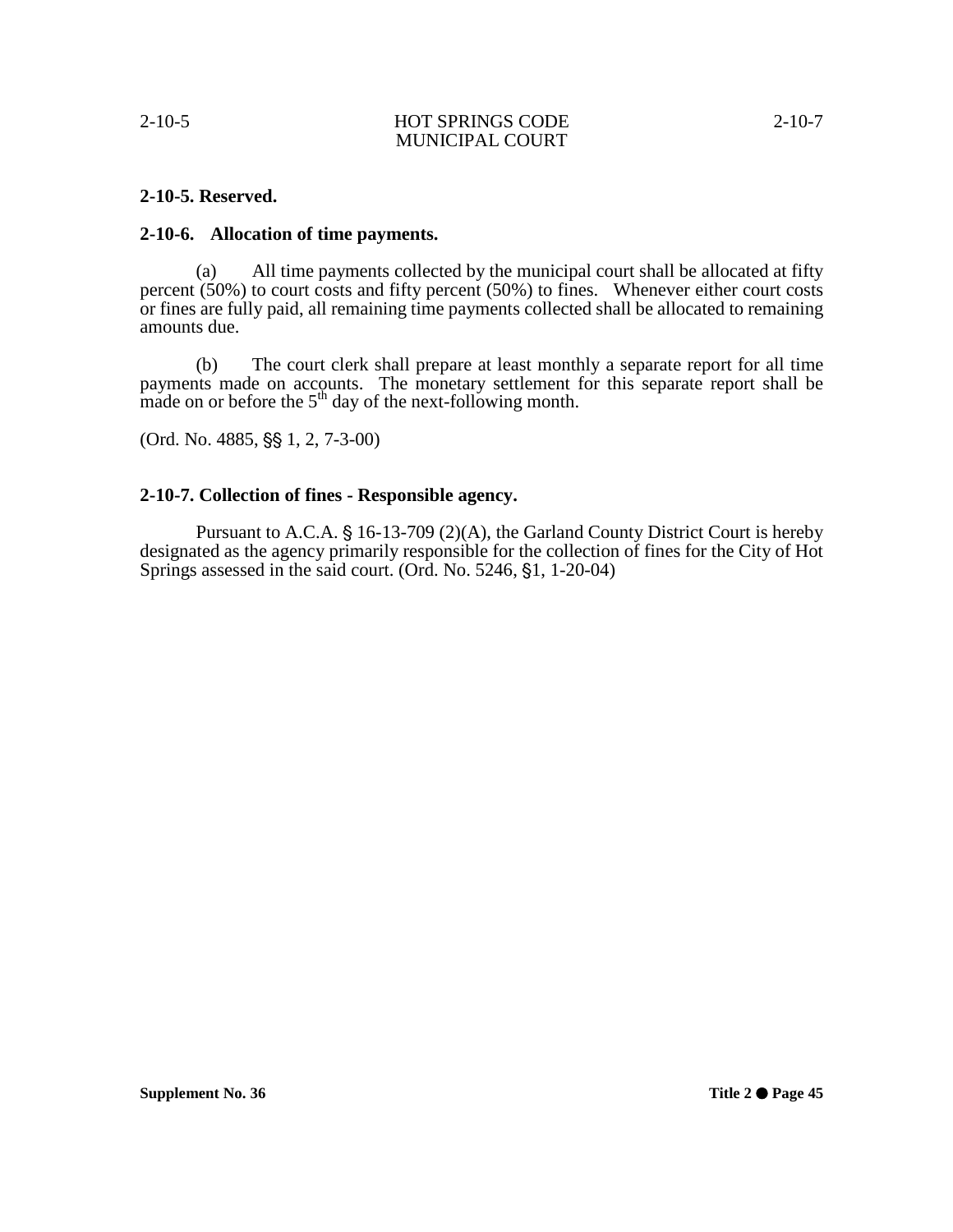## **2-10-5. Reserved.**

## **2-10-6. Allocation of time payments.**

(a) All time payments collected by the municipal court shall be allocated at fifty percent (50%) to court costs and fifty percent (50%) to fines. Whenever either court costs or fines are fully paid, all remaining time payments collected shall be allocated to remaining amounts due.

(b) The court clerk shall prepare at least monthly a separate report for all time payments made on accounts. The monetary settlement for this separate report shall be made on or before the  $5<sup>th</sup>$  day of the next-following month.

 $(Ord. No. 4885, \S§ 1, 2, 7-3-00)$ 

## **2-10-7. Collection of fines - Responsible agency.**

Pursuant to A.C.A.  $\S$  16-13-709 (2)(A), the Garland County District Court is hereby designated as the agency primarily responsible for the collection of fines for the City of Hot Springs assessed in the said court. (Ord. No.  $5246$ ,  $\S1$ ,  $1-20-04$ )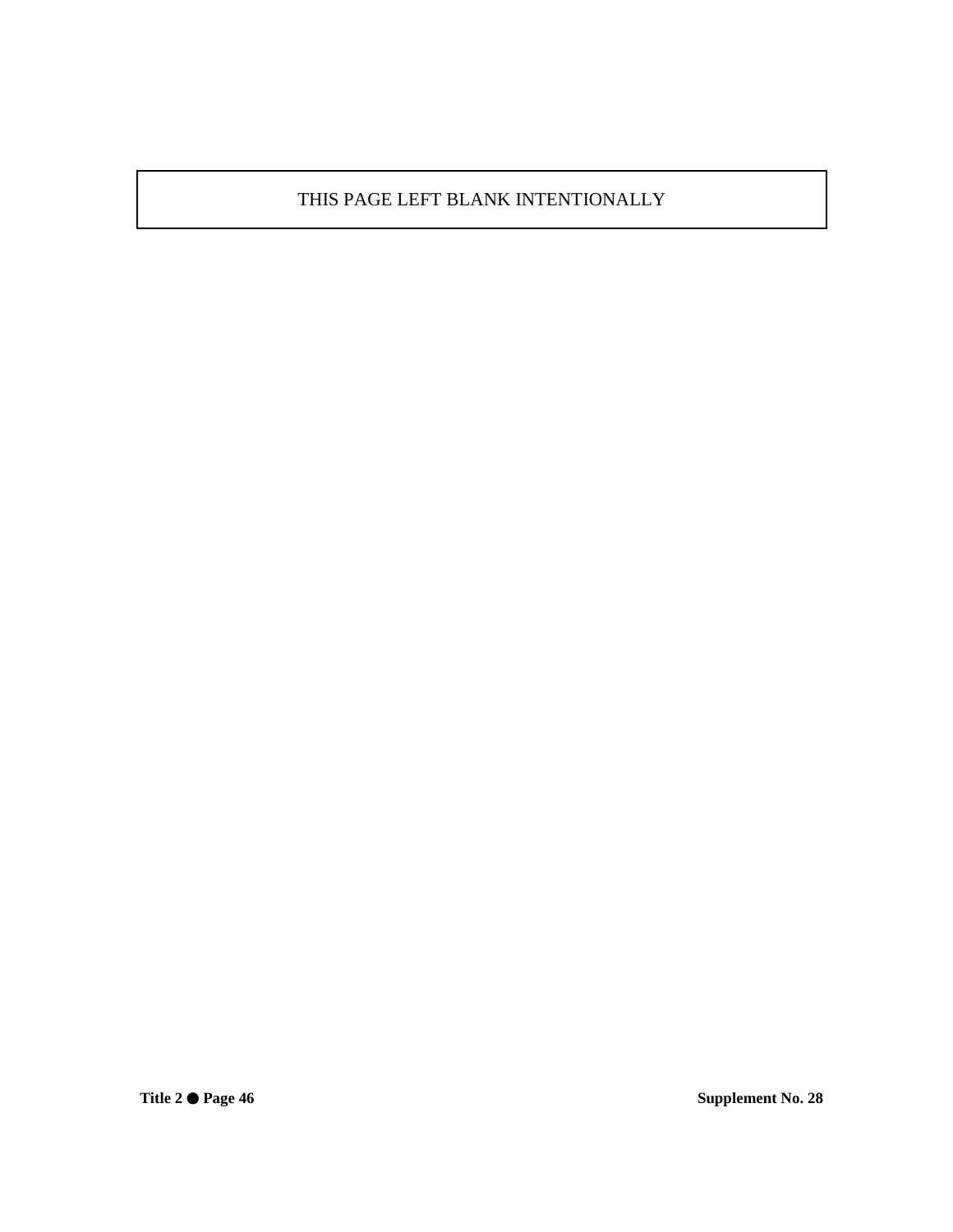# THIS PAGE LEFT BLANK INTENTIONALLY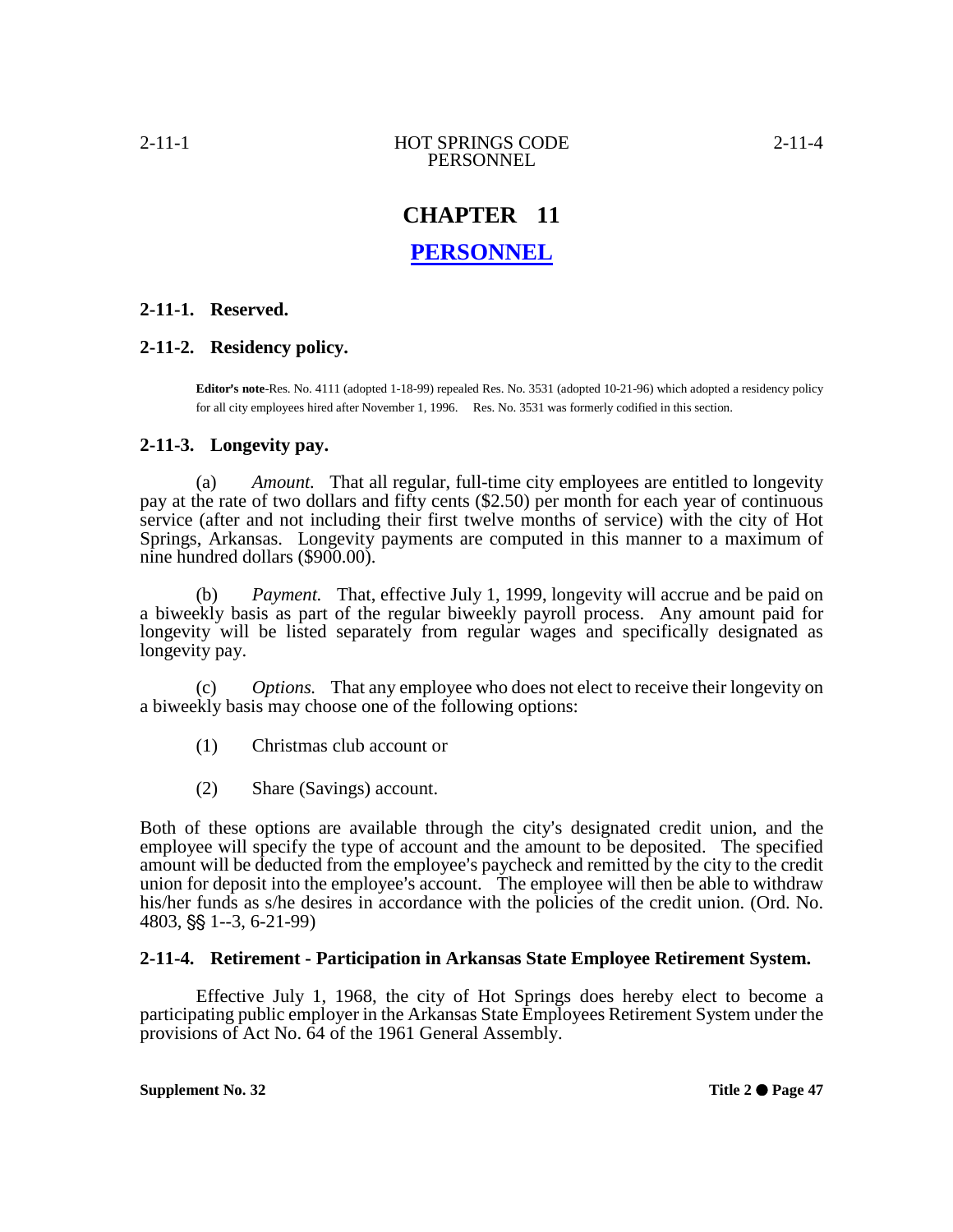# **CHAPTER 11**

# **[PERSONNEL](#page-76-0)**

## <span id="page-76-0"></span>**2-11-1. Reserved.**

## **2-11-2. Residency policy.**

**Editor's note-Res.** No. 4111 (adopted 1-18-99) repealed Res. No. 3531 (adopted 10-21-96) which adopted a residency policy for all city employees hired after November 1, 1996. Res. No. 3531 was formerly codified in this section.

## **2-11-3. Longevity pay.**

(a) *Amount.* That all regular, full-time city employees are entitled to longevity pay at the rate of two dollars and fifty cents (\$2.50) per month for each year of continuous service (after and not including their first twelve months of service) with the city of Hot Springs, Arkansas. Longevity payments are computed in this manner to a maximum of nine hundred dollars (\$900.00).

(b) *Payment.* That, effective July 1, 1999, longevity will accrue and be paid on a biweekly basis as part of the regular biweekly payroll process. Any amount paid for longevity will be listed separately from regular wages and specifically designated as longevity pay.

(c) *Options.* That any employee who does not elect to receive their longevity on a biweekly basis may choose one of the following options:

- (1) Christmas club account or
- (2) Share (Savings) account.

Both of these options are available through the city's designated credit union, and the employee will specify the type of account and the amount to be deposited. The specified amount will be deducted from the employee's paycheck and remitted by the city to the credit union for deposit into the employee's account. The employee will then be able to withdraw his/her funds as s/he desires in accordance with the policies of the credit union. (Ord. No. 4803, §§ 1--3, 6-21-99)

## **2-11-4. Retirement - Participation in Arkansas State Employee Retirement System.**

Effective July 1, 1968, the city of Hot Springs does hereby elect to become a participating public employer in the Arkansas State Employees Retirement System under the provisions of Act No. 64 of the 1961 General Assembly.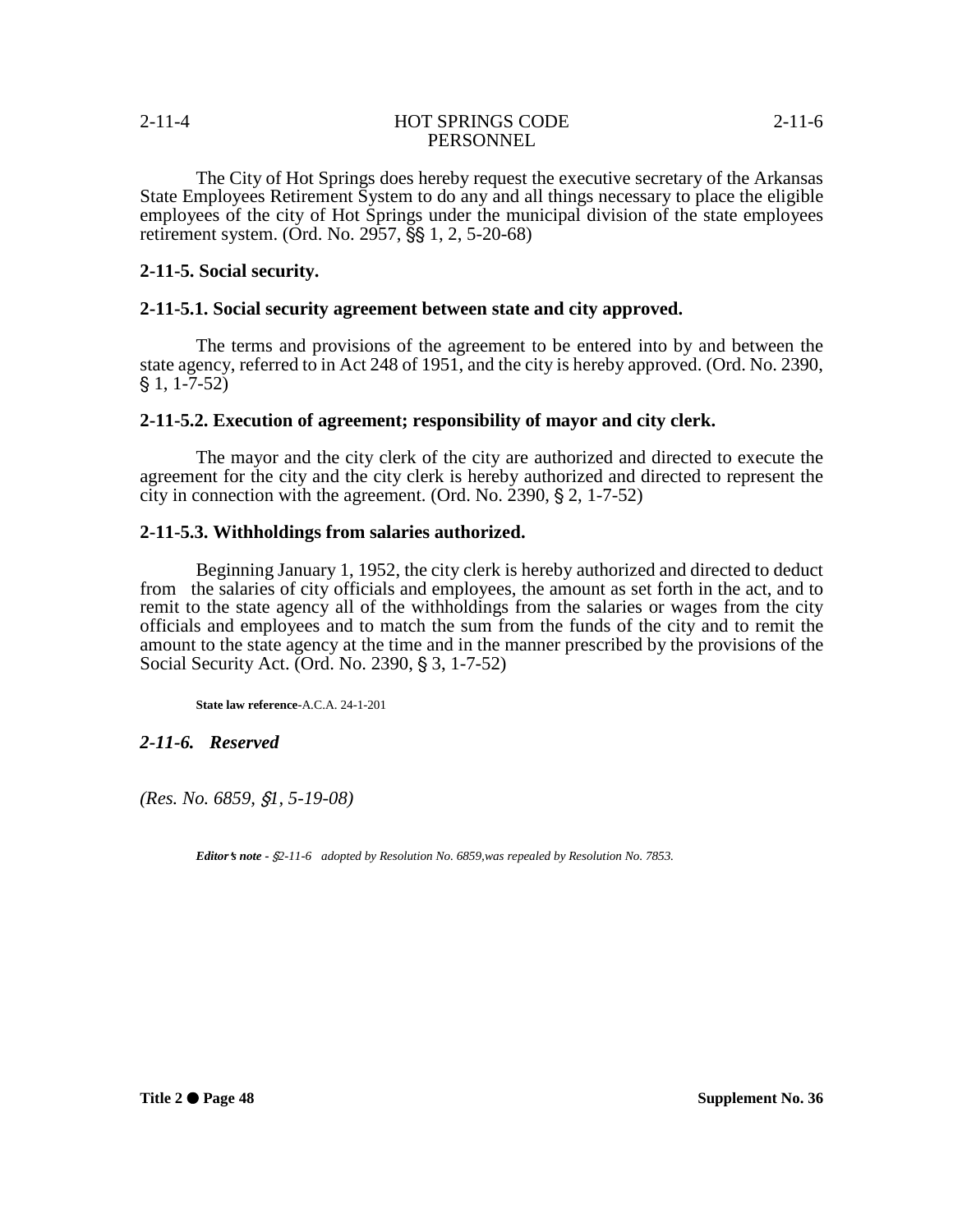## 2-11-4 HOT SPRINGS CODE 2-11-6 PERSONNEL

The City of Hot Springs does hereby request the executive secretary of the Arkansas State Employees Retirement System to do any and all things necessary to place the eligible employees of the city of Hot Springs under the municipal division of the state employees retirement system. (Ord. No. 2957, §§ 1, 2, 5-20-68)

## **2-11-5. Social security.**

## **2-11-5.1. Social security agreement between state and city approved.**

The terms and provisions of the agreement to be entered into by and between the state agency, referred to in Act 248 of 1951, and the city is hereby approved. (Ord. No. 2390,  $$1, 1-7-52)$ 

## **2-11-5.2. Execution of agreement; responsibility of mayor and city clerk.**

The mayor and the city clerk of the city are authorized and directed to execute the agreement for the city and the city clerk is hereby authorized and directed to represent the city in connection with the agreement. (Ord. No.  $2390, \S 2, 1-7-52$ )

## **2-11-5.3. Withholdings from salaries authorized.**

Beginning January 1, 1952, the city clerk is hereby authorized and directed to deduct from the salaries of city officials and employees, the amount as set forth in the act, and to remit to the state agency all of the withholdings from the salaries or wages from the city officials and employees and to match the sum from the funds of the city and to remit the amount to the state agency at the time and in the manner prescribed by the provisions of the Social Security Act. (Ord. No.  $2390, \S 3, 1-7-52$ )

**State law reference**-A.C.A. 24-1-201

## *2-11-6. Reserved*

*(Res. No. 6859,* '*1, 5-19-08)*

*Editor*=*s note -* '*2-11-6 adopted by Resolution No. 6859,was repealed by Resolution No. 7853.*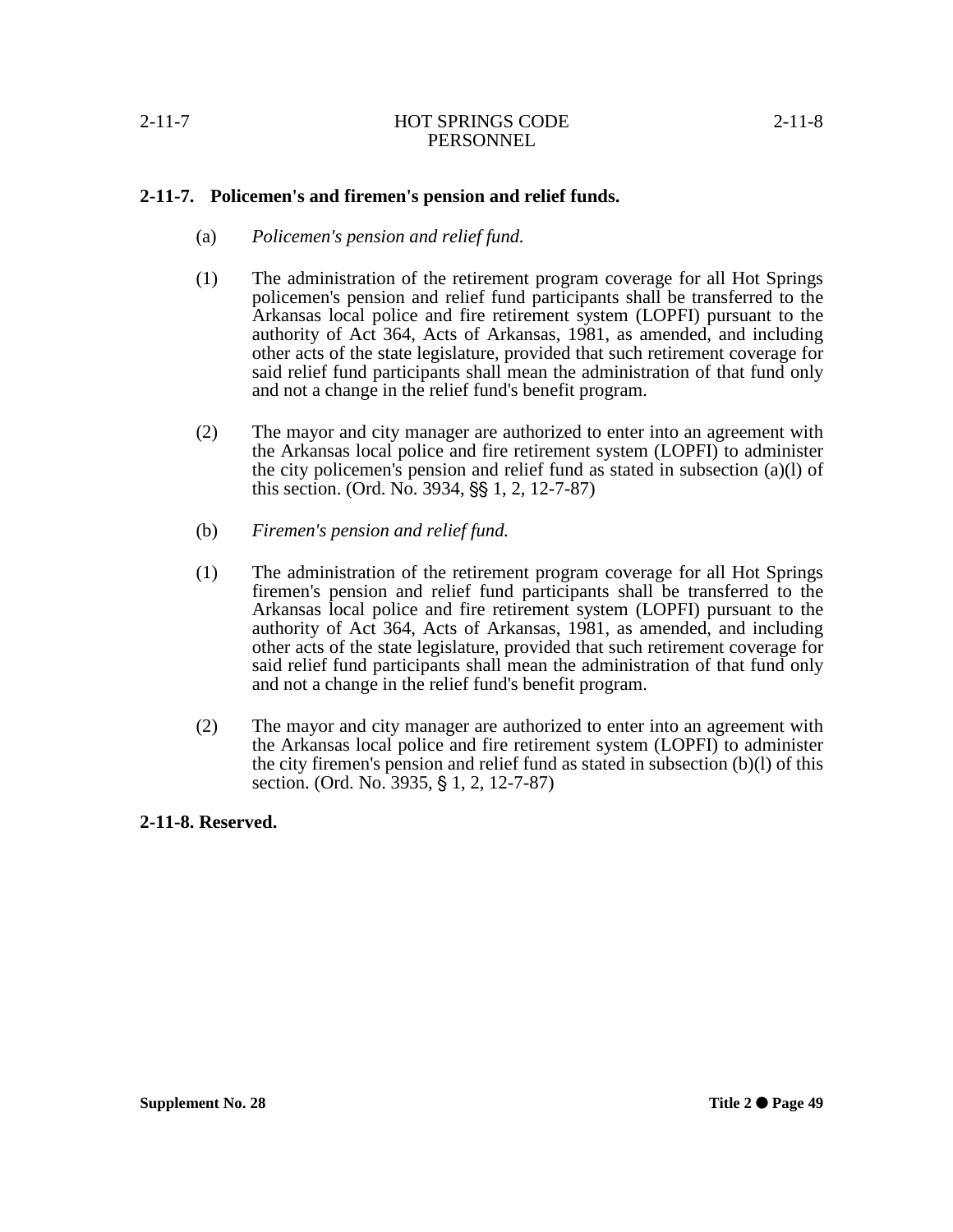## **2-11-7. Policemen's and firemen's pension and relief funds.**

- (a) *Policemen's pension and relief fund.*
- (1) The administration of the retirement program coverage for all Hot Springs policemen's pension and relief fund participants shall be transferred to the Arkansas local police and fire retirement system (LOPFI) pursuant to the authority of Act 364, Acts of Arkansas, 1981, as amended, and including other acts of the state legislature, provided that such retirement coverage for said relief fund participants shall mean the administration of that fund only and not a change in the relief fund's benefit program.
- (2) The mayor and city manager are authorized to enter into an agreement with the Arkansas local police and fire retirement system (LOPFI) to administer the city policemen's pension and relief fund as stated in subsection (a)(l) of this section. (Ord. No. 3934,  $\S$  $\S$  1, 2, 12-7-87)
- (b) *Firemen's pension and relief fund.*
- (1) The administration of the retirement program coverage for all Hot Springs firemen's pension and relief fund participants shall be transferred to the Arkansas local police and fire retirement system (LOPFI) pursuant to the authority of Act 364, Acts of Arkansas, 1981, as amended, and including other acts of the state legislature, provided that such retirement coverage for said relief fund participants shall mean the administration of that fund only and not a change in the relief fund's benefit program.
- (2) The mayor and city manager are authorized to enter into an agreement with the Arkansas local police and fire retirement system (LOPFI) to administer the city firemen's pension and relief fund as stated in subsection (b)(l) of this section. (Ord. No. 3935, § 1, 2, 12-7-87)

## **2-11-8. Reserved.**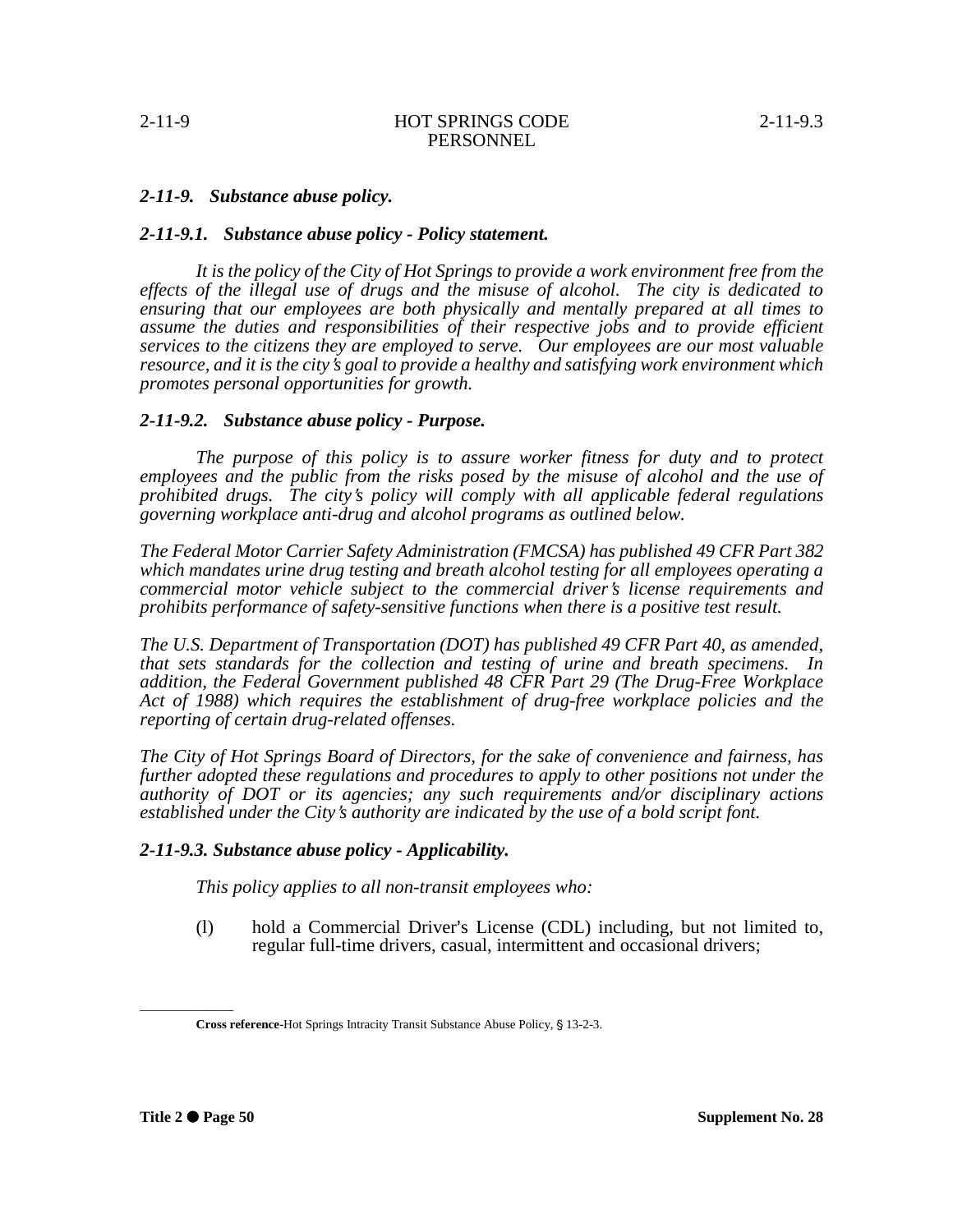## *2-11-9. Substance abuse policy.*

## *2-11-9.1. Substance abuse policy - Policy statement.*

*It is the policy of the City of Hot Springs to provide a work environment free from the effects of the illegal use of drugs and the misuse of alcohol. The city is dedicated to ensuring that our employees are both physically and mentally prepared at all times to assume the duties and responsibilities of their respective jobs and to provide efficient services to the citizens they are employed to serve. Our employees are our most valuable resource, and it is the city*=*s goal to provide a healthy and satisfying work environment which promotes personal opportunities for growth.*

## *2-11-9.2. Substance abuse policy - Purpose.*

*The purpose of this policy is to assure worker fitness for duty and to protect*  employees and the public from the risks posed by the misuse of alcohol and the use of *prohibited drugs. The city*=*s policy will comply with all applicable federal regulations governing workplace anti-drug and alcohol programs as outlined below.*

*The Federal Motor Carrier Safety Administration (FMCSA) has published 49 CFR Part 382 which mandates urine drug testing and breath alcohol testing for all employees operating a commercial motor vehicle subject to the commercial driver's license requirements and prohibits performance of safety-sensitive functions when there is a positive test result.*

*The U.S. Department of Transportation (DOT) has published 49 CFR Part 40, as amended, that sets standards for the collection and testing of urine and breath specimens. In addition, the Federal Government published 48 CFR Part 29 (The Drug-Free Workplace Act of 1988) which requires the establishment of drug-free workplace policies and the reporting of certain drug-related offenses.*

*The City of Hot Springs Board of Directors, for the sake of convenience and fairness, has further adopted these regulations and procedures to apply to other positions not under the authority of DOT or its agencies; any such requirements and/or disciplinary actions established under the City*=*s authority are indicated by the use of a bold script font.*

## *2-11-9.3. Substance abuse policy - Applicability.*

*This policy applies to all non-transit employees who:*

(1) hold a Commercial Driver's License (CDL) including, but not limited to, regular full-time drivers, casual, intermittent and occasional drivers;

\_\_\_\_\_\_\_\_\_\_\_\_\_\_\_

Cross reference-Hot Springs Intracity Transit Substance Abuse Policy, § 13-2-3.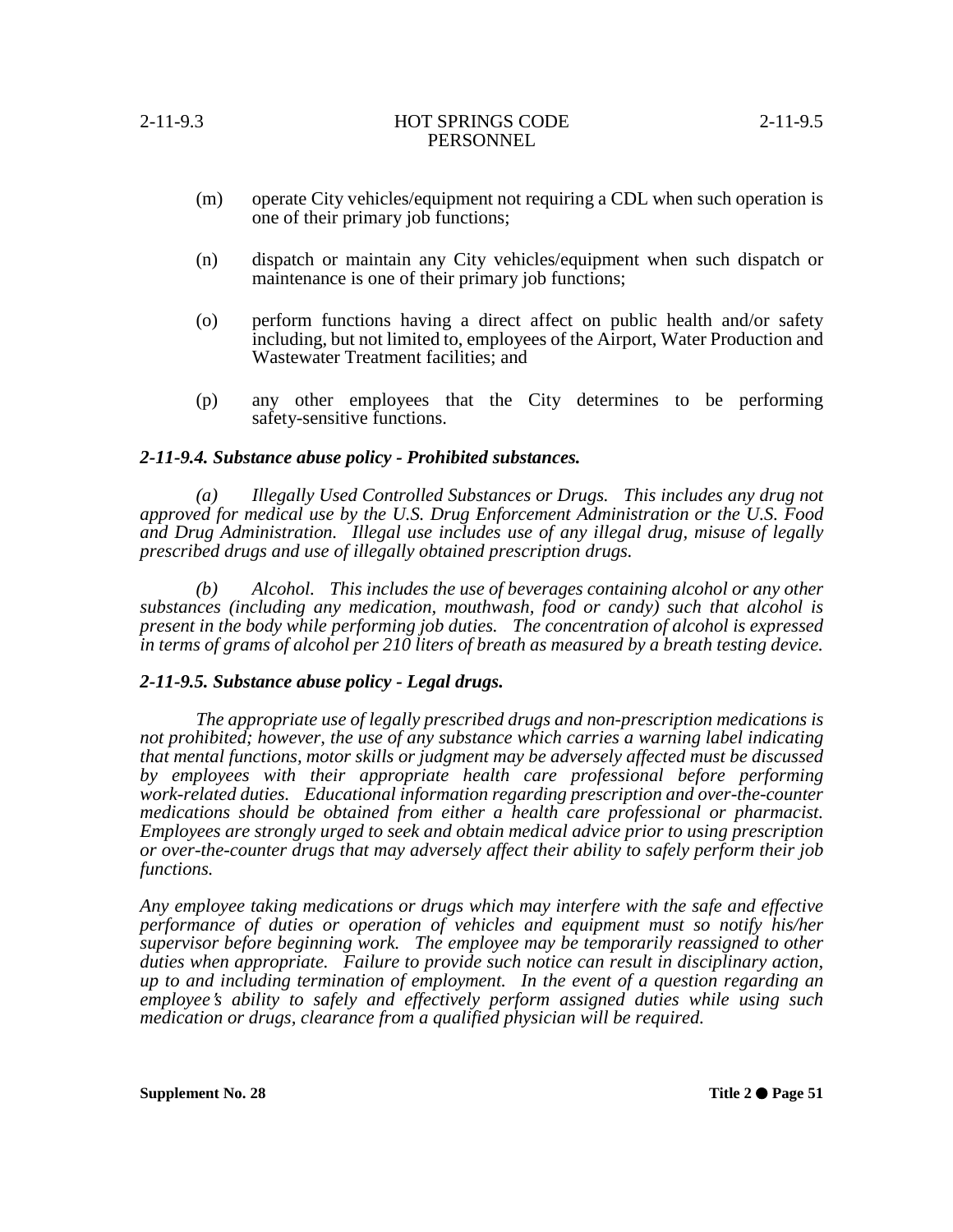- (m) operate City vehicles/equipment not requiring a CDL when such operation is one of their primary job functions;
- (n) dispatch or maintain any City vehicles/equipment when such dispatch or maintenance is one of their primary job functions;
- (o) perform functions having a direct affect on public health and/or safety including, but not limited to, employees of the Airport, Water Production and Wastewater Treatment facilities; and
- (p) any other employees that the City determines to be performing safety-sensitive functions.

## *2-11-9.4. Substance abuse policy - Prohibited substances.*

*(a) Illegally Used Controlled Substances or Drugs. This includes any drug not approved for medical use by the U.S. Drug Enforcement Administration or the U.S. Food and Drug Administration. Illegal use includes use of any illegal drug, misuse of legally prescribed drugs and use of illegally obtained prescription drugs.*

*(b) Alcohol. This includes the use of beverages containing alcohol or any other substances (including any medication, mouthwash, food or candy) such that alcohol is present in the body while performing job duties. The concentration of alcohol is expressed in terms of grams of alcohol per 210 liters of breath as measured by a breath testing device.*

## *2-11-9.5. Substance abuse policy - Legal drugs.*

*The appropriate use of legally prescribed drugs and non-prescription medications is not prohibited; however, the use of any substance which carries a warning label indicating that mental functions, motor skills or judgment may be adversely affected must be discussed by employees with their appropriate health care professional before performing work-related duties. Educational information regarding prescription and over-the-counter medications should be obtained from either a health care professional or pharmacist. Employees are strongly urged to seek and obtain medical advice prior to using prescription or over-the-counter drugs that may adversely affect their ability to safely perform their job functions.* 

*Any employee taking medications or drugs which may interfere with the safe and effective performance of duties or operation of vehicles and equipment must so notify his/her supervisor before beginning work. The employee may be temporarily reassigned to other duties when appropriate. Failure to provide such notice can result in disciplinary action, up to and including termination of employment. In the event of a question regarding an employee*=*s ability to safely and effectively perform assigned duties while using such medication or drugs, clearance from a qualified physician will be required.*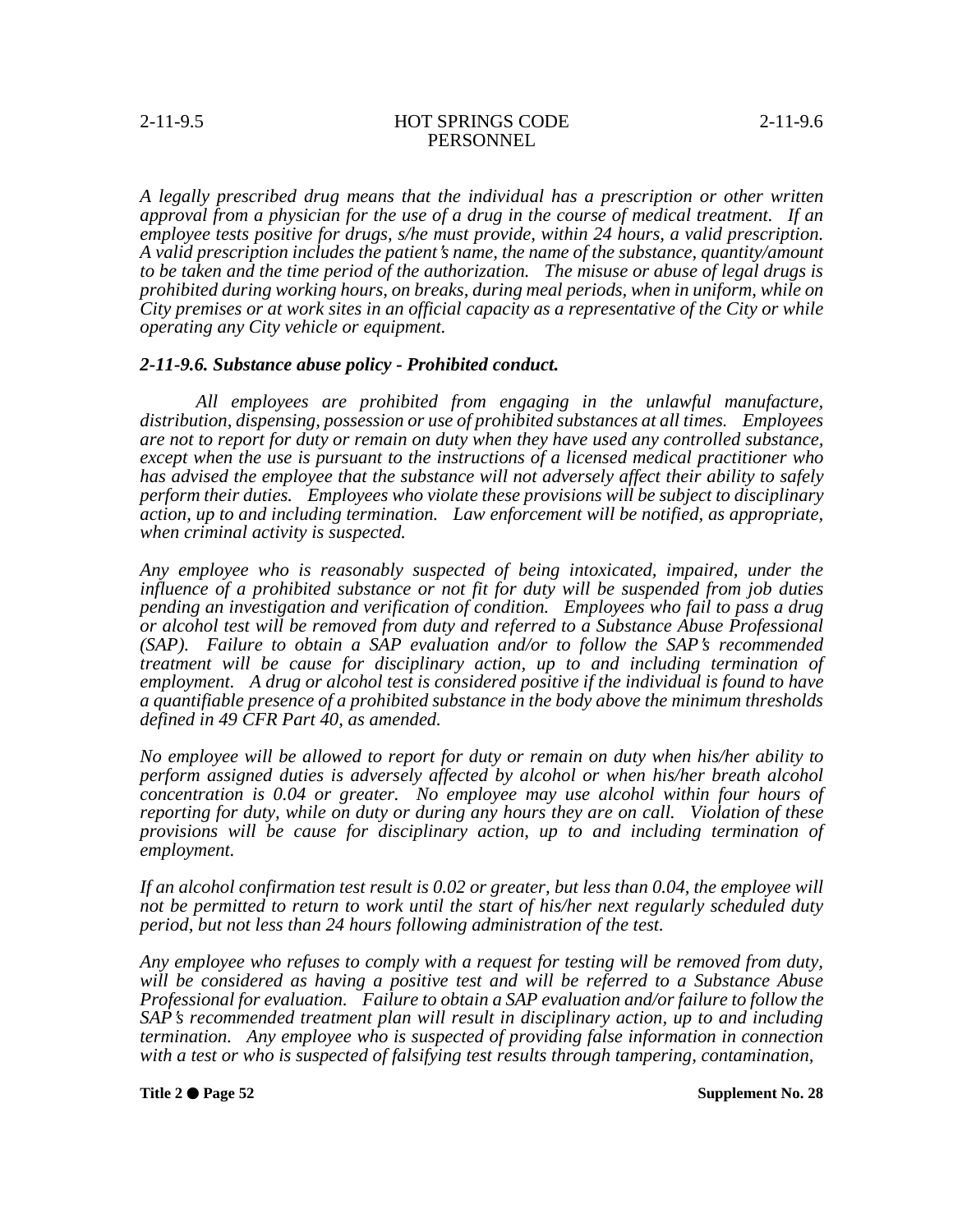## 2-11-9.5 **HOT SPRINGS CODE** 2-11-9.6 PERSONNEL

*A legally prescribed drug means that the individual has a prescription or other written approval from a physician for the use of a drug in the course of medical treatment. If an employee tests positive for drugs, s/he must provide, within 24 hours, a valid prescription. A valid prescription includes the patient*=*s name, the name of the substance, quantity/amount to be taken and the time period of the authorization. The misuse or abuse of legal drugs is prohibited during working hours, on breaks, during meal periods, when in uniform, while on City premises or at work sites in an official capacity as a representative of the City or while operating any City vehicle or equipment.*

#### *2-11-9.6. Substance abuse policy - Prohibited conduct.*

*All employees are prohibited from engaging in the unlawful manufacture, distribution, dispensing, possession or use of prohibited substances at all times. Employees are not to report for duty or remain on duty when they have used any controlled substance, except when the use is pursuant to the instructions of a licensed medical practitioner who has advised the employee that the substance will not adversely affect their ability to safely perform their duties. Employees who violate these provisions will be subject to disciplinary action, up to and including termination. Law enforcement will be notified, as appropriate, when criminal activity is suspected.*

*Any employee who is reasonably suspected of being intoxicated, impaired, under the influence of a prohibited substance or not fit for duty will be suspended from job duties pending an investigation and verification of condition. Employees who fail to pass a drug or alcohol test will be removed from duty and referred to a Substance Abuse Professional (SAP). Failure to obtain a SAP evaluation and/or to follow the SAP*=*s recommended treatment will be cause for disciplinary action, up to and including termination of employment. A drug or alcohol test is considered positive if the individual is found to have a quantifiable presence of a prohibited substance in the body above the minimum thresholds defined in 49 CFR Part 40, as amended.*

*No employee will be allowed to report for duty or remain on duty when his/her ability to perform assigned duties is adversely affected by alcohol or when his/her breath alcohol concentration is 0.04 or greater. No employee may use alcohol within four hours of reporting for duty, while on duty or during any hours they are on call. Violation of these provisions will be cause for disciplinary action, up to and including termination of employment.*

*If an alcohol confirmation test result is 0.02 or greater, but less than 0.04, the employee will not be permitted to return to work until the start of his/her next regularly scheduled duty period, but not less than 24 hours following administration of the test.*

*Any employee who refuses to comply with a request for testing will be removed from duty, will be considered as having a positive test and will be referred to a Substance Abuse Professional for evaluation. Failure to obtain a SAP evaluation and/or failure to follow the SAP*=*s recommended treatment plan will result in disciplinary action, up to and including termination. Any employee who is suspected of providing false information in connection with a test or who is suspected of falsifying test results through tampering, contamination,* 

**Title 2 Page 52 Supplement No. 28**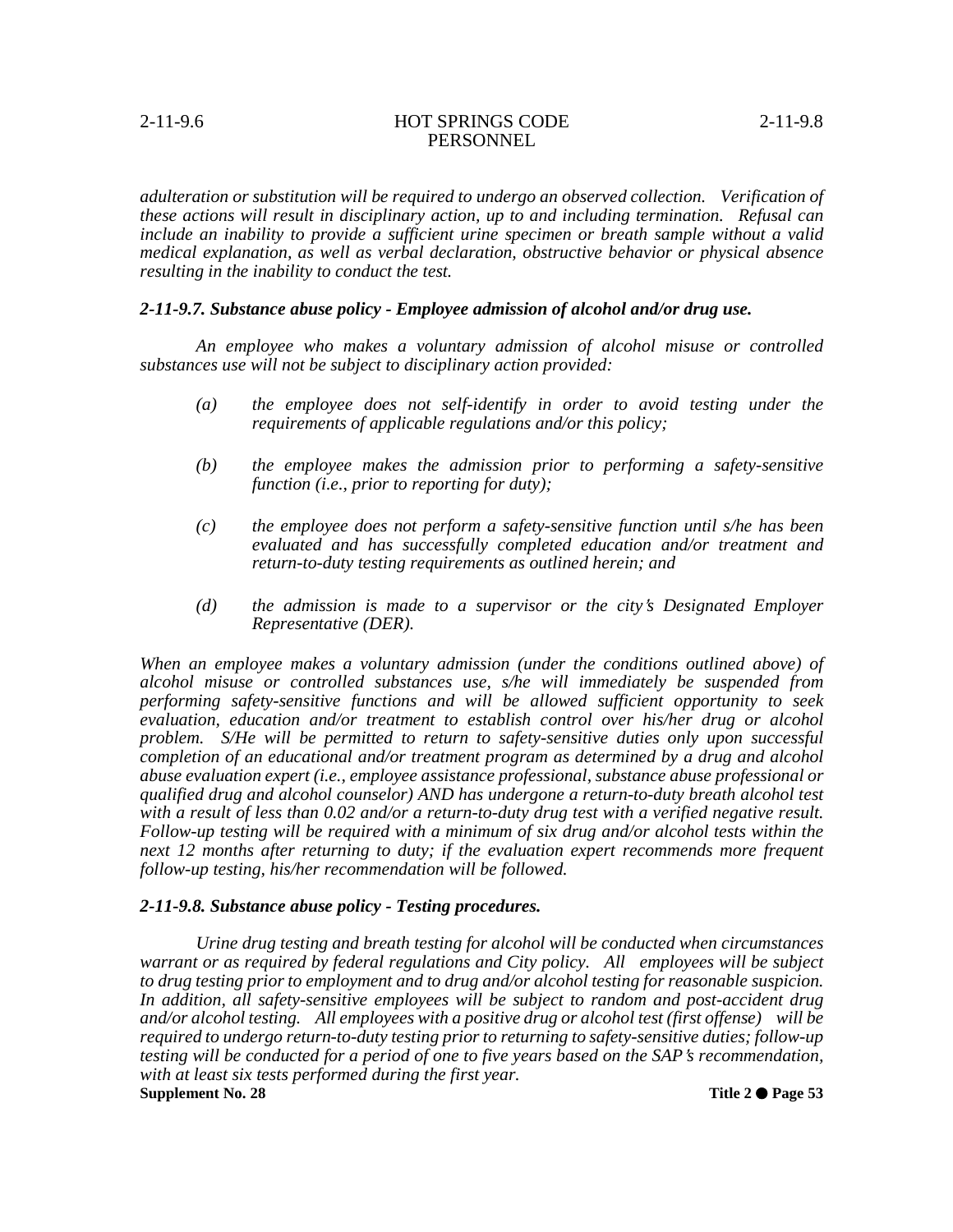## 2-11-9.6 **HOT SPRINGS CODE** 2-11-9.8 PERSONNEL

*adulteration or substitution will be required to undergo an observed collection. Verification of these actions will result in disciplinary action, up to and including termination. Refusal can include an inability to provide a sufficient urine specimen or breath sample without a valid medical explanation, as well as verbal declaration, obstructive behavior or physical absence resulting in the inability to conduct the test.*

## *2-11-9.7. Substance abuse policy - Employee admission of alcohol and/or drug use.*

*An employee who makes a voluntary admission of alcohol misuse or controlled substances use will not be subject to disciplinary action provided:*

- *(a) the employee does not self-identify in order to avoid testing under the requirements of applicable regulations and/or this policy;*
- *(b) the employee makes the admission prior to performing a safety-sensitive function (i.e., prior to reporting for duty);*
- *(c) the employee does not perform a safety-sensitive function until s/he has been evaluated and has successfully completed education and/or treatment and return-to-duty testing requirements as outlined herein; and*
- *(d) the admission is made to a supervisor or the city*=*s Designated Employer Representative (DER).*

*When an employee makes a voluntary admission (under the conditions outlined above) of alcohol misuse or controlled substances use, s/he will immediately be suspended from performing safety-sensitive functions and will be allowed sufficient opportunity to seek evaluation, education and/or treatment to establish control over his/her drug or alcohol problem. S/He will be permitted to return to safety-sensitive duties only upon successful completion of an educational and/or treatment program as determined by a drug and alcohol abuse evaluation expert (i.e., employee assistance professional, substance abuse professional or qualified drug and alcohol counselor) AND has undergone a return-to-duty breath alcohol test with a result of less than 0.02 and/or a return-to-duty drug test with a verified negative result. Follow-up testing will be required with a minimum of six drug and/or alcohol tests within the next 12 months after returning to duty; if the evaluation expert recommends more frequent follow-up testing, his/her recommendation will be followed.*

## *2-11-9.8. Substance abuse policy - Testing procedures.*

*Urine drug testing and breath testing for alcohol will be conducted when circumstances warrant or as required by federal regulations and City policy. All employees will be subject to drug testing prior to employment and to drug and/or alcohol testing for reasonable suspicion. In addition, all safety-sensitive employees will be subject to random and post-accident drug and/or alcohol testing. All employees with a positive drug or alcohol test (first offense) will be required to undergo return-to-duty testing prior to returning to safety-sensitive duties; follow-up testing will be conducted for a period of one to five years based on the SAP's recommendation, with at least six tests performed during the first year.* **Supplement No. 28 Title 2**  $\bullet$  **Page 53**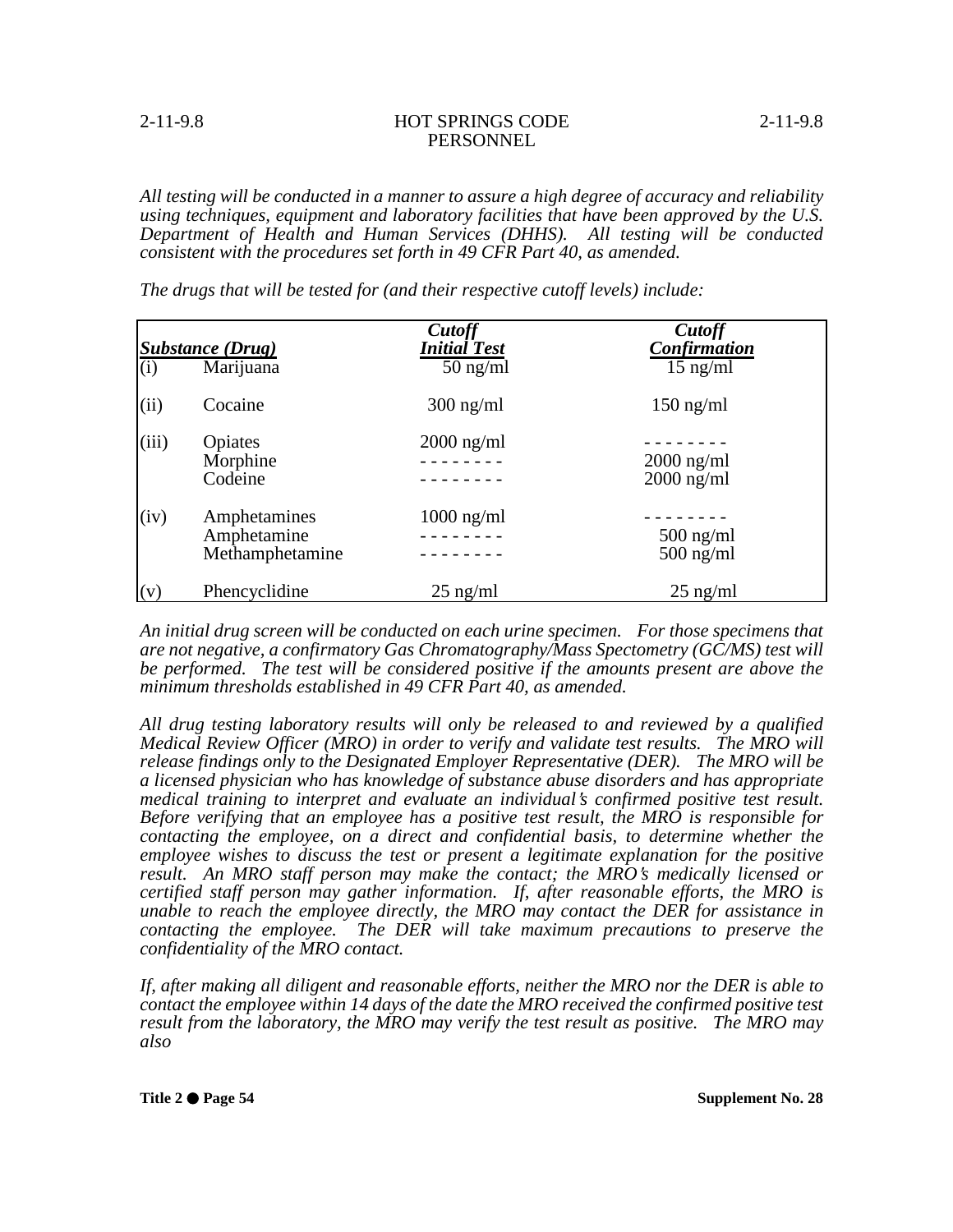## 2-11-9.8 **HOT SPRINGS CODE** 2-11-9.8 PERSONNEL

*All testing will be conducted in a manner to assure a high degree of accuracy and reliability using techniques, equipment and laboratory facilities that have been approved by the U.S. Department of Health and Human Services (DHHS). All testing will be conducted consistent with the procedures set forth in 49 CFR Part 40, as amended.*

*The drugs that will be tested for (and their respective cutoff levels) include:*

| Substance (Drug) |                                                | Cutoff<br><b>Initial Test</b> | Cutoff<br><b>Confirmation</b> |
|------------------|------------------------------------------------|-------------------------------|-------------------------------|
| (i)              | Marijuana                                      | $50$ ng/ml                    | $15$ ng/ml                    |
| (ii)             | Cocaine                                        | $300 \text{ ng/ml}$           | $150$ ng/ml                   |
| (iii)            | Opiates<br>Morphine<br>Codeine                 | $2000$ ng/ml                  | $2000$ ng/ml<br>$2000$ ng/ml  |
| (iv)             | Amphetamines<br>Amphetamine<br>Methamphetamine | $1000$ ng/ml                  | $500$ ng/ml<br>$500$ ng/ml    |
| (v)              | Phencyclidine                                  | $25$ ng/ml                    | $25$ ng/ml                    |

*An initial drug screen will be conducted on each urine specimen. For those specimens that are not negative, a confirmatory Gas Chromatography/Mass Spectometry (GC/MS) test will be performed. The test will be considered positive if the amounts present are above the minimum thresholds established in 49 CFR Part 40, as amended.* 

*All drug testing laboratory results will only be released to and reviewed by a qualified Medical Review Officer (MRO) in order to verify and validate test results. The MRO will release findings only to the Designated Employer Representative (DER). The MRO will be a licensed physician who has knowledge of substance abuse disorders and has appropriate medical training to interpret and evaluate an individual*=*s confirmed positive test result. Before verifying that an employee has a positive test result, the MRO is responsible for contacting the employee, on a direct and confidential basis, to determine whether the employee wishes to discuss the test or present a legitimate explanation for the positive result. An MRO staff person may make the contact; the MRO*=*s medically licensed or certified staff person may gather information. If, after reasonable efforts, the MRO is unable to reach the employee directly, the MRO may contact the DER for assistance in contacting the employee. The DER will take maximum precautions to preserve the confidentiality of the MRO contact.*

*If, after making all diligent and reasonable efforts, neither the MRO nor the DER is able to contact the employee within 14 days of the date the MRO received the confirmed positive test result from the laboratory, the MRO may verify the test result as positive. The MRO may also*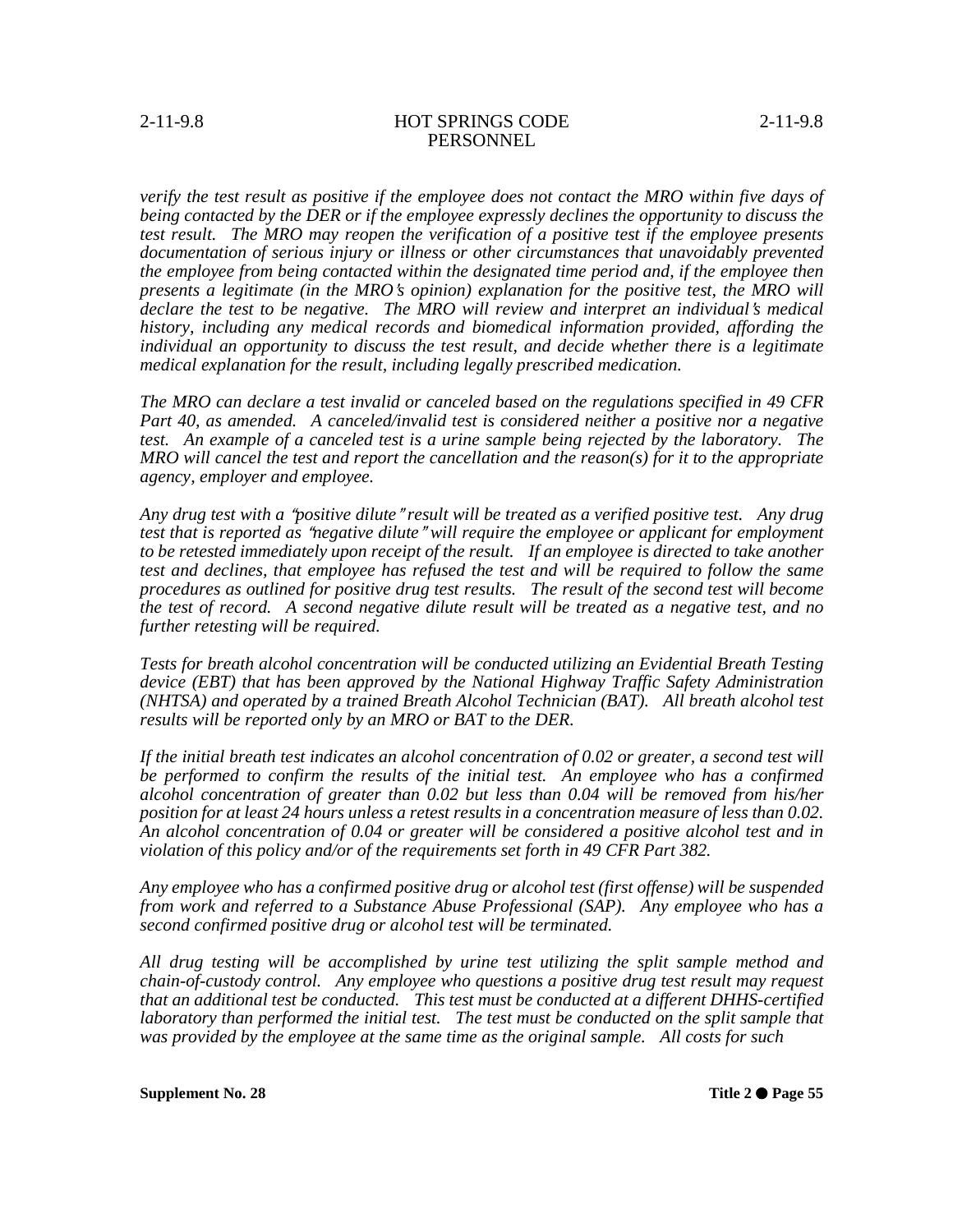#### 2-11-9.8 **HOT SPRINGS CODE** 2-11-9.8 PERSONNEL

*verify the test result as positive if the employee does not contact the MRO within five days of being contacted by the DER or if the employee expressly declines the opportunity to discuss the test result. The MRO may reopen the verification of a positive test if the employee presents documentation of serious injury or illness or other circumstances that unavoidably prevented the employee from being contacted within the designated time period and, if the employee then presents a legitimate (in the MRO*=*s opinion) explanation for the positive test, the MRO will*  declare the test to be negative. The MRO will review and interpret an individual's medical *history, including any medical records and biomedical information provided, affording the individual an opportunity to discuss the test result, and decide whether there is a legitimate medical explanation for the result, including legally prescribed medication.*

*The MRO can declare a test invalid or canceled based on the regulations specified in 49 CFR Part 40, as amended. A canceled/invalid test is considered neither a positive nor a negative test. An example of a canceled test is a urine sample being rejected by the laboratory. The MRO will cancel the test and report the cancellation and the reason(s) for it to the appropriate agency, employer and employee.*

Any drug test with a "*positive dilute*" result will be treated as a verified positive test. Any drug *test that is reported as "negative dilute" will require the employee or applicant for employment* to be retested immediately upon receipt of the result. If an employee is directed to take another *test and declines, that employee has refused the test and will be required to follow the same procedures as outlined for positive drug test results. The result of the second test will become the test of record. A second negative dilute result will be treated as a negative test, and no further retesting will be required.*

*Tests for breath alcohol concentration will be conducted utilizing an Evidential Breath Testing device (EBT) that has been approved by the National Highway Traffic Safety Administration (NHTSA) and operated by a trained Breath Alcohol Technician (BAT). All breath alcohol test results will be reported only by an MRO or BAT to the DER.*

*If the initial breath test indicates an alcohol concentration of 0.02 or greater, a second test will be performed to confirm the results of the initial test. An employee who has a confirmed alcohol concentration of greater than 0.02 but less than 0.04 will be removed from his/her position for at least 24 hours unless a retest results in a concentration measure of less than 0.02. An alcohol concentration of 0.04 or greater will be considered a positive alcohol test and in violation of this policy and/or of the requirements set forth in 49 CFR Part 382.* 

*Any employee who has a confirmed positive drug or alcohol test (first offense) will be suspended from work and referred to a Substance Abuse Professional (SAP). Any employee who has a second confirmed positive drug or alcohol test will be terminated.*

*All drug testing will be accomplished by urine test utilizing the split sample method and chain-of-custody control. Any employee who questions a positive drug test result may request that an additional test be conducted. This test must be conducted at a different DHHS-certified*  laboratory than performed the initial test. The test must be conducted on the split sample that *was provided by the employee at the same time as the original sample. All costs for such* 

**Supplement No. 28 Title 2 Page 55**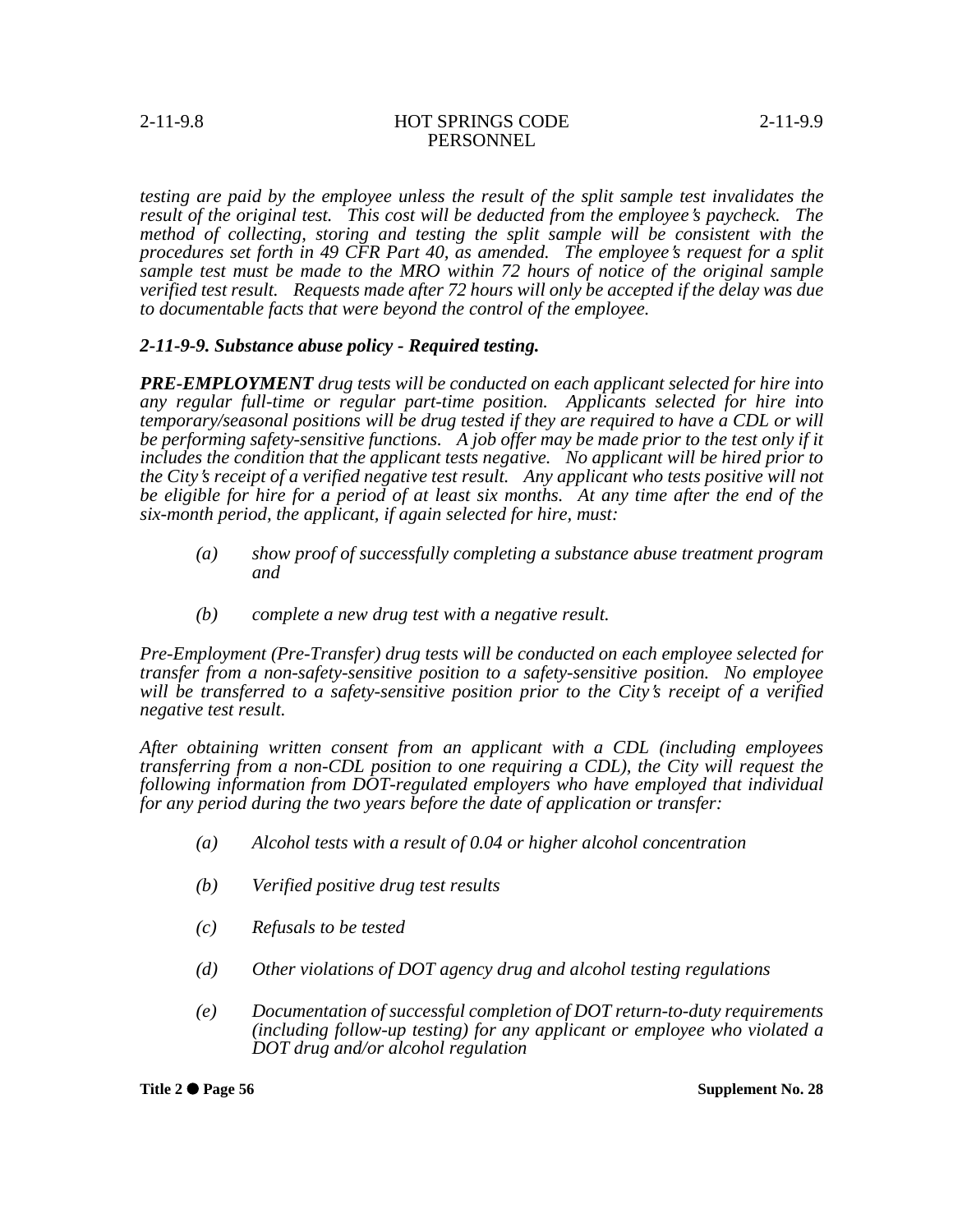## 2-11-9.8 HOT SPRINGS CODE 2-11-9.9 PERSONNEL

*testing are paid by the employee unless the result of the split sample test invalidates the result of the original test.* This cost will be deducted from the employee's paycheck. The *method of collecting, storing and testing the split sample will be consistent with the procedures set forth in 49 CFR Part 40, as amended. The employee's request for a split sample test must be made to the MRO within 72 hours of notice of the original sample verified test result. Requests made after 72 hours will only be accepted if the delay was due to documentable facts that were beyond the control of the employee.* 

## *2-11-9-9. Substance abuse policy - Required testing.*

*PRE-EMPLOYMENT drug tests will be conducted on each applicant selected for hire into any regular full-time or regular part-time position. Applicants selected for hire into temporary/seasonal positions will be drug tested if they are required to have a CDL or will be performing safety-sensitive functions. A job offer may be made prior to the test only if it includes the condition that the applicant tests negative. No applicant will be hired prior to the City*=*s receipt of a verified negative test result. Any applicant who tests positive will not be eligible for hire for a period of at least six months. At any time after the end of the six-month period, the applicant, if again selected for hire, must:*

- *(a) show proof of successfully completing a substance abuse treatment program and*
- *(b) complete a new drug test with a negative result.*

*Pre-Employment (Pre-Transfer) drug tests will be conducted on each employee selected for transfer from a non-safety-sensitive position to a safety-sensitive position. No employee will be transferred to a safety-sensitive position prior to the City*=*s receipt of a verified negative test result.*

*After obtaining written consent from an applicant with a CDL (including employees transferring from a non-CDL position to one requiring a CDL), the City will request the following information from DOT-regulated employers who have employed that individual for any period during the two years before the date of application or transfer:*

- *(a) Alcohol tests with a result of 0.04 or higher alcohol concentration*
- *(b) Verified positive drug test results*
- *(c) Refusals to be tested*
- *(d) Other violations of DOT agency drug and alcohol testing regulations*
- *(e) Documentation of successful completion of DOT return-to-duty requirements (including follow-up testing) for any applicant or employee who violated a DOT drug and/or alcohol regulation*

**Title 2 Page 56 Supplement No. 28**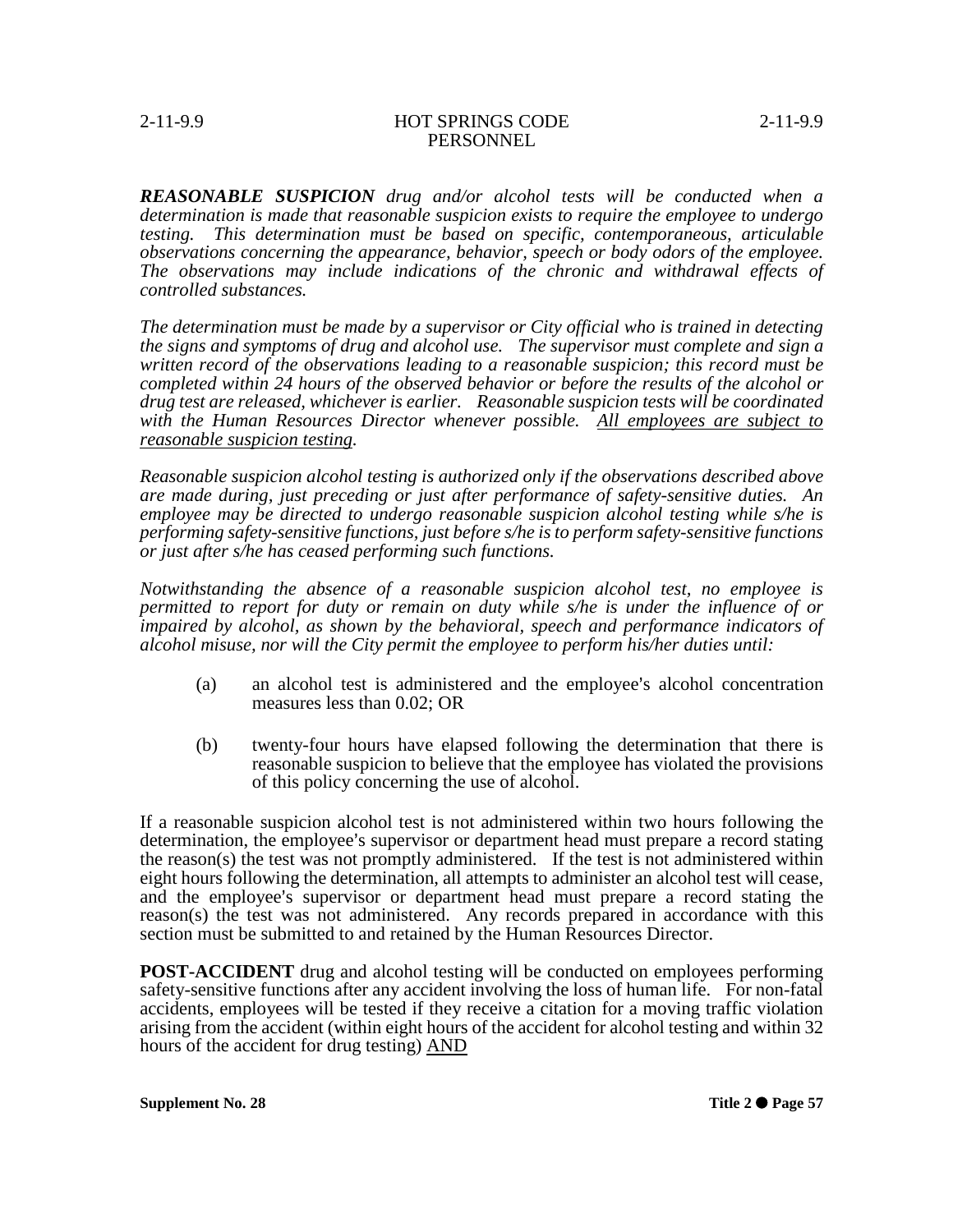#### 2-11-9.9 HOT SPRINGS CODE 2-11-9.9 PERSONNEL

*REASONABLE SUSPICION drug and/or alcohol tests will be conducted when a determination is made that reasonable suspicion exists to require the employee to undergo testing. This determination must be based on specific, contemporaneous, articulable observations concerning the appearance, behavior, speech or body odors of the employee. The observations may include indications of the chronic and withdrawal effects of controlled substances.*

*The determination must be made by a supervisor or City official who is trained in detecting the signs and symptoms of drug and alcohol use. The supervisor must complete and sign a written record of the observations leading to a reasonable suspicion; this record must be completed within 24 hours of the observed behavior or before the results of the alcohol or drug test are released, whichever is earlier. Reasonable suspicion tests will be coordinated with the Human Resources Director whenever possible. All employees are subject to reasonable suspicion testing.*

*Reasonable suspicion alcohol testing is authorized only if the observations described above are made during, just preceding or just after performance of safety-sensitive duties. An employee may be directed to undergo reasonable suspicion alcohol testing while s/he is performing safety-sensitive functions, just before s/he is to perform safety-sensitive functions or just after s/he has ceased performing such functions.*

*Notwithstanding the absence of a reasonable suspicion alcohol test, no employee is permitted to report for duty or remain on duty while s/he is under the influence of or impaired by alcohol, as shown by the behavioral, speech and performance indicators of alcohol misuse, nor will the City permit the employee to perform his/her duties until:*

- (a) an alcohol test is administered and the employee's alcohol concentration measures less than 0.02; OR
- (b) twenty-four hours have elapsed following the determination that there is reasonable suspicion to believe that the employee has violated the provisions of this policy concerning the use of alcohol.

If a reasonable suspicion alcohol test is not administered within two hours following the determination, the employee's supervisor or department head must prepare a record stating the reason(s) the test was not promptly administered. If the test is not administered within eight hours following the determination, all attempts to administer an alcohol test will cease, and the employee's supervisor or department head must prepare a record stating the reason(s) the test was not administered. Any records prepared in accordance with this section must be submitted to and retained by the Human Resources Director.

**POST-ACCIDENT** drug and alcohol testing will be conducted on employees performing safety-sensitive functions after any accident involving the loss of human life. For non-fatal accidents, employees will be tested if they receive a citation for a moving traffic violation arising from the accident (within eight hours of the accident for alcohol testing and within 32 hours of the accident for drug testing) AND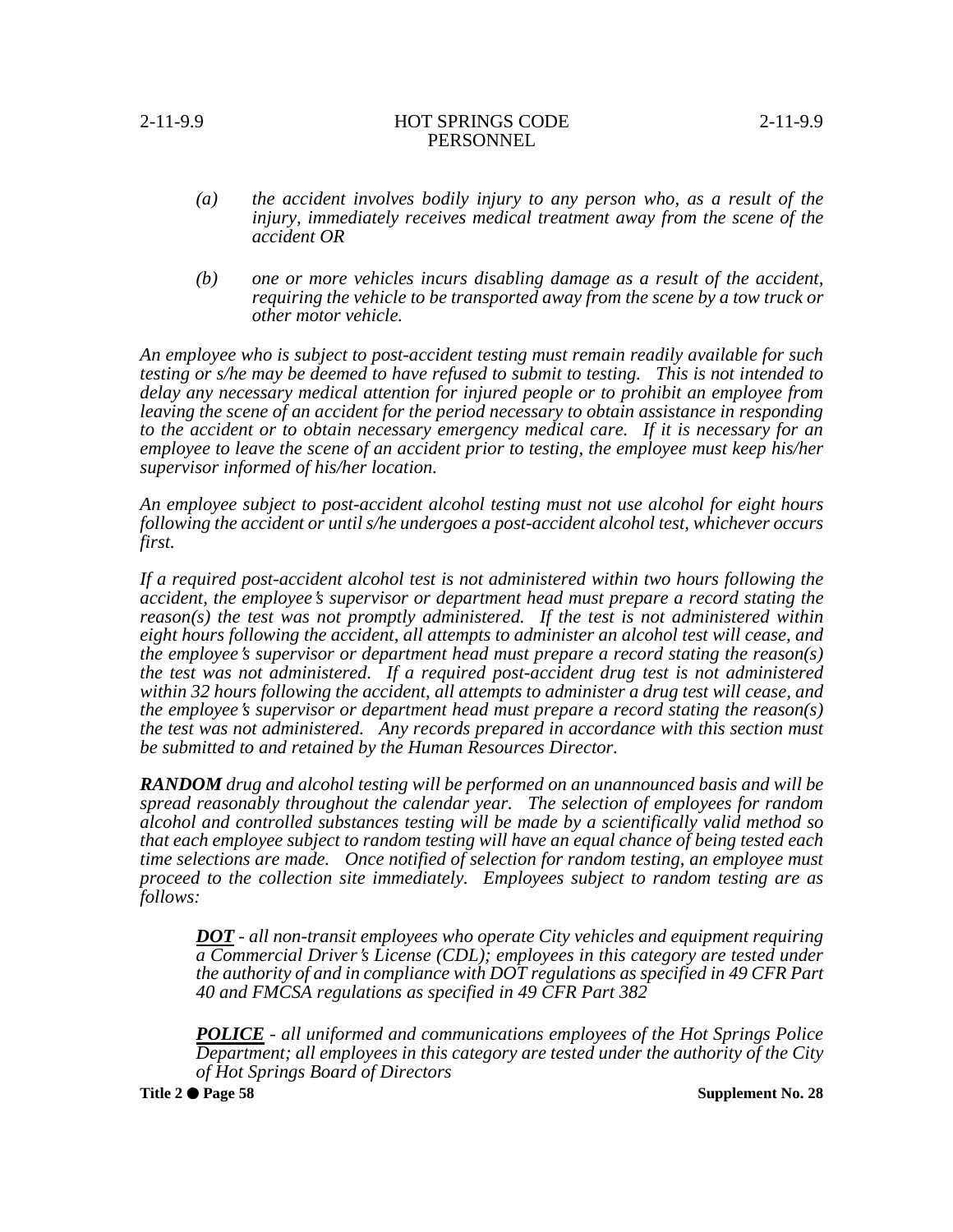## 2-11-9.9 HOT SPRINGS CODE 2-11-9.9 PERSONNEL

- *(a) the accident involves bodily injury to any person who, as a result of the injury, immediately receives medical treatment away from the scene of the accident OR*
- *(b) one or more vehicles incurs disabling damage as a result of the accident, requiring the vehicle to be transported away from the scene by a tow truck or other motor vehicle.*

*An employee who is subject to post-accident testing must remain readily available for such testing or s/he may be deemed to have refused to submit to testing. This is not intended to delay any necessary medical attention for injured people or to prohibit an employee from leaving the scene of an accident for the period necessary to obtain assistance in responding to the accident or to obtain necessary emergency medical care. If it is necessary for an employee to leave the scene of an accident prior to testing, the employee must keep his/her supervisor informed of his/her location.*

*An employee subject to post-accident alcohol testing must not use alcohol for eight hours following the accident or until s/he undergoes a post-accident alcohol test, whichever occurs first.*

*If a required post-accident alcohol test is not administered within two hours following the accident, the employee*=*s supervisor or department head must prepare a record stating the reason(s) the test was not promptly administered. If the test is not administered within eight hours following the accident, all attempts to administer an alcohol test will cease, and the employee*=*s supervisor or department head must prepare a record stating the reason(s) the test was not administered. If a required post-accident drug test is not administered within 32 hours following the accident, all attempts to administer a drug test will cease, and the employee*=*s supervisor or department head must prepare a record stating the reason(s) the test was not administered. Any records prepared in accordance with this section must be submitted to and retained by the Human Resources Director.*

*RANDOM drug and alcohol testing will be performed on an unannounced basis and will be spread reasonably throughout the calendar year. The selection of employees for random alcohol and controlled substances testing will be made by a scientifically valid method so that each employee subject to random testing will have an equal chance of being tested each time selections are made. Once notified of selection for random testing, an employee must proceed to the collection site immediately. Employees subject to random testing are as follows:*

*DOT - all non-transit employees who operate City vehicles and equipment requiring a Commercial Driver*=*s License (CDL); employees in this category are tested under the authority of and in compliance with DOT regulations as specified in 49 CFR Part 40 and FMCSA regulations as specified in 49 CFR Part 382*

*POLICE - all uniformed and communications employees of the Hot Springs Police Department; all employees in this category are tested under the authority of the City of Hot Springs Board of Directors*

**Title 2 Page 58 Supplement No. 28**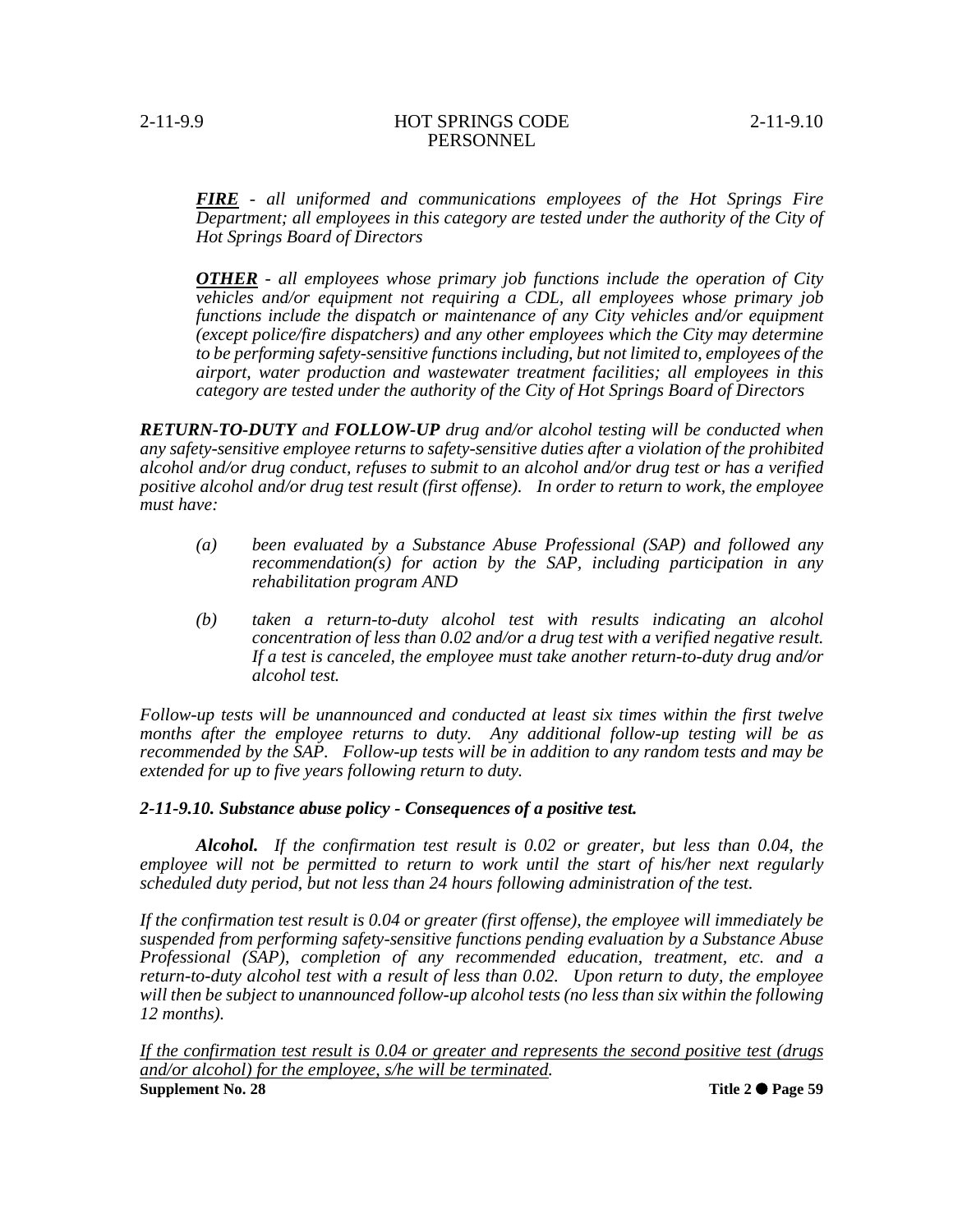## 2-11-9.9 HOT SPRINGS CODE 2-11-9.10 PERSONNEL

*FIRE - all uniformed and communications employees of the Hot Springs Fire Department; all employees in this category are tested under the authority of the City of Hot Springs Board of Directors*

*OTHER - all employees whose primary job functions include the operation of City vehicles and/or equipment not requiring a CDL, all employees whose primary job functions include the dispatch or maintenance of any City vehicles and/or equipment (except police/fire dispatchers) and any other employees which the City may determine to be performing safety-sensitive functions including, but not limited to, employees of the airport, water production and wastewater treatment facilities; all employees in this category are tested under the authority of the City of Hot Springs Board of Directors*

*RETURN-TO-DUTY and FOLLOW-UP drug and/or alcohol testing will be conducted when any safety-sensitive employee returns to safety-sensitive duties after a violation of the prohibited alcohol and/or drug conduct, refuses to submit to an alcohol and/or drug test or has a verified positive alcohol and/or drug test result (first offense). In order to return to work, the employee must have:*

- *(a) been evaluated by a Substance Abuse Professional (SAP) and followed any recommendation(s) for action by the SAP, including participation in any rehabilitation program AND*
- *(b) taken a return-to-duty alcohol test with results indicating an alcohol concentration of less than 0.02 and/or a drug test with a verified negative result. If a test is canceled, the employee must take another return-to-duty drug and/or alcohol test.*

*Follow-up tests will be unannounced and conducted at least six times within the first twelve months after the employee returns to duty. Any additional follow-up testing will be as recommended by the SAP. Follow-up tests will be in addition to any random tests and may be extended for up to five years following return to duty.*

## *2-11-9.10. Substance abuse policy - Consequences of a positive test.*

*Alcohol. If the confirmation test result is 0.02 or greater, but less than 0.04, the employee will not be permitted to return to work until the start of his/her next regularly scheduled duty period, but not less than 24 hours following administration of the test.*

*If the confirmation test result is 0.04 or greater (first offense), the employee will immediately be suspended from performing safety-sensitive functions pending evaluation by a Substance Abuse Professional (SAP), completion of any recommended education, treatment, etc. and a return-to-duty alcohol test with a result of less than 0.02. Upon return to duty, the employee will then be subject to unannounced follow-up alcohol tests (no less than six within the following 12 months).*

*If the confirmation test result is 0.04 or greater and represents the second positive test (drugs and/or alcohol) for the employee, s/he will be terminated.* **Supplement No. 28 Title 2**  $\bullet$  **Page 59**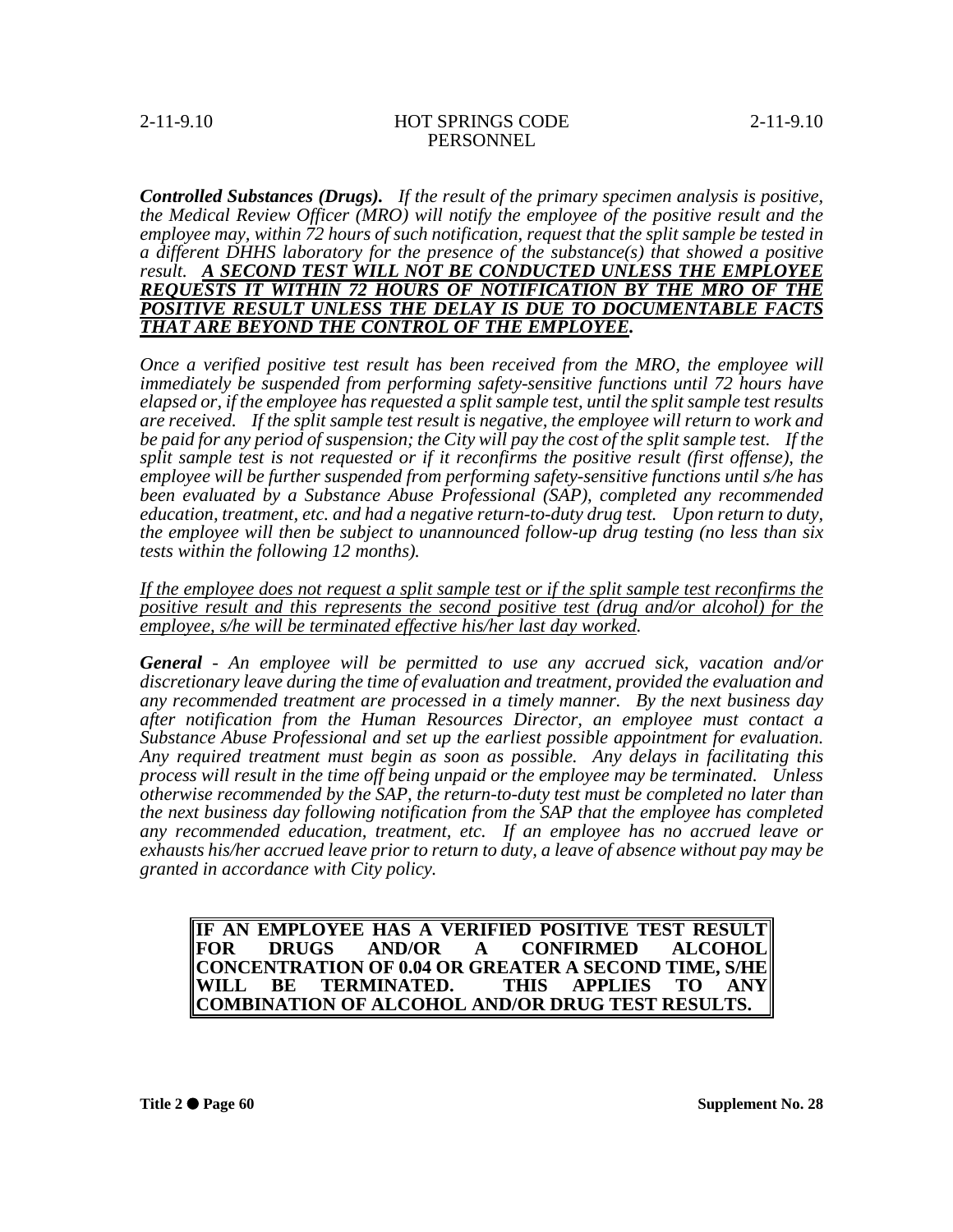## 2-11-9.10 HOT SPRINGS CODE 2-11-9.10 PERSONNEL

*Controlled Substances (Drugs). If the result of the primary specimen analysis is positive, the Medical Review Officer (MRO) will notify the employee of the positive result and the employee may, within 72 hours of such notification, request that the split sample be tested in a different DHHS laboratory for the presence of the substance(s) that showed a positive result. A SECOND TEST WILL NOT BE CONDUCTED UNLESS THE EMPLOYEE REQUESTS IT WITHIN 72 HOURS OF NOTIFICATION BY THE MRO OF THE POSITIVE RESULT UNLESS THE DELAY IS DUE TO DOCUMENTABLE FACTS THAT ARE BEYOND THE CONTROL OF THE EMPLOYEE.* 

*Once a verified positive test result has been received from the MRO, the employee will immediately be suspended from performing safety-sensitive functions until 72 hours have elapsed or, if the employee has requested a split sample test, until the split sample test results are received. If the split sample test result is negative, the employee will return to work and be paid for any period of suspension; the City will pay the cost of the split sample test. If the split sample test is not requested or if it reconfirms the positive result (first offense), the employee will be further suspended from performing safety-sensitive functions until s/he has been evaluated by a Substance Abuse Professional (SAP), completed any recommended education, treatment, etc. and had a negative return-to-duty drug test. Upon return to duty, the employee will then be subject to unannounced follow-up drug testing (no less than six tests within the following 12 months).*

*If the employee does not request a split sample test or if the split sample test reconfirms the positive result and this represents the second positive test (drug and/or alcohol) for the employee, s/he will be terminated effective his/her last day worked.*

*General - An employee will be permitted to use any accrued sick, vacation and/or discretionary leave during the time of evaluation and treatment, provided the evaluation and any recommended treatment are processed in a timely manner. By the next business day after notification from the Human Resources Director, an employee must contact a Substance Abuse Professional and set up the earliest possible appointment for evaluation. Any required treatment must begin as soon as possible. Any delays in facilitating this process will result in the time off being unpaid or the employee may be terminated. Unless otherwise recommended by the SAP, the return-to-duty test must be completed no later than the next business day following notification from the SAP that the employee has completed any recommended education, treatment, etc. If an employee has no accrued leave or exhausts his/her accrued leave prior to return to duty, a leave of absence without pay may be granted in accordance with City policy.*

**IF AN EMPLOYEE HAS A VERIFIED POSITIVE TEST RESULT FOR DRUGS AND/OR A CONFIRMED ALCOHOL CONCENTRATION OF 0.04 OR GREATER A SECOND TIME, S/HE WILL BE TERMINATED. THIS APPLIES TO ANY COMBINATION OF ALCOHOL AND/OR DRUG TEST RESULTS.**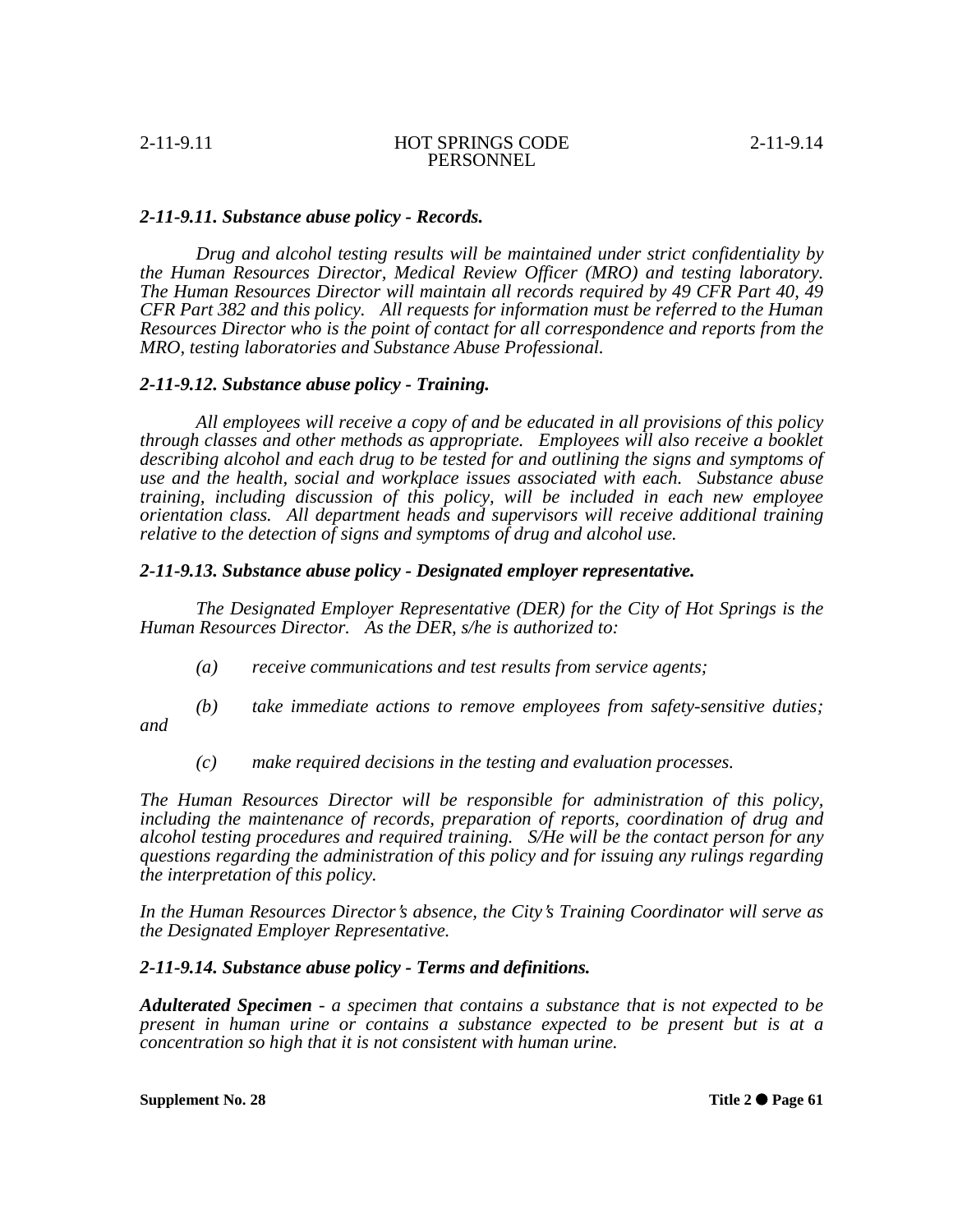## *2-11-9.11. Substance abuse policy - Records.*

*Drug and alcohol testing results will be maintained under strict confidentiality by the Human Resources Director, Medical Review Officer (MRO) and testing laboratory. The Human Resources Director will maintain all records required by 49 CFR Part 40, 49 CFR Part 382 and this policy. All requests for information must be referred to the Human Resources Director who is the point of contact for all correspondence and reports from the MRO, testing laboratories and Substance Abuse Professional.*

## *2-11-9.12. Substance abuse policy - Training.*

*All employees will receive a copy of and be educated in all provisions of this policy through classes and other methods as appropriate. Employees will also receive a booklet describing alcohol and each drug to be tested for and outlining the signs and symptoms of use and the health, social and workplace issues associated with each. Substance abuse training, including discussion of this policy, will be included in each new employee orientation class. All department heads and supervisors will receive additional training relative to the detection of signs and symptoms of drug and alcohol use.*

## *2-11-9.13. Substance abuse policy - Designated employer representative.*

*The Designated Employer Representative (DER) for the City of Hot Springs is the Human Resources Director. As the DER, s/he is authorized to:*

- *(a) receive communications and test results from service agents;*
- *(b) take immediate actions to remove employees from safety-sensitive duties;* 
	- *(c) make required decisions in the testing and evaluation processes.*

*The Human Resources Director will be responsible for administration of this policy, including the maintenance of records, preparation of reports, coordination of drug and alcohol testing procedures and required training. S/He will be the contact person for any questions regarding the administration of this policy and for issuing any rulings regarding the interpretation of this policy.*

*In the Human Resources Director*=*s absence, the City*=*s Training Coordinator will serve as the Designated Employer Representative.*

## *2-11-9.14. Substance abuse policy - Terms and definitions.*

*Adulterated Specimen - a specimen that contains a substance that is not expected to be present in human urine or contains a substance expected to be present but is at a concentration so high that it is not consistent with human urine.*

*and*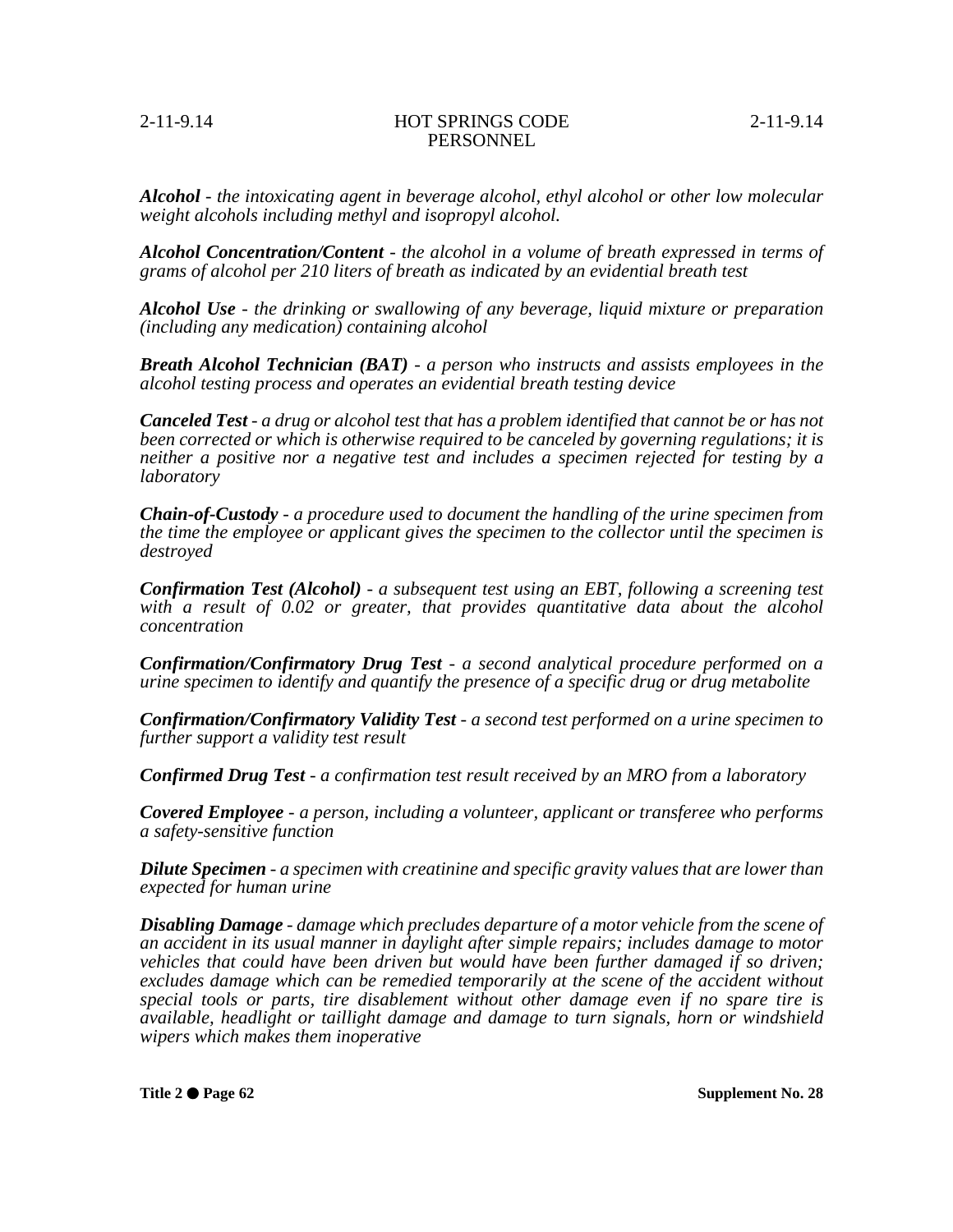## 2-11-9.14 HOT SPRINGS CODE 2-11-9.14 PERSONNEL

*Alcohol - the intoxicating agent in beverage alcohol, ethyl alcohol or other low molecular weight alcohols including methyl and isopropyl alcohol.*

*Alcohol Concentration/Content - the alcohol in a volume of breath expressed in terms of grams of alcohol per 210 liters of breath as indicated by an evidential breath test*

*Alcohol Use - the drinking or swallowing of any beverage, liquid mixture or preparation (including any medication) containing alcohol*

*Breath Alcohol Technician (BAT) - a person who instructs and assists employees in the alcohol testing process and operates an evidential breath testing device*

*Canceled Test - a drug or alcohol test that has a problem identified that cannot be or has not been corrected or which is otherwise required to be canceled by governing regulations; it is neither a positive nor a negative test and includes a specimen rejected for testing by a laboratory*

*Chain-of-Custody - a procedure used to document the handling of the urine specimen from the time the employee or applicant gives the specimen to the collector until the specimen is destroyed*

*Confirmation Test (Alcohol) - a subsequent test using an EBT, following a screening test*  with a result of 0.02 or greater, that provides quantitative data about the alcohol *concentration*

*Confirmation/Confirmatory Drug Test - a second analytical procedure performed on a urine specimen to identify and quantify the presence of a specific drug or drug metabolite*

*Confirmation/Confirmatory Validity Test - a second test performed on a urine specimen to further support a validity test result*

*Confirmed Drug Test - a confirmation test result received by an MRO from a laboratory*

*Covered Employee - a person, including a volunteer, applicant or transferee who performs a safety-sensitive function*

*Dilute Specimen - a specimen with creatinine and specific gravity values that are lower than expected for human urine*

*Disabling Damage - damage which precludes departure of a motor vehicle from the scene of an accident in its usual manner in daylight after simple repairs; includes damage to motor vehicles that could have been driven but would have been further damaged if so driven; excludes damage which can be remedied temporarily at the scene of the accident without special tools or parts, tire disablement without other damage even if no spare tire is available, headlight or taillight damage and damage to turn signals, horn or windshield wipers which makes them inoperative*

**Title 2 Page 62 Supplement No. 28**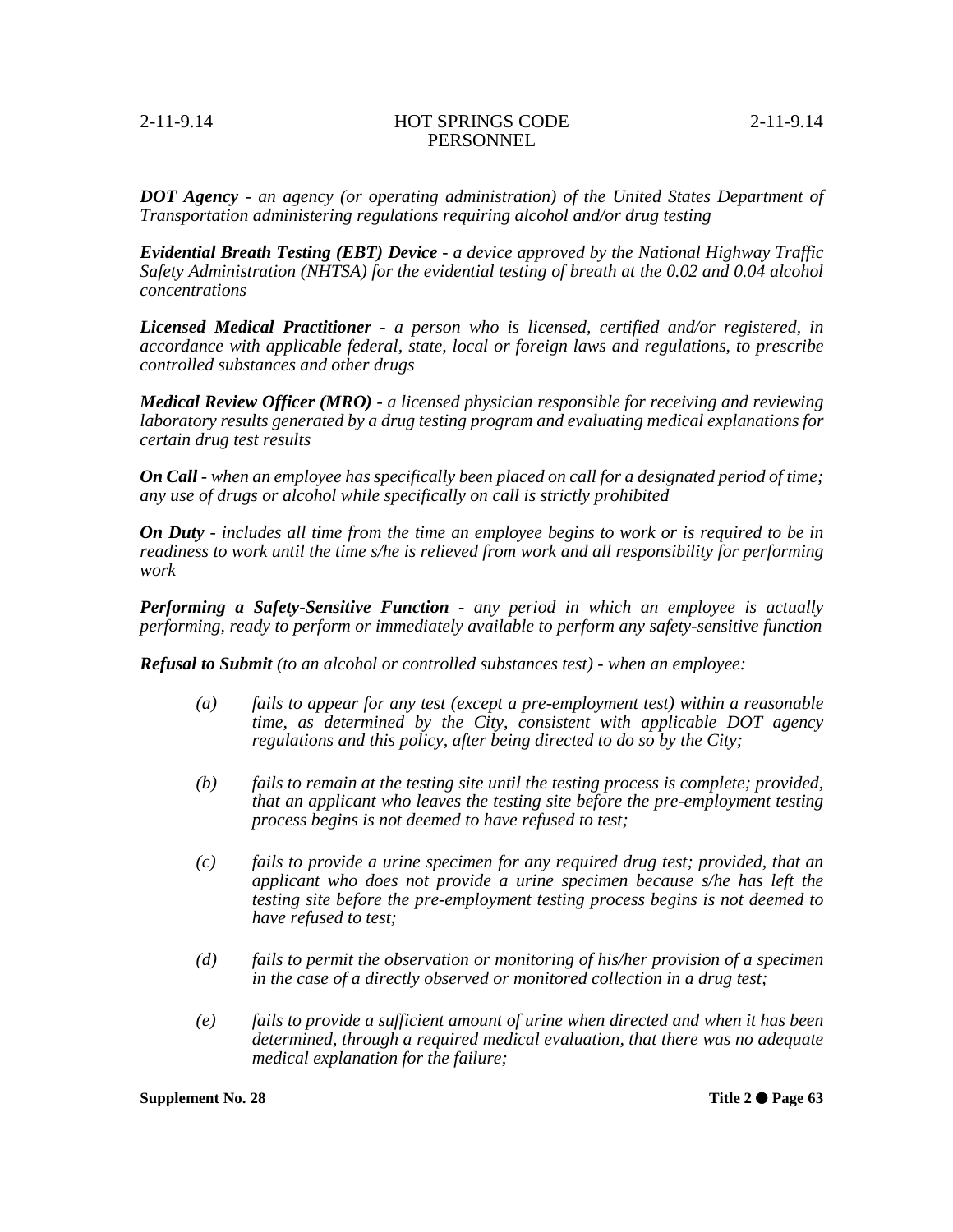## 2-11-9.14 HOT SPRINGS CODE 2-11-9.14 PERSONNEL

*DOT Agency - an agency (or operating administration) of the United States Department of Transportation administering regulations requiring alcohol and/or drug testing*

*Evidential Breath Testing (EBT) Device - a device approved by the National Highway Traffic Safety Administration (NHTSA) for the evidential testing of breath at the 0.02 and 0.04 alcohol concentrations*

*Licensed Medical Practitioner - a person who is licensed, certified and/or registered, in accordance with applicable federal, state, local or foreign laws and regulations, to prescribe controlled substances and other drugs*

*Medical Review Officer (MRO) - a licensed physician responsible for receiving and reviewing laboratory results generated by a drug testing program and evaluating medical explanations for certain drug test results*

*On Call - when an employee has specifically been placed on call for a designated period of time; any use of drugs or alcohol while specifically on call is strictly prohibited*

*On Duty - includes all time from the time an employee begins to work or is required to be in readiness to work until the time s/he is relieved from work and all responsibility for performing work*

*Performing a Safety-Sensitive Function - any period in which an employee is actually performing, ready to perform or immediately available to perform any safety-sensitive function*

*Refusal to Submit (to an alcohol or controlled substances test) - when an employee:*

- *(a) fails to appear for any test (except a pre-employment test) within a reasonable time, as determined by the City, consistent with applicable DOT agency regulations and this policy, after being directed to do so by the City;*
- *(b) fails to remain at the testing site until the testing process is complete; provided, that an applicant who leaves the testing site before the pre-employment testing process begins is not deemed to have refused to test;*
- *(c) fails to provide a urine specimen for any required drug test; provided, that an applicant who does not provide a urine specimen because s/he has left the testing site before the pre-employment testing process begins is not deemed to have refused to test;*
- *(d) fails to permit the observation or monitoring of his/her provision of a specimen in the case of a directly observed or monitored collection in a drug test;*
- *(e) fails to provide a sufficient amount of urine when directed and when it has been determined, through a required medical evaluation, that there was no adequate medical explanation for the failure;*

**Supplement No. 28 Title 2**  $\bullet$  **Page 63**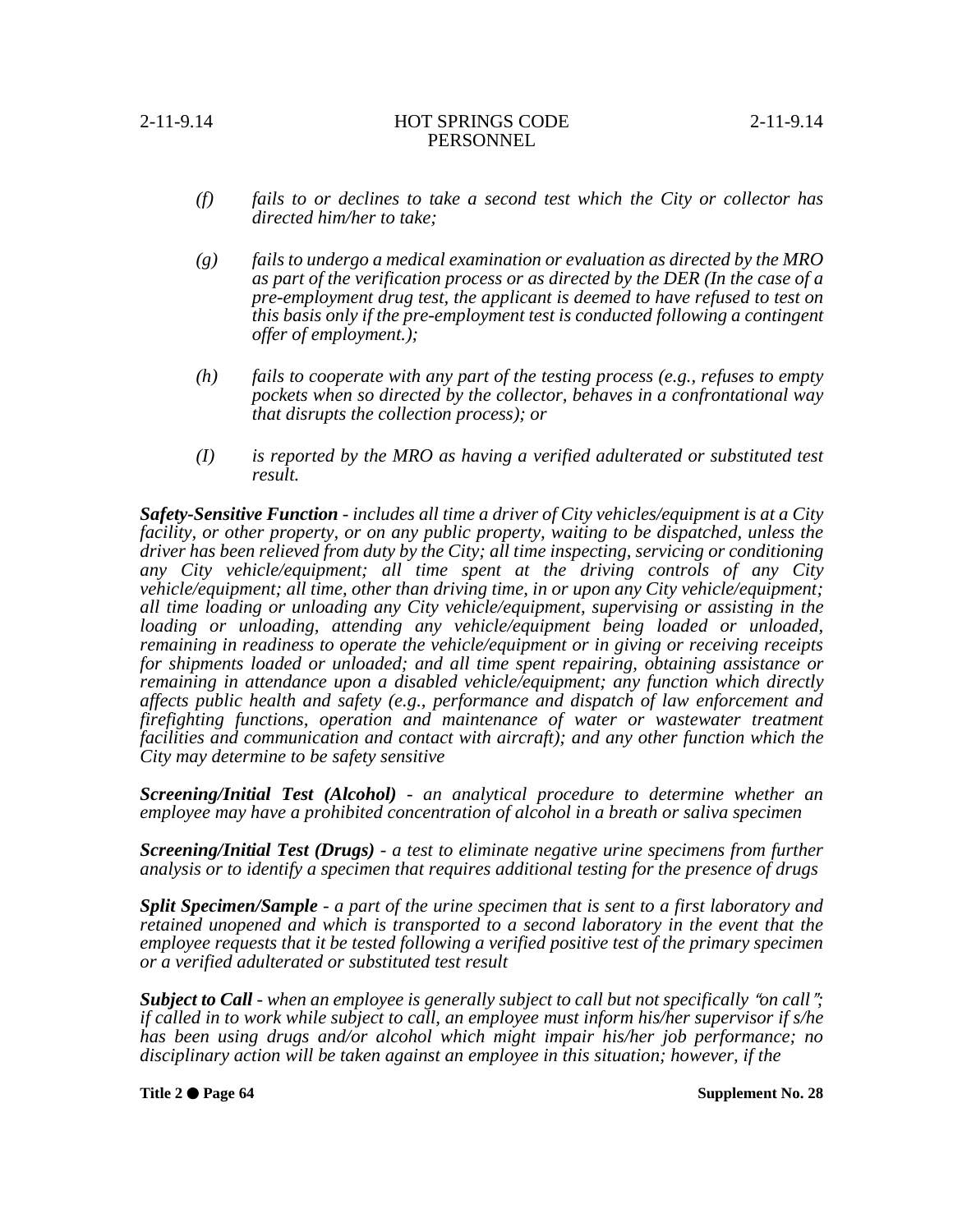## 2-11-9.14 HOT SPRINGS CODE 2-11-9.14 PERSONNEL

- *(f) fails to or declines to take a second test which the City or collector has directed him/her to take;*
- *(g) fails to undergo a medical examination or evaluation as directed by the MRO as part of the verification process or as directed by the DER (In the case of a pre-employment drug test, the applicant is deemed to have refused to test on this basis only if the pre-employment test is conducted following a contingent offer of employment.);*
- *(h) fails to cooperate with any part of the testing process (e.g., refuses to empty pockets when so directed by the collector, behaves in a confrontational way that disrupts the collection process); or*
- *(I) is reported by the MRO as having a verified adulterated or substituted test result.*

*Safety-Sensitive Function - includes all time a driver of City vehicles/equipment is at a City facility, or other property, or on any public property, waiting to be dispatched, unless the driver has been relieved from duty by the City; all time inspecting, servicing or conditioning any City vehicle/equipment; all time spent at the driving controls of any City vehicle/equipment; all time, other than driving time, in or upon any City vehicle/equipment; all time loading or unloading any City vehicle/equipment, supervising or assisting in the loading or unloading, attending any vehicle/equipment being loaded or unloaded, remaining in readiness to operate the vehicle/equipment or in giving or receiving receipts for shipments loaded or unloaded; and all time spent repairing, obtaining assistance or remaining in attendance upon a disabled vehicle/equipment; any function which directly affects public health and safety (e.g., performance and dispatch of law enforcement and firefighting functions, operation and maintenance of water or wastewater treatment facilities and communication and contact with aircraft); and any other function which the City may determine to be safety sensitive*

*Screening/Initial Test (Alcohol) - an analytical procedure to determine whether an employee may have a prohibited concentration of alcohol in a breath or saliva specimen*

*Screening/Initial Test (Drugs) - a test to eliminate negative urine specimens from further analysis or to identify a specimen that requires additional testing for the presence of drugs*

*Split Specimen/Sample - a part of the urine specimen that is sent to a first laboratory and retained unopened and which is transported to a second laboratory in the event that the employee requests that it be tested following a verified positive test of the primary specimen or a verified adulterated or substituted test result*

*Subject to Call - when an employee is generally subject to call but not specifically "on call*"; *if called in to work while subject to call, an employee must inform his/her supervisor if s/he has been using drugs and/or alcohol which might impair his/her job performance; no disciplinary action will be taken against an employee in this situation; however, if the* 

**Title 2 Page 64 Supplement No. 28**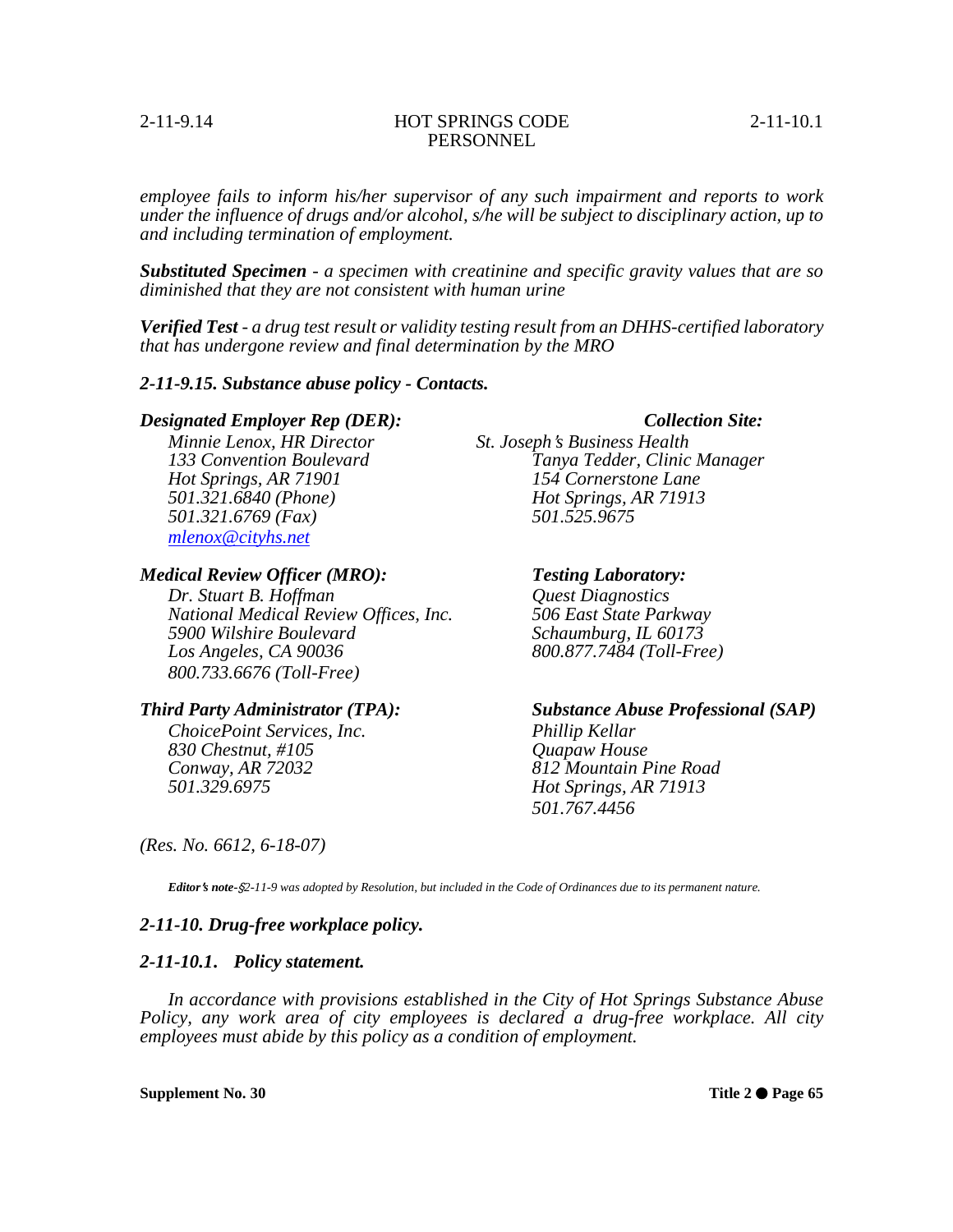## 2-11-9.14 HOT SPRINGS CODE 2-11-10.1 PERSONNEL

*employee fails to inform his/her supervisor of any such impairment and reports to work under the influence of drugs and/or alcohol, s/he will be subject to disciplinary action, up to and including termination of employment.*

*Substituted Specimen - a specimen with creatinine and specific gravity values that are so diminished that they are not consistent with human urine*

*Verified Test - a drug test result or validity testing result from an DHHS-certified laboratory that has undergone review and final determination by the MRO*

## *2-11-9.15. Substance abuse policy - Contacts.*

## *Designated Employer Rep (DER): Collection Site:*

*Hot Springs, AR 71901*<br>*501.321.6840 (Phone) 501.321.6769 (Fax) 501.525.9675 mlenox@cityhs.net*

## *Medical Review Officer (MRO): Testing Laboratory:*

*Dr. Stuart B. Hoffman Quest Diagnostics National Medical Review Offices, Inc. 506 East State Parkway 5900 Wilshire Boulevard*<br>*Los Angeles, CA 90036 800.733.6676 (Toll-Free)*

*ChoicePoint Services, Inc. Phillip Kellar 830 Chestnut, #105 Quapaw House Conway, AR 72032 812 Mountain Pine Road*

*Minnie Lenox, HR Director*<br>
133 Convention Boulevard<br>
133 Convention Boulevard<br>
133 Convention Boulevard *133 Convention Boulevard Tanya Tedder, Clinic Manager 501.321.6840 (Phone) Hot Springs, AR 71913*

*Los Angeles, CA 90036 800.877.7484 (Toll-Free)*

#### *Third Party Administrator (TPA): Substance Abuse Professional (SAP)*

*501.329.6975 Hot Springs, AR 71913 501.767.4456*

*(Res. No. 6612, 6-18-07)*

*Editor*=*s note-*'*2-11-9 was adopted by Resolution, but included in the Code of Ordinances due to its permanent nature.*

#### *2-11-10. Drug-free workplace policy.*

#### *2-11-10.1***.** *Policy statement.*

*In accordance with provisions established in the City of Hot Springs Substance Abuse Policy, any work area of city employees is declared a drug-free workplace. All city employees must abide by this policy as a condition of employment.*

**Supplement No. 30 Title 2 Page 65**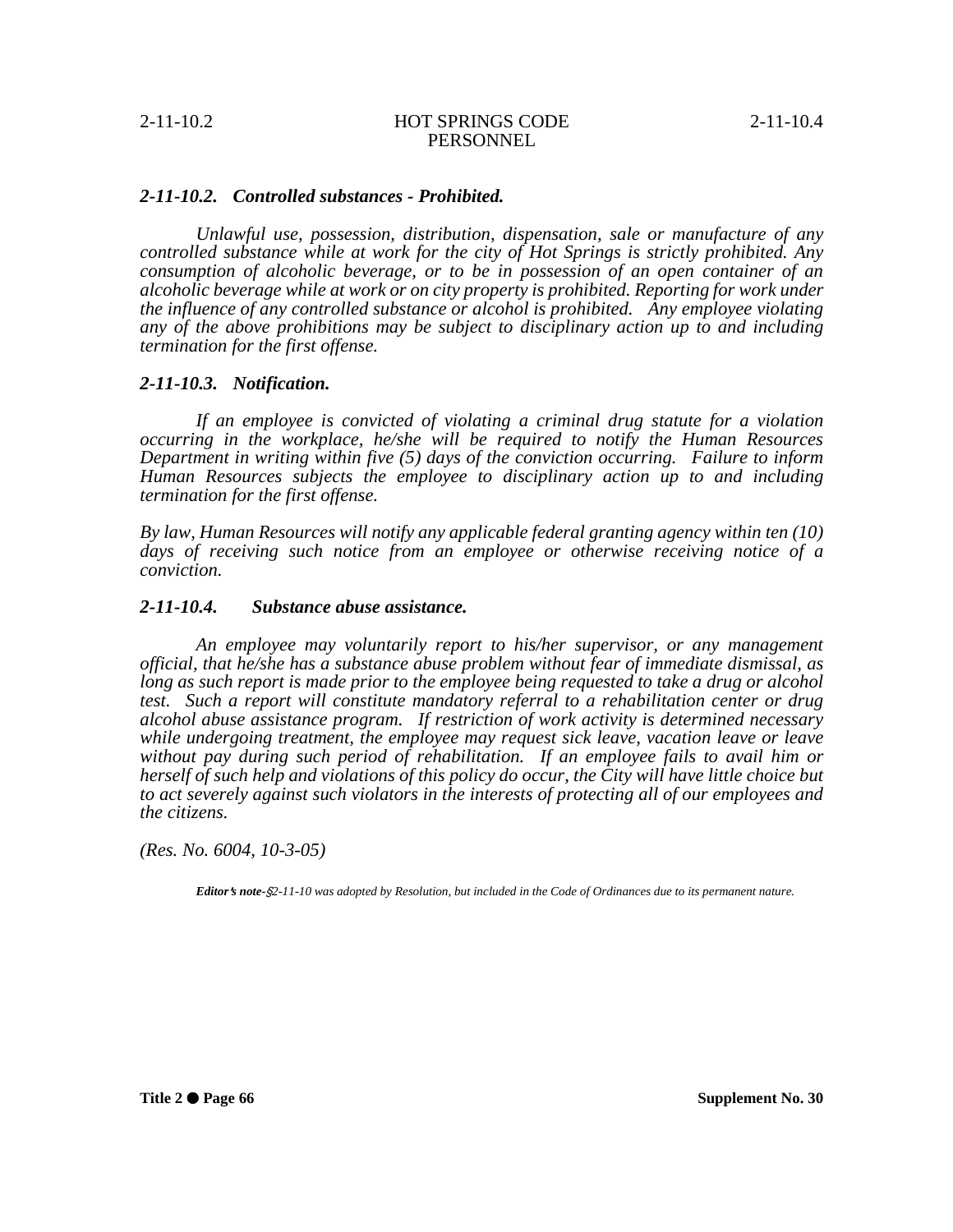## *2-11-10.2. Controlled substances - Prohibited.*

*Unlawful use, possession, distribution, dispensation, sale or manufacture of any controlled substance while at work for the city of Hot Springs is strictly prohibited. Any consumption of alcoholic beverage, or to be in possession of an open container of an alcoholic beverage while at work or on city property is prohibited. Reporting for work under the influence of any controlled substance or alcohol is prohibited. Any employee violating any of the above prohibitions may be subject to disciplinary action up to and including termination for the first offense.* 

#### *2-11-10.3. Notification.*

*If an employee is convicted of violating a criminal drug statute for a violation occurring in the workplace, he/she will be required to notify the Human Resources Department in writing within five (5) days of the conviction occurring. Failure to inform Human Resources subjects the employee to disciplinary action up to and including termination for the first offense.* 

*By law, Human Resources will notify any applicable federal granting agency within ten (10) days of receiving such notice from an employee or otherwise receiving notice of a conviction.*

## *2-11-10.4. Substance abuse assistance.*

*An employee may voluntarily report to his/her supervisor, or any management official, that he/she has a substance abuse problem without fear of immediate dismissal, as long as such report is made prior to the employee being requested to take a drug or alcohol test. Such a report will constitute mandatory referral to a rehabilitation center or drug alcohol abuse assistance program. If restriction of work activity is determined necessary while undergoing treatment, the employee may request sick leave, vacation leave or leave without pay during such period of rehabilitation. If an employee fails to avail him or herself of such help and violations of this policy do occur, the City will have little choice but to act severely against such violators in the interests of protecting all of our employees and the citizens.*

*(Res. No. 6004, 10-3-05)*

*Editor*=*s note-*'*2-11-10 was adopted by Resolution, but included in the Code of Ordinances due to its permanent nature.*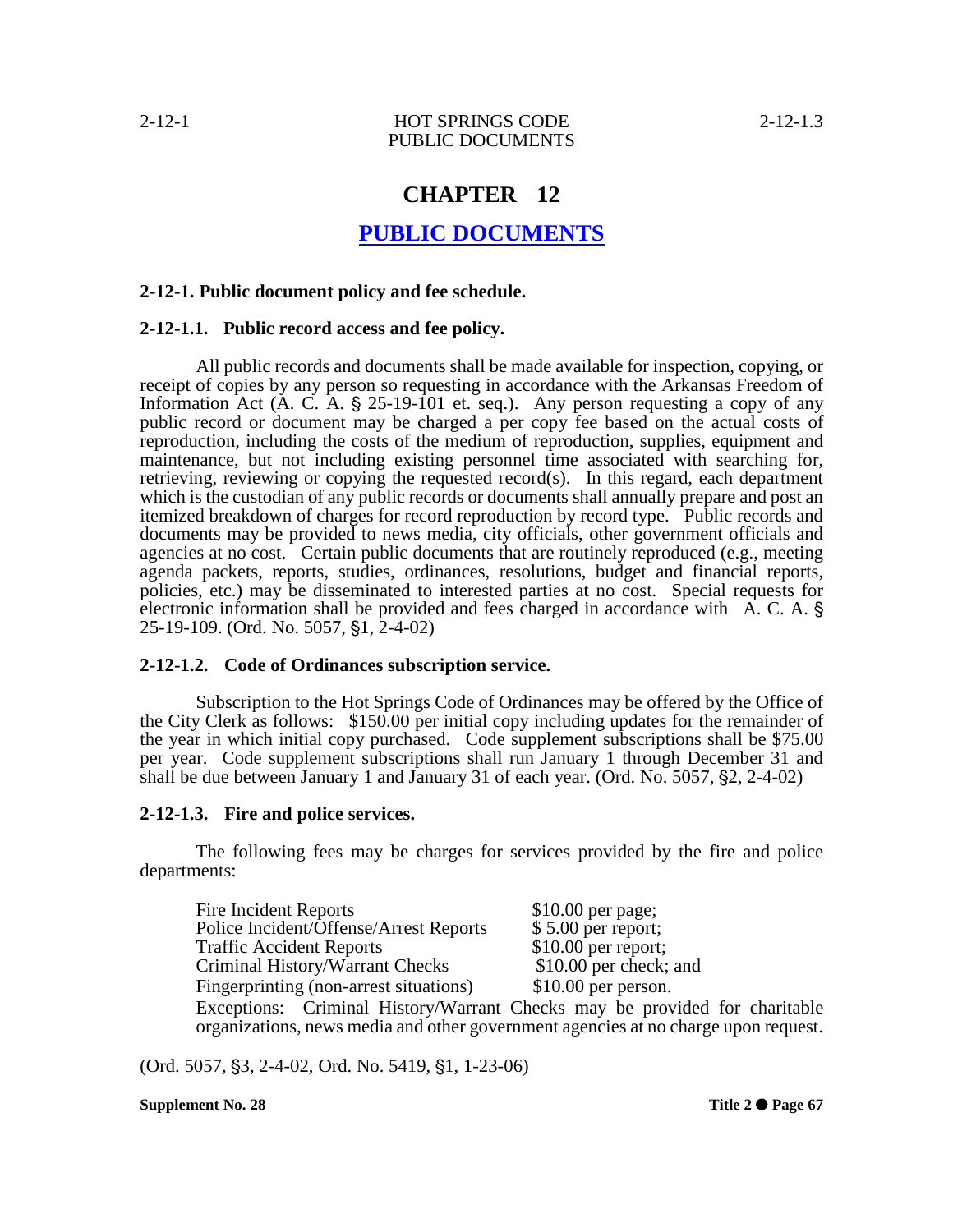# **CHAPTER 12**

# **[PUBLIC DOCUMENTS](#page-96-0)**

## <span id="page-96-0"></span>**2-12-1. Public document policy and fee schedule.**

## **2-12-1.1. Public record access and fee policy.**

All public records and documents shall be made available for inspection, copying, or receipt of copies by any person so requesting in accordance with the Arkansas Freedom of Information Act  $(A, C, A, \S 25-19-101$  et. seq.). Any person requesting a copy of any public record or document may be charged a per copy fee based on the actual costs of reproduction, including the costs of the medium of reproduction, supplies, equipment and maintenance, but not including existing personnel time associated with searching for, retrieving, reviewing or copying the requested record(s). In this regard, each department which is the custodian of any public records or documents shall annually prepare and post an itemized breakdown of charges for record reproduction by record type. Public records and documents may be provided to news media, city officials, other government officials and agencies at no cost. Certain public documents that are routinely reproduced (e.g., meeting agenda packets, reports, studies, ordinances, resolutions, budget and financial reports, policies, etc.) may be disseminated to interested parties at no cost. Special requests for electronic information shall be provided and fees charged in accordance with  $\overline{A}$ . C. A.  $\overline{S}$ 25-19-109. (Ord. No. 5057, §1, 2-4-02)

## **2-12-1.2. Code of Ordinances subscription service.**

Subscription to the Hot Springs Code of Ordinances may be offered by the Office of the City Clerk as follows: \$150.00 per initial copy including updates for the remainder of the year in which initial copy purchased. Code supplement subscriptions shall be \$75.00 per year. Code supplement subscriptions shall run January 1 through December 31 and shall be due between January 1 and January 31 of each year. (Ord. No.  $5057$ ,  $\S2$ , 2-4-02)

## **2-12-1.3. Fire and police services.**

The following fees may be charges for services provided by the fire and police departments:

| Fire Incident Reports                                                              | $$10.00$ per page;                                                         |  |  |
|------------------------------------------------------------------------------------|----------------------------------------------------------------------------|--|--|
| Police Incident/Offense/Arrest Reports                                             | $$5.00$ per report;                                                        |  |  |
| <b>Traffic Accident Reports</b>                                                    | $$10.00$ per report;                                                       |  |  |
| Criminal History/Warrant Checks                                                    | \$10.00 per check; and                                                     |  |  |
| Fingerprinting (non-arrest situations)                                             | $$10.00$ per person.                                                       |  |  |
|                                                                                    | Exceptions: Criminal History/Warrant Checks may be provided for charitable |  |  |
| organizations, news media and other government agencies at no charge upon request. |                                                                            |  |  |

 $(Ord. 5057, §3, 2-4-02, Ord. No. 5419, §1, 1-23-06)$ 

**Supplement No. 28 Title 2 Page 67**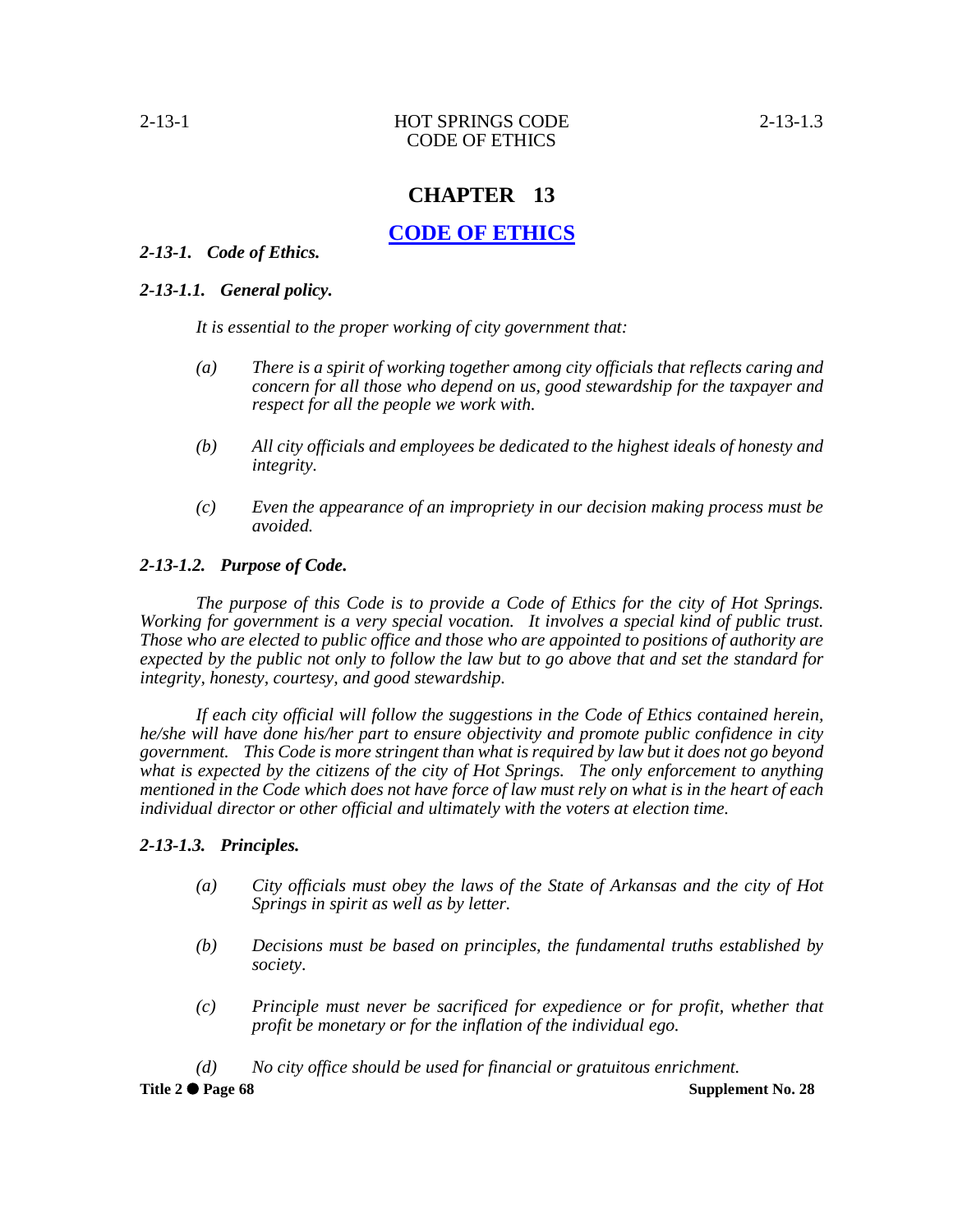# **CHAPTER 13**

# **[CODE OF ETHICS](#page-97-0)**

## <span id="page-97-0"></span>*2-13-1. Code of Ethics.*

## *2-13-1.1. General policy.*

*It is essential to the proper working of city government that:*

- *(a) There is a spirit of working together among city officials that reflects caring and concern for all those who depend on us, good stewardship for the taxpayer and respect for all the people we work with.*
- *(b) All city officials and employees be dedicated to the highest ideals of honesty and integrity.*
- *(c) Even the appearance of an impropriety in our decision making process must be avoided.*

#### *2-13-1.2. Purpose of Code.*

*The purpose of this Code is to provide a Code of Ethics for the city of Hot Springs. Working for government is a very special vocation. It involves a special kind of public trust. Those who are elected to public office and those who are appointed to positions of authority are expected by the public not only to follow the law but to go above that and set the standard for integrity, honesty, courtesy, and good stewardship.*

*If each city official will follow the suggestions in the Code of Ethics contained herein, he/she will have done his/her part to ensure objectivity and promote public confidence in city government. This Code is more stringent than what is required by law but it does not go beyond what is expected by the citizens of the city of Hot Springs. The only enforcement to anything mentioned in the Code which does not have force of law must rely on what is in the heart of each individual director or other official and ultimately with the voters at election time.*

## *2-13-1.3. Principles.*

- *(a) City officials must obey the laws of the State of Arkansas and the city of Hot Springs in spirit as well as by letter.*
- *(b) Decisions must be based on principles, the fundamental truths established by society.*
- *(c) Principle must never be sacrificed for expedience or for profit, whether that profit be monetary or for the inflation of the individual ego.*

*(d) No city office should be used for financial or gratuitous enrichment.* **Title 2 Page 68 Supplement No. 28**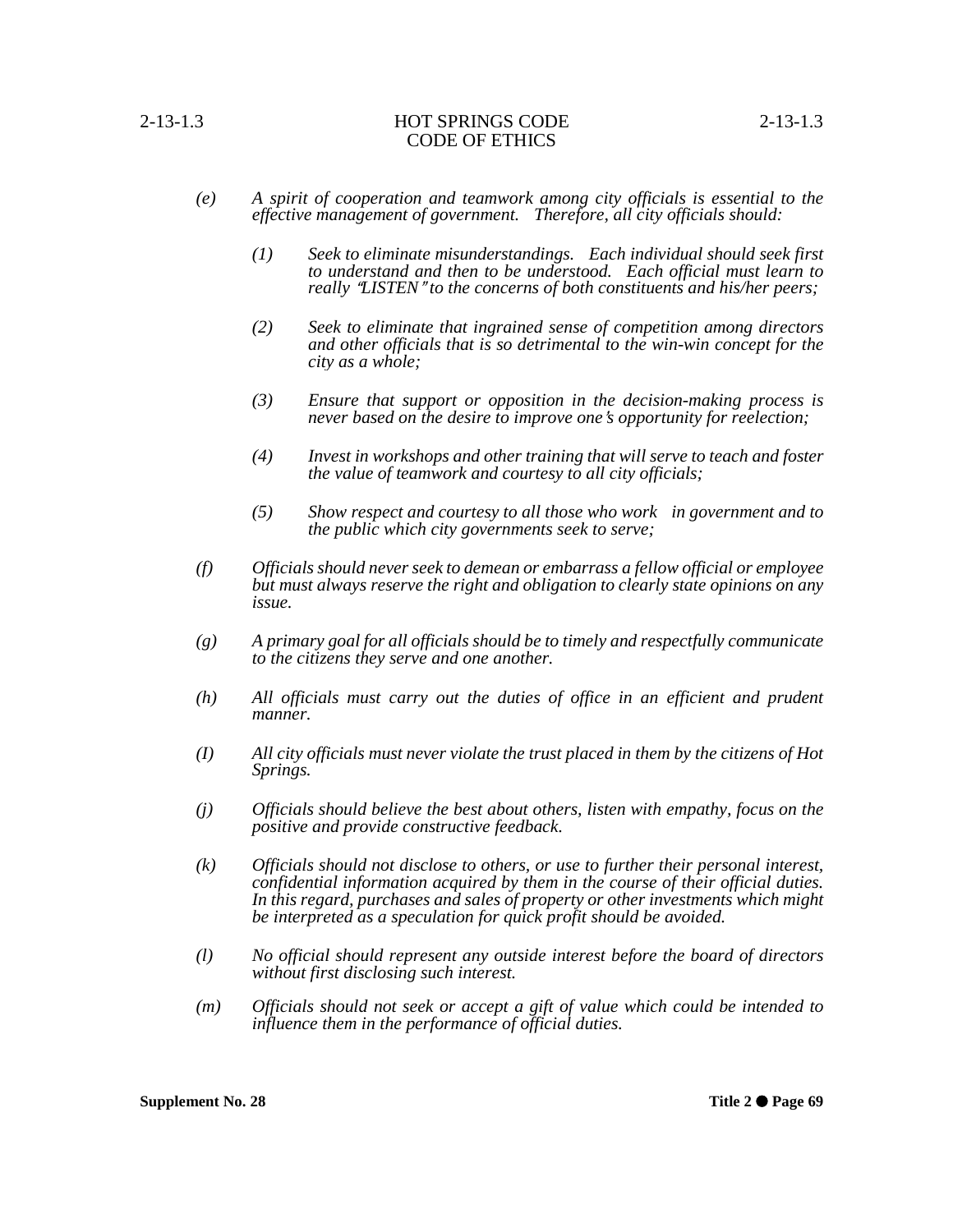- *(e) A spirit of cooperation and teamwork among city officials is essential to the effective management of government. Therefore, all city officials should:*
	- *(1) Seek to eliminate misunderstandings. Each individual should seek first to understand and then to be understood. Each official must learn to really "LISTEN"* to the concerns of both constituents and his/her peers;
	- *(2) Seek to eliminate that ingrained sense of competition among directors and other officials that is so detrimental to the win-win concept for the city as a whole;*
	- *(3) Ensure that support or opposition in the decision-making process is never based on the desire to improve one*=*s opportunity for reelection;*
	- *(4) Invest in workshops and other training that will serve to teach and foster the value of teamwork and courtesy to all city officials;*
	- *(5) Show respect and courtesy to all those who work in government and to the public which city governments seek to serve;*
- *(f) Officials should never seek to demean or embarrass a fellow official or employee but must always reserve the right and obligation to clearly state opinions on any issue.*
- *(g) A primary goal for all officials should be to timely and respectfully communicate to the citizens they serve and one another.*
- *(h) All officials must carry out the duties of office in an efficient and prudent manner.*
- *(I) All city officials must never violate the trust placed in them by the citizens of Hot Springs.*
- *(j) Officials should believe the best about others, listen with empathy, focus on the positive and provide constructive feedback.*
- *(k) Officials should not disclose to others, or use to further their personal interest, confidential information acquired by them in the course of their official duties. In this regard, purchases and sales of property or other investments which might be interpreted as a speculation for quick profit should be avoided.*
- *(l) No official should represent any outside interest before the board of directors without first disclosing such interest.*
- *(m) Officials should not seek or accept a gift of value which could be intended to influence them in the performance of official duties.*